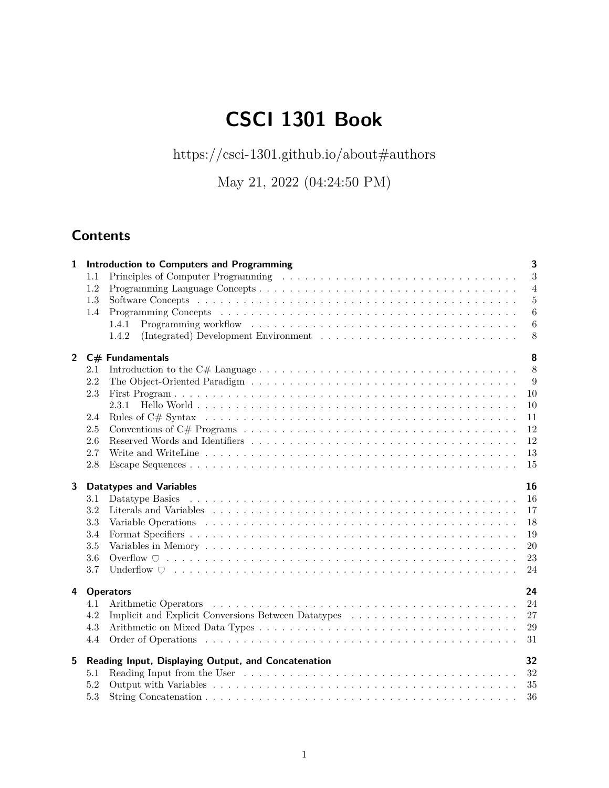# **CSCI 1301 Book**

<code><https://csci-1301.github.io/about#authors></code>

May 21, 2022 (04:24:50 PM)

# **Contents**

| $\mathbf{1}$ |         | <b>Introduction to Computers and Programming</b>                                                                                                                                                                               | $\overline{\mathbf{3}}$ |
|--------------|---------|--------------------------------------------------------------------------------------------------------------------------------------------------------------------------------------------------------------------------------|-------------------------|
|              | $1.1\,$ |                                                                                                                                                                                                                                | 3                       |
|              | 1.2     |                                                                                                                                                                                                                                | $\overline{4}$          |
|              | 1.3     |                                                                                                                                                                                                                                | 5                       |
|              | 1.4     | Programming Concepts (a) and a contract of the contract of the contract of the contract of the contract of the contract of the contract of the contract of the contract of the contract of the contract of the contract of the | 6                       |
|              |         | 1.4.1                                                                                                                                                                                                                          | $\boldsymbol{6}$        |
|              |         | (Integrated) Development Environment<br>1.4.2                                                                                                                                                                                  | 8                       |
|              |         | 2 $C#$ Fundamentals                                                                                                                                                                                                            | 8                       |
|              | 2.1     |                                                                                                                                                                                                                                | 8                       |
|              | 2.2     |                                                                                                                                                                                                                                | 9                       |
|              | 2.3     |                                                                                                                                                                                                                                | 10                      |
|              |         | 2.3.1                                                                                                                                                                                                                          | 10                      |
|              | 2.4     |                                                                                                                                                                                                                                | 11                      |
|              | $2.5\,$ | Conventions of C# Programs $\dots \dots \dots \dots \dots \dots \dots \dots \dots \dots \dots \dots \dots \dots \dots \dots$                                                                                                   | 12                      |
|              | 2.6     |                                                                                                                                                                                                                                | 12                      |
|              | 2.7     |                                                                                                                                                                                                                                | 13                      |
|              | 2.8     |                                                                                                                                                                                                                                | 15                      |
|              |         |                                                                                                                                                                                                                                |                         |
| 3            |         | <b>Datatypes and Variables</b>                                                                                                                                                                                                 | 16                      |
|              | 3.1     |                                                                                                                                                                                                                                | 16                      |
|              | 3.2     |                                                                                                                                                                                                                                | 17                      |
|              | 3.3     |                                                                                                                                                                                                                                | 18                      |
|              | 3.4     |                                                                                                                                                                                                                                | 19                      |
|              | 3.5     |                                                                                                                                                                                                                                | 20                      |
|              | 3.6     |                                                                                                                                                                                                                                | 23                      |
|              | 3.7     |                                                                                                                                                                                                                                | 24                      |
| 4            |         | <b>Operators</b>                                                                                                                                                                                                               | 24                      |
|              | 4.1     |                                                                                                                                                                                                                                | 24                      |
|              | 4.2     |                                                                                                                                                                                                                                | 27                      |
|              | 4.3     |                                                                                                                                                                                                                                | 29                      |
|              | 4.4     |                                                                                                                                                                                                                                | 31                      |
| 5            |         |                                                                                                                                                                                                                                | 32                      |
|              | 5.1     | Reading Input, Displaying Output, and Concatenation                                                                                                                                                                            | 32                      |
|              | 5.2     |                                                                                                                                                                                                                                | 35                      |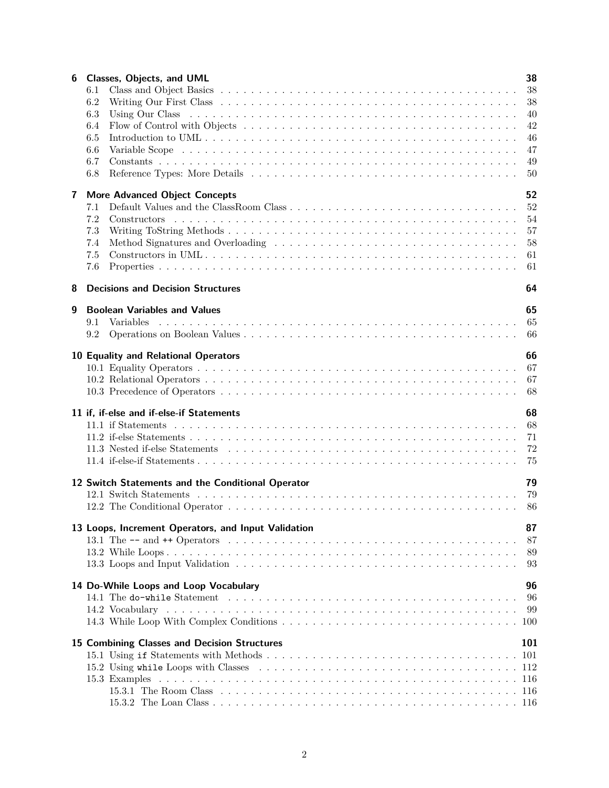| 6 | Classes, Objects, and UML<br>6.1<br>6.2<br>6.3                                                                                                                                       | 38<br>38<br>38<br>40                   |
|---|--------------------------------------------------------------------------------------------------------------------------------------------------------------------------------------|----------------------------------------|
|   | 6.4<br>6.5<br>6.6<br>6.7                                                                                                                                                             | 42<br>46<br>47<br>49                   |
|   | 6.8                                                                                                                                                                                  | 50                                     |
| 7 | <b>More Advanced Object Concepts</b><br>7.1<br>7.2<br>7.3<br>7.4<br>7.5<br>7.6                                                                                                       | 52<br>52<br>54<br>57<br>58<br>61<br>61 |
| 8 | <b>Decisions and Decision Structures</b>                                                                                                                                             | 64                                     |
| 9 | <b>Boolean Variables and Values</b><br>9.1<br><i>Variables</i><br>9.2                                                                                                                | 65<br>65<br>66                         |
|   | 10 Equality and Relational Operators                                                                                                                                                 | 66<br>67<br>67<br>68                   |
|   | 11 if, if-else and if-else-if Statements                                                                                                                                             | 68<br>68<br>71<br>72<br>75             |
|   | 12 Switch Statements and the Conditional Operator                                                                                                                                    | 79<br>79<br>86                         |
|   | 13 Loops, Increment Operators, and Input Validation<br>13.1 The $--$ and $++$ Operators $\ldots \ldots \ldots \ldots \ldots \ldots \ldots \ldots \ldots \ldots \ldots \ldots \ldots$ | 87<br>87<br>89<br>93                   |
|   | 14 Do-While Loops and Loop Vocabulary                                                                                                                                                | 96<br>96<br>99<br>100                  |
|   | 15 Combining Classes and Decision Structures                                                                                                                                         | 101<br>101                             |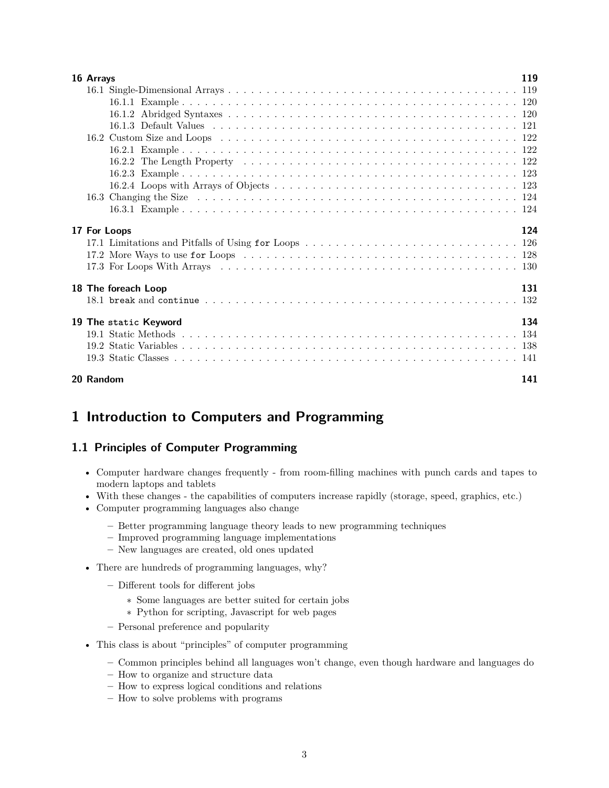| 16 Arrays |                       | 119 |
|-----------|-----------------------|-----|
|           |                       |     |
|           |                       |     |
|           |                       |     |
|           |                       |     |
|           |                       |     |
|           |                       |     |
|           |                       |     |
|           |                       |     |
|           |                       |     |
|           |                       |     |
|           |                       |     |
|           |                       |     |
|           | 17 For Loops          | 124 |
|           |                       |     |
|           |                       |     |
|           |                       |     |
|           | 18 The foreach Loop   | 131 |
|           |                       | 132 |
|           |                       |     |
|           | 19 The static Keyword | 134 |
|           |                       |     |
|           |                       |     |
|           |                       |     |
| 20 Random |                       | 141 |

# <span id="page-2-0"></span>**1 Introduction to Computers and Programming**

# <span id="page-2-1"></span>**1.1 Principles of Computer Programming**

- Computer hardware changes frequently from room-filling machines with punch cards and tapes to modern laptops and tablets
- With these changes the capabilities of computers increase rapidly (storage, speed, graphics, etc.)
- Computer programming languages also change
	- **–** Better programming language theory leads to new programming techniques
	- **–** Improved programming language implementations
	- **–** New languages are created, old ones updated
- There are hundreds of programming languages, why?
	- **–** Different tools for different jobs
		- ∗ Some languages are better suited for certain jobs
		- ∗ Python for scripting, Javascript for web pages
	- **–** Personal preference and popularity
- This class is about "principles" of computer programming
	- **–** Common principles behind all languages won't change, even though hardware and languages do
	- **–** How to organize and structure data
	- **–** How to express logical conditions and relations
	- **–** How to solve problems with programs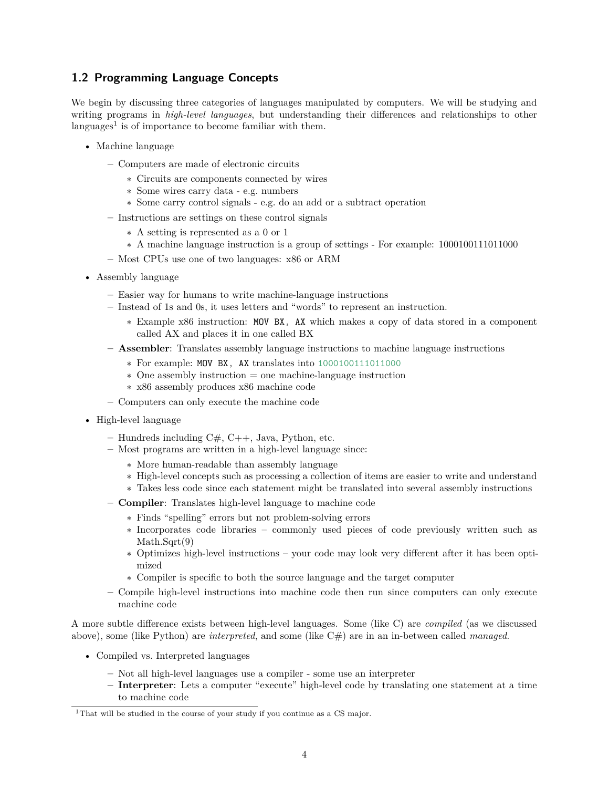# <span id="page-3-0"></span>**1.2 Programming Language Concepts**

We begin by discussing three categories of languages manipulated by computers. We will be studying and writing programs in *high-level languages*, but understanding their differences and relationships to other languages<sup>[1](#page-3-1)</sup> is of importance to become familiar with them.

- Machine language
	- **–** Computers are made of electronic circuits
		- ∗ Circuits are components connected by wires
		- ∗ Some wires carry data e.g. numbers
		- ∗ Some carry control signals e.g. do an add or a subtract operation
	- **–** Instructions are settings on these control signals
		- ∗ A setting is represented as a 0 or 1
		- ∗ A machine language instruction is a group of settings For example: 1000100111011000
	- **–** Most CPUs use one of two languages: x86 or ARM
- Assembly language
	- **–** Easier way for humans to write machine-language instructions
	- **–** Instead of 1s and 0s, it uses letters and "words" to represent an instruction.
		- ∗ Example x86 instruction: MOV BX, AX which makes a copy of data stored in a component called AX and places it in one called BX
	- **– Assembler**: Translates assembly language instructions to machine language instructions
		- ∗ For example: MOV BX, AX translates into 1000100111011000
		- ∗ One assembly instruction = one machine-language instruction
		- ∗ x86 assembly produces x86 machine code
	- **–** Computers can only execute the machine code
- High-level language
	- **–** Hundreds including C#, C++, Java, Python, etc.
	- **–** Most programs are written in a high-level language since:
		- ∗ More human-readable than assembly language
		- ∗ High-level concepts such as processing a collection of items are easier to write and understand
		- ∗ Takes less code since each statement might be translated into several assembly instructions
	- **– Compiler**: Translates high-level language to machine code
		- ∗ Finds "spelling" errors but not problem-solving errors
			- ∗ Incorporates code libraries commonly used pieces of code previously written such as Math.Sqrt(9)
			- ∗ Optimizes high-level instructions your code may look very different after it has been optimized
			- ∗ Compiler is specific to both the source language and the target computer
	- **–** Compile high-level instructions into machine code then run since computers can only execute machine code

A more subtle difference exists between high-level languages. Some (like C) are *compiled* (as we discussed above), some (like Python) are *interpreted*, and some (like C#) are in an in-between called *managed*.

- Compiled vs. Interpreted languages
	- **–** Not all high-level languages use a compiler some use an interpreter
	- **– Interpreter**: Lets a computer "execute" high-level code by translating one statement at a time to machine code

<span id="page-3-1"></span><sup>&</sup>lt;sup>1</sup>That will be studied in the course of your study if you continue as a CS major.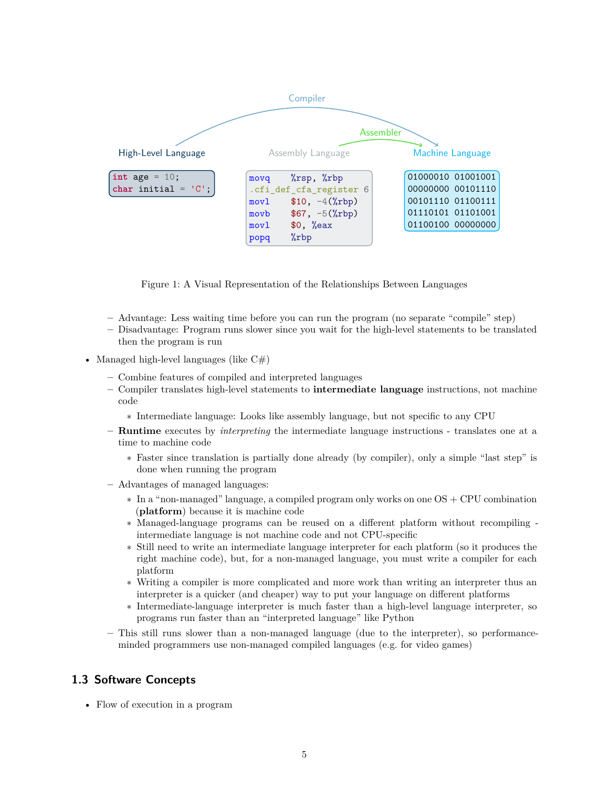

Figure 1: A Visual Representation of the Relationships Between Languages

- **–** Advantage: Less waiting time before you can run the program (no separate "compile" step)
- **–** Disadvantage: Program runs slower since you wait for the high-level statements to be translated then the program is run
- Managed high-level languages (like  $C#$ )
	- **–** Combine features of compiled and interpreted languages
	- **–** Compiler translates high-level statements to **intermediate language** instructions, not machine code
		- ∗ Intermediate language: Looks like assembly language, but not specific to any CPU
	- **– Runtime** executes by *interpreting* the intermediate language instructions translates one at a time to machine code
		- ∗ Faster since translation is partially done already (by compiler), only a simple "last step" is done when running the program
	- **–** Advantages of managed languages:
		- ∗ In a "non-managed" language, a compiled program only works on one OS + CPU combination (**platform**) because it is machine code
		- ∗ Managed-language programs can be reused on a different platform without recompiling intermediate language is not machine code and not CPU-specific
		- ∗ Still need to write an intermediate language interpreter for each platform (so it produces the right machine code), but, for a non-managed language, you must write a compiler for each platform
		- ∗ Writing a compiler is more complicated and more work than writing an interpreter thus an interpreter is a quicker (and cheaper) way to put your language on different platforms
		- ∗ Intermediate-language interpreter is much faster than a high-level language interpreter, so programs run faster than an "interpreted language" like Python
	- **–** This still runs slower than a non-managed language (due to the interpreter), so performanceminded programmers use non-managed compiled languages (e.g. for video games)

# <span id="page-4-0"></span>**1.3 Software Concepts**

• Flow of execution in a program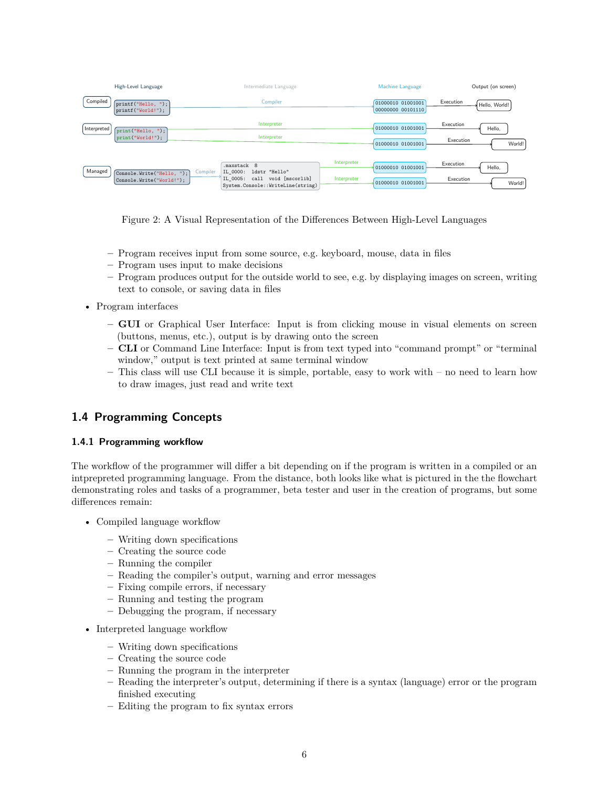|             | High-Level Language                                   | Intermediate Language                                                                                                                                       | Machine Language                       | Output (on screen)                         |
|-------------|-------------------------------------------------------|-------------------------------------------------------------------------------------------------------------------------------------------------------------|----------------------------------------|--------------------------------------------|
| Compiled    | $\lceil$ printf("Hello, ");<br>$print("World)$ ;      | Compiler                                                                                                                                                    | 01000010 01001001<br>00000000 00101110 | Execution<br>Hello, World!                 |
| Interpreted | $[\text{print("Hello, ")}:$<br>print("World!");       | Interpreter<br>Interpreter                                                                                                                                  | 01000010 01001001<br>01000010 01001001 | Execution<br>Hello,<br>Execution<br>World! |
| Managed     | Console.Write("Hello, ");<br>Console.Write("World!"); | Interpreter<br>.maxstack 8<br>Compiler<br>ldstr "Hello"<br>IL 0000:<br>void [mscorlib]<br>Interpreter<br>IL 0005: call<br>System.Console::WriteLine(string) | 01000010 01001001<br>01000010 01001001 | Execution<br>Hello,<br>Execution<br>World! |

Figure 2: A Visual Representation of the Differences Between High-Level Languages

- **–** Program receives input from some source, e.g. keyboard, mouse, data in files
- **–** Program uses input to make decisions
- **–** Program produces output for the outside world to see, e.g. by displaying images on screen, writing text to console, or saving data in files
- Program interfaces
	- **– GUI** or Graphical User Interface: Input is from clicking mouse in visual elements on screen (buttons, menus, etc.), output is by drawing onto the screen
	- **– CLI** or Command Line Interface: Input is from text typed into "command prompt" or "terminal window," output is text printed at same terminal window
	- **–** This class will use CLI because it is simple, portable, easy to work with no need to learn how to draw images, just read and write text

# <span id="page-5-0"></span>**1.4 Programming Concepts**

#### <span id="page-5-1"></span>**1.4.1 Programming workflow**

The workflow of the programmer will differ a bit depending on if the program is written in a compiled or an intprepreted programming language. From the distance, both looks like what is pictured in the [the flowchart](#page-6-0) [demonstrating roles and tasks of a programmer, beta tester and user in the creation of programs](#page-6-0), but some differences remain:

- Compiled language workflow
	- **–** Writing down specifications
	- **–** Creating the source code
	- **–** Running the compiler
	- **–** Reading the compiler's output, warning and error messages
	- **–** Fixing compile errors, if necessary
	- **–** Running and testing the program
	- **–** Debugging the program, if necessary
- Interpreted language workflow
	- **–** Writing down specifications
	- **–** Creating the source code
	- **–** Running the program in the interpreter
	- **–** Reading the interpreter's output, determining if there is a syntax (language) error or the program finished executing
	- **–** Editing the program to fix syntax errors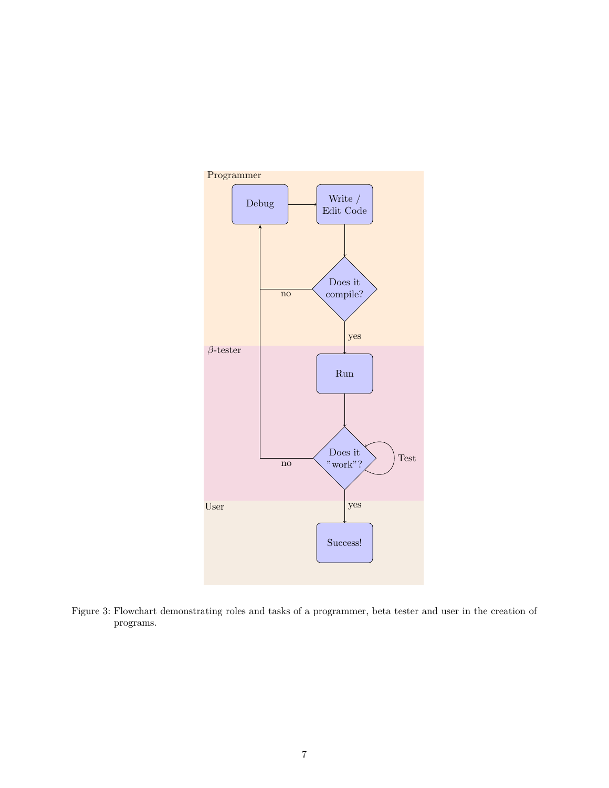<span id="page-6-0"></span>

Figure 3: Flowchart demonstrating roles and tasks of a programmer, beta tester and user in the creation of programs.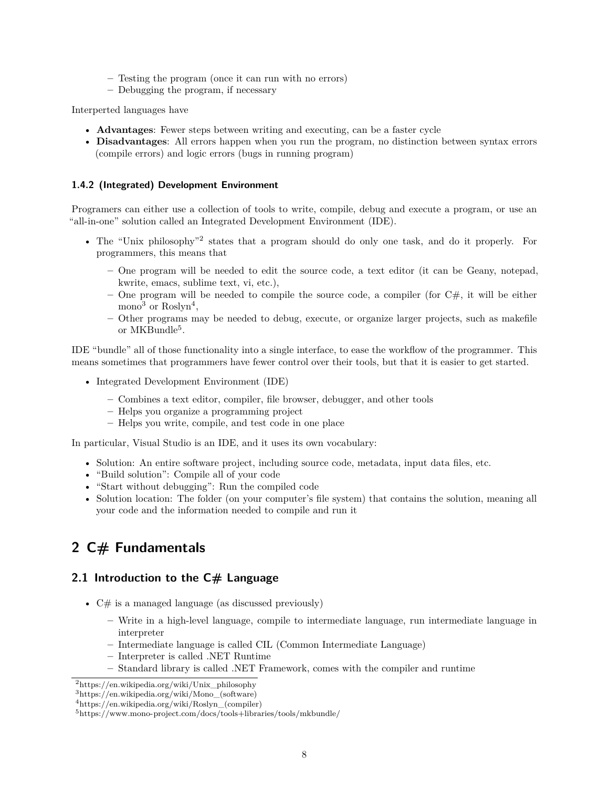- **–** Testing the program (once it can run with no errors)
- **–** Debugging the program, if necessary

Interperted languages have

- **Advantages**: Fewer steps between writing and executing, can be a faster cycle
- **Disadvantages**: All errors happen when you run the program, no distinction between syntax errors (compile errors) and logic errors (bugs in running program)

### <span id="page-7-0"></span>**1.4.2 (Integrated) Development Environment**

Programers can either use a collection of tools to write, compile, debug and execute a program, or use an "all-in-one" solution called an Integrated Development Environment (IDE).

- The "Unix philosophy"[2](#page-7-3) states that a program should do only one task, and do it properly. For programmers, this means that
	- **–** One program will be needed to edit the source code, a text editor (it can be Geany, notepad, kwrite, emacs, sublime text, vi, etc.),
	- **–** One program will be needed to compile the source code, a compiler (for C#, it will be either mono<sup>[3](#page-7-4)</sup> or Roslyn<sup>[4](#page-7-5)</sup>,
	- **–** Other programs may be needed to debug, execute, or organize larger projects, such as makefile or MKBundle<sup>[5](#page-7-6)</sup>.

IDE "bundle" all of those functionality into a single interface, to ease the workflow of the programmer. This means sometimes that programmers have fewer control over their tools, but that it is easier to get started.

- Integrated Development Environment (IDE)
	- **–** Combines a text editor, compiler, file browser, debugger, and other tools
	- **–** Helps you organize a programming project
	- **–** Helps you write, compile, and test code in one place

In particular, Visual Studio is an IDE, and it uses its own vocabulary:

- Solution: An entire software project, including source code, metadata, input data files, etc.
- "Build solution": Compile all of your code
- "Start without debugging": Run the compiled code
- Solution location: The folder (on your computer's file system) that contains the solution, meaning all your code and the information needed to compile and run it

# <span id="page-7-1"></span>**2 C# Fundamentals**

# <span id="page-7-2"></span>**2.1 Introduction to the C# Language**

- $C#$  is a managed language (as discussed previously)
	- **–** Write in a high-level language, compile to intermediate language, run intermediate language in interpreter
	- **–** Intermediate language is called CIL (Common Intermediate Language)
	- **–** Interpreter is called .NET Runtime
	- **–** Standard library is called .NET Framework, comes with the compiler and runtime

<span id="page-7-3"></span><sup>2</sup>[https://en.wikipedia.org/wiki/Unix\\_philosophy](https://en.wikipedia.org/wiki/Unix_philosophy)

<span id="page-7-4"></span><sup>3</sup>[https://en.wikipedia.org/wiki/Mono\\_\(software\)](https://en.wikipedia.org/wiki/Mono_(software))

<span id="page-7-5"></span> $4$ https://en.wikipedia.org/wiki/Roslyn (compiler)

<span id="page-7-6"></span><sup>5</sup><https://www.mono-project.com/docs/tools+libraries/tools/mkbundle/>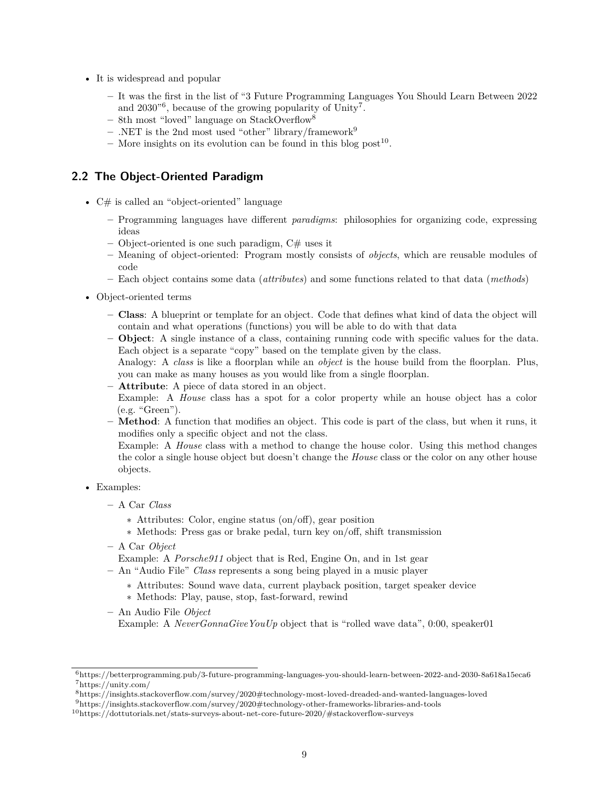- It is widespread and popular
	- **–** It was the first in the list of "3 Future Programming Languages You Should Learn Between 2022 and 2030<sup>"[6](#page-8-1)</sup>, because of the growing popularity of Unity<sup>[7](#page-8-2)</sup>.
	- **–** 8th most "loved" language on StackOverflow[8](#page-8-3)
	- **–** .NET is the 2nd most used "other" library/framework[9](#page-8-4)
	- $-$  More insights on its evolution can be found in this blog post<sup>[10](#page-8-5)</sup>.

### <span id="page-8-0"></span>**2.2 The Object-Oriented Paradigm**

- C# is called an "object-oriented" language
	- **–** Programming languages have different *paradigms*: philosophies for organizing code, expressing ideas
	- **–** Object-oriented is one such paradigm, C# uses it
	- **–** Meaning of object-oriented: Program mostly consists of *objects*, which are reusable modules of code
	- **–** Each object contains some data (*attributes*) and some functions related to that data (*methods*)
- Object-oriented terms
	- **– Class**: A blueprint or template for an object. Code that defines what kind of data the object will contain and what operations (functions) you will be able to do with that data
	- **– Object**: A single instance of a class, containing running code with specific values for the data. Each object is a separate "copy" based on the template given by the class.

Analogy: A *class* is like a floorplan while an *object* is the house build from the floorplan. Plus, you can make as many houses as you would like from a single floorplan.

**– Attribute**: A piece of data stored in an object.

Example: A *House* class has a spot for a color property while an house object has a color (e.g. "Green").

**– Method**: A function that modifies an object. This code is part of the class, but when it runs, it modifies only a specific object and not the class.

Example: A *House* class with a method to change the house color. Using this method changes the color a single house object but doesn't change the *House* class or the color on any other house objects.

- Examples:
	- **–** A Car *Class*
		- ∗ Attributes: Color, engine status (on/off), gear position
		- ∗ Methods: Press gas or brake pedal, turn key on/off, shift transmission
	- **–** A Car *Object*
		- Example: A *Porsche911* object that is Red, Engine On, and in 1st gear
	- **–** An "Audio File" *Class* represents a song being played in a music player
		- ∗ Attributes: Sound wave data, current playback position, target speaker device
		- ∗ Methods: Play, pause, stop, fast-forward, rewind
	- **–** An Audio File *Object*

Example: A *NeverGonnaGiveYouUp* object that is "rolled wave data", 0:00, speaker01

<span id="page-8-2"></span><span id="page-8-1"></span><sup>6</sup><https://betterprogramming.pub/3-future-programming-languages-you-should-learn-between-2022-and-2030-8a618a15eca6> <sup>7</sup><https://unity.com/>

<span id="page-8-3"></span><sup>8</sup><https://insights.stackoverflow.com/survey/2020#technology-most-loved-dreaded-and-wanted-languages-loved>

<span id="page-8-4"></span><sup>9</sup><https://insights.stackoverflow.com/survey/2020#technology-other-frameworks-libraries-and-tools>

<span id="page-8-5"></span><sup>10</sup><https://dottutorials.net/stats-surveys-about-net-core-future-2020/#stackoverflow-surveys>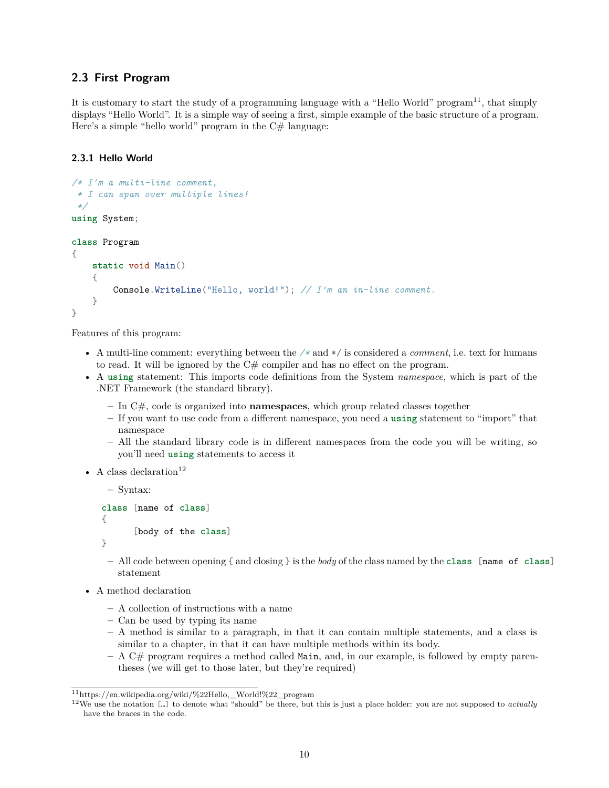# <span id="page-9-0"></span>**2.3 First Program**

It is customary to start the study of a programming language with a "Hello World" program<sup>[11](#page-9-2)</sup>, that simply displays "Hello World". It is a simple way of seeing a first, simple example of the basic structure of a program. Here's a simple "hello world" program in the  $C#$  language:

### <span id="page-9-1"></span>**2.3.1 Hello World**

```
/* I'm a multi-line comment,
 * I can span over multiple lines!
 */
using System;
class Program
{
    static void Main()
    {
        Console.WriteLine("Hello, world!"); // I'm an in-line comment.
    }
}
```
Features of this program:

- A multi-line comment: everything between the */\** and \*/ is considered a *comment*, i.e. text for humans to read. It will be ignored by the  $C#$  compiler and has no effect on the program.
- A **using** statement: This imports code definitions from the System *namespace*, which is part of the .NET Framework (the standard library).
	- **–** In C#, code is organized into **namespaces**, which group related classes together
	- **–** If you want to use code from a different namespace, you need a **using** statement to "import" that namespace
	- **–** All the standard library code is in different namespaces from the code you will be writing, so you'll need **using** statements to access it
- A class declaration  $12$

```
– Syntax:
class [name of class]
{
      [body of the class]
}
```
- **–** All code between opening { and closing } is the *body* of the class named by the **class** [name of **class**] statement
- A method declaration
	- **–** A collection of instructions with a name
	- **–** Can be used by typing its name
	- **–** A method is similar to a paragraph, in that it can contain multiple statements, and a class is similar to a chapter, in that it can have multiple methods within its body.
	- **–** A C# program requires a method called Main, and, in our example, is followed by empty parentheses (we will get to those later, but they're required)

<span id="page-9-2"></span><sup>11</sup>[https://en.wikipedia.org/wiki/%22Hello,\\_World!%22\\_program](https://en.wikipedia.org/wiki/%22Hello,_World!%22_program)

<span id="page-9-3"></span><sup>12</sup>We use the notation […] to denote what "should" be there, but this is just a place holder: you are not supposed to *actually* have the braces in the code.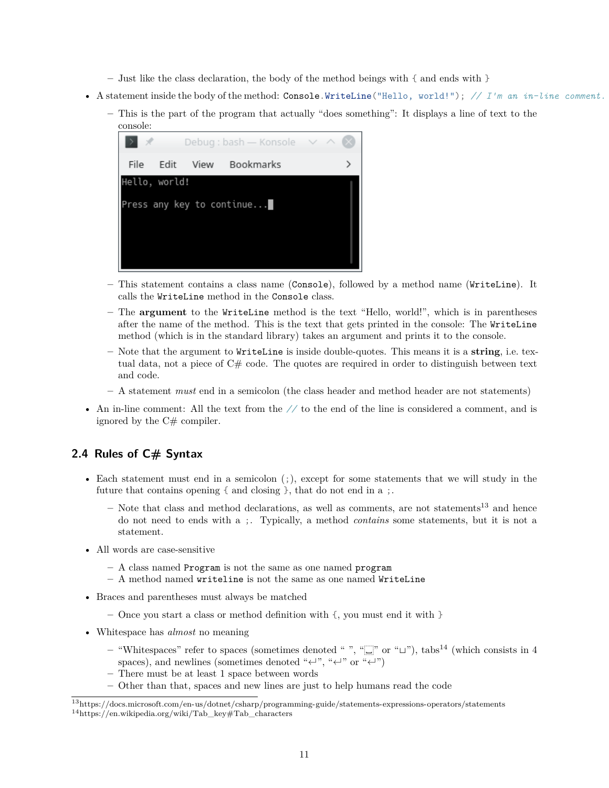- **–** Just like the class declaration, the body of the method beings with { and ends with }
- A statement inside the body of the method: Console.WriteLine("Hello, world!"); *// I'm an in-line comment.*
	- **–** This is the part of the program that actually "does something": It displays a line of text to the console:



- **–** This statement contains a class name (Console), followed by a method name (WriteLine). It calls the WriteLine method in the Console class.
- **–** The **argument** to the WriteLine method is the text "Hello, world!", which is in parentheses after the name of the method. This is the text that gets printed in the console: The WriteLine method (which is in the standard library) takes an argument and prints it to the console.
- **–** Note that the argument to WriteLine is inside double-quotes. This means it is a **string**, i.e. textual data, not a piece of C# code. The quotes are required in order to distinguish between text and code.
- **–** A statement *must* end in a semicolon (the class header and method header are not statements)
- An in-line comment: All the text from the *//* to the end of the line is considered a comment, and is ignored by the C# compiler.

# <span id="page-10-0"></span>**2.4 Rules of C# Syntax**

- Each statement must end in a semicolon (;), except for some statements that we will study in the future that contains opening { and closing }, that do not end in a ;.
	- $-$  Note that class and method declarations, as well as comments, are not statements<sup>[13](#page-10-1)</sup> and hence do not need to ends with a ;. Typically, a method *contains* some statements, but it is not a statement.
- All words are case-sensitive
	- **–** A class named Program is not the same as one named program
	- **–** A method named writeline is not the same as one named WriteLine
- Braces and parentheses must always be matched
	- **–** Once you start a class or method definition with {, you must end it with }
- Whitespace has *almost* no meaning
	- **–** "Whitespaces" refer to spaces (sometimes denoted " ", "␣" or "⌴"), tabs[14](#page-10-2) (which consists in 4 spaces), and newlines (sometimes denoted "↵", "↵" or "↵")
	- **–** There must be at least 1 space between words
	- **–** Other than that, spaces and new lines are just to help humans read the code

<span id="page-10-2"></span><span id="page-10-1"></span><sup>13</sup><https://docs.microsoft.com/en-us/dotnet/csharp/programming-guide/statements-expressions-operators/statements>  $14 \mbox{https://en.wikipedia.org/wiki/Tab\_key\#Tab\_characters}$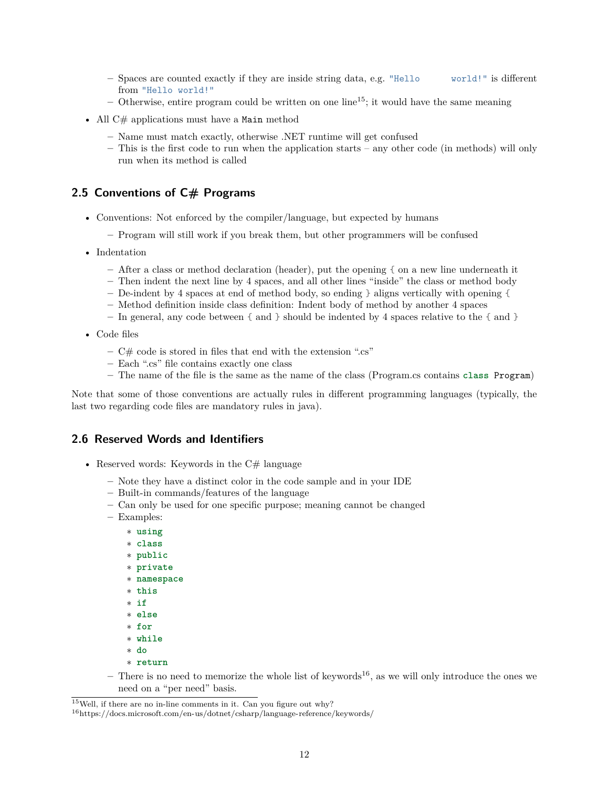- **–** Spaces are counted exactly if they are inside string data, e.g. "Hello world!" is different from "Hello world!"
- $-$  Otherwise, entire program could be written on one line<sup>[15](#page-11-2)</sup>; it would have the same meaning
- All  $C#$  applications must have a Main method
	- **–** Name must match exactly, otherwise .NET runtime will get confused
	- **–** This is the first code to run when the application starts any other code (in methods) will only run when its method is called

### <span id="page-11-0"></span>**2.5 Conventions of C# Programs**

- Conventions: Not enforced by the compiler/language, but expected by humans
	- **–** Program will still work if you break them, but other programmers will be confused
- Indentation
	- **–** After a class or method declaration (header), put the opening { on a new line underneath it
	- **–** Then indent the next line by 4 spaces, and all other lines "inside" the class or method body
	- **–** De-indent by 4 spaces at end of method body, so ending } aligns vertically with opening {
	- **–** Method definition inside class definition: Indent body of method by another 4 spaces
	- **–** In general, any code between { and } should be indented by 4 spaces relative to the { and }
- Code files
	- **–** C# code is stored in files that end with the extension ".cs"
	- **–** Each ".cs" file contains exactly one class
	- **–** The name of the file is the same as the name of the class (Program.cs contains **class** Program)

Note that some of those conventions are actually rules in different programming languages (typically, the last two regarding code files are mandatory rules in java).

#### <span id="page-11-1"></span>**2.6 Reserved Words and Identifiers**

- Reserved words: Keywords in the  $C#$  language
	- **–** Note they have a distinct color in the code sample and in your IDE
	- **–** Built-in commands/features of the language
	- **–** Can only be used for one specific purpose; meaning cannot be changed
	- **–** Examples:
		- ∗ **using** ∗ **class** ∗ **public** ∗ **private** ∗ **namespace** ∗ **this** ∗ **if** ∗ **else** ∗ **for** ∗ **while** ∗ **do** ∗ **return**
	- **–** There is no need to memorize the whole list of keywords[16](#page-11-3), as we will only introduce the ones we need on a "per need" basis.

<span id="page-11-2"></span> $15$ Well, if there are no in-line comments in it. Can you figure out why?

<span id="page-11-3"></span> $^{16}{\rm https://docs.microsoft.com/en-us/dotnet/csharp/language-reference/keywords/}$  $^{16}{\rm https://docs.microsoft.com/en-us/dotnet/csharp/language-reference/keywords/}$  $^{16}{\rm https://docs.microsoft.com/en-us/dotnet/csharp/language-reference/keywords/}$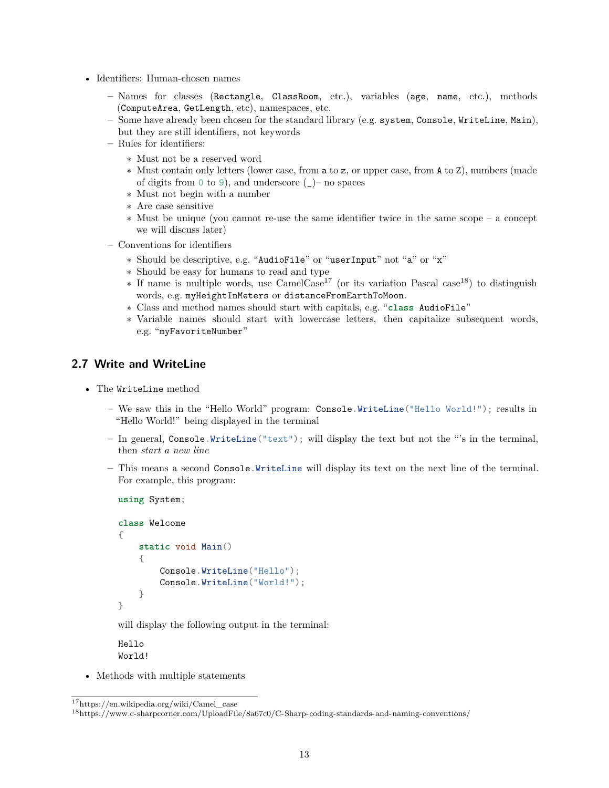- Identifiers: Human-chosen names
	- **–** Names for classes (Rectangle, ClassRoom, etc.), variables (age, name, etc.), methods (ComputeArea, GetLength, etc), namespaces, etc.
	- **–** Some have already been chosen for the standard library (e.g. system, Console, WriteLine, Main), but they are still identifiers, not keywords
	- **–** Rules for identifiers:
		- ∗ Must not be a reserved word
		- ∗ Must contain only letters (lower case, from a to z, or upper case, from A to Z), numbers (made of digits from 0 to 9), and underscore  $(\_)$ – no spaces
		- ∗ Must not begin with a number
		- ∗ Are case sensitive
		- ∗ Must be unique (you cannot re-use the same identifier twice in the same scope a concept we will discuss later)
	- **–** Conventions for identifiers
		- ∗ Should be descriptive, e.g. "AudioFile" or "userInput" not "a" or "x"
		- ∗ Should be easy for humans to read and type
		- ∗ If name is multiple words, use CamelCase[17](#page-12-1) (or its variation Pascal case[18](#page-12-2)) to distinguish words, e.g. myHeightInMeters or distanceFromEarthToMoon.
		- ∗ Class and method names should start with capitals, e.g. "**class** AudioFile"
		- ∗ Variable names should start with lowercase letters, then capitalize subsequent words, e.g. "myFavoriteNumber"

# <span id="page-12-0"></span>**2.7 Write and WriteLine**

• The WriteLine method

**using** System;

- **–** We saw this in the "Hello World" program: Console.WriteLine("Hello World!"); results in "Hello World!" being displayed in the terminal
- **–** In general, Console.WriteLine("text"); will display the text but not the "'s in the terminal, then *start a new line*
- **–** This means a second Console.WriteLine will display its text on the next line of the terminal. For example, this program:

```
class Welcome
{
    static void Main()
    {
        Console.WriteLine("Hello");
        Console.WriteLine("World!");
    }
}
```
will display the following output in the terminal:

Hello World!

• Methods with multiple statements

<span id="page-12-1"></span><sup>17</sup>[https://en.wikipedia.org/wiki/Camel\\_case](https://en.wikipedia.org/wiki/Camel_case)

<span id="page-12-2"></span><sup>18</sup><https://www.c-sharpcorner.com/UploadFile/8a67c0/C-Sharp-coding-standards-and-naming-conventions/>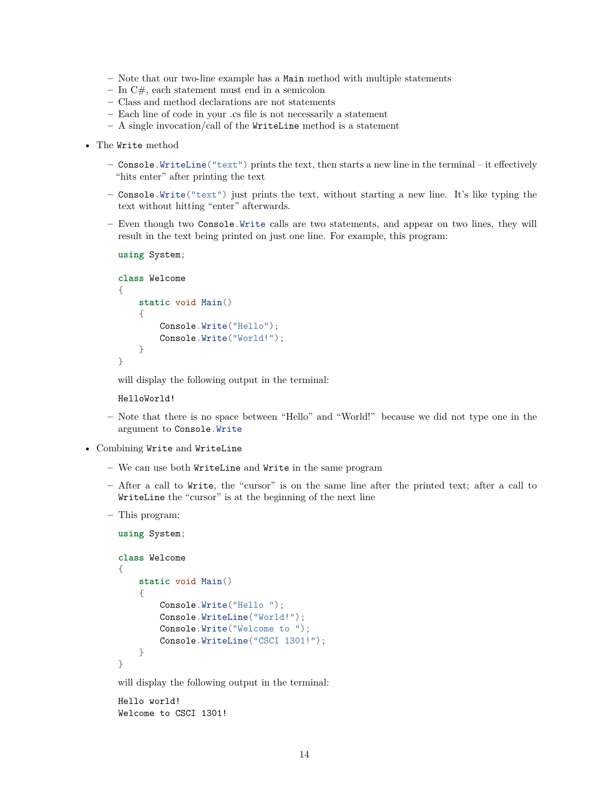- **–** Note that our two-line example has a Main method with multiple statements
- **–** In C#, each statement must end in a semicolon
- **–** Class and method declarations are not statements
- **–** Each line of code in your .cs file is not necessarily a statement
- **–** A single invocation/call of the WriteLine method is a statement
- The Write method
	- **–** Console.WriteLine("text") prints the text, then starts a new line in the terminal it effectively "hits enter" after printing the text
	- **–** Console.Write("text") just prints the text, without starting a new line. It's like typing the text without hitting "enter" afterwards.
	- **–** Even though two Console.Write calls are two statements, and appear on two lines, they will result in the text being printed on just one line. For example, this program:

```
using System;
```

```
class Welcome
{
    static void Main()
    {
        Console.Write("Hello");
        Console.Write("World!");
    }
}
```
will display the following output in the terminal:

HelloWorld!

- **–** Note that there is no space between "Hello" and "World!" because we did not type one in the argument to Console.Write
- Combining Write and WriteLine
	- **–** We can use both WriteLine and Write in the same program
	- **–** After a call to Write, the "cursor" is on the same line after the printed text; after a call to WriteLine the "cursor" is at the beginning of the next line
	- **–** This program:

```
using System;
class Welcome
{
    static void Main()
    {
        Console.Write("Hello ");
        Console.WriteLine("World!");
        Console.Write("Welcome to ");
        Console.WriteLine("CSCI 1301!");
    }
}
```
will display the following output in the terminal:

Hello world! Welcome to CSCI 1301!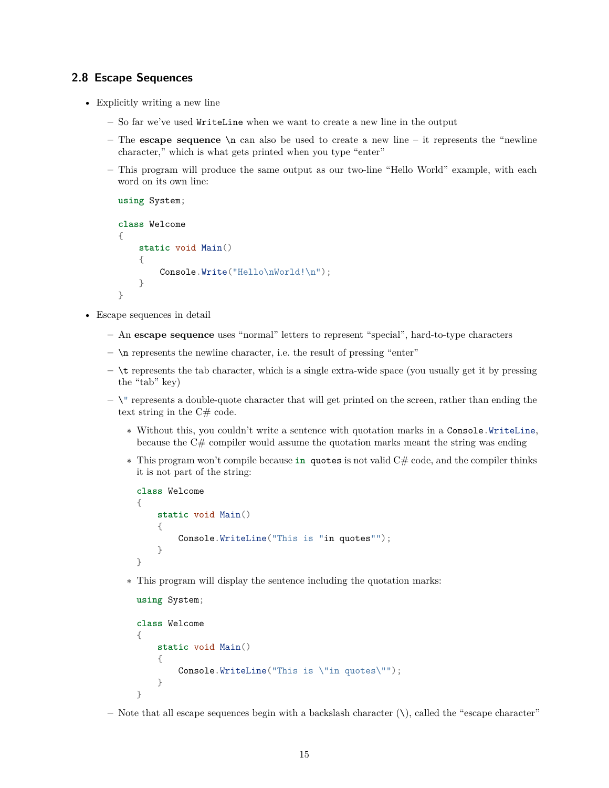# <span id="page-14-0"></span>**2.8 Escape Sequences**

- Explicitly writing a new line
	- **–** So far we've used WriteLine when we want to create a new line in the output
	- **–** The **escape sequence** \n can also be used to create a new line it represents the "newline character," which is what gets printed when you type "enter"
	- **–** This program will produce the same output as our two-line "Hello World" example, with each word on its own line:

```
using System;
class Welcome
{
    static void Main()
    {
        Console.Write("Hello\nWorld!\n");
    }
}
```
- Escape sequences in detail
	- **–** An **escape sequence** uses "normal" letters to represent "special", hard-to-type characters
	- **–** \n represents the newline character, i.e. the result of pressing "enter"
	- **–** \t represents the tab character, which is a single extra-wide space (you usually get it by pressing the "tab" key)
	- **–** \" represents a double-quote character that will get printed on the screen, rather than ending the text string in the C# code.
		- ∗ Without this, you couldn't write a sentence with quotation marks in a Console.WriteLine, because the  $C#$  compiler would assume the quotation marks meant the string was ending
		- ∗ This program won't compile because **in** quotes is not valid C# code, and the compiler thinks it is not part of the string:

```
class Welcome
{
    static void Main()
    {
        Console.WriteLine("This is "in quotes"");
    }
}
```
∗ This program will display the sentence including the quotation marks:

```
using System;
class Welcome
{
    static void Main()
    {
        Console.WriteLine("This is \"in quotes\"");
    }
}
```
**–** Note that all escape sequences begin with a backslash character (\), called the "escape character"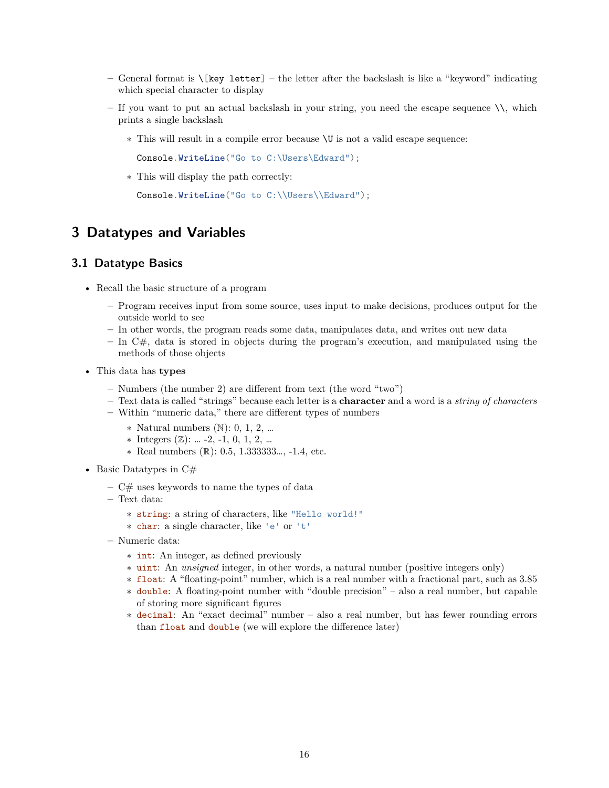- **–** General format is \[key letter] the letter after the backslash is like a "keyword" indicating which special character to display
- **–** If you want to put an actual backslash in your string, you need the escape sequence \\, which prints a single backslash
	- ∗ This will result in a compile error because \U is not a valid escape sequence:

Console.WriteLine("Go to C:\Users\Edward");

∗ This will display the path correctly:

Console.WriteLine("Go to C:\\Users\\Edward");

# <span id="page-15-0"></span>**3 Datatypes and Variables**

# <span id="page-15-1"></span>**3.1 Datatype Basics**

- Recall the basic structure of a program
	- **–** Program receives input from some source, uses input to make decisions, produces output for the outside world to see
	- **–** In other words, the program reads some data, manipulates data, and writes out new data
	- **–** In C#, data is stored in objects during the program's execution, and manipulated using the methods of those objects
- This data has **types**
	- **–** Numbers (the number 2) are different from text (the word "two")
	- **–** Text data is called "strings" because each letter is a **character** and a word is a *string of characters*
	- **–** Within "numeric data," there are different types of numbers
		- ∗ Natural numbers (ℕ): 0, 1, 2, …
		- ∗ Integers (ℤ): … -2, -1, 0, 1, 2, …
		- ∗ Real numbers (ℝ): 0.5, 1.333333…, -1.4, etc.
- Basic Datatypes in  $C#$ 
	- **–** C# uses keywords to name the types of data
	- **–** Text data:
		- ∗ string: a string of characters, like "Hello world!"
		- ∗ char: a single character, like 'e' or 't'
	- **–** Numeric data:
		- ∗ int: An integer, as defined previously
		- ∗ uint: An *unsigned* integer, in other words, a natural number (positive integers only)

∗ float: A "floating-point" number, which is a real number with a fractional part, such as 3.85

- ∗ double: A floating-point number with "double precision" also a real number, but capable of storing more significant figures
- ∗ decimal: An "exact decimal" number also a real number, but has fewer rounding errors than float and double (we will explore the difference later)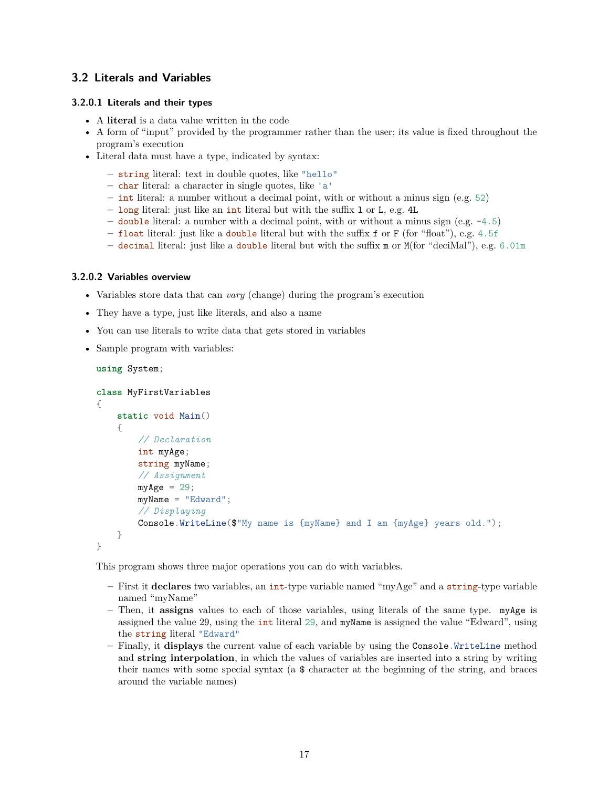# <span id="page-16-0"></span>**3.2 Literals and Variables**

#### **3.2.0.1 Literals and their types**

- A **literal** is a data value written in the code
- A form of "input" provided by the programmer rather than the user; its value is fixed throughout the program's execution
- Literal data must have a type, indicated by syntax:
	- **–** string literal: text in double quotes, like "hello"
	- **–** char literal: a character in single quotes, like 'a'
	- **–** int literal: a number without a decimal point, with or without a minus sign (e.g. 52)
	- **–** long literal: just like an int literal but with the suffix l or L, e.g. 4L
	- **–** double literal: a number with a decimal point, with or without a minus sign (e.g. -4.5)
	- **–** float literal: just like a double literal but with the suffix f or F (for "float"), e.g. 4.5f
	- **–** decimal literal: just like a double literal but with the suffix m or M(for "deciMal"), e.g. 6.01m

#### **3.2.0.2 Variables overview**

- Variables store data that can *vary* (change) during the program's execution
- They have a type, just like literals, and also a name
- You can use literals to write data that gets stored in variables
- Sample program with variables:

```
using System;
class MyFirstVariables
{
    static void Main()
    {
        // Declaration
        int myAge;
        string myName;
        // Assignment
        myAge = 29;myName = "Edward";
        // Displaying
        Console.WriteLine($"My name is {myName} and I am {myAge} years old.");
    }
}
```
This program shows three major operations you can do with variables.

- **–** First it **declares** two variables, an int-type variable named "myAge" and a string-type variable named "myName"
- **–** Then, it **assigns** values to each of those variables, using literals of the same type. myAge is assigned the value 29, using the int literal 29, and myName is assigned the value "Edward", using the string literal "Edward"
- **–** Finally, it **displays** the current value of each variable by using the Console.WriteLine method and **string interpolation**, in which the values of variables are inserted into a string by writing their names with some special syntax (a \$ character at the beginning of the string, and braces around the variable names)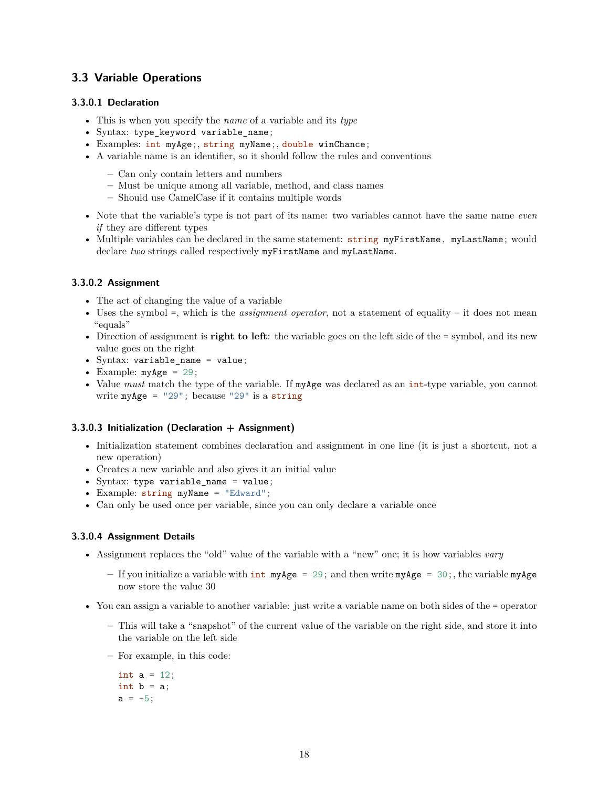# <span id="page-17-0"></span>**3.3 Variable Operations**

#### **3.3.0.1 Declaration**

- This is when you specify the *name* of a variable and its *type*
- Syntax: type\_keyword variable\_name;
- Examples: int myAge;, string myName;, double winChance;
- A variable name is an identifier, so it should follow the rules and conventions
	- **–** Can only contain letters and numbers
	- **–** Must be unique among all variable, method, and class names
	- **–** Should use CamelCase if it contains multiple words
- Note that the variable's type is not part of its name: two variables cannot have the same name *even if* they are different types
- Multiple variables can be declared in the same statement: string myFirstName, myLastName; would declare *two* strings called respectively myFirstName and myLastName.

#### **3.3.0.2 Assignment**

- The act of changing the value of a variable
- Uses the symbol =, which is the *assignment operator*, not a statement of equality it does not mean "equals"
- Direction of assignment is **right to left**: the variable goes on the left side of the = symbol, and its new value goes on the right
- Syntax: variable\_name = value;
- Example:  $myAge = 29$ ;
- Value *must* match the type of the variable. If myAge was declared as an int-type variable, you cannot write  $myAge = "29"$ ; because "29" is a string

#### **3.3.0.3 Initialization (Declaration + Assignment)**

- Initialization statement combines declaration and assignment in one line (it is just a shortcut, not a new operation)
- Creates a new variable and also gives it an initial value
- Syntax: type variable\_name = value;
- Example: string myName = "Edward";
- Can only be used once per variable, since you can only declare a variable once

#### **3.3.0.4 Assignment Details**

- Assignment replaces the "old" value of the variable with a "new" one; it is how variables *vary*
	- **–** If you initialize a variable with int myAge = 29; and then write myAge = 30;, the variable myAge now store the value 30
- You can assign a variable to another variable: just write a variable name on both sides of the = operator
	- **–** This will take a "snapshot" of the current value of the variable on the right side, and store it into the variable on the left side
	- **–** For example, in this code:

int  $a = 12$ ; int  $b = a$ ;  $a = -5$ ;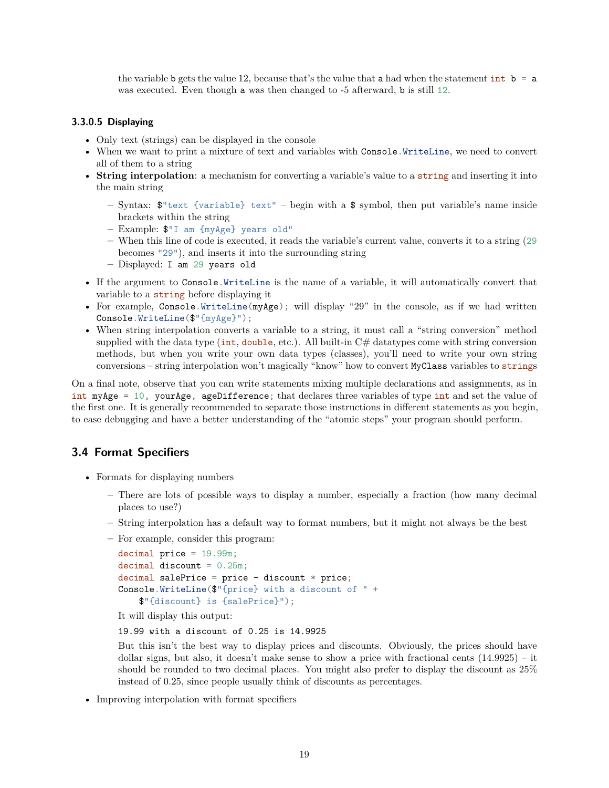the variable b gets the value 12, because that's the value that a had when the statement int  $\mathbf{b} = \mathbf{a}$ was executed. Even though a was then changed to -5 afterward, b is still 12.

#### **3.3.0.5 Displaying**

- Only text (strings) can be displayed in the console
- When we want to print a mixture of text and variables with Console.WriteLine, we need to convert all of them to a string
- **String interpolation**: a mechanism for converting a variable's value to a string and inserting it into the main string
	- **–** Syntax: \$"text {variable} text" begin with a \$ symbol, then put variable's name inside brackets within the string
	- **–** Example: \$"I am {myAge} years old"
	- **–** When this line of code is executed, it reads the variable's current value, converts it to a string (29 becomes "29"), and inserts it into the surrounding string
	- **–** Displayed: I am 29 years old
- If the argument to Console.WriteLine is the name of a variable, it will automatically convert that variable to a string before displaying it
- For example, Console.WriteLine(myAge); will display "29" in the console, as if we had written Console.WriteLine(\$"{myAge}");
- When string interpolation converts a variable to a string, it must call a "string conversion" method supplied with the data type (int, double, etc.). All built-in  $C#$  datatypes come with string conversion methods, but when you write your own data types (classes), you'll need to write your own string conversions – string interpolation won't magically "know" how to convert MyClass variables to strings

On a final note, observe that you can write statements mixing multiple declarations and assignments, as in int myAge = 10, yourAge, ageDifference; that declares three variables of type int and set the value of the first one. It is generally recommended to separate those instructions in different statements as you begin, to ease debugging and have a better understanding of the "atomic steps" your program should perform.

#### <span id="page-18-0"></span>**3.4 Format Specifiers**

- Formats for displaying numbers
	- **–** There are lots of possible ways to display a number, especially a fraction (how many decimal places to use?)
	- **–** String interpolation has a default way to format numbers, but it might not always be the best
	- **–** For example, consider this program:

```
decimal price = 19.99m;
decimal discount = 0.25m;
decimal salePrice = price – discount * price;
Console.WriteLine($"{price} with a discount of " +
   $"{discount} is {salePrice}");
```
It will display this output:

19.99 with a discount of 0.25 is 14.9925

But this isn't the best way to display prices and discounts. Obviously, the prices should have dollar signs, but also, it doesn't make sense to show a price with fractional cents (14.9925) – it should be rounded to two decimal places. You might also prefer to display the discount as 25% instead of 0.25, since people usually think of discounts as percentages.

• Improving interpolation with format specifiers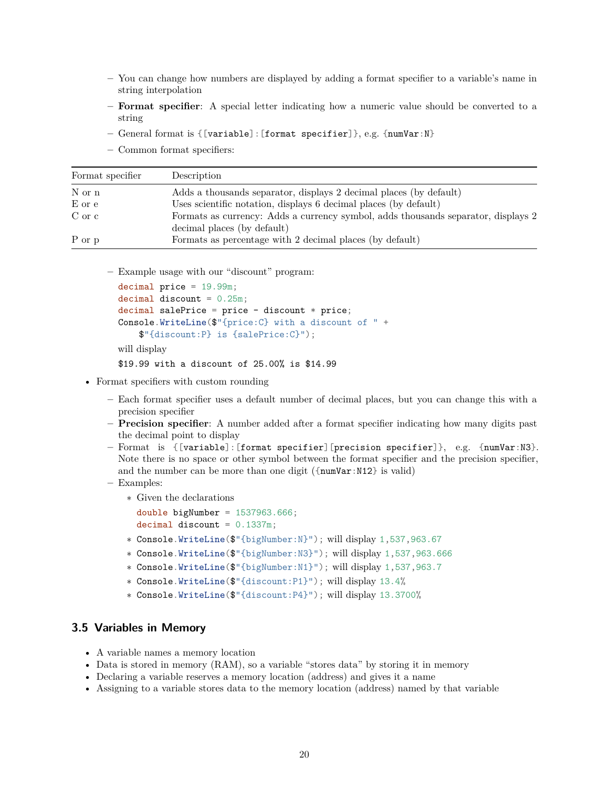- **–** You can change how numbers are displayed by adding a format specifier to a variable's name in string interpolation
- **– Format specifier**: A special letter indicating how a numeric value should be converted to a string
- **–** General format is {[variable]:[format specifier]}, e.g. {numVar:N}
- **–** Common format specifiers:

| Format specifier | Description                                                                                                      |
|------------------|------------------------------------------------------------------------------------------------------------------|
| N or n           | Adds a thousands separator, displays 2 decimal places (by default)                                               |
| E or e           | Uses scientific notation, displays 6 decimal places (by default)                                                 |
| C or c           | Formats as currency: Adds a currency symbol, adds thousands separator, displays 2<br>decimal places (by default) |
| P or p           | Formats as percentage with 2 decimal places (by default)                                                         |

**–** Example usage with our "discount" program:

```
decimal price = 19.99m;
decimal discount = 0.25m;
decimal salePrice = price – discount * price;
Console.WriteLine($"{price:C} with a discount of " +
   $"{discount:P} is {salePrice:C}");
will display
$19.99 with a discount of 25.00% is $14.99
```
- Format specifiers with custom rounding
	- **–** Each format specifier uses a default number of decimal places, but you can change this with a precision specifier
	- **– Precision specifier**: A number added after a format specifier indicating how many digits past the decimal point to display
	- **–** Format is {[variable]:[format specifier][precision specifier]}, e.g. {numVar:N3}. Note there is no space or other symbol between the format specifier and the precision specifier, and the number can be more than one digit  $({\text{numVar}}:N12)$  is valid)
	- **–** Examples:
		- ∗ Given the declarations
			- double bigNumber =  $1537963.666$ ; decimal discount =  $0.1337m$ ;
			-
		- ∗ Console.WriteLine(\$"{bigNumber:N}"); will display 1,537,963.67
		- ∗ Console.WriteLine(\$"{bigNumber:N3}"); will display 1,537,963.666
		- ∗ Console.WriteLine(\$"{bigNumber:N1}"); will display 1,537,963.7
		- ∗ Console.WriteLine(\$"{discount:P1}"); will display 13.4%
		- ∗ Console.WriteLine(\$"{discount:P4}"); will display 13.3700%

### <span id="page-19-0"></span>**3.5 Variables in Memory**

- A variable names a memory location
- Data is stored in memory (RAM), so a variable "stores data" by storing it in memory
- Declaring a variable reserves a memory location (address) and gives it a name
- Assigning to a variable stores data to the memory location (address) named by that variable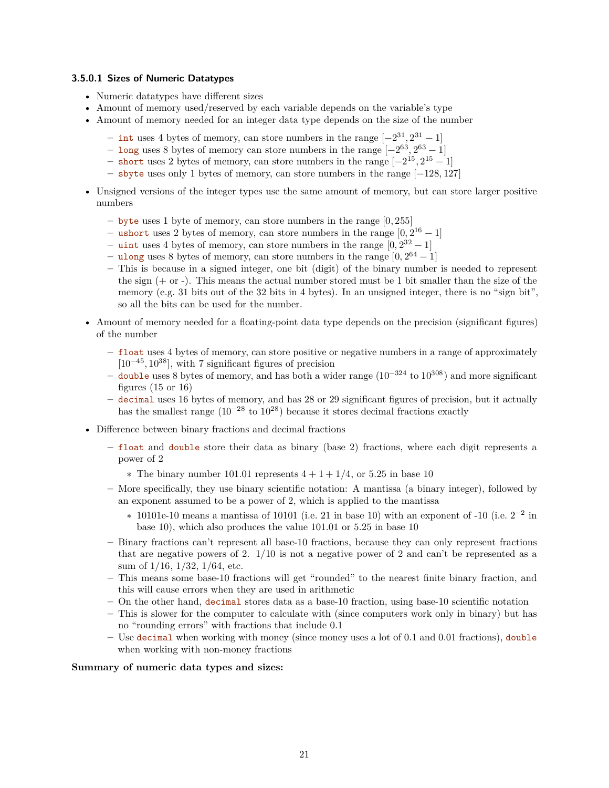#### **3.5.0.1 Sizes of Numeric Datatypes**

- Numeric datatypes have different sizes
- Amount of memory used/reserved by each variable depends on the variable's type
- Amount of memory needed for an integer data type depends on the size of the number
	- **–** int uses 4 bytes of memory, can store numbers in the range [−231, 2<sup>31</sup> − 1]
	- **–** long uses 8 bytes of memory can store numbers in the range [−263, 2<sup>63</sup> − 1]
	- **–** short uses 2 bytes of memory, can store numbers in the range [−215, 2<sup>15</sup> − 1]
	- **–** sbyte uses only 1 bytes of memory, can store numbers in the range [−128, 127]
- Unsigned versions of the integer types use the same amount of memory, but can store larger positive numbers
	- **–** byte uses 1 byte of memory, can store numbers in the range [0, 255]
	- **–** ushort uses 2 bytes of memory, can store numbers in the range [0, 2<sup>16</sup> − 1]
	- $−$  uint uses 4 bytes of memory, can store numbers in the range  $[0, 2^{32} 1]$
	- **–** ulong uses 8 bytes of memory, can store numbers in the range [0, 2<sup>64</sup> − 1]
	- **–** This is because in a signed integer, one bit (digit) of the binary number is needed to represent the sign  $(+ \text{ or } -)$ . This means the actual number stored must be 1 bit smaller than the size of the memory (e.g. 31 bits out of the 32 bits in 4 bytes). In an unsigned integer, there is no "sign bit", so all the bits can be used for the number.
- Amount of memory needed for a floating-point data type depends on the precision (significant figures) of the number
	- **–** float uses 4 bytes of memory, can store positive or negative numbers in a range of approximately  $[10^{-45}, 10^{38}]$ , with 7 significant figures of precision
	- **–** double uses 8 bytes of memory, and has both a wider range (10−324 to 10<sup>308</sup>) and more significant figures  $(15 \text{ or } 16)$
	- **–** decimal uses 16 bytes of memory, and has 28 or 29 significant figures of precision, but it actually has the smallest range  $(10^{-28} \text{ to } 10^{28})$  because it stores decimal fractions exactly
- Difference between binary fractions and decimal fractions
	- **–** float and double store their data as binary (base 2) fractions, where each digit represents a power of 2
		- $\ast$  The binary number 101.01 represents  $4 + 1 + 1/4$ , or 5.25 in base 10
	- **–** More specifically, they use binary scientific notation: A mantissa (a binary integer), followed by an exponent assumed to be a power of 2, which is applied to the mantissa
		- $*$  10101e-10 means a mantissa of 10101 (i.e. 21 in base 10) with an exponent of -10 (i.e.  $2^{-2}$  in base 10), which also produces the value 101.01 or 5.25 in base 10
	- **–** Binary fractions can't represent all base-10 fractions, because they can only represent fractions that are negative powers of 2.  $1/10$  is not a negative power of 2 and can't be represented as a sum of 1/16, 1/32, 1/64, etc.
	- **–** This means some base-10 fractions will get "rounded" to the nearest finite binary fraction, and this will cause errors when they are used in arithmetic
	- **–** On the other hand, decimal stores data as a base-10 fraction, using base-10 scientific notation
	- **–** This is slower for the computer to calculate with (since computers work only in binary) but has no "rounding errors" with fractions that include 0.1
	- **–** Use decimal when working with money (since money uses a lot of 0.1 and 0.01 fractions), double when working with non-money fractions

#### **Summary of numeric data types and sizes:**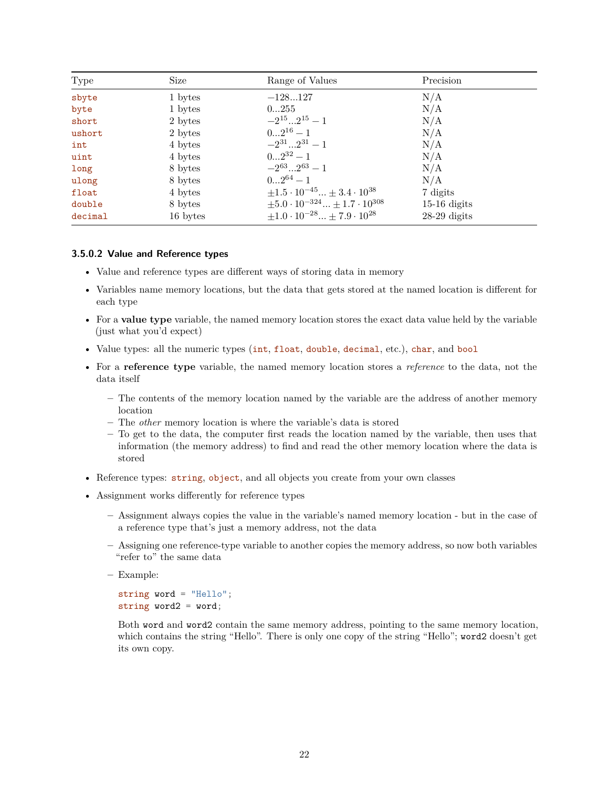| Type    | Size     | Range of Values                                      | Precision      |
|---------|----------|------------------------------------------------------|----------------|
| sbyte   | 1 bytes  | $-128127$                                            | N/A            |
| byte    | 1 bytes  | 0255                                                 | N/A            |
| short   | 2 bytes  | $-2^{15}2^{15}-1$                                    | N/A            |
| ushort  | 2 bytes  | $02^{16}-1$                                          | N/A            |
| int     | 4 bytes  | $-2^{31}2^{31}-1$                                    | N/A            |
| uint    | 4 bytes  | $02^{32}-1$                                          | N/A            |
| long    | 8 bytes  | $-2^{63} \dots 2^{63} - 1$                           | N/A            |
| ulong   | 8 bytes  | $02^{64}-1$                                          | N/A            |
| float   | 4 bytes  | $\pm 1.5 \cdot 10^{-45} \dots \pm 3.4 \cdot 10^{38}$ | 7 digits       |
| double  | 8 bytes  | $\pm 5.0 \cdot 10^{-324}  \pm 1.7 \cdot 10^{308}$    | $15-16$ digits |
| decimal | 16 bytes | $\pm 1.0\cdot 10^{-28}  \pm 7.9\cdot 10^{28}$        | $28-29$ digits |

#### **3.5.0.2 Value and Reference types**

- Value and reference types are different ways of storing data in memory
- Variables name memory locations, but the data that gets stored at the named location is different for each type
- For a **value type** variable, the named memory location stores the exact data value held by the variable (just what you'd expect)
- Value types: all the numeric types (int, float, double, decimal, etc.), char, and bool
- For a **reference type** variable, the named memory location stores a *reference* to the data, not the data itself
	- **–** The contents of the memory location named by the variable are the address of another memory location
	- **–** The *other* memory location is where the variable's data is stored
	- **–** To get to the data, the computer first reads the location named by the variable, then uses that information (the memory address) to find and read the other memory location where the data is stored
- Reference types: string, object, and all objects you create from your own classes
- Assignment works differently for reference types
	- **–** Assignment always copies the value in the variable's named memory location but in the case of a reference type that's just a memory address, not the data
	- **–** Assigning one reference-type variable to another copies the memory address, so now both variables "refer to" the same data
	- **–** Example:

```
string word = "Hello";
string word2 = word;
```
Both word and word2 contain the same memory address, pointing to the same memory location, which contains the string "Hello". There is only one copy of the string "Hello"; word2 doesn't get its own copy.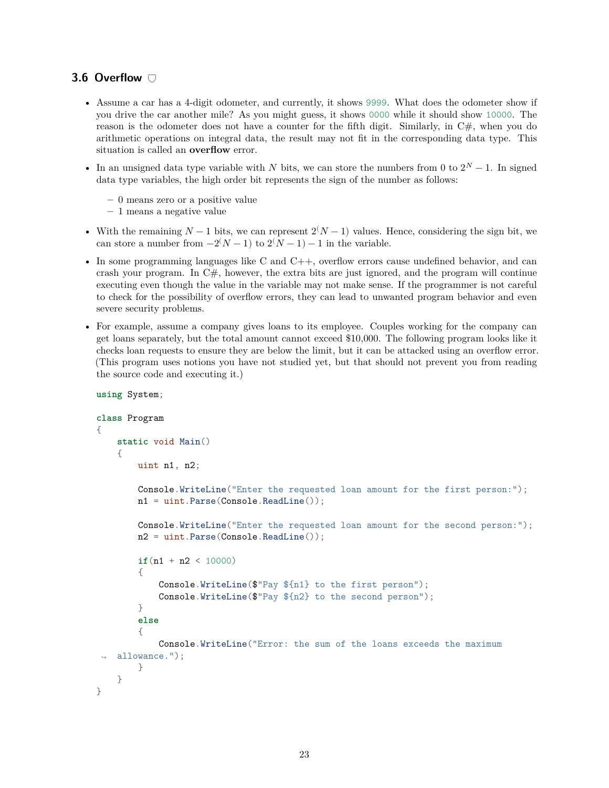# <span id="page-22-0"></span>**3.6 Overflow**

- Assume a car has a 4-digit odometer, and currently, it shows 9999. What does the odometer show if you drive the car another mile? As you might guess, it shows 0000 while it should show 10000. The reason is the odometer does not have a counter for the fifth digit. Similarly, in  $C#$ , when you do arithmetic operations on integral data, the result may not fit in the corresponding data type. This situation is called an **overflow** error.
- In an unsigned data type variable with N bits, we can store the numbers from 0 to  $2^N 1$ . In signed data type variables, the high order bit represents the sign of the number as follows:
	- **–** 0 means zero or a positive value
	- **–** 1 means a negative value
- With the remaining  $N-1$  bits, we can represent  $2(N-1)$  values. Hence, considering the sign bit, we can store a number from  $-2(N-1)$  to  $2(N-1) - 1$  in the variable.
- In some programming languages like C and C++, overflow errors cause undefined behavior, and can crash your program. In  $C#$ , however, the extra bits are just ignored, and the program will continue executing even though the value in the variable may not make sense. If the programmer is not careful to check for the possibility of overflow errors, they can lead to unwanted program behavior and even severe security problems.
- For example, assume a company gives loans to its employee. Couples working for the company can get loans separately, but the total amount cannot exceed \$10,000. The following program looks like it checks loan requests to ensure they are below the limit, but it can be attacked using an overflow error. (This program uses notions you have not studied yet, but that should not prevent you from reading the source code and executing it.)

```
using System;
class Program
{
    static void Main()
    {
        uint n1, n2;
        Console.WriteLine("Enter the requested loan amount for the first person:");
        n1 = uint.Parse(Console.ReadLine());
        Console.WriteLine("Enter the requested loan amount for the second person:");
        n2 = uint.Parse(Console.ReadLine());
        if(n1 + n2 < 10000){
            Console.WriteLine($"Pay ${n1} to the first person");
            Console.WriteLine($"Pay ${n2} to the second person");
        }
        else
        {
            Console.WriteLine("Error: the sum of the loans exceeds the maximum
    allowance.");
        }
    }
}
```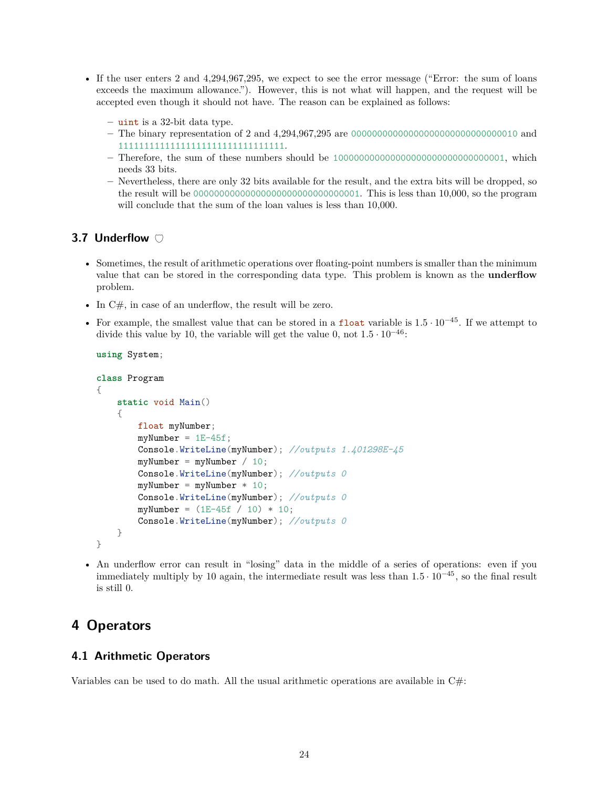- If the user enters 2 and 4,294,967,295, we expect to see the error message ("Error: the sum of loans exceeds the maximum allowance."). However, this is not what will happen, and the request will be accepted even though it should not have. The reason can be explained as follows:
	- **–** uint is a 32-bit data type.
	- **–** The binary representation of 2 and 4,294,967,295 are 00000000000000000000000000000010 and 11111111111111111111111111111111.
	- **–** Therefore, the sum of these numbers should be 100000000000000000000000000000001, which needs 33 bits.
	- **–** Nevertheless, there are only 32 bits available for the result, and the extra bits will be dropped, so the result will be 00000000000000000000000000000001. This is less than 10,000, so the program will conclude that the sum of the loan values is less than 10,000.

# <span id="page-23-0"></span>**3.7 Underflow**

- Sometimes, the result of arithmetic operations over floating-point numbers is smaller than the minimum value that can be stored in the corresponding data type. This problem is known as the **underflow** problem.
- In C#, in case of an underflow, the result will be zero.
- For example, the smallest value that can be stored in a float variable is  $1.5 \cdot 10^{-45}$ . If we attempt to divide this value by 10, the variable will get the value 0, not  $1.5 \cdot 10^{-46}$ :

```
using System;
```

```
class Program
{
    static void Main()
    {
        float myNumber;
        myNumber = 1E-45f;Console.WriteLine(myNumber); //outputs 1.401298E-45
        myNumber = myNumber / 10;Console.WriteLine(myNumber); //outputs 0
        myNumber = myNumber * 10;Console.WriteLine(myNumber); //outputs 0
        myNumber = (1E-45f / 10) * 10;Console.WriteLine(myNumber); //outputs 0
    }
}
```
• An underflow error can result in "losing" data in the middle of a series of operations: even if you immediately multiply by 10 again, the intermediate result was less than  $1.5 \cdot 10^{-45}$ , so the final result is still 0.

# <span id="page-23-1"></span>**4 Operators**

### <span id="page-23-2"></span>**4.1 Arithmetic Operators**

Variables can be used to do math. All the usual arithmetic operations are available in C#: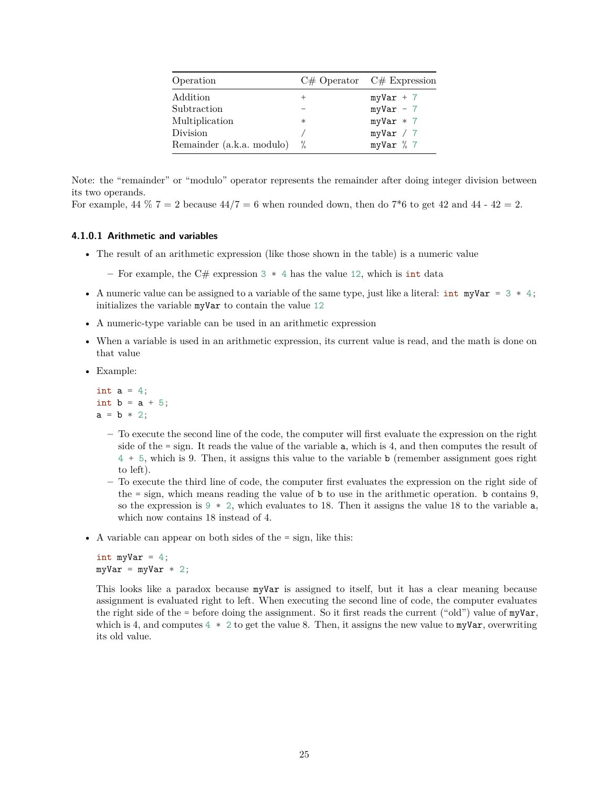| Operation                 |        | $C#$ Operator $C#$ Expression |
|---------------------------|--------|-------------------------------|
| Addition                  |        | $myVar + 7$                   |
| Subtraction               |        | $myVar - 7$                   |
| Multiplication            | $\ast$ | $myVar * 7$                   |
| Division                  |        | myVar / 7                     |
| Remainder (a.k.a. modulo) | %      | myVar % 7                     |

Note: the "remainder" or "modulo" operator represents the remainder after doing integer division between its two operands.

For example,  $44\%$  7 = 2 because  $44/7 = 6$  when rounded down, then do 7<sup>\*</sup>6 to get 42 and 44 - 42 = 2.

#### **4.1.0.1 Arithmetic and variables**

- The result of an arithmetic expression (like those shown in the table) is a numeric value
	- **–** For example, the C# expression 3 \* 4 has the value 12, which is int data
- A numeric value can be assigned to a variable of the same type, just like a literal:  $int$  myVar = 3  $*$  4; initializes the variable myVar to contain the value 12
- A numeric-type variable can be used in an arithmetic expression
- When a variable is used in an arithmetic expression, its current value is read, and the math is done on that value
- Example:

int  $a = 4$ ; int  $b = a + 5$ ;  $a = b * 2;$ 

- **–** To execute the second line of the code, the computer will first evaluate the expression on the right side of the = sign. It reads the value of the variable a, which is 4, and then computes the result of 4 + 5, which is 9. Then, it assigns this value to the variable b (remember assignment goes right to left).
- **–** To execute the third line of code, the computer first evaluates the expression on the right side of the  $=$  sign, which means reading the value of  $\mathbf b$  to use in the arithmetic operation.  $\mathbf b$  contains 9, so the expression is  $9 * 2$ , which evaluates to 18. Then it assigns the value 18 to the variable a, which now contains 18 instead of 4.
- A variable can appear on both sides of the  $=$  sign, like this:

```
int myVar = 4;
myVar = myVar * 2;
```
This looks like a paradox because myVar is assigned to itself, but it has a clear meaning because assignment is evaluated right to left. When executing the second line of code, the computer evaluates the right side of the = before doing the assignment. So it first reads the current ("old") value of myVar, which is 4, and computes  $4 * 2$  to get the value 8. Then, it assigns the new value to myVar, overwriting its old value.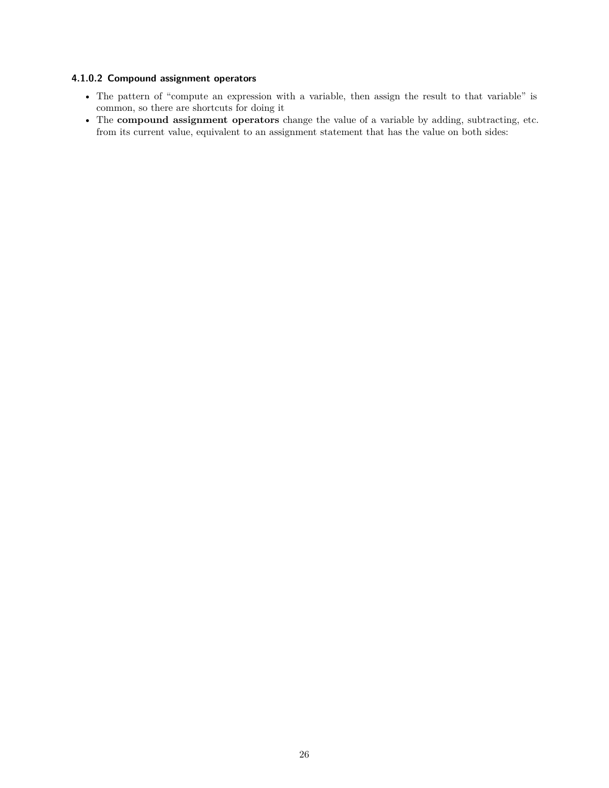#### **4.1.0.2 Compound assignment operators**

- The pattern of "compute an expression with a variable, then assign the result to that variable" is common, so there are shortcuts for doing it
- The **compound assignment operators** change the value of a variable by adding, subtracting, etc. from its current value, equivalent to an assignment statement that has the value on both sides: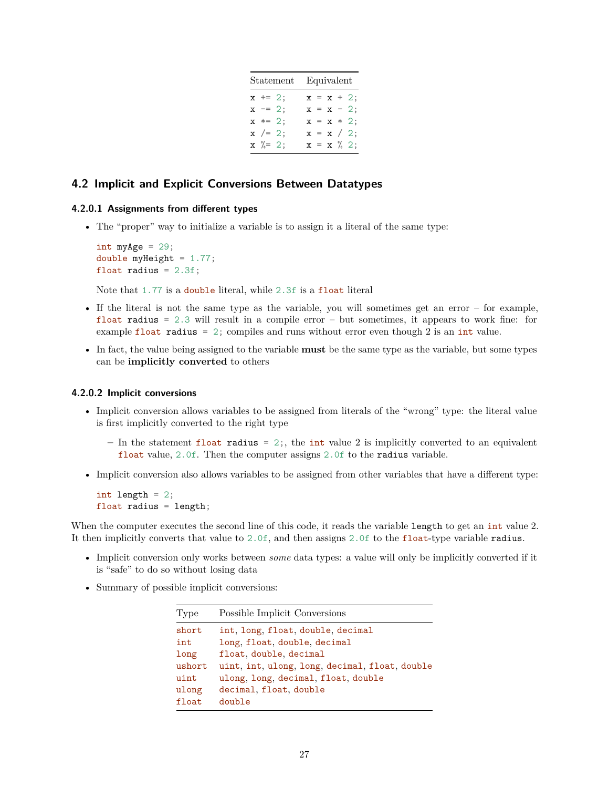| Statement |                    | Equivalent    |
|-----------|--------------------|---------------|
|           | $x \neq 2;$        | $x = x + 2;$  |
|           | $x = 2;$           | $x = x - 2$ ; |
|           | $x * = 2;$         | $x = x * 2;$  |
|           | $x$ /= 2;          | $x = x / 2;$  |
|           | $x \sqrt[6]{=} 2;$ | $x = x \% 2;$ |

### <span id="page-26-0"></span>**4.2 Implicit and Explicit Conversions Between Datatypes**

#### **4.2.0.1 Assignments from different types**

• The "proper" way to initialize a variable is to assign it a literal of the same type:

int myAge =  $29$ ; double myHeight = 1.77; float radius =  $2.3f$ ;

Note that 1.77 is a double literal, while 2.3f is a float literal

- If the literal is not the same type as the variable, you will sometimes get an error for example, float radius  $= 2.3$  will result in a compile error  $-$  but sometimes, it appears to work fine: for example float radius = 2; compiles and runs without error even though 2 is an int value.
- In fact, the value being assigned to the variable **must** be the same type as the variable, but some types can be **implicitly converted** to others

#### **4.2.0.2 Implicit conversions**

- Implicit conversion allows variables to be assigned from literals of the "wrong" type: the literal value is first implicitly converted to the right type
	- **–** In the statement float radius = 2;, the int value 2 is implicitly converted to an equivalent float value, 2.0f. Then the computer assigns 2.0f to the radius variable.
- Implicit conversion also allows variables to be assigned from other variables that have a different type:

```
int length = 2;
float radius = length;
```
When the computer executes the second line of this code, it reads the variable length to get an int value 2. It then implicitly converts that value to 2.0f, and then assigns 2.0f to the float-type variable radius.

- Implicit conversion only works between *some* data types: a value will only be implicitly converted if it is "safe" to do so without losing data
- Summary of possible implicit conversions:

| Type   | Possible Implicit Conversions                  |
|--------|------------------------------------------------|
| short  | int, long, float, double, decimal              |
| int    | long, float, double, decimal                   |
| long   | float, double, decimal                         |
| ushort | uint, int, ulong, long, decimal, float, double |
| uint   | ulong, long, decimal, float, double            |
| ulong  | decimal, float, double                         |
| float  | double                                         |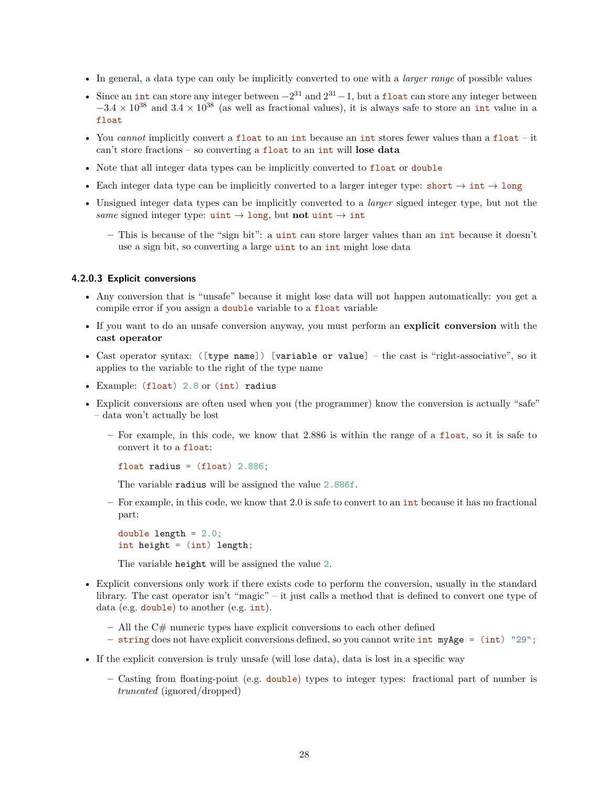- In general, a data type can only be implicitly converted to one with a *larger range* of possible values
- Since an int can store any integer between  $-2^{31}$  and  $2^{31}-1$ , but a float can store any integer between  $-3.4 \times 10^{38}$  and  $3.4 \times 10^{38}$  (as well as fractional values), it is always safe to store an int value in a float
- You *cannot* implicitly convert a float to an int because an int stores fewer values than a float it can't store fractions – so converting a float to an int will **lose data**
- Note that all integer data types can be implicitly converted to float or double
- Each integer data type can be implicitly converted to a larger integer type: short  $\rightarrow$  int  $\rightarrow$  long
- Unsigned integer data types can be implicitly converted to a *larger* signed integer type, but not the *same* signed integer type:  $\text{uint} \rightarrow \text{long}$ , but **not**  $\text{uint} \rightarrow \text{int}$ 
	- **–** This is because of the "sign bit": a uint can store larger values than an int because it doesn't use a sign bit, so converting a large uint to an int might lose data

#### **4.2.0.3 Explicit conversions**

- Any conversion that is "unsafe" because it might lose data will not happen automatically: you get a compile error if you assign a double variable to a float variable
- If you want to do an unsafe conversion anyway, you must perform an **explicit conversion** with the **cast operator**
- Cast operator syntax: ([type name]) [variable or value] the cast is "right-associative", so it applies to the variable to the right of the type name
- Example: (float) 2.8 or (int) radius
- Explicit conversions are often used when you (the programmer) know the conversion is actually "safe" – data won't actually be lost
	- **–** For example, in this code, we know that 2.886 is within the range of a float, so it is safe to convert it to a float:

float radius =  $(f$ loat) 2.886;

The variable radius will be assigned the value 2.886f.

**–** For example, in this code, we know that 2.0 is safe to convert to an int because it has no fractional part:

double length  $= 2.0$ ; int height = (int) length;

The variable height will be assigned the value 2.

- Explicit conversions only work if there exists code to perform the conversion, usually in the standard library. The cast operator isn't "magic" – it just calls a method that is defined to convert one type of data (e.g. double) to another (e.g. int).
	- **–** All the C# numeric types have explicit conversions to each other defined
	- **–** string does not have explicit conversions defined, so you cannot write int myAge = (int) "29";
- If the explicit conversion is truly unsafe (will lose data), data is lost in a specific way
	- **–** Casting from floating-point (e.g. double) types to integer types: fractional part of number is *truncated* (ignored/dropped)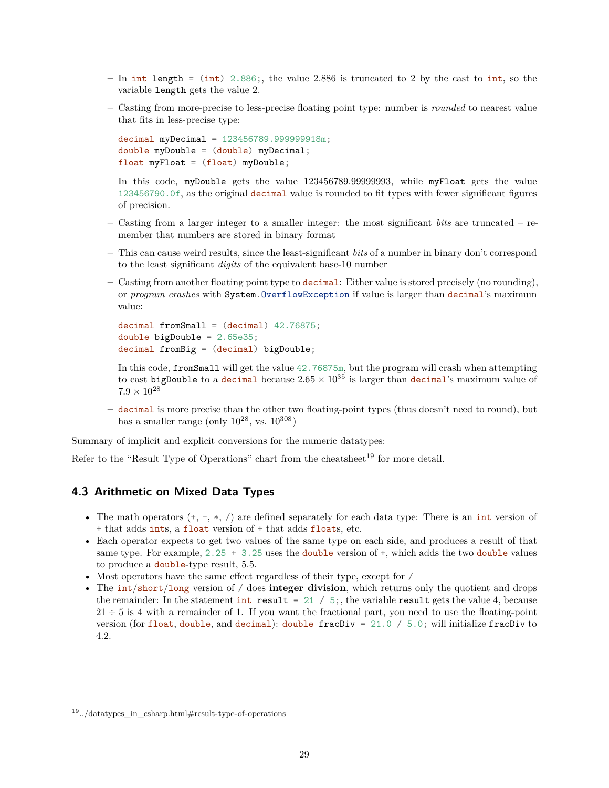- **–** In int length = (int) 2.886;, the value 2.886 is truncated to 2 by the cast to int, so the variable length gets the value 2.
- **–** Casting from more-precise to less-precise floating point type: number is *rounded* to nearest value that fits in less-precise type:

```
decimal myDecimal = 123456789.999999918m;
double myDouble = (double) myDecimal;float myFloat = (float) myDouble;
```
In this code, myDouble gets the value 123456789.99999993, while myFloat gets the value 123456790.0f, as the original decimal value is rounded to fit types with fewer significant figures of precision.

- **–** Casting from a larger integer to a smaller integer: the most significant *bits* are truncated remember that numbers are stored in binary format
- **–** This can cause weird results, since the least-significant *bits* of a number in binary don't correspond to the least significant *digits* of the equivalent base-10 number
- **–** Casting from another floating point type to decimal: Either value is stored precisely (no rounding), or *program crashes* with System.OverflowException if value is larger than decimal's maximum value:

```
decimal fromSmall = (decimal) 42.76875;double bigDouble = 2.65e35;
decimal fromBig = (decimal) bigDouble;
```
In this code, fromSmall will get the value 42.76875m, but the program will crash when attempting to cast bigDouble to a decimal because  $2.65 \times 10^{35}$  is larger than decimal's maximum value of  $7.9 \times 10^{28}$ 

**–** decimal is more precise than the other two floating-point types (thus doesn't need to round), but has a smaller range (only  $10^{28}$ , vs.  $10^{308}$ )

Summary of implicit and explicit conversions for the numeric datatypes:

Refer to the "Result Type of Operations" chart from the cheatsheet<sup>[19](#page-28-1)</sup> for more detail.

# <span id="page-28-0"></span>**4.3 Arithmetic on Mixed Data Types**

- The math operators  $(+, -, *, /)$  are defined separately for each data type: There is an int version of + that adds ints, a float version of + that adds floats, etc.
- Each operator expects to get two values of the same type on each side, and produces a result of that same type. For example,  $2.25 + 3.25$  uses the double version of  $\dagger$ , which adds the two double values to produce a double-type result, 5.5.
- Most operators have the same effect regardless of their type, except for /
- The int/short/long version of / does **integer division**, which returns only the quotient and drops the remainder: In the statement int result = 21 / 5;, the variable result gets the value 4, because  $21 \div 5$  is 4 with a remainder of 1. If you want the fractional part, you need to use the floating-point version (for float, double, and decimal): double fracDiv = 21.0 / 5.0; will initialize fracDiv to 4.2.

<span id="page-28-1"></span><sup>&</sup>lt;sup>19</sup>[../datatypes\\_in\\_csharp.html#result-type-of-operations](../datatypes_in_csharp.html#result-type-of-operations)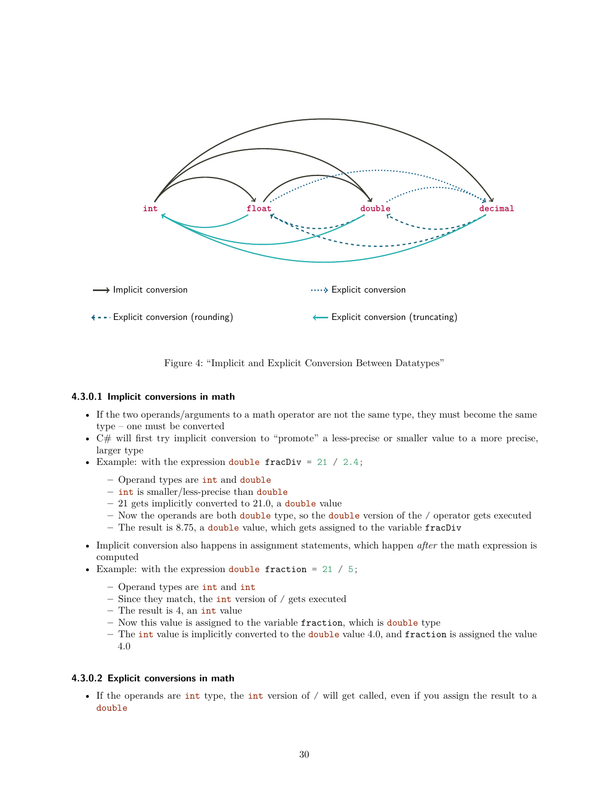

Figure 4: "Implicit and Explicit Conversion Between Datatypes"

#### **4.3.0.1 Implicit conversions in math**

- If the two operands/arguments to a math operator are not the same type, they must become the same type – one must be converted
- C# will first try implicit conversion to "promote" a less-precise or smaller value to a more precise, larger type
- Example: with the expression double fracDiv = 21 / 2.4;
	- **–** Operand types are int and double
	- **–** int is smaller/less-precise than double
	- **–** 21 gets implicitly converted to 21.0, a double value
	- **–** Now the operands are both double type, so the double version of the / operator gets executed
	- **–** The result is 8.75, a double value, which gets assigned to the variable fracDiv
- Implicit conversion also happens in assignment statements, which happen *after* the math expression is computed
- Example: with the expression double fraction = 21 / 5;
	- **–** Operand types are int and int
	- **–** Since they match, the int version of / gets executed
	- **–** The result is 4, an int value
	- **–** Now this value is assigned to the variable fraction, which is double type
	- **–** The int value is implicitly converted to the double value 4.0, and fraction is assigned the value 4.0

#### **4.3.0.2 Explicit conversions in math**

• If the operands are int type, the int version of / will get called, even if you assign the result to a double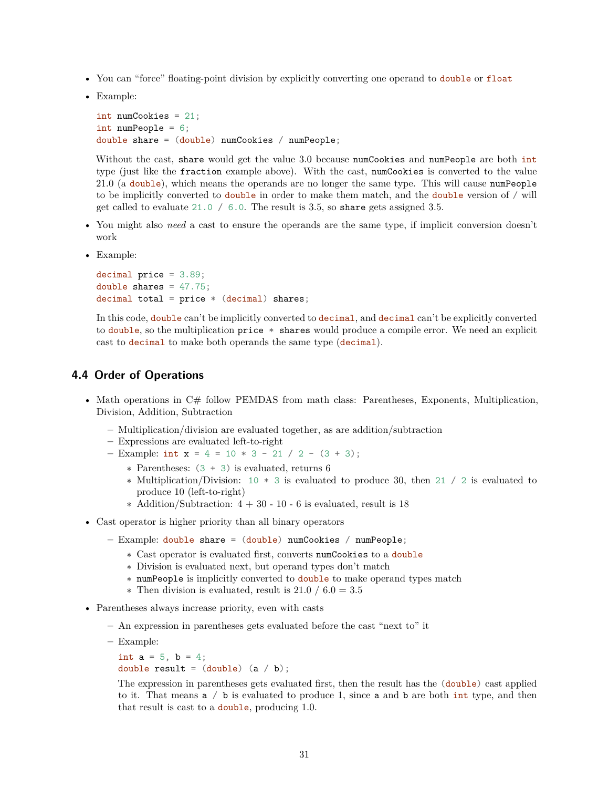- You can "force" floating-point division by explicitly converting one operand to double or float
- Example:

```
int numCookies = 21;
int numPeople = 6;
double share = (double) numCookies / numPeople;
```
Without the cast, share would get the value 3.0 because numCookies and numPeople are both int type (just like the fraction example above). With the cast, numCookies is converted to the value 21.0 (a double), which means the operands are no longer the same type. This will cause numPeople to be implicitly converted to double in order to make them match, and the double version of / will get called to evaluate 21.0 / 6.0. The result is 3.5, so share gets assigned 3.5.

- You might also *need* a cast to ensure the operands are the same type, if implicit conversion doesn't work
- Example:

```
decimal price = 3.89;
double shares = 47.75;
decimal total = price * (decimal) shares;
```
In this code, double can't be implicitly converted to decimal, and decimal can't be explicitly converted to double, so the multiplication price \* shares would produce a compile error. We need an explicit cast to decimal to make both operands the same type (decimal).

#### <span id="page-30-0"></span>**4.4 Order of Operations**

- Math operations in C# follow PEMDAS from math class: Parentheses, Exponents, Multiplication, Division, Addition, Subtraction
	- **–** Multiplication/division are evaluated together, as are addition/subtraction
	- **–** Expressions are evaluated left-to-right
	- **–** Example: int x = 4 = 10 \* 3 21 / 2 (3 + 3);
		- ∗ Parentheses: (3 + 3) is evaluated, returns 6
		- ∗ Multiplication/Division: 10 \* 3 is evaluated to produce 30, then 21 / 2 is evaluated to produce 10 (left-to-right)
		- $\ast$  Addition/Subtraction:  $4 + 30 10 6$  is evaluated, result is 18
- Cast operator is higher priority than all binary operators
	- **–** Example: double share = (double) numCookies / numPeople;
		- ∗ Cast operator is evaluated first, converts numCookies to a double
		- ∗ Division is evaluated next, but operand types don't match
		- ∗ numPeople is implicitly converted to double to make operand types match
		- $\ast$  Then division is evaluated, result is 21.0 / 6.0 = 3.5
- Parentheses always increase priority, even with casts
	- **–** An expression in parentheses gets evaluated before the cast "next to" it
	- **–** Example:

```
int a = 5, b = 4;
double result = (double) (a / b);
```
The expression in parentheses gets evaluated first, then the result has the (double) cast applied to it. That means a / b is evaluated to produce 1, since a and b are both int type, and then that result is cast to a double, producing 1.0.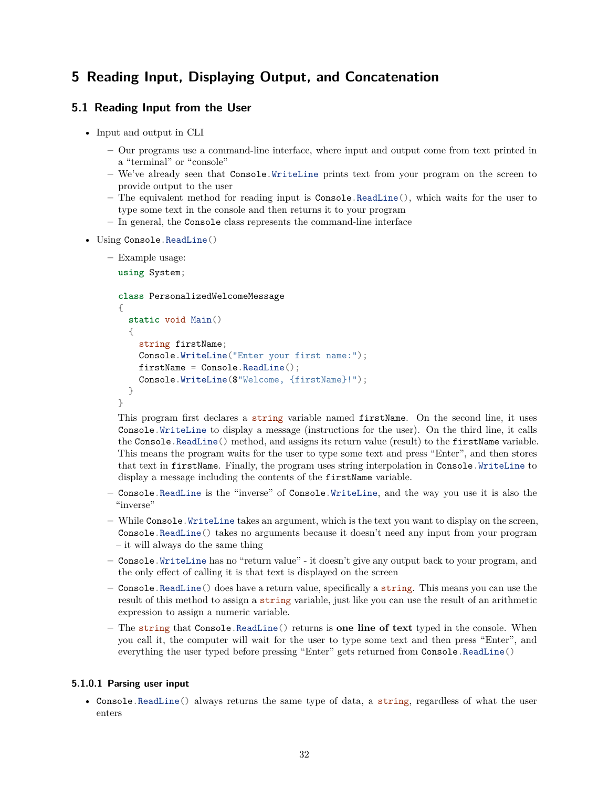# <span id="page-31-0"></span>**5 Reading Input, Displaying Output, and Concatenation**

### <span id="page-31-1"></span>**5.1 Reading Input from the User**

- Input and output in CLI
	- **–** Our programs use a command-line interface, where input and output come from text printed in a "terminal" or "console"
	- **–** We've already seen that Console.WriteLine prints text from your program on the screen to provide output to the user
	- **–** The equivalent method for reading input is Console.ReadLine(), which waits for the user to type some text in the console and then returns it to your program
	- **–** In general, the Console class represents the command-line interface
- Using Console.ReadLine()
	- **–** Example usage:

```
using System;
```

```
class PersonalizedWelcomeMessage
{
 static void Main()
  {
    string firstName;
    Console.WriteLine("Enter your first name:");
    firstName = Console.ReadLine();
    Console.WriteLine($"Welcome, {firstName}!");
 }
}
```
This program first declares a string variable named firstName. On the second line, it uses Console.WriteLine to display a message (instructions for the user). On the third line, it calls the Console.ReadLine() method, and assigns its return value (result) to the firstName variable. This means the program waits for the user to type some text and press "Enter", and then stores that text in firstName. Finally, the program uses string interpolation in Console.WriteLine to display a message including the contents of the firstName variable.

- **–** Console.ReadLine is the "inverse" of Console.WriteLine, and the way you use it is also the "inverse"
- **–** While Console.WriteLine takes an argument, which is the text you want to display on the screen, Console.ReadLine() takes no arguments because it doesn't need any input from your program – it will always do the same thing
- **–** Console.WriteLine has no "return value" it doesn't give any output back to your program, and the only effect of calling it is that text is displayed on the screen
- **–** Console.ReadLine() does have a return value, specifically a string. This means you can use the result of this method to assign a string variable, just like you can use the result of an arithmetic expression to assign a numeric variable.
- **–** The string that Console.ReadLine() returns is **one line of text** typed in the console. When you call it, the computer will wait for the user to type some text and then press "Enter", and everything the user typed before pressing "Enter" gets returned from Console.ReadLine()

#### **5.1.0.1 Parsing user input**

• Console.ReadLine() always returns the same type of data, a string, regardless of what the user enters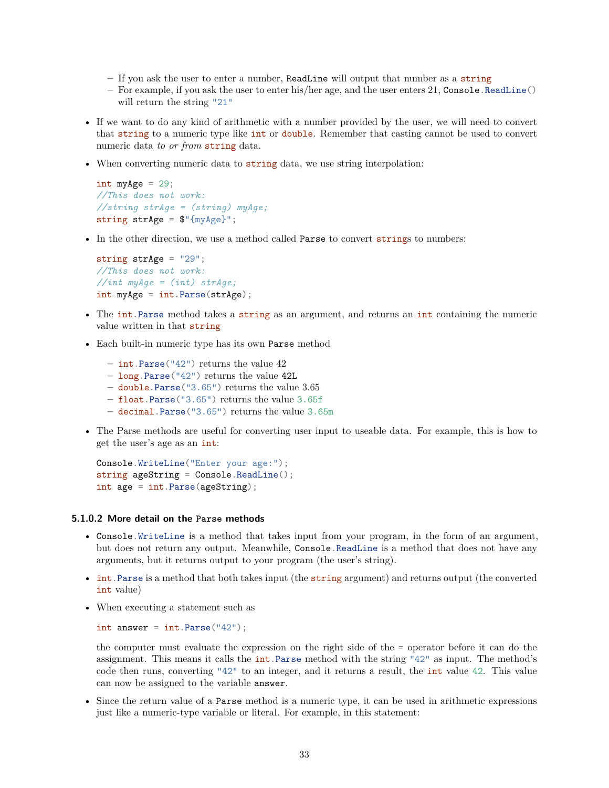- **–** If you ask the user to enter a number, ReadLine will output that number as a string
- **–** For example, if you ask the user to enter his/her age, and the user enters 21, Console.ReadLine() will return the string "21"
- If we want to do any kind of arithmetic with a number provided by the user, we will need to convert that string to a numeric type like int or double. Remember that casting cannot be used to convert numeric data *to or from* string data.
- When converting numeric data to string data, we use string interpolation:

```
int myAge = 29;
//This does not work:
//string strAge = (string) myAge;
string strAge = $"{myAge}";
```
• In the other direction, we use a method called **Parse** to convert strings to numbers:

```
string strAge = "29";
//This does not work:
//int myAge = (int) strAge;
int myAge = int.Parse(strAge);
```
- The int.Parse method takes a string as an argument, and returns an int containing the numeric value written in that string
- Each built-in numeric type has its own Parse method
	- **–** int.Parse("42") returns the value 42
	- **–** long.Parse("42") returns the value 42L
	- **–** double.Parse("3.65") returns the value 3.65
	- **–** float.Parse("3.65") returns the value 3.65f
	- **–** decimal.Parse("3.65") returns the value 3.65m
- The Parse methods are useful for converting user input to useable data. For example, this is how to get the user's age as an int:

```
Console.WriteLine("Enter your age:");
string ageString = Console.ReadLine();
int age = int.Parse(ageString);
```
#### **5.1.0.2 More detail on the Parse methods**

- Console.WriteLine is a method that takes input from your program, in the form of an argument, but does not return any output. Meanwhile, Console.ReadLine is a method that does not have any arguments, but it returns output to your program (the user's string).
- int.Parse is a method that both takes input (the string argument) and returns output (the converted int value)
- When executing a statement such as

```
int answer = int.Parse("42");
```
the computer must evaluate the expression on the right side of the = operator before it can do the assignment. This means it calls the **int**.Parse method with the string "42" as input. The method's code then runs, converting "42" to an integer, and it returns a result, the int value 42. This value can now be assigned to the variable answer.

• Since the return value of a Parse method is a numeric type, it can be used in arithmetic expressions just like a numeric-type variable or literal. For example, in this statement: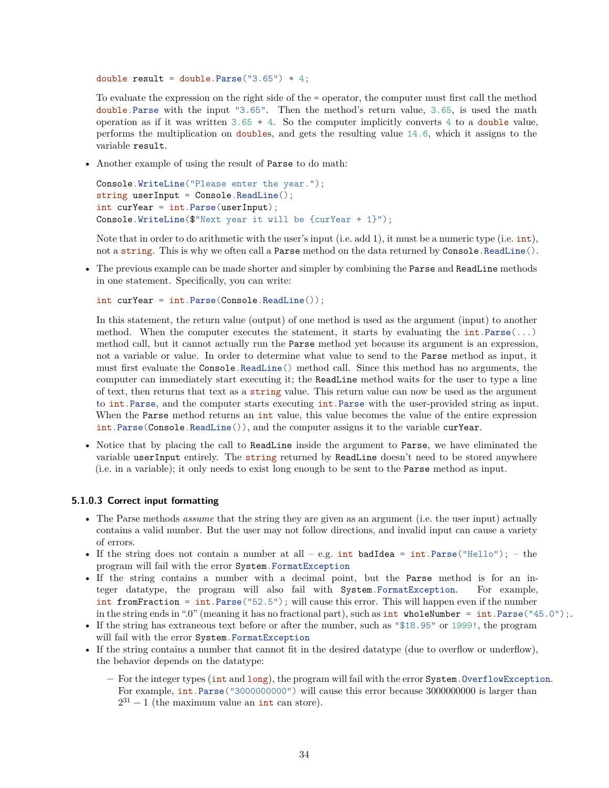```
double result = double. Parse("3.65") * 4;
```
To evaluate the expression on the right side of the = operator, the computer must first call the method double.Parse with the input "3.65". Then the method's return value, 3.65, is used the math operation as if it was written  $3.65 \times 4$ . So the computer implicitly converts 4 to a double value, performs the multiplication on doubles, and gets the resulting value 14.6, which it assigns to the variable result.

• Another example of using the result of Parse to do math:

```
Console.WriteLine("Please enter the year.");
string userInput = Console. ReadLine();
int curYear = int.Parse(userInput);
Console.WriteLine($"Next year it will be {curYear + 1}");
```
Note that in order to do arithmetic with the user's input (i.e. add 1), it must be a numeric type (i.e. int), not a string. This is why we often call a Parse method on the data returned by Console.ReadLine().

• The previous example can be made shorter and simpler by combining the Parse and ReadLine methods in one statement. Specifically, you can write:

```
int curYear = int.Parse(Console.ReadLine());
```
In this statement, the return value (output) of one method is used as the argument (input) to another method. When the computer executes the statement, it starts by evaluating the  $int.Parse(...)$ method call, but it cannot actually run the Parse method yet because its argument is an expression, not a variable or value. In order to determine what value to send to the Parse method as input, it must first evaluate the Console.ReadLine() method call. Since this method has no arguments, the computer can immediately start executing it; the ReadLine method waits for the user to type a line of text, then returns that text as a string value. This return value can now be used as the argument to int.Parse, and the computer starts executing int.Parse with the user-provided string as input. When the Parse method returns an int value, this value becomes the value of the entire expression int.Parse(Console.ReadLine()), and the computer assigns it to the variable curYear.

• Notice that by placing the call to ReadLine inside the argument to Parse, we have eliminated the variable userInput entirely. The string returned by ReadLine doesn't need to be stored anywhere (i.e. in a variable); it only needs to exist long enough to be sent to the Parse method as input.

#### **5.1.0.3 Correct input formatting**

- The Parse methods *assume* that the string they are given as an argument (i.e. the user input) actually contains a valid number. But the user may not follow directions, and invalid input can cause a variety of errors.
- If the string does not contain a number at all e.g. int badIdea = int. Parse("Hello"); the program will fail with the error System.FormatException
- If the string contains a number with a decimal point, but the Parse method is for an integer datatype, the program will also fail with System.FormatException. For example, int from Fraction = int. Parse("52.5"); will cause this error. This will happen even if the number in the string ends in ".0" (meaning it has no fractional part), such as  $int$  wholeNumber =  $int$ . Parse("45.0");.
- If the string has extraneous text before or after the number, such as "\$18.95" or 1999!, the program will fail with the error System.FormatException
- If the string contains a number that cannot fit in the desired datatype (due to overflow or underflow), the behavior depends on the datatype:
	- **–** For the integer types (int and long), the program will fail with the error System.OverflowException. For example, int.Parse("3000000000") will cause this error because 3000000000 is larger than  $2^{31} - 1$  (the maximum value an int can store).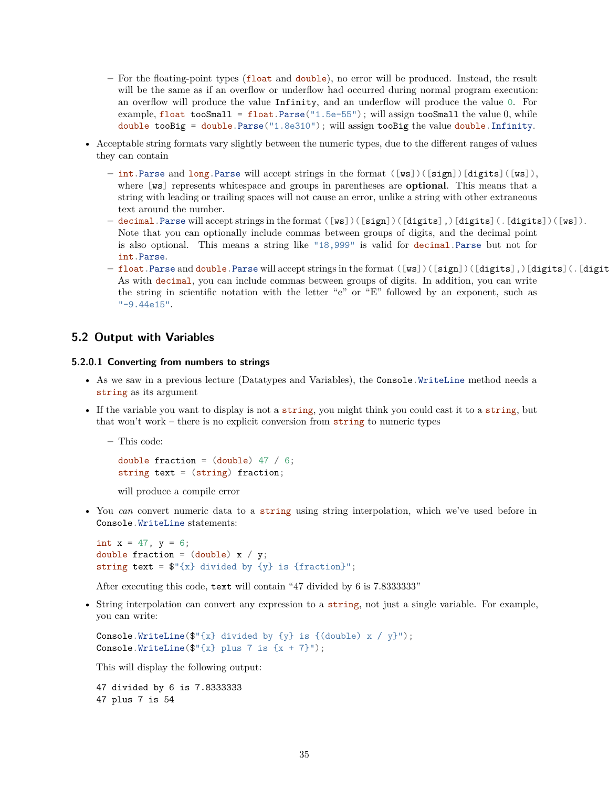- **–** For the floating-point types (float and double), no error will be produced. Instead, the result will be the same as if an overflow or underflow had occurred during normal program execution: an overflow will produce the value Infinity, and an underflow will produce the value 0. For example, float tooSmall = float.Parse("1.5e-55"); will assign tooSmall the value 0, while double tooBig = double.Parse("1.8e310"); will assign tooBig the value double.Infinity.
- Acceptable string formats vary slightly between the numeric types, due to the different ranges of values they can contain
	- **–** int.Parse and long.Parse will accept strings in the format ([ws])([sign])[digits]([ws]), where [ws] represents whitespace and groups in parentheses are **optional**. This means that a string with leading or trailing spaces will not cause an error, unlike a string with other extraneous text around the number.
	- **–** decimal.Parse will accept strings in the format ([ws])([sign])([digits],)[digits](.[digits])([ws]). Note that you can optionally include commas between groups of digits, and the decimal point is also optional. This means a string like "18,999" is valid for decimal.Parse but not for int.Parse.
	- **–** float.Parse and double.Parse will accept strings in the format ([ws])([sign])([digits],)[digits](.[digit As with decimal, you can include commas between groups of digits. In addition, you can write the string in scientific notation with the letter "e" or "E" followed by an exponent, such as "-9.44e15".

#### <span id="page-34-0"></span>**5.2 Output with Variables**

#### **5.2.0.1 Converting from numbers to strings**

- As we saw in a previous lecture (Datatypes and Variables), the Console. WriteLine method needs a string as its argument
- If the variable you want to display is not a string, you might think you could cast it to a string, but that won't work – there is no explicit conversion from string to numeric types

```
– This code:
```

```
double fraction = (double) 47 / 6;
string text = (string) fraction;
```
will produce a compile error

• You *can* convert numeric data to a string using string interpolation, which we've used before in Console.WriteLine statements:

```
int x = 47, y = 6;
double fraction = (double) x / y;
string text = \mathcal{F}'(x) divided by \{y\} is \{fraction\}';
```
After executing this code, text will contain "47 divided by 6 is 7.8333333"

• String interpolation can convert any expression to a string, not just a single variable. For example, you can write:

```
Console.WriteLine(\mathcal{F}'[x] divided by \{y\} is \{(\text{double}) \; x \; / \; y\}");
Console.WriteLine(\mathcal{F}'[x] plus 7 is \{x + 7\}");
```
This will display the following output:

47 divided by 6 is 7.8333333 47 plus 7 is 54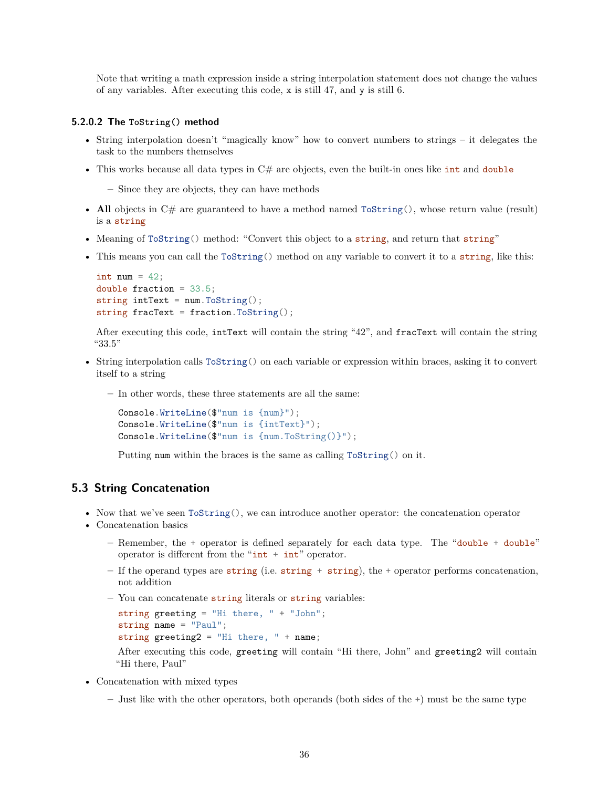Note that writing a math expression inside a string interpolation statement does not change the values of any variables. After executing this code, x is still 47, and y is still 6.

#### **5.2.0.2 The ToString() method**

- String interpolation doesn't "magically know" how to convert numbers to strings it delegates the task to the numbers themselves
- This works because all data types in  $C#$  are objects, even the built-in ones like int and double
	- **–** Since they are objects, they can have methods
- All objects in C# are guaranteed to have a method named  $ToString()$ , whose return value (result) is a string
- Meaning of ToString() method: "Convert this object to a string, and return that string"
- This means you can call the ToString() method on any variable to convert it to a string, like this:

```
int num = 42;
double fraction = 33.5;
string intText = num.ToString();
string fracText = fraction.ToString();
```
After executing this code, intText will contain the string "42", and fracText will contain the string "33.5"

- String interpolation calls ToString() on each variable or expression within braces, asking it to convert itself to a string
	- **–** In other words, these three statements are all the same:

```
Console.WriteLine($"num is {num}");
Console.WriteLine($"num is {intText}");
Console.WriteLine($"num is {num.ToString()}");
```
Putting num within the braces is the same as calling ToString() on it.

#### <span id="page-35-0"></span>**5.3 String Concatenation**

- Now that we've seen ToString(), we can introduce another operator: the concatenation operator
- Concatenation basics
	- **–** Remember, the + operator is defined separately for each data type. The "double + double" operator is different from the " $int + int$ " operator.
	- **–** If the operand types are string (i.e. string + string), the + operator performs concatenation, not addition
	- **–** You can concatenate string literals or string variables:

```
string greeting = "Hi there, " + "John";
string name = "Paul";
string greeting2 = "Hi there, " + name;
```
After executing this code, greeting will contain "Hi there, John" and greeting2 will contain "Hi there, Paul"

- Concatenation with mixed types
	- **–** Just like with the other operators, both operands (both sides of the +) must be the same type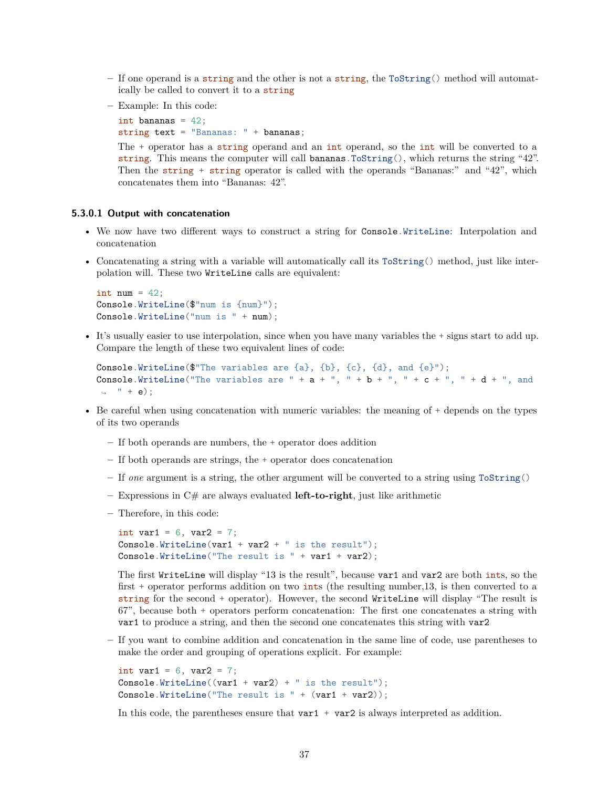- **–** If one operand is a string and the other is not a string, the ToString() method will automatically be called to convert it to a string
- **–** Example: In this code:

```
int bananas = 42;
string text = "Bananas: " + bananas;
```
The + operator has a string operand and an int operand, so the int will be converted to a string. This means the computer will call bananas. To String(), which returns the string "42". Then the string + string operator is called with the operands "Bananas:" and "42", which concatenates them into "Bananas: 42".

### **5.3.0.1 Output with concatenation**

- We now have two different ways to construct a string for Console.WriteLine: Interpolation and concatenation
- Concatenating a string with a variable will automatically call its ToString() method, just like interpolation will. These two WriteLine calls are equivalent:

```
int num = 42;
Console.WriteLine($"num is {num}");
Console.WriteLine("num is " + num);
```
• It's usually easier to use interpolation, since when you have many variables the + signs start to add up. Compare the length of these two equivalent lines of code:

```
Console.WriteLine($"The variables are {a}, {b}, {c}, {d}, and {e}");
Console.WriteLine("The variables are " + a + ", " + b + ", " + c + ", " + d + ", and
\rightarrow " + e);
```
- Be careful when using concatenation with numeric variables: the meaning of + depends on the types of its two operands
	- **–** If both operands are numbers, the + operator does addition
	- **–** If both operands are strings, the + operator does concatenation
	- **–** If *one* argument is a string, the other argument will be converted to a string using ToString()
	- **–** Expressions in C# are always evaluated **left-to-right**, just like arithmetic
	- **–** Therefore, in this code:

```
int var1 = 6, var2 = 7;
Console.WriteLine(var1 + var2 + " is the result");
Console.WriteLine("The result is " + var1 + var2);
```
The first WriteLine will display "13 is the result", because var1 and var2 are both ints, so the first + operator performs addition on two ints (the resulting number,13, is then converted to a string for the second + operator). However, the second WriteLine will display "The result is 67", because both + operators perform concatenation: The first one concatenates a string with var1 to produce a string, and then the second one concatenates this string with var2

**–** If you want to combine addition and concatenation in the same line of code, use parentheses to make the order and grouping of operations explicit. For example:

```
int var1 = 6, var2 = 7;
Console.WriteLine((var1 + var2) + " is the result");
Console.WriteLine("The result is " + (var1 + var2));
```
In this code, the parentheses ensure that  $\text{var1} + \text{var2}$  is always interpreted as addition.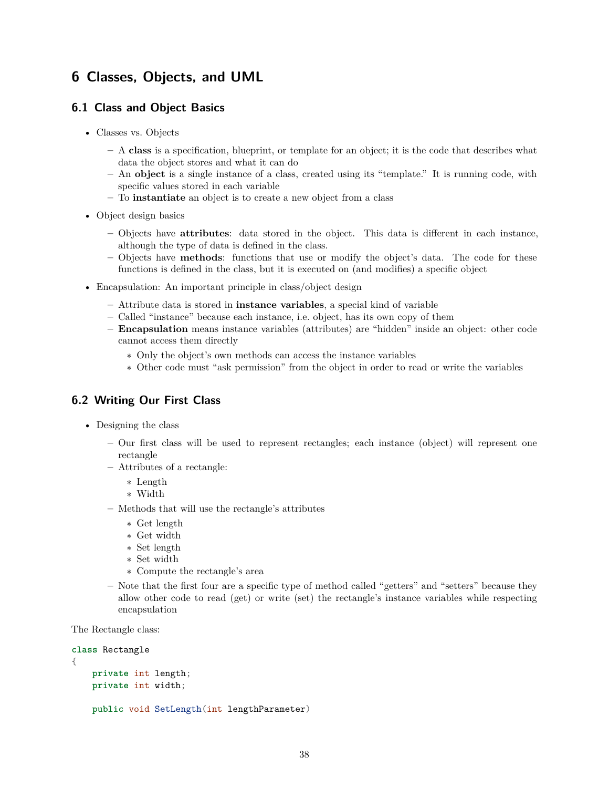# **6 Classes, Objects, and UML**

# **6.1 Class and Object Basics**

- Classes vs. Objects
	- **–** A **class** is a specification, blueprint, or template for an object; it is the code that describes what data the object stores and what it can do
	- **–** An **object** is a single instance of a class, created using its "template." It is running code, with specific values stored in each variable
	- **–** To **instantiate** an object is to create a new object from a class
- Object design basics
	- **–** Objects have **attributes**: data stored in the object. This data is different in each instance, although the type of data is defined in the class.
	- **–** Objects have **methods**: functions that use or modify the object's data. The code for these functions is defined in the class, but it is executed on (and modifies) a specific object
- Encapsulation: An important principle in class/object design
	- **–** Attribute data is stored in **instance variables**, a special kind of variable
	- **–** Called "instance" because each instance, i.e. object, has its own copy of them
	- **– Encapsulation** means instance variables (attributes) are "hidden" inside an object: other code cannot access them directly
		- ∗ Only the object's own methods can access the instance variables
		- ∗ Other code must "ask permission" from the object in order to read or write the variables

# **6.2 Writing Our First Class**

- Designing the class
	- **–** Our first class will be used to represent rectangles; each instance (object) will represent one rectangle
	- **–** Attributes of a rectangle:
		- ∗ Length
		- ∗ Width
	- **–** Methods that will use the rectangle's attributes
		- ∗ Get length
		- ∗ Get width
		- ∗ Set length
		- ∗ Set width
		- ∗ Compute the rectangle's area
	- **–** Note that the first four are a specific type of method called "getters" and "setters" because they allow other code to read (get) or write (set) the rectangle's instance variables while respecting encapsulation

The Rectangle class:

```
class Rectangle
{
    private int length;
    private int width;
    public void SetLength(int lengthParameter)
```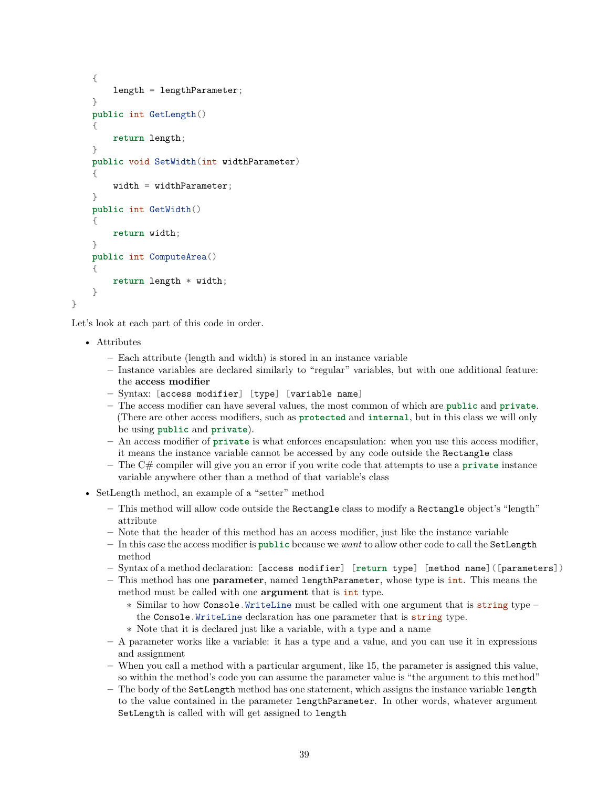```
{
    length = lengthParameter;
}
public int GetLength()
{
    return length;
}
public void SetWidth(int widthParameter)
{
    width = widthParameter;}
public int GetWidth()
{
    return width;
}
public int ComputeArea()
{
    return length * width;
}
```
Let's look at each part of this code in order.

• Attributes

}

- **–** Each attribute (length and width) is stored in an instance variable
- **–** Instance variables are declared similarly to "regular" variables, but with one additional feature: the **access modifier**
- **–** Syntax: [access modifier] [type] [variable name]
- **–** The access modifier can have several values, the most common of which are **public** and **private**. (There are other access modifiers, such as **protected** and **internal**, but in this class we will only be using **public** and **private**).
- **–** An access modifier of **private** is what enforces encapsulation: when you use this access modifier, it means the instance variable cannot be accessed by any code outside the Rectangle class
- **–** The C# compiler will give you an error if you write code that attempts to use a **private** instance variable anywhere other than a method of that variable's class
- SetLength method, an example of a "setter" method
	- **–** This method will allow code outside the Rectangle class to modify a Rectangle object's "length" attribute
	- **–** Note that the header of this method has an access modifier, just like the instance variable
	- **–** In this case the access modifier is **public** because we *want* to allow other code to call the SetLength method
	- **–** Syntax of a method declaration: [access modifier] [**return** type] [method name]([parameters])
	- **–** This method has one **parameter**, named lengthParameter, whose type is int. This means the method must be called with one **argument** that is int type.
		- ∗ Similar to how Console.WriteLine must be called with one argument that is string type the Console.WriteLine declaration has one parameter that is string type.
		- ∗ Note that it is declared just like a variable, with a type and a name
	- **–** A parameter works like a variable: it has a type and a value, and you can use it in expressions and assignment
	- **–** When you call a method with a particular argument, like 15, the parameter is assigned this value, so within the method's code you can assume the parameter value is "the argument to this method"
	- **–** The body of the SetLength method has one statement, which assigns the instance variable length to the value contained in the parameter lengthParameter. In other words, whatever argument SetLength is called with will get assigned to length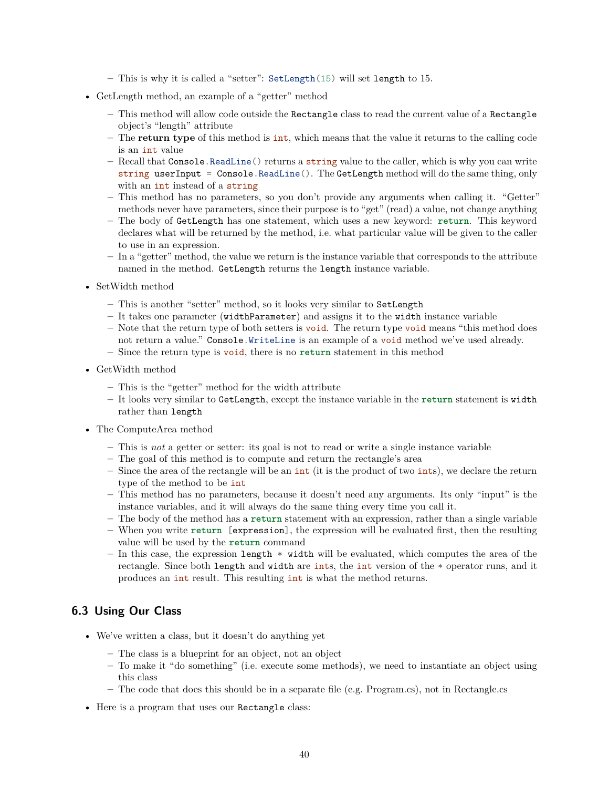- **–** This is why it is called a "setter": SetLength(15) will set length to 15.
- GetLength method, an example of a "getter" method
	- **–** This method will allow code outside the Rectangle class to read the current value of a Rectangle object's "length" attribute
	- **–** The **return type** of this method is int, which means that the value it returns to the calling code is an int value
	- **–** Recall that Console.ReadLine() returns a string value to the caller, which is why you can write string userInput =  $Console$ . ReadLine(). The GetLength method will do the same thing, only with an int instead of a string
	- **–** This method has no parameters, so you don't provide any arguments when calling it. "Getter" methods never have parameters, since their purpose is to "get" (read) a value, not change anything
	- **–** The body of GetLength has one statement, which uses a new keyword: **return**. This keyword declares what will be returned by the method, i.e. what particular value will be given to the caller to use in an expression.
	- **–** In a "getter" method, the value we return is the instance variable that corresponds to the attribute named in the method. GetLength returns the length instance variable.
- SetWidth method
	- **–** This is another "setter" method, so it looks very similar to SetLength
	- **–** It takes one parameter (widthParameter) and assigns it to the width instance variable
	- **–** Note that the return type of both setters is void. The return type void means "this method does not return a value." Console.WriteLine is an example of a void method we've used already.
	- **–** Since the return type is void, there is no **return** statement in this method
- GetWidth method
	- **–** This is the "getter" method for the width attribute
	- **–** It looks very similar to GetLength, except the instance variable in the **return** statement is width rather than length
- The ComputeArea method
	- **–** This is *not* a getter or setter: its goal is not to read or write a single instance variable
	- **–** The goal of this method is to compute and return the rectangle's area
	- **–** Since the area of the rectangle will be an int (it is the product of two ints), we declare the return type of the method to be int
	- **–** This method has no parameters, because it doesn't need any arguments. Its only "input" is the instance variables, and it will always do the same thing every time you call it.
	- **–** The body of the method has a **return** statement with an expression, rather than a single variable **–** When you write **return** [expression], the expression will be evaluated first, then the resulting
	- value will be used by the **return** command
	- **–** In this case, the expression length \* width will be evaluated, which computes the area of the rectangle. Since both length and width are ints, the int version of the \* operator runs, and it produces an int result. This resulting int is what the method returns.

## **6.3 Using Our Class**

- We've written a class, but it doesn't do anything yet
	- **–** The class is a blueprint for an object, not an object
	- **–** To make it "do something" (i.e. execute some methods), we need to instantiate an object using this class
	- **–** The code that does this should be in a separate file (e.g. Program.cs), not in Rectangle.cs
- Here is a program that uses our Rectangle class: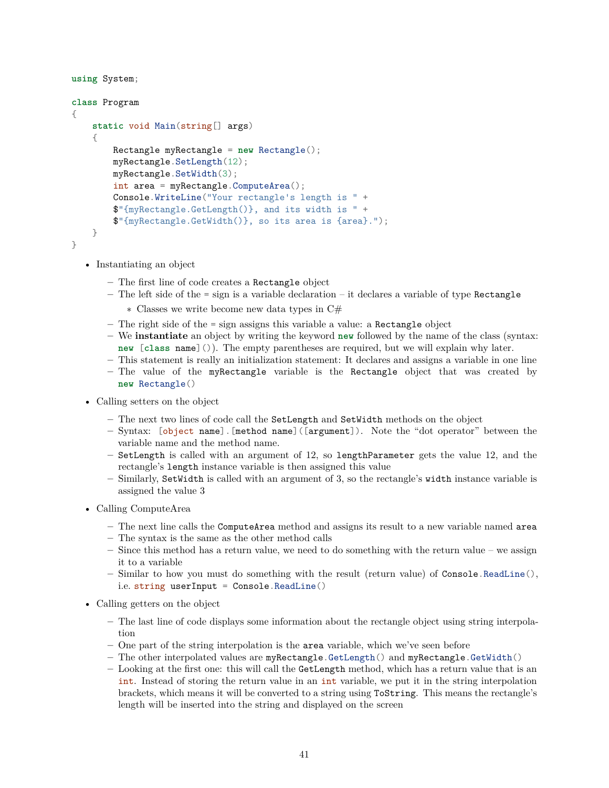```
using System;
class Program
{
    static void Main(string[] args)
    \mathbf{A}Rectangle myRectangle = new Rectangle();
        myRectangle.SetLength(12);
        myRectangle.SetWidth(3);
        int area = myRectangle.ComputeArea();
        Console.WriteLine("Your rectangle's length is " +
        $"{myRectangle.GetLength()}, and its width is " +
        $"{myRectangle.GetWidth()}, so its area is {area}.");
    }
}
```
- Instantiating an object
	- **–** The first line of code creates a Rectangle object
	- **–** The left side of the = sign is a variable declaration it declares a variable of type Rectangle
		- ∗ Classes we write become new data types in C#
	- **–** The right side of the = sign assigns this variable a value: a Rectangle object
	- **–** We **instantiate** an object by writing the keyword **new** followed by the name of the class (syntax: **new** [**class** name]()). The empty parentheses are required, but we will explain why later.
	- **–** This statement is really an initialization statement: It declares and assigns a variable in one line
	- **–** The value of the myRectangle variable is the Rectangle object that was created by **new** Rectangle()
- Calling setters on the object
	- **–** The next two lines of code call the SetLength and SetWidth methods on the object
	- **–** Syntax: [object name].[method name]([argument]). Note the "dot operator" between the variable name and the method name.
	- **–** SetLength is called with an argument of 12, so lengthParameter gets the value 12, and the rectangle's length instance variable is then assigned this value
	- **–** Similarly, SetWidth is called with an argument of 3, so the rectangle's width instance variable is assigned the value 3
- Calling ComputeArea
	- **–** The next line calls the ComputeArea method and assigns its result to a new variable named area
	- **–** The syntax is the same as the other method calls
	- **–** Since this method has a return value, we need to do something with the return value we assign it to a variable
	- **–** Similar to how you must do something with the result (return value) of Console.ReadLine(), i.e. string userInput = Console. ReadLine()
- Calling getters on the object
	- **–** The last line of code displays some information about the rectangle object using string interpolation
	- **–** One part of the string interpolation is the area variable, which we've seen before
	- **–** The other interpolated values are myRectangle.GetLength() and myRectangle.GetWidth()
	- **–** Looking at the first one: this will call the GetLength method, which has a return value that is an int. Instead of storing the return value in an int variable, we put it in the string interpolation brackets, which means it will be converted to a string using ToString. This means the rectangle's length will be inserted into the string and displayed on the screen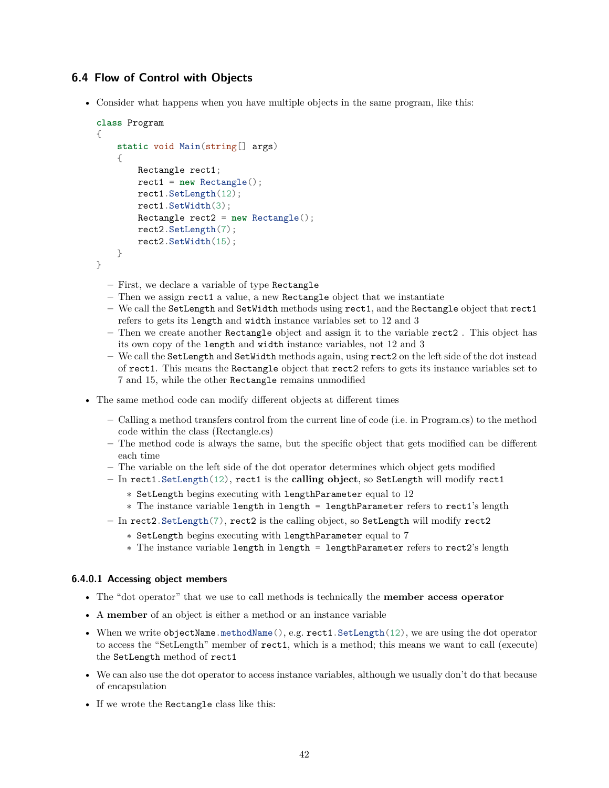# **6.4 Flow of Control with Objects**

• Consider what happens when you have multiple objects in the same program, like this:

```
class Program
{
    static void Main(string[] args)
    {
        Rectangle rect1;
        rect1 = new Rectangle();
        rect1.SetLength(12);
        rect1.SetWidth(3);
        Rectangle rect2 = new Rectangle();
        rect2.SetLength(7);
        rect2.SetWidth(15);
    }
}
```
- **–** First, we declare a variable of type Rectangle
- **–** Then we assign rect1 a value, a new Rectangle object that we instantiate
- **–** We call the SetLength and SetWidth methods using rect1, and the Rectangle object that rect1 refers to gets its length and width instance variables set to 12 and 3
- **–** Then we create another Rectangle object and assign it to the variable rect2 . This object has its own copy of the length and width instance variables, not 12 and 3
- **–** We call the SetLength and SetWidth methods again, using rect2 on the left side of the dot instead of rect1. This means the Rectangle object that rect2 refers to gets its instance variables set to 7 and 15, while the other Rectangle remains unmodified
- The same method code can modify different objects at different times
	- **–** Calling a method transfers control from the current line of code (i.e. in Program.cs) to the method code within the class (Rectangle.cs)
	- **–** The method code is always the same, but the specific object that gets modified can be different each time
	- **–** The variable on the left side of the dot operator determines which object gets modified
	- **–** In rect1.SetLength(12), rect1 is the **calling object**, so SetLength will modify rect1
		- ∗ SetLength begins executing with lengthParameter equal to 12
		- ∗ The instance variable length in length = lengthParameter refers to rect1's length
	- **–** In rect2.SetLength(7), rect2 is the calling object, so SetLength will modify rect2
		- ∗ SetLength begins executing with lengthParameter equal to 7
		- ∗ The instance variable length in length = lengthParameter refers to rect2's length

#### **6.4.0.1 Accessing object members**

- The "dot operator" that we use to call methods is technically the **member access operator**
- A **member** of an object is either a method or an instance variable
- When we write objectName.methodName $(), e.g. rect1. SetLength(12), we are using the dot operator$ to access the "SetLength" member of rect1, which is a method; this means we want to call (execute) the SetLength method of rect1
- We can also use the dot operator to access instance variables, although we usually don't do that because of encapsulation
- If we wrote the Rectangle class like this: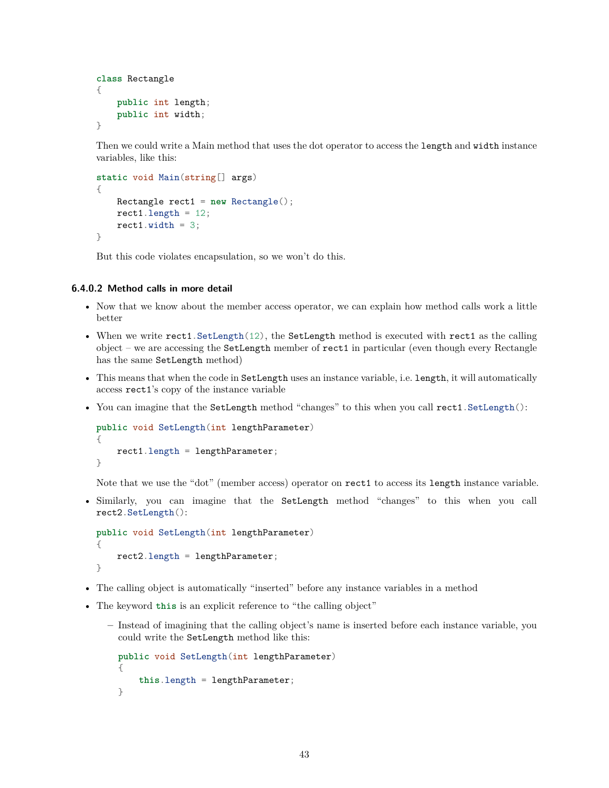```
class Rectangle
{
    public int length;
    public int width;
}
```
Then we could write a Main method that uses the dot operator to access the length and width instance variables, like this:

```
static void Main(string[] args)
{
    Rectangle rect1 = new Rectangle();
   rect1.length = 12;rect1.width = 3;}
```
But this code violates encapsulation, so we won't do this.

## **6.4.0.2 Method calls in more detail**

- Now that we know about the member access operator, we can explain how method calls work a little better
- When we write rect1. SetLength(12), the SetLength method is executed with rect1 as the calling object – we are accessing the SetLength member of rect1 in particular (even though every Rectangle has the same SetLength method)
- This means that when the code in SetLength uses an instance variable, i.e. length, it will automatically access rect1's copy of the instance variable
- You can imagine that the SetLength method "changes" to this when you call rect1. SetLength():

```
public void SetLength(int lengthParameter)
{
    rect1.length = lengthParameter;
}
```
Note that we use the "dot" (member access) operator on rect1 to access its length instance variable.

• Similarly, you can imagine that the SetLength method "changes" to this when you call rect2.SetLength():

```
public void SetLength(int lengthParameter)
{
    rect2.length = lengthParameter;
}
```
- The calling object is automatically "inserted" before any instance variables in a method
- The keyword **this** is an explicit reference to "the calling object"
	- **–** Instead of imagining that the calling object's name is inserted before each instance variable, you could write the SetLength method like this:

```
public void SetLength(int lengthParameter)
{
    this.length = lengthParameter;
}
```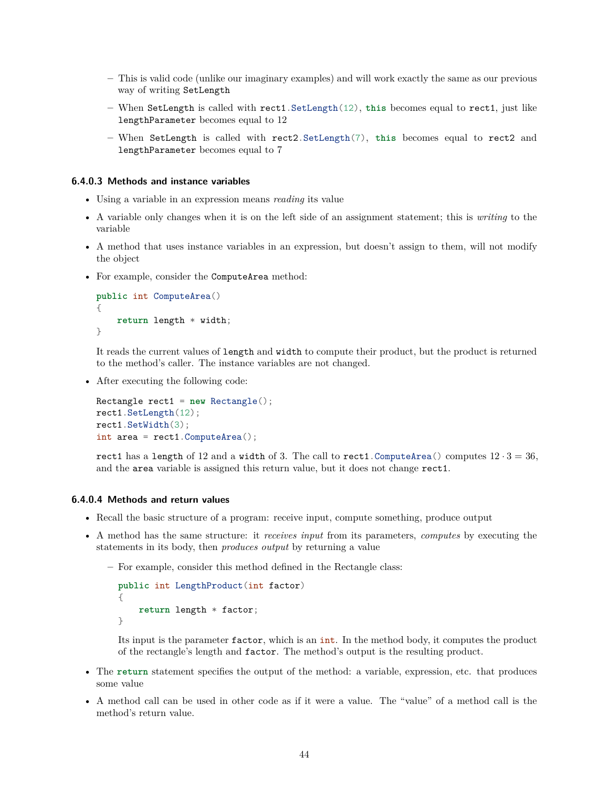- **–** This is valid code (unlike our imaginary examples) and will work exactly the same as our previous way of writing SetLength
- **–** When SetLength is called with rect1.SetLength(12), **this** becomes equal to rect1, just like lengthParameter becomes equal to 12
- **–** When SetLength is called with rect2.SetLength(7), **this** becomes equal to rect2 and lengthParameter becomes equal to 7

#### **6.4.0.3 Methods and instance variables**

- Using a variable in an expression means *reading* its value
- A variable only changes when it is on the left side of an assignment statement; this is *writing* to the variable
- A method that uses instance variables in an expression, but doesn't assign to them, will not modify the object
- For example, consider the ComputeArea method:

```
public int ComputeArea()
{
    return length * width;
}
```
It reads the current values of length and width to compute their product, but the product is returned to the method's caller. The instance variables are not changed.

• After executing the following code:

```
Rectangle rect1 = new Rectangle();
rect1.SetLength(12);
rect1.SetWidth(3);
int area = rect1.ComputeArea();
```
rect1 has a length of 12 and a width of 3. The call to rect1. ComputeArea() computes  $12 \cdot 3 = 36$ , and the area variable is assigned this return value, but it does not change rect1.

## **6.4.0.4 Methods and return values**

- Recall the basic structure of a program: receive input, compute something, produce output
- A method has the same structure: it *receives input* from its parameters, *computes* by executing the statements in its body, then *produces output* by returning a value
	- **–** For example, consider this method defined in the Rectangle class:

```
public int LengthProduct(int factor)
{
    return length * factor;
}
```
Its input is the parameter factor, which is an int. In the method body, it computes the product of the rectangle's length and factor. The method's output is the resulting product.

- The **return** statement specifies the output of the method: a variable, expression, etc. that produces some value
- A method call can be used in other code as if it were a value. The "value" of a method call is the method's return value.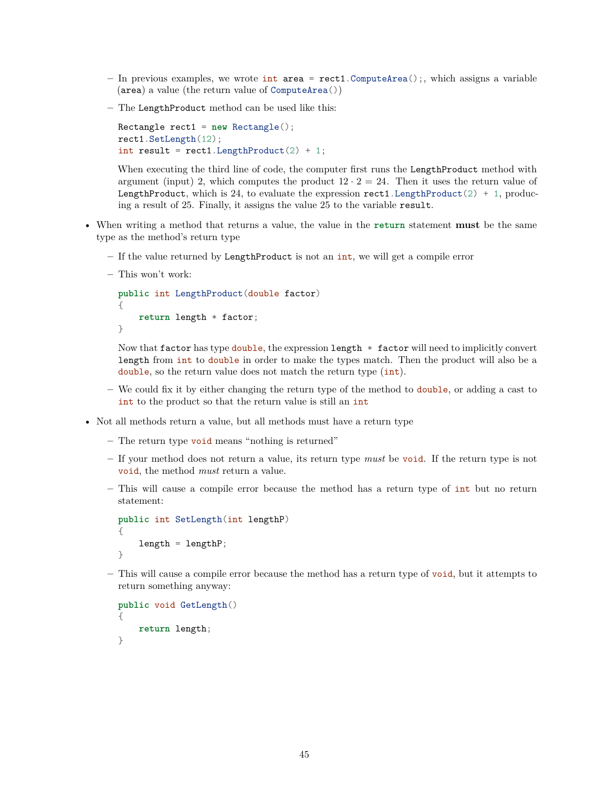- **–** In previous examples, we wrote int area = rect1.ComputeArea();, which assigns a variable (area) a value (the return value of ComputeArea())
- **–** The LengthProduct method can be used like this:

```
Rectangle rect1 = new Rectangle();
rect1.SetLength(12);
int result = rect1.LengthProduct(2) + 1;
```
When executing the third line of code, the computer first runs the LengthProduct method with argument (input) 2, which computes the product  $12 \cdot 2 = 24$ . Then it uses the return value of LengthProduct, which is 24, to evaluate the expression rect1. LengthProduct  $(2) + 1$ , producing a result of 25. Finally, it assigns the value 25 to the variable result.

- When writing a method that returns a value, the value in the **return** statement **must** be the same type as the method's return type
	- **–** If the value returned by LengthProduct is not an int, we will get a compile error
	- **–** This won't work:

```
public int LengthProduct(double factor)
{
    return length * factor;
}
```
Now that factor has type double, the expression length  $*$  factor will need to implicitly convert length from int to double in order to make the types match. Then the product will also be a double, so the return value does not match the return type (int).

- **–** We could fix it by either changing the return type of the method to double, or adding a cast to int to the product so that the return value is still an int
- Not all methods return a value, but all methods must have a return type
	- **–** The return type void means "nothing is returned"
	- **–** If your method does not return a value, its return type *must* be void. If the return type is not void, the method *must* return a value.
	- **–** This will cause a compile error because the method has a return type of int but no return statement:

```
public int SetLength(int lengthP)
{
    length = lengthP;
}
```
**–** This will cause a compile error because the method has a return type of void, but it attempts to return something anyway:

```
public void GetLength()
{
    return length;
}
```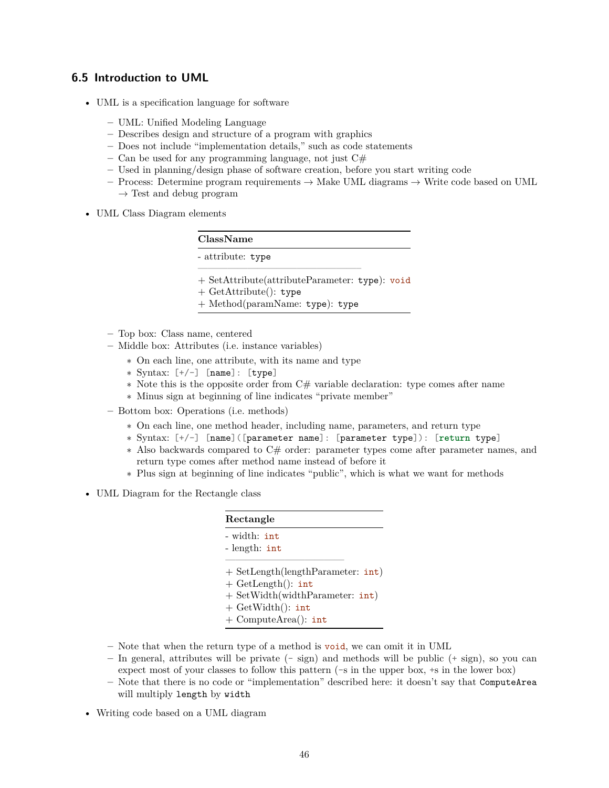## **6.5 Introduction to UML**

- UML is a specification language for software
	- **–** UML: Unified Modeling Language
	- **–** Describes design and structure of a program with graphics
	- **–** Does not include "implementation details," such as code statements
	- **–** Can be used for any programming language, not just C#
	- **–** Used in planning/design phase of software creation, before you start writing code
	- **–** Process: Determine program requirements → Make UML diagrams → Write code based on UML  $\rightarrow$  Test and debug program
- UML Class Diagram elements

| ClassName                              |
|----------------------------------------|
| - attribute: type                      |
| $(1 - \Omega + 1 + \lambda + \lambda)$ |

- + SetAttribute(attributeParameter: type): void
- + GetAttribute(): type
- + Method(paramName: type): type
- **–** Top box: Class name, centered
- **–** Middle box: Attributes (i.e. instance variables)
	- ∗ On each line, one attribute, with its name and type
	- ∗ Syntax: [+/-] [name]: [type]
	- ∗ Note this is the opposite order from C# variable declaration: type comes after name
	- ∗ Minus sign at beginning of line indicates "private member"
- **–** Bottom box: Operations (i.e. methods)
	- ∗ On each line, one method header, including name, parameters, and return type
	- ∗ Syntax: [+/-] [name]([parameter name]: [parameter type]): [**return** type]
	- ∗ Also backwards compared to C# order: parameter types come after parameter names, and return type comes after method name instead of before it
	- ∗ Plus sign at beginning of line indicates "public", which is what we want for methods
- UML Diagram for the Rectangle class

| Rectangle                           |
|-------------------------------------|
| - width: int                        |
| - length: $int$                     |
| $+$ SetLength(lengthParameter: int) |
| $+$ GetLength(): int                |
| + SetWidth(widthParameter: int)     |
| $+$ GetWidth(): int                 |
| $+$ ComputeArea(): int              |

- **–** Note that when the return type of a method is void, we can omit it in UML
- **–** In general, attributes will be private (- sign) and methods will be public (+ sign), so you can expect most of your classes to follow this pattern  $(-s)$  in the upper box,  $+s$  in the lower box)
- **–** Note that there is no code or "implementation" described here: it doesn't say that ComputeArea will multiply length by width
- Writing code based on a UML diagram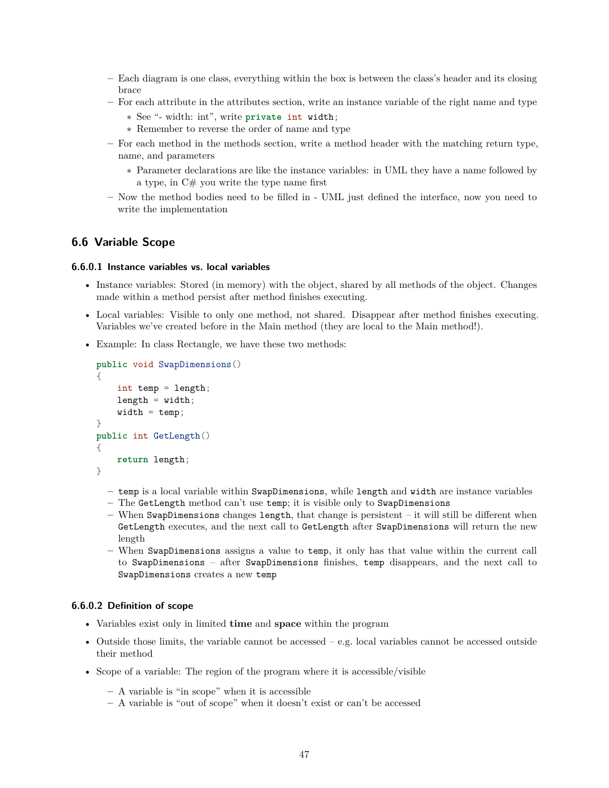- **–** Each diagram is one class, everything within the box is between the class's header and its closing brace
- **–** For each attribute in the attributes section, write an instance variable of the right name and type
	- ∗ See "- width: int", write **private** int width;
	- ∗ Remember to reverse the order of name and type
- **–** For each method in the methods section, write a method header with the matching return type, name, and parameters
	- ∗ Parameter declarations are like the instance variables: in UML they have a name followed by a type, in  $C#$  you write the type name first
- **–** Now the method bodies need to be filled in UML just defined the interface, now you need to write the implementation

## **6.6 Variable Scope**

#### **6.6.0.1 Instance variables vs. local variables**

- Instance variables: Stored (in memory) with the object, shared by all methods of the object. Changes made within a method persist after method finishes executing.
- Local variables: Visible to only one method, not shared. Disappear after method finishes executing. Variables we've created before in the Main method (they are local to the Main method!).
- Example: In class Rectangle, we have these two methods:

```
public void SwapDimensions()
{
    int temp = length;
    length = width;width = temp;}
public int GetLength()
{
    return length;
}
```
- **–** temp is a local variable within SwapDimensions, while length and width are instance variables
- **–** The GetLength method can't use temp; it is visible only to SwapDimensions
- **–** When SwapDimensions changes length, that change is persistent it will still be different when GetLength executes, and the next call to GetLength after SwapDimensions will return the new length
- **–** When SwapDimensions assigns a value to temp, it only has that value within the current call to SwapDimensions – after SwapDimensions finishes, temp disappears, and the next call to SwapDimensions creates a new temp

## **6.6.0.2 Definition of scope**

- Variables exist only in limited **time** and **space** within the program
- Outside those limits, the variable cannot be accessed  $-$  e.g. local variables cannot be accessed outside their method
- Scope of a variable: The region of the program where it is accessible/visible
	- **–** A variable is "in scope" when it is accessible
	- **–** A variable is "out of scope" when it doesn't exist or can't be accessed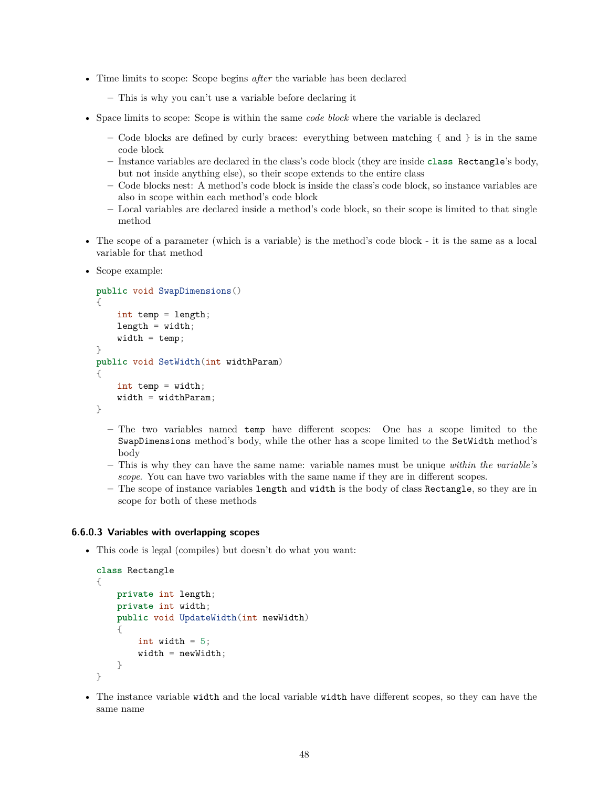- Time limits to scope: Scope begins *after* the variable has been declared
	- **–** This is why you can't use a variable before declaring it
- Space limits to scope: Scope is within the same *code block* where the variable is declared
	- **–** Code blocks are defined by curly braces: everything between matching { and } is in the same code block
	- **–** Instance variables are declared in the class's code block (they are inside **class** Rectangle's body, but not inside anything else), so their scope extends to the entire class
	- **–** Code blocks nest: A method's code block is inside the class's code block, so instance variables are also in scope within each method's code block
	- **–** Local variables are declared inside a method's code block, so their scope is limited to that single method
- The scope of a parameter (which is a variable) is the method's code block it is the same as a local variable for that method
- Scope example:

```
public void SwapDimensions()
{
    int temp = length;
    length = width;width = temp;
}
public void SetWidth(int widthParam)
{
    int temp = width;
    width = widthParam;}
```
- **–** The two variables named temp have different scopes: One has a scope limited to the SwapDimensions method's body, while the other has a scope limited to the SetWidth method's body
- **–** This is why they can have the same name: variable names must be unique *within the variable's scope*. You can have two variables with the same name if they are in different scopes.
- **–** The scope of instance variables length and width is the body of class Rectangle, so they are in scope for both of these methods

#### **6.6.0.3 Variables with overlapping scopes**

• This code is legal (compiles) but doesn't do what you want:

```
class Rectangle
{
    private int length;
    private int width;
    public void UpdateWidth(int newWidth)
    {
        int width = 5;
        width = newWidth;}
}
```
• The instance variable width and the local variable width have different scopes, so they can have the same name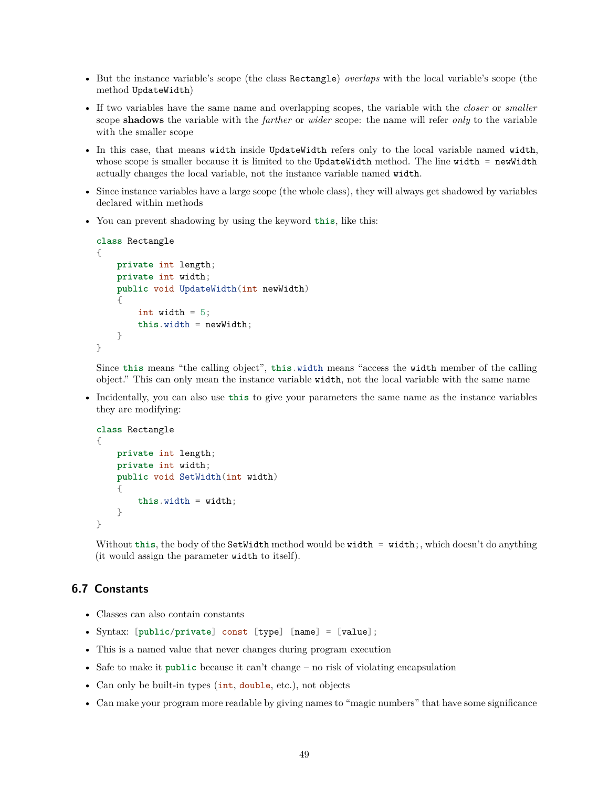- But the instance variable's scope (the class Rectangle) *overlaps* with the local variable's scope (the method UpdateWidth)
- If two variables have the same name and overlapping scopes, the variable with the *closer* or *smaller* scope **shadows** the variable with the *farther* or *wider* scope: the name will refer *only* to the variable with the smaller scope
- In this case, that means width inside UpdateWidth refers only to the local variable named width, whose scope is smaller because it is limited to the UpdateWidth method. The line width = newWidth actually changes the local variable, not the instance variable named width.
- Since instance variables have a large scope (the whole class), they will always get shadowed by variables declared within methods
- You can prevent shadowing by using the keyword **this**, like this:

```
class Rectangle
{
    private int length;
    private int width;
    public void UpdateWidth(int newWidth)
    {
        int width = 5;
        this.width = newWidth;
    }
}
```
Since **this** means "the calling object", **this**.width means "access the width member of the calling object." This can only mean the instance variable width, not the local variable with the same name

• Incidentally, you can also use **this** to give your parameters the same name as the instance variables they are modifying:

```
class Rectangle
{
    private int length;
    private int width;
    public void SetWidth(int width)
    {
        this.width = width;
    }
}
```
Without this, the body of the SetWidth method would be width = width;, which doesn't do anything (it would assign the parameter width to itself).

# **6.7 Constants**

- Classes can also contain constants
- Syntax: [**public**/**private**] const [type] [name] = [value];
- This is a named value that never changes during program execution
- Safe to make it **public** because it can't change no risk of violating encapsulation
- Can only be built-in types (int, double, etc.), not objects
- Can make your program more readable by giving names to "magic numbers" that have some significance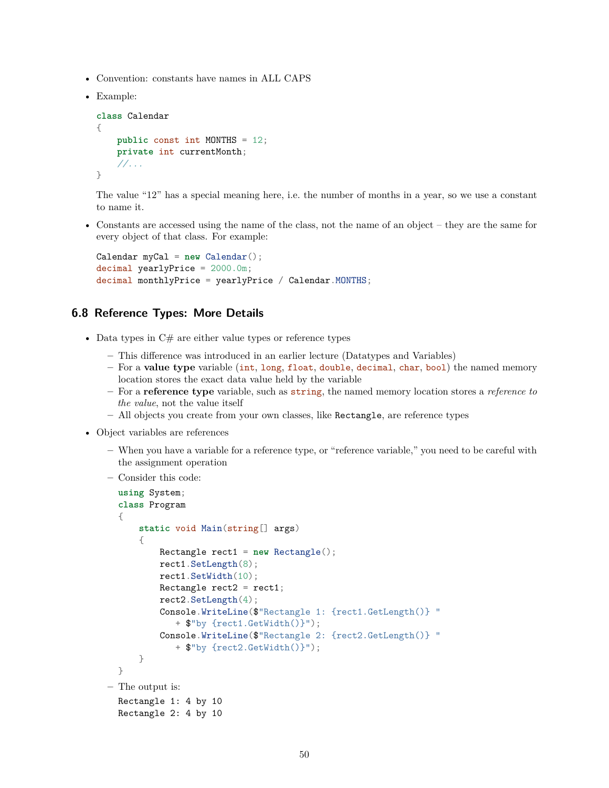- Convention: constants have names in ALL CAPS
- Example:

```
class Calendar
{
    public const int MONTHS = 12;
    private int currentMonth;
    //...
}
```
The value "12" has a special meaning here, i.e. the number of months in a year, so we use a constant to name it.

• Constants are accessed using the name of the class, not the name of an object – they are the same for every object of that class. For example:

```
Calendar myCal = new Calendar();
decimal yearlyPrice = 2000.0m;
decimal monthlyPrice = yearlyPrice / Calendar. MONTHS;
```
## **6.8 Reference Types: More Details**

- Data types in  $C#$  are either value types or reference types
	- **–** This difference was introduced in an earlier lecture (Datatypes and Variables)
	- **–** For a **value type** variable (int, long, float, double, decimal, char, bool) the named memory location stores the exact data value held by the variable
	- **–** For a **reference type** variable, such as string, the named memory location stores a *reference to the value*, not the value itself
	- **–** All objects you create from your own classes, like Rectangle, are reference types
- Object variables are references
	- **–** When you have a variable for a reference type, or "reference variable," you need to be careful with the assignment operation
	- **–** Consider this code:

```
using System;
  class Program
  {
      static void Main(string[] args)
      {
          Rectangle rect1 = new Rectangle();
          rect1.SetLength(8);
          rect1.SetWidth(10);
          Rectangle rect2 = rect1;
          rect2.SetLength(4);
          Console.WriteLine($"Rectangle 1: {rect1.GetLength()} "
             + $"by {rect1.GetWidth()}");
          Console.WriteLine($"Rectangle 2: {rect2.GetLength()} "
             + $"by {rect2.GetWidth()}");
      }
  }
– The output is:
  Rectangle 1: 4 by 10
  Rectangle 2: 4 by 10
```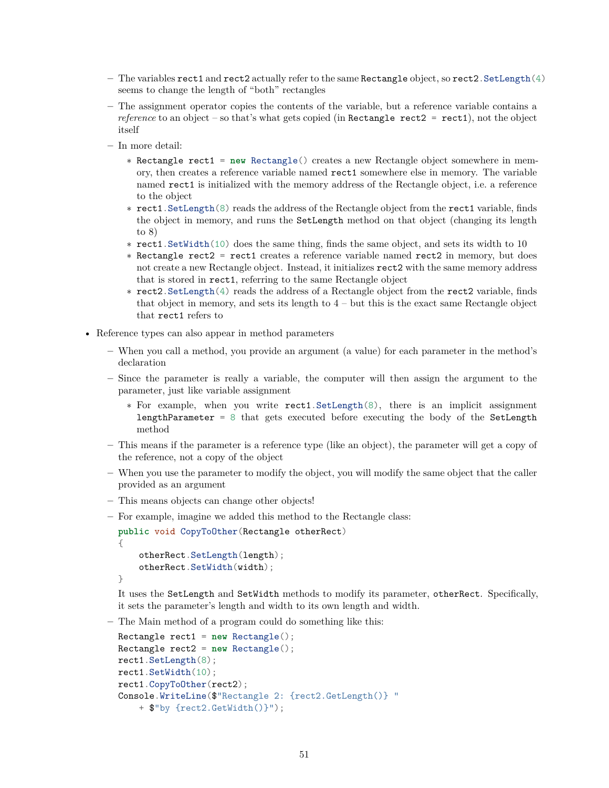- **–** The variables rect1 and rect2 actually refer to the same Rectangle object, so rect2.SetLength(4) seems to change the length of "both" rectangles
- **–** The assignment operator copies the contents of the variable, but a reference variable contains a *reference* to an object – so that's what gets copied (in Rectangle rect2 = rect1), not the object itself
- **–** In more detail:
	- ∗ Rectangle rect1 = **new** Rectangle() creates a new Rectangle object somewhere in memory, then creates a reference variable named rect1 somewhere else in memory. The variable named rect1 is initialized with the memory address of the Rectangle object, i.e. a reference to the object
	- ∗ rect1.SetLength(8) reads the address of the Rectangle object from the rect1 variable, finds the object in memory, and runs the SetLength method on that object (changing its length to 8)
	- ∗ rect1.SetWidth(10) does the same thing, finds the same object, and sets its width to 10
	- ∗ Rectangle rect2 = rect1 creates a reference variable named rect2 in memory, but does not create a new Rectangle object. Instead, it initializes rect2 with the same memory address that is stored in rect1, referring to the same Rectangle object
	- ∗ rect2.SetLength(4) reads the address of a Rectangle object from the rect2 variable, finds that object in memory, and sets its length to  $4$  – but this is the exact same Rectangle object that rect1 refers to
- Reference types can also appear in method parameters
	- **–** When you call a method, you provide an argument (a value) for each parameter in the method's declaration
	- **–** Since the parameter is really a variable, the computer will then assign the argument to the parameter, just like variable assignment
		- ∗ For example, when you write rect1.SetLength(8), there is an implicit assignment lengthParameter =  $8$  that gets executed before executing the body of the SetLength method
	- **–** This means if the parameter is a reference type (like an object), the parameter will get a copy of the reference, not a copy of the object
	- **–** When you use the parameter to modify the object, you will modify the same object that the caller provided as an argument
	- **–** This means objects can change other objects!
	- **–** For example, imagine we added this method to the Rectangle class:

```
public void CopyToOther(Rectangle otherRect)
{
   otherRect.SetLength(length);
   otherRect.SetWidth(width);
```

```
}
```
It uses the SetLength and SetWidth methods to modify its parameter, otherRect. Specifically, it sets the parameter's length and width to its own length and width.

**–** The Main method of a program could do something like this:

```
Rectangle rect1 = new Rectangle();
Rectangle rect2 = new Rectangle();
rect1.SetLength(8);
rect1.SetWidth(10);
rect1.CopyToOther(rect2);
Console.WriteLine($"Rectangle 2: {rect2.GetLength()} "
   + $"by {rect2.GetWidth()}");
```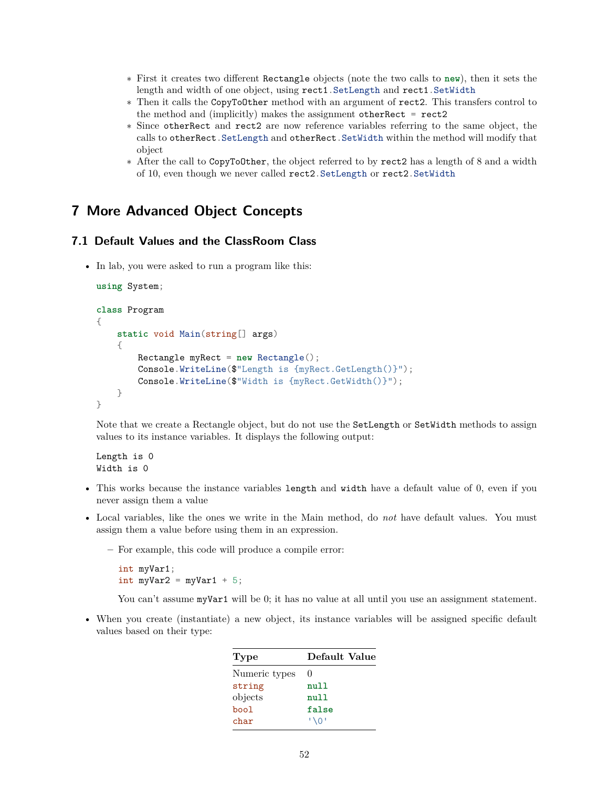- ∗ First it creates two different Rectangle objects (note the two calls to **new**), then it sets the length and width of one object, using rect1.SetLength and rect1.SetWidth
- ∗ Then it calls the CopyToOther method with an argument of rect2. This transfers control to the method and (implicitly) makes the assignment otherRect = rect2
- ∗ Since otherRect and rect2 are now reference variables referring to the same object, the calls to otherRect.SetLength and otherRect.SetWidth within the method will modify that object
- ∗ After the call to CopyToOther, the object referred to by rect2 has a length of 8 and a width of 10, even though we never called rect2.SetLength or rect2.SetWidth

# **7 More Advanced Object Concepts**

## **7.1 Default Values and the ClassRoom Class**

• In lab, you were asked to run a program like this:

```
using System;
class Program
{
    static void Main(string[] args)
    {
        Rectangle myRect = new Rectangle();
        Console.WriteLine($"Length is {myRect.GetLength()}");
        Console.WriteLine($"Width is {myRect.GetWidth()}");
    }
}
```
Note that we create a Rectangle object, but do not use the SetLength or SetWidth methods to assign values to its instance variables. It displays the following output:

Length is 0 Width is 0

- This works because the instance variables length and width have a default value of 0, even if you never assign them a value
- Local variables, like the ones we write in the Main method, do *not* have default values. You must assign them a value before using them in an expression.
	- **–** For example, this code will produce a compile error:

int myVar1; int myVar2 = myVar1 +  $5$ ;

You can't assume myVar1 will be 0; it has no value at all until you use an assignment statement.

• When you create (instantiate) a new object, its instance variables will be assigned specific default values based on their type:

| Type          | Default Value |
|---------------|---------------|
| Numeric types | $\mathbf{0}$  |
| string        | null          |
| objects       | null          |
| bool          | false         |
| char          | $' \Omega'$   |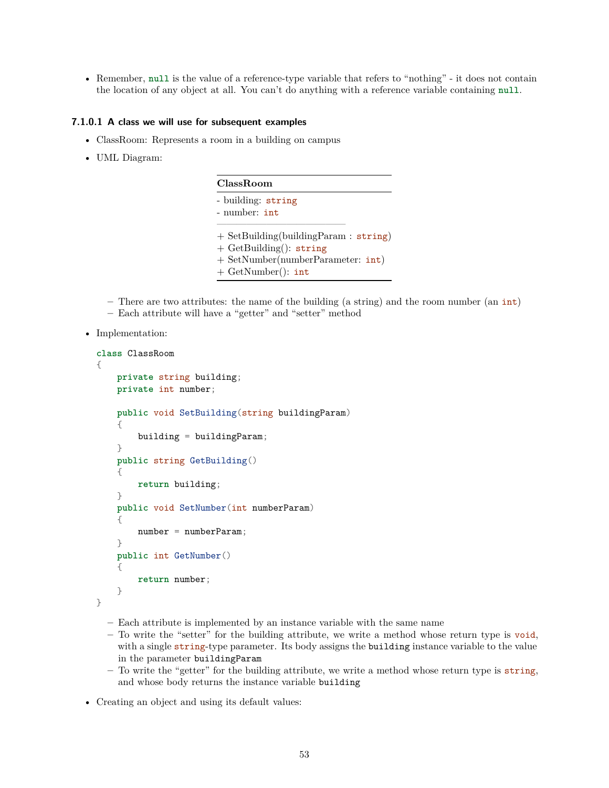• Remember, **null** is the value of a reference-type variable that refers to "nothing" - it does not contain the location of any object at all. You can't do anything with a reference variable containing **null**.

## **7.1.0.1 A class we will use for subsequent examples**

- ClassRoom: Represents a room in a building on campus
- UML Diagram:

| ClassRoom                                                                                                                              |
|----------------------------------------------------------------------------------------------------------------------------------------|
| - building: string<br>- number: int                                                                                                    |
| $+$ SetBuilding(buildingParam : string)<br>$+$ GetBuilding(): string<br>$+$ SetNumber(numberParameter: $int$ )<br>$+$ GetNumber(): int |

**–** There are two attributes: the name of the building (a string) and the room number (an int)

- **–** Each attribute will have a "getter" and "setter" method
- Implementation:

```
class ClassRoom
{
    private string building;
    private int number;
    public void SetBuilding(string buildingParam)
    {
        building = buildingParam;
    }
    public string GetBuilding()
    {
        return building;
    }
    public void SetNumber(int numberParam)
    {
        number = numberParam;
    }
    public int GetNumber()
    {
        return number;
    }
}
```
- **–** Each attribute is implemented by an instance variable with the same name
- **–** To write the "setter" for the building attribute, we write a method whose return type is void, with a single string-type parameter. Its body assigns the building instance variable to the value in the parameter buildingParam
- **–** To write the "getter" for the building attribute, we write a method whose return type is string, and whose body returns the instance variable building
- Creating an object and using its default values: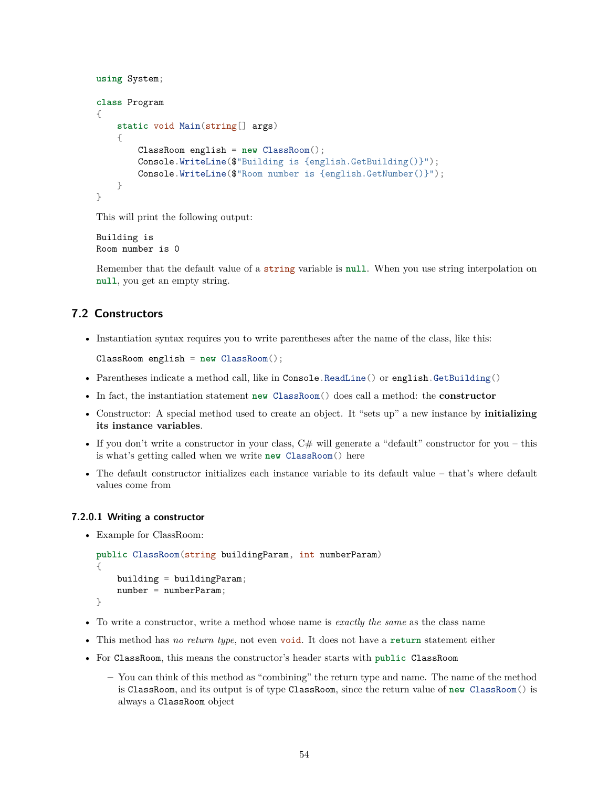```
using System;
class Program
{
    static void Main(string[] args)
    {
        ClassRoom english = new ClassRoom();
        Console.WriteLine($"Building is {english.GetBuilding()}");
        Console.WriteLine($"Room number is {english.GetNumber()}");
    }
}
```
This will print the following output:

Building is Room number is 0

Remember that the default value of a string variable is **null**. When you use string interpolation on **null**, you get an empty string.

# **7.2 Constructors**

• Instantiation syntax requires you to write parentheses after the name of the class, like this:

```
ClassRoom english = new ClassRoom();
```
- Parentheses indicate a method call, like in Console.ReadLine() or english.GetBuilding()
- In fact, the instantiation statement **new** ClassRoom() does call a method: the **constructor**
- Constructor: A special method used to create an object. It "sets up" a new instance by **initializing its instance variables**.
- If you don't write a constructor in your class,  $C#$  will generate a "default" constructor for you this is what's getting called when we write **new** ClassRoom() here
- The default constructor initializes each instance variable to its default value that's where default values come from

## **7.2.0.1 Writing a constructor**

• Example for ClassRoom:

```
public ClassRoom(string buildingParam, int numberParam)
{
    building = buildingParam;
    number = numberParam;
}
```
- To write a constructor, write a method whose name is *exactly the same* as the class name
- This method has *no return type*, not even void. It does not have a **return** statement either
- For ClassRoom, this means the constructor's header starts with **public** ClassRoom
	- **–** You can think of this method as "combining" the return type and name. The name of the method is ClassRoom, and its output is of type ClassRoom, since the return value of **new** ClassRoom() is always a ClassRoom object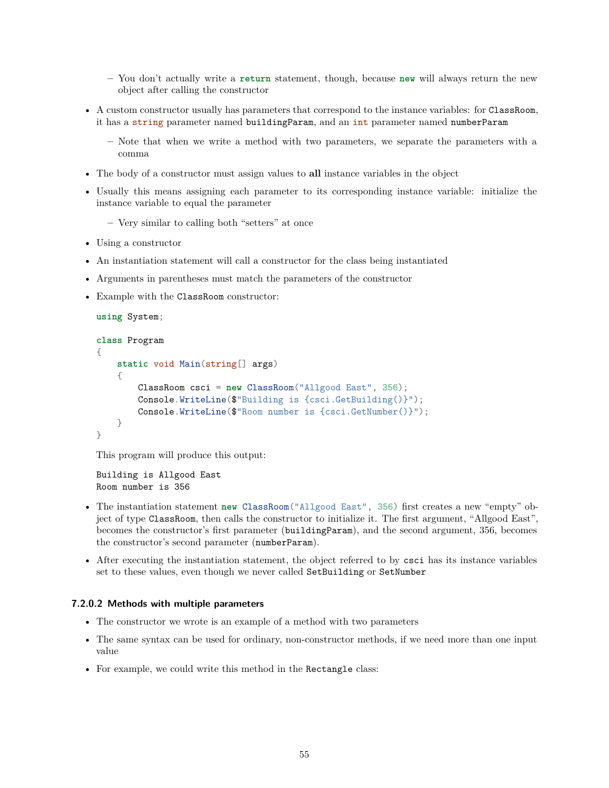- **–** You don't actually write a **return** statement, though, because **new** will always return the new object after calling the constructor
- A custom constructor usually has parameters that correspond to the instance variables: for ClassRoom, it has a string parameter named buildingParam, and an int parameter named numberParam
	- **–** Note that when we write a method with two parameters, we separate the parameters with a comma
- The body of a constructor must assign values to **all** instance variables in the object
- Usually this means assigning each parameter to its corresponding instance variable: initialize the instance variable to equal the parameter
	- **–** Very similar to calling both "setters" at once
- Using a constructor
- An instantiation statement will call a constructor for the class being instantiated
- Arguments in parentheses must match the parameters of the constructor
- Example with the ClassRoom constructor:

```
using System;
class Program
{
    static void Main(string[] args)
    {
        ClassRoom csci = new ClassRoom("Allgood East", 356);
        Console.WriteLine($"Building is {csci.GetBuilding()}");
        Console.WriteLine($"Room number is {csci.GetNumber()}");
    }
}
```
This program will produce this output:

```
Building is Allgood East
Room number is 356
```
- The instantiation statement **new** ClassRoom("Allgood East", 356) first creates a new "empty" object of type ClassRoom, then calls the constructor to initialize it. The first argument, "Allgood East", becomes the constructor's first parameter (buildingParam), and the second argument, 356, becomes the constructor's second parameter (numberParam).
- After executing the instantiation statement, the object referred to by csci has its instance variables set to these values, even though we never called SetBuilding or SetNumber

#### **7.2.0.2 Methods with multiple parameters**

- The constructor we wrote is an example of a method with two parameters
- The same syntax can be used for ordinary, non-constructor methods, if we need more than one input value
- For example, we could write this method in the Rectangle class: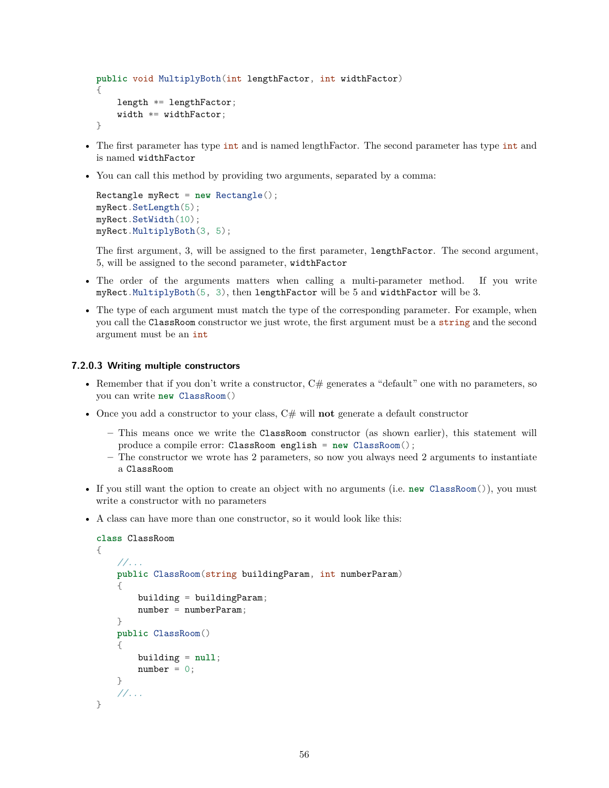```
public void MultiplyBoth(int lengthFactor, int widthFactor)
{
    length *= lengthFactor;
    width *= widthFactor;
}
```
- The first parameter has type int and is named lengthFactor. The second parameter has type int and is named widthFactor
- You can call this method by providing two arguments, separated by a comma:

```
Rectangle myRect = new Rectangle();
myRect.SetLength(5);
myRect.SetWidth(10);
myRect.MultiplyBoth(3, 5);
```
The first argument, 3, will be assigned to the first parameter, lengthFactor. The second argument, 5, will be assigned to the second parameter, widthFactor

- The order of the arguments matters when calling a multi-parameter method. If you write myRect.MultiplyBoth(5, 3), then lengthFactor will be 5 and widthFactor will be 3.
- The type of each argument must match the type of the corresponding parameter. For example, when you call the ClassRoom constructor we just wrote, the first argument must be a string and the second argument must be an int

### **7.2.0.3 Writing multiple constructors**

- Remember that if you don't write a constructor,  $C\#$  generates a "default" one with no parameters, so you can write **new** ClassRoom()
- Once you add a constructor to your class, C# will **not** generate a default constructor
	- **–** This means once we write the ClassRoom constructor (as shown earlier), this statement will produce a compile error: ClassRoom english = **new** ClassRoom();
	- **–** The constructor we wrote has 2 parameters, so now you always need 2 arguments to instantiate a ClassRoom
- If you still want the option to create an object with no arguments (i.e. **new** ClassRoom()), you must write a constructor with no parameters
- A class can have more than one constructor, so it would look like this:

```
class ClassRoom
{
    //...
    public ClassRoom(string buildingParam, int numberParam)
    {
        building = buildingParam;
        number = numberParam;
    }
    public ClassRoom()
    {
        building = null;
        number = 0;}
    //...
}
```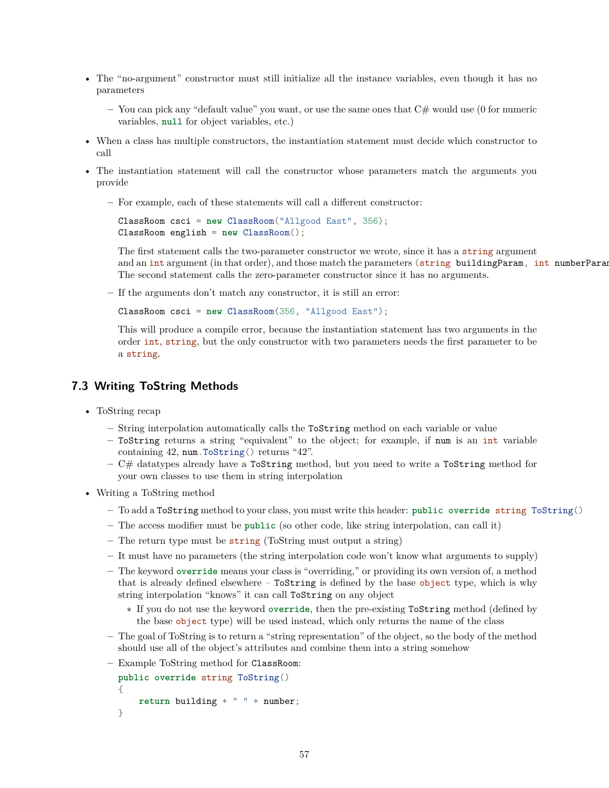- The "no-argument" constructor must still initialize all the instance variables, even though it has no parameters
	- **–** You can pick any "default value" you want, or use the same ones that C# would use (0 for numeric variables, **null** for object variables, etc.)
- When a class has multiple constructors, the instantiation statement must decide which constructor to call
- The instantiation statement will call the constructor whose parameters match the arguments you provide
	- **–** For example, each of these statements will call a different constructor:

```
ClassRoom csci = new ClassRoom("Allgood East", 356);
ClassRoom english = new ClassRoom();
```
The first statement calls the two-parameter constructor we wrote, since it has a string argument and an int argument (in that order), and those match the parameters (string buildingParam, int numberParam The second statement calls the zero-parameter constructor since it has no arguments.

**–** If the arguments don't match any constructor, it is still an error:

ClassRoom csci = **new** ClassRoom(356, "Allgood East");

This will produce a compile error, because the instantiation statement has two arguments in the order int, string, but the only constructor with two parameters needs the first parameter to be a string.

## **7.3 Writing ToString Methods**

- ToString recap
	- **–** String interpolation automatically calls the ToString method on each variable or value
	- **–** ToString returns a string "equivalent" to the object; for example, if num is an int variable containing 42, num.ToString() returns "42".
	- **–** C# datatypes already have a ToString method, but you need to write a ToString method for your own classes to use them in string interpolation
- Writing a ToString method
	- **–** To add a ToString method to your class, you must write this header: **public override** string ToString()
	- **–** The access modifier must be **public** (so other code, like string interpolation, can call it)
	- **–** The return type must be string (ToString must output a string)
	- **–** It must have no parameters (the string interpolation code won't know what arguments to supply)
	- **–** The keyword **override** means your class is "overriding," or providing its own version of, a method that is already defined elsewhere – ToString is defined by the base object type, which is why string interpolation "knows" it can call ToString on any object
		- ∗ If you do not use the keyword **override**, then the pre-existing ToString method (defined by the base object type) will be used instead, which only returns the name of the class
	- **–** The goal of ToString is to return a "string representation" of the object, so the body of the method should use all of the object's attributes and combine them into a string somehow
	- **–** Example ToString method for ClassRoom:

```
public override string ToString()
{
    return building + " " + number;
}
```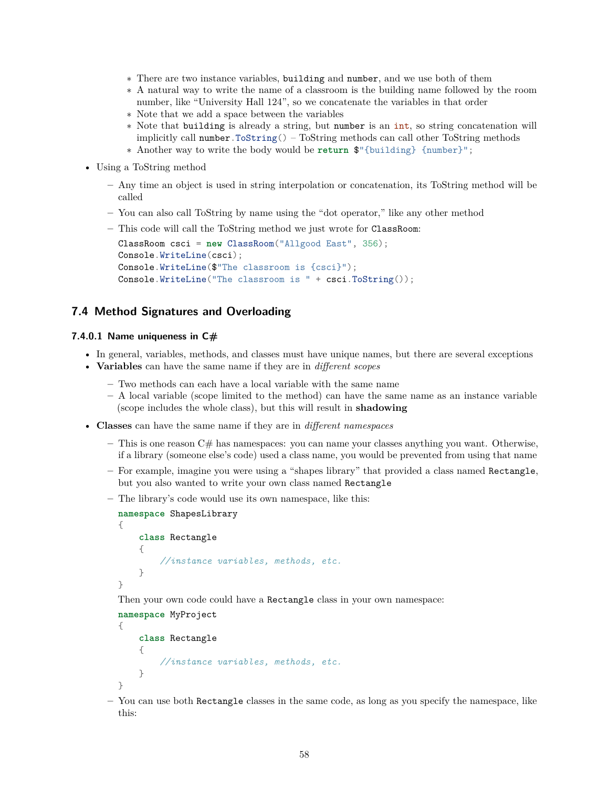- ∗ There are two instance variables, building and number, and we use both of them
- ∗ A natural way to write the name of a classroom is the building name followed by the room number, like "University Hall 124", so we concatenate the variables in that order
- ∗ Note that we add a space between the variables
- ∗ Note that building is already a string, but number is an int, so string concatenation will implicitly call number.  $ToString() - ToString$  methods can call other ToString methods
- ∗ Another way to write the body would be **return** \$"{building} {number}";
- Using a ToString method
	- **–** Any time an object is used in string interpolation or concatenation, its ToString method will be called
	- **–** You can also call ToString by name using the "dot operator," like any other method

```
– This code will call the ToString method we just wrote for ClassRoom:
```

```
ClassRoom csci = new ClassRoom("Allgood East", 356);
Console.WriteLine(csci);
Console.WriteLine($"The classroom is {csci}");
Console.WriteLine("The classroom is " + csci.ToString());
```
# **7.4 Method Signatures and Overloading**

### **7.4.0.1 Name uniqueness in C#**

- In general, variables, methods, and classes must have unique names, but there are several exceptions
- **Variables** can have the same name if they are in *different scopes*
	- **–** Two methods can each have a local variable with the same name
	- **–** A local variable (scope limited to the method) can have the same name as an instance variable (scope includes the whole class), but this will result in **shadowing**
- **Classes** can have the same name if they are in *different namespaces*
	- **–** This is one reason C# has namespaces: you can name your classes anything you want. Otherwise, if a library (someone else's code) used a class name, you would be prevented from using that name
	- **–** For example, imagine you were using a "shapes library" that provided a class named Rectangle, but you also wanted to write your own class named Rectangle
	- **–** The library's code would use its own namespace, like this:

```
namespace ShapesLibrary
{
    class Rectangle
    {
        //instance variables, methods, etc.
    }
}
```
Then your own code could have a Rectangle class in your own namespace:

```
namespace MyProject
```

```
{
    class Rectangle
    {
        //instance variables, methods, etc.
    }
}
```
**–** You can use both Rectangle classes in the same code, as long as you specify the namespace, like this: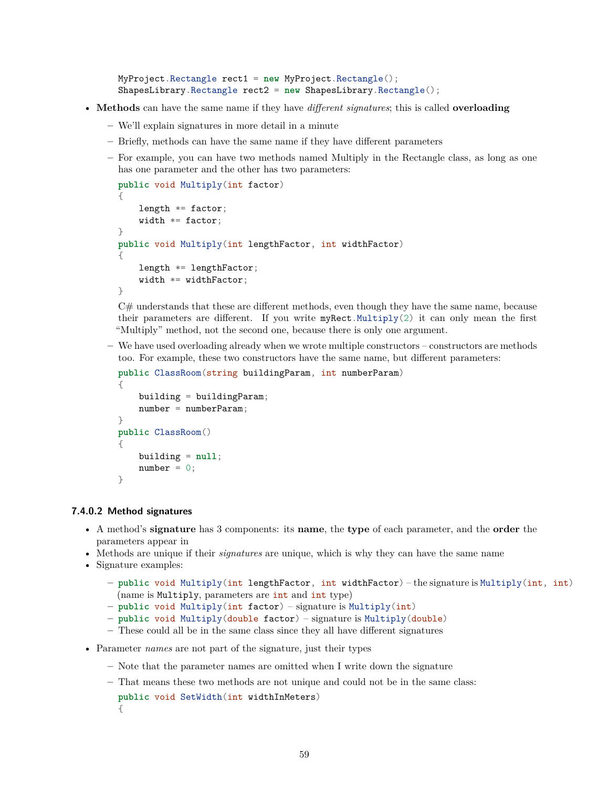```
MyProject.Rectangle rect1 = new MyProject.Rectangle();
ShapesLibrary.Rectangle rect2 = new ShapesLibrary.Rectangle();
```
- **Methods** can have the same name if they have *different signatures*; this is called **overloading**
	- **–** We'll explain signatures in more detail in a minute
	- **–** Briefly, methods can have the same name if they have different parameters
	- **–** For example, you can have two methods named Multiply in the Rectangle class, as long as one has one parameter and the other has two parameters:

```
public void Multiply(int factor)
{
    length *= factor;
    width *= factor;
}
public void Multiply(int lengthFactor, int widthFactor)
{
    length *= lengthFactor;
    width *= widthFactor;
}
```
 $C#$  understands that these are different methods, even though they have the same name, because their parameters are different. If you write myRect.Multiply(2) it can only mean the first "Multiply" method, not the second one, because there is only one argument.

**–** We have used overloading already when we wrote multiple constructors – constructors are methods too. For example, these two constructors have the same name, but different parameters:

```
public ClassRoom(string buildingParam, int numberParam)
{
    building = buildingParam;
    number = numberParam;
}
public ClassRoom()
{
    building = null;
    number = 0:
}
```
#### **7.4.0.2 Method signatures**

- A method's **signature** has 3 components: its **name**, the **type** of each parameter, and the **order** the parameters appear in
- Methods are unique if their *signatures* are unique, which is why they can have the same name
- Signature examples:
	- **– public** void Multiply(int lengthFactor, int widthFactor) the signature is Multiply(int, int) (name is Multiply, parameters are int and int type)
	- **– public** void Multiply(int factor) signature is Multiply(int)
	- **– public** void Multiply(double factor) signature is Multiply(double)
	- **–** These could all be in the same class since they all have different signatures
- Parameter *names* are not part of the signature, just their types
	- **–** Note that the parameter names are omitted when I write down the signature
	- **–** That means these two methods are not unique and could not be in the same class:

```
public void SetWidth(int widthInMeters)
{
```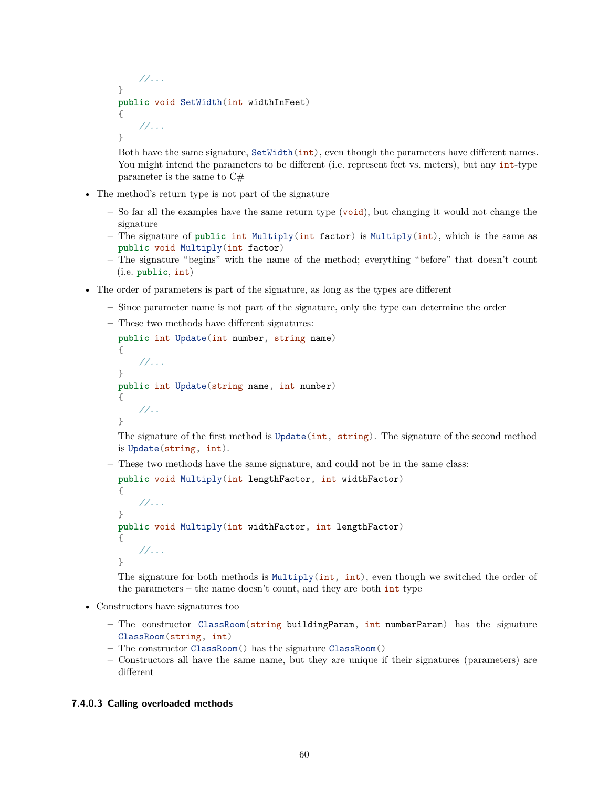```
//...
}
public void SetWidth(int widthInFeet)
{
    //...
}
```
Both have the same signature, SetWidth(int), even though the parameters have different names. You might intend the parameters to be different (i.e. represent feet vs. meters), but any int-type parameter is the same to C#

- The method's return type is not part of the signature
	- **–** So far all the examples have the same return type (void), but changing it would not change the signature
	- **–** The signature of **public** int Multiply(int factor) is Multiply(int), which is the same as **public** void Multiply(int factor)
	- **–** The signature "begins" with the name of the method; everything "before" that doesn't count (i.e. **public**, int)
- The order of parameters is part of the signature, as long as the types are different
	- **–** Since parameter name is not part of the signature, only the type can determine the order
	- **–** These two methods have different signatures:

```
public int Update(int number, string name)
{
    //...
}
public int Update(string name, int number)
{
    //..
}
```
The signature of the first method is Update(int, string). The signature of the second method is Update(string, int).

**–** These two methods have the same signature, and could not be in the same class:

```
public void Multiply(int lengthFactor, int widthFactor)
{
    //...
}
public void Multiply(int widthFactor, int lengthFactor)
{
    //...
}
```
The signature for both methods is Multiply(int, int), even though we switched the order of the parameters – the name doesn't count, and they are both  $int type$ 

- Constructors have signatures too
	- **–** The constructor ClassRoom(string buildingParam, int numberParam) has the signature ClassRoom(string, int)
	- **–** The constructor ClassRoom() has the signature ClassRoom()
	- **–** Constructors all have the same name, but they are unique if their signatures (parameters) are different

## **7.4.0.3 Calling overloaded methods**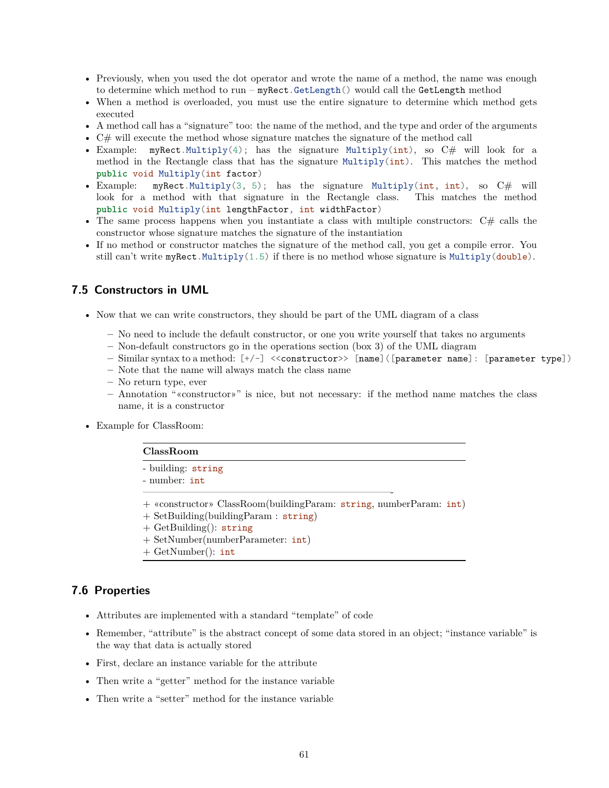- Previously, when you used the dot operator and wrote the name of a method, the name was enough to determine which method to run – myRect.GetLength() would call the GetLength method
- When a method is overloaded, you must use the entire signature to determine which method gets executed
- A method call has a "signature" too: the name of the method, and the type and order of the arguments
- C# will execute the method whose signature matches the signature of the method call
- Example: myRect.Multiply(4); has the signature Multiply(int), so  $C\#$  will look for a method in the Rectangle class that has the signature  $Multiply(int)$ . This matches the method **public** void Multiply(int factor)
- Example: myRect.Multiply(3, 5); has the signature Multiply(int, int), so C# will look for a method with that signature in the Rectangle class. This matches the method **public** void Multiply(int lengthFactor, int widthFactor)
- The same process happens when you instantiate a class with multiple constructors:  $C#$  calls the constructor whose signature matches the signature of the instantiation
- If no method or constructor matches the signature of the method call, you get a compile error. You still can't write myRect.Multiply(1.5) if there is no method whose signature is Multiply(double).

# **7.5 Constructors in UML**

- Now that we can write constructors, they should be part of the UML diagram of a class
	- **–** No need to include the default constructor, or one you write yourself that takes no arguments
	- **–** Non-default constructors go in the operations section (box 3) of the UML diagram
	- **–** Similar syntax to a method: [+/-] <<constructor>> [name]([parameter name]: [parameter type])
	- **–** Note that the name will always match the class name
	- **–** No return type, ever
	- **–** Annotation "«constructor»" is nice, but not necessary: if the method name matches the class name, it is a constructor
- Example for ClassRoom:

#### **ClassRoom**

- building: string
- number: int
- + «constructor» ClassRoom(buildingParam: string, numberParam: int)

—————————————————————————-

- + SetBuilding(buildingParam : string)
- $+$  GetBuilding(): string
- + SetNumber(numberParameter: int)
- + GetNumber(): int

## **7.6 Properties**

- Attributes are implemented with a standard "template" of code
- Remember, "attribute" is the abstract concept of some data stored in an object; "instance variable" is the way that data is actually stored
- First, declare an instance variable for the attribute
- Then write a "getter" method for the instance variable
- Then write a "setter" method for the instance variable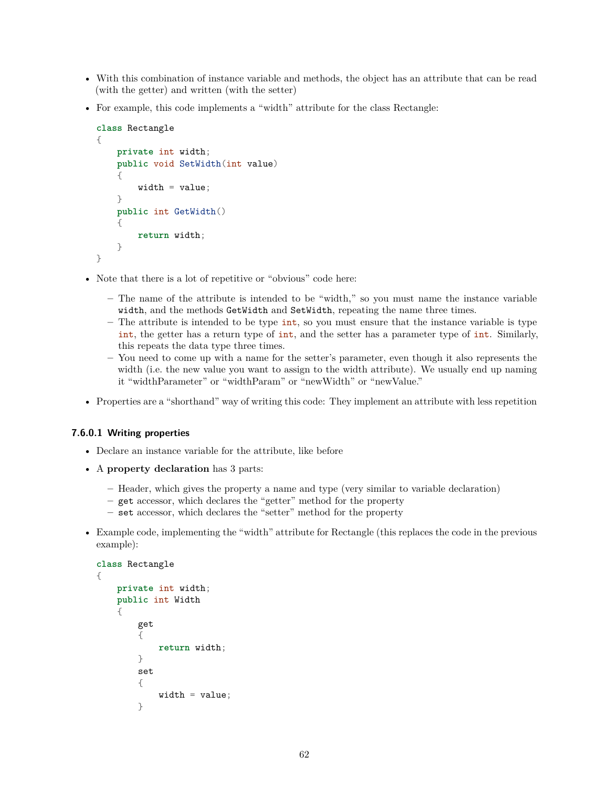- With this combination of instance variable and methods, the object has an attribute that can be read (with the getter) and written (with the setter)
- For example, this code implements a "width" attribute for the class Rectangle:

```
class Rectangle
{
    private int width;
    public void SetWidth(int value)
    {
        width = value;}
    public int GetWidth()
    {
        return width;
    }
}
```
- Note that there is a lot of repetitive or "obvious" code here:
	- **–** The name of the attribute is intended to be "width," so you must name the instance variable width, and the methods GetWidth and SetWidth, repeating the name three times.
	- **–** The attribute is intended to be type int, so you must ensure that the instance variable is type int, the getter has a return type of int, and the setter has a parameter type of int. Similarly, this repeats the data type three times.
	- **–** You need to come up with a name for the setter's parameter, even though it also represents the width (i.e. the new value you want to assign to the width attribute). We usually end up naming it "widthParameter" or "widthParam" or "newWidth" or "newValue."
- Properties are a "shorthand" way of writing this code: They implement an attribute with less repetition

## **7.6.0.1 Writing properties**

{

- Declare an instance variable for the attribute, like before
- A **property declaration** has 3 parts:
	- **–** Header, which gives the property a name and type (very similar to variable declaration)
	- **–** get accessor, which declares the "getter" method for the property
	- **–** set accessor, which declares the "setter" method for the property
- Example code, implementing the "width" attribute for Rectangle (this replaces the code in the previous example):

```
class Rectangle
    private int width;
    public int Width
    {
        get
        {
            return width;
        }
        set
        {
            width = value;}
```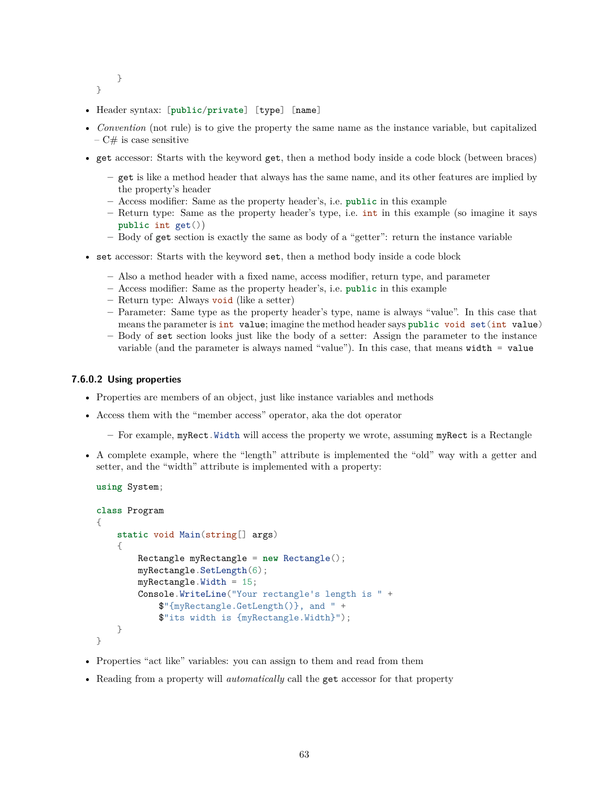```
}
```
}

- Header syntax: [**public**/**private**] [type] [name]
- *Convention* (not rule) is to give the property the same name as the instance variable, but capitalized  $-C#$  is case sensitive
- get accessor: Starts with the keyword get, then a method body inside a code block (between braces)
	- **–** get is like a method header that always has the same name, and its other features are implied by the property's header
	- **–** Access modifier: Same as the property header's, i.e. **public** in this example
	- **–** Return type: Same as the property header's type, i.e. int in this example (so imagine it says **public** int get())
	- **–** Body of get section is exactly the same as body of a "getter": return the instance variable
- set accessor: Starts with the keyword set, then a method body inside a code block
	- **–** Also a method header with a fixed name, access modifier, return type, and parameter
	- **–** Access modifier: Same as the property header's, i.e. **public** in this example
	- **–** Return type: Always void (like a setter)
	- **–** Parameter: Same type as the property header's type, name is always "value". In this case that means the parameter is int value; imagine the method header says **public** void set(int value)
	- **–** Body of set section looks just like the body of a setter: Assign the parameter to the instance variable (and the parameter is always named "value"). In this case, that means width = value

#### **7.6.0.2 Using properties**

- Properties are members of an object, just like instance variables and methods
- Access them with the "member access" operator, aka the dot operator
	- **–** For example, myRect.Width will access the property we wrote, assuming myRect is a Rectangle
- A complete example, where the "length" attribute is implemented the "old" way with a getter and setter, and the "width" attribute is implemented with a property:

```
using System;
```

```
class Program
{
    static void Main(string[] args)
    {
        Rectangle myRectangle = new Rectangle();
        myRectangle.SetLength(6);
        myRectangle.Width = 15;
        Console.WriteLine("Your rectangle's length is " +
            $"{myRectangle.GetLength()}, and " +
            $"its width is {myRectangle.Width}");
    }
}
```
- Properties "act like" variables: you can assign to them and read from them
- Reading from a property will *automatically* call the get accessor for that property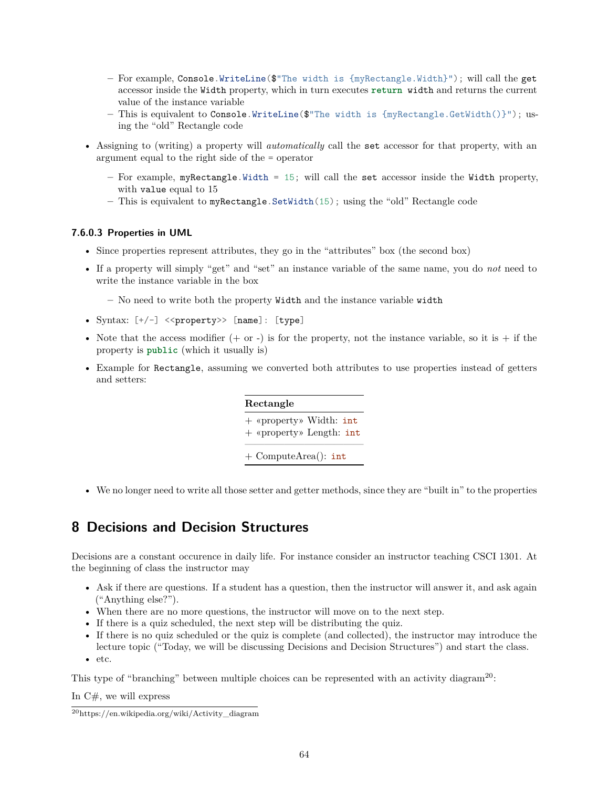- **–** For example, Console.WriteLine(\$"The width is {myRectangle.Width}"); will call the get accessor inside the Width property, which in turn executes **return** width and returns the current value of the instance variable
- **–** This is equivalent to Console.WriteLine(\$"The width is {myRectangle.GetWidth()}"); using the "old" Rectangle code
- Assigning to (writing) a property will *automatically* call the set accessor for that property, with an argument equal to the right side of the = operator
	- **–** For example, myRectangle.Width = 15; will call the set accessor inside the Width property, with value equal to 15
	- **–** This is equivalent to myRectangle.SetWidth(15); using the "old" Rectangle code

### **7.6.0.3 Properties in UML**

- Since properties represent attributes, they go in the "attributes" box (the second box)
- If a property will simply "get" and "set" an instance variable of the same name, you do *not* need to write the instance variable in the box

**–** No need to write both the property Width and the instance variable width

- Syntax:  $[+/-]$  <<property>>  $[name]$ : [type]
- Note that the access modifier  $(+ \text{ or } -)$  is for the property, not the instance variable, so it is  $+$  if the property is **public** (which it usually is)
- Example for Rectangle, assuming we converted both attributes to use properties instead of getters and setters:

| Rectangle                                           |
|-----------------------------------------------------|
| + «property» Width: int<br>+ «property» Length: int |
| $+$ ComputeArea(): int                              |

• We no longer need to write all those setter and getter methods, since they are "built in" to the properties

# **8 Decisions and Decision Structures**

Decisions are a constant occurence in daily life. For instance consider an instructor teaching CSCI 1301. At the beginning of class the instructor may

- Ask if there are questions. If a student has a question, then the instructor will answer it, and ask again ("Anything else?").
- When there are no more questions, the instructor will move on to the next step.
- If there is a quiz scheduled, the next step will be distributing the quiz.
- If there is no quiz scheduled or the quiz is complete (and collected), the instructor may introduce the lecture topic ("Today, we will be discussing Decisions and Decision Structures") and start the class.
- etc.

This type of "branching" between multiple choices can be represented with an activity diagram<sup>[20](#page-63-0)</sup>:

In  $C#$ , we will express

<span id="page-63-0"></span> $20$ [https://en.wikipedia.org/wiki/Activity\\_diagram](https://en.wikipedia.org/wiki/Activity_diagram)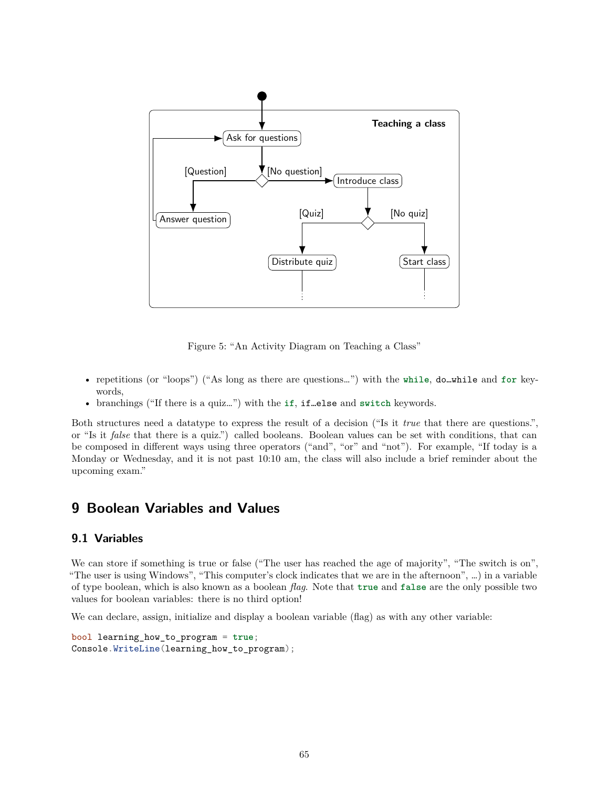

Figure 5: "An Activity Diagram on Teaching a Class"

- repetitions (or "loops") ("As long as there are questions…") with the **while**, do…while and **for** keywords,
- branchings ("If there is a quiz…") with the **if**, if…else and **switch** keywords.

Both structures need a datatype to express the result of a decision ("Is it *true* that there are questions.", or "Is it *false* that there is a quiz.") called booleans. Boolean values can be set with conditions, that can be composed in different ways using three operators ("and", "or" and "not"). For example, "If today is a Monday or Wednesday, and it is not past 10:10 am, the class will also include a brief reminder about the upcoming exam."

# **9 Boolean Variables and Values**

## **9.1 Variables**

We can store if something is true or false ("The user has reached the age of majority", "The switch is on", "The user is using Windows", "This computer's clock indicates that we are in the afternoon", …) in a variable of type boolean, which is also known as a boolean *flag*. Note that **true** and **false** are the only possible two values for boolean variables: there is no third option!

We can declare, assign, initialize and display a boolean variable (flag) as with any other variable:

```
bool learning_how_to_program = true;
Console.WriteLine(learning_how_to_program);
```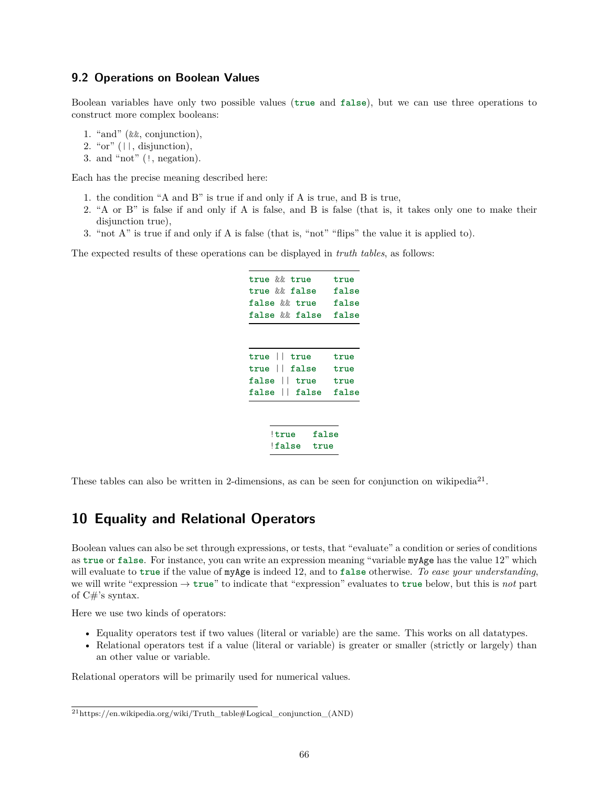## **9.2 Operations on Boolean Values**

Boolean variables have only two possible values (**true** and **false**), but we can use three operations to construct more complex booleans:

- 1. "and" (&&, conjunction),
- 2. " $or$ " ( $||$ , disjunction),
- 3. and "not" (!, negation).

Each has the precise meaning described here:

- 1. the condition "A and B" is true if and only if A is true, and B is true,
- 2. "A or B" is false if and only if A is false, and B is false (that is, it takes only one to make their disjunction true),
- 3. "not A" is true if and only if A is false (that is, "not" "flips" the value it is applied to).

The expected results of these operations can be displayed in *truth tables*, as follows:

|       | true && true<br>true && false<br>false && true<br>false && false |      |               | true<br>false<br>false<br>false             |
|-------|------------------------------------------------------------------|------|---------------|---------------------------------------------|
| false | true    true<br>true    false<br>$\perp$                         | true |               | true<br>true<br>true<br>false   false false |
|       | !true<br>!false                                                  |      | false<br>true |                                             |

These tables can also be written in 2-dimensions, as can be seen for conjunction on wikipedia<sup>[21](#page-65-0)</sup>.

# **10 Equality and Relational Operators**

Boolean values can also be set through expressions, or tests, that "evaluate" a condition or series of conditions as **true** or **false**. For instance, you can write an expression meaning "variable myAge has the value 12" which will evaluate to **true** if the value of myAge is indeed 12, and to **false** otherwise. *To ease your understanding*, we will write "expression → **true**" to indicate that "expression" evaluates to **true** below, but this is *not* part of  $C\#$ 's syntax.

Here we use two kinds of operators:

- Equality operators test if two values (literal or variable) are the same. This works on all datatypes.
- Relational operators test if a value (literal or variable) is greater or smaller (strictly or largely) than an other value or variable.

Relational operators will be primarily used for numerical values.

<span id="page-65-0"></span> $21$ https://en.wikipedia.org/wiki/Truth\_table#Logical\_conjunction (AND)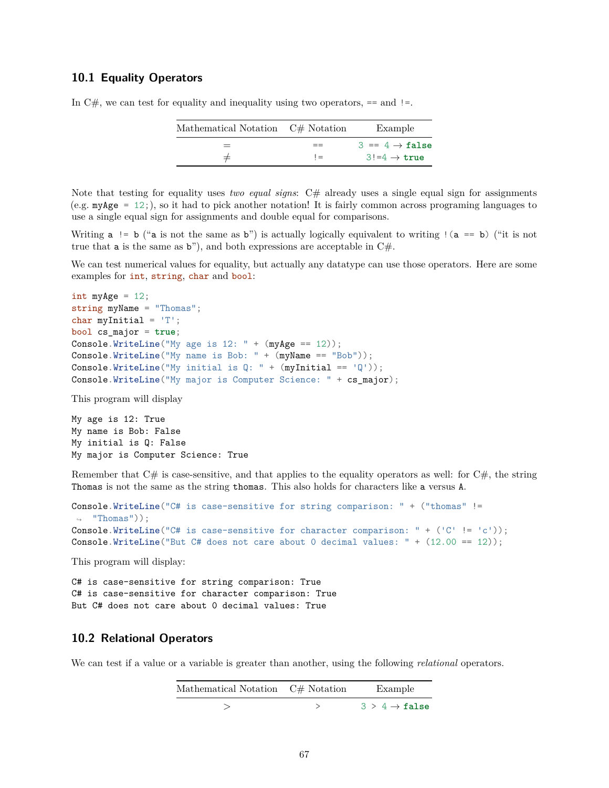## **10.1 Equality Operators**

| Mathematical Notation $C#$ Notation |       | Example                    |
|-------------------------------------|-------|----------------------------|
| $=$                                 |       | $3 == 4 \rightarrow false$ |
|                                     | $l =$ | $3! = 4 \rightarrow true$  |

In  $C#$ , we can test for equality and inequality using two operators,  $=$  and  $!=$ .

Note that testing for equality uses *two equal signs*: C# already uses a single equal sign for assignments (e.g.  $myAge = 12$ ;), so it had to pick another notation! It is fairly common across programing languages to use a single equal sign for assignments and double equal for comparisons.

Writing  $a$  != b ("a is not the same as b") is actually logically equivalent to writing ! ( $a = b$ ) ("it is not true that **a** is the same as  $\mathbf{b}$ "), and both expressions are acceptable in  $C\#$ .

We can test numerical values for equality, but actually any datatype can use those operators. Here are some examples for int, string, char and bool:

```
int myAge = 12;
string myName = "Thomas";
char myInitial = 'T';bool cs_major = true;
Console.WriteLine("My age is 12: " + (myAge == 12));Console.WriteLine("My name is Bob: " + (myName == "Bob");
Console.WriteLine("My initial is Q: " + (myInitial == 'Q'));
Console.WriteLine("My major is Computer Science: " + cs_major);
```
This program will display

My age is 12: True My name is Bob: False My initial is Q: False My major is Computer Science: True

Remember that  $C\#$  is case-sensitive, and that applies to the equality operators as well: for  $C\#$ , the string Thomas is not the same as the string thomas. This also holds for characters like a versus A.

```
Console.WriteLine("C# is case-sensitive for string comparison: " + ("thomas" !=
\rightarrow "Thomas"));
Console.WriteLine("C# is case-sensitive for character comparison: " + ('C' != 'c'));
Console.WriteLine("But C# does not care about 0 decimal values: " + (12.00 == 12));
```
This program will display:

C# is case-sensitive for string comparison: True C# is case-sensitive for character comparison: True But C# does not care about 0 decimal values: True

## **10.2 Relational Operators**

We can test if a value or a variable is greater than another, using the following *relational* operators.

| Mathematical Notation C# Notation | Example                               |
|-----------------------------------|---------------------------------------|
|                                   | $3 \geq 4 \rightarrow \mathtt{false}$ |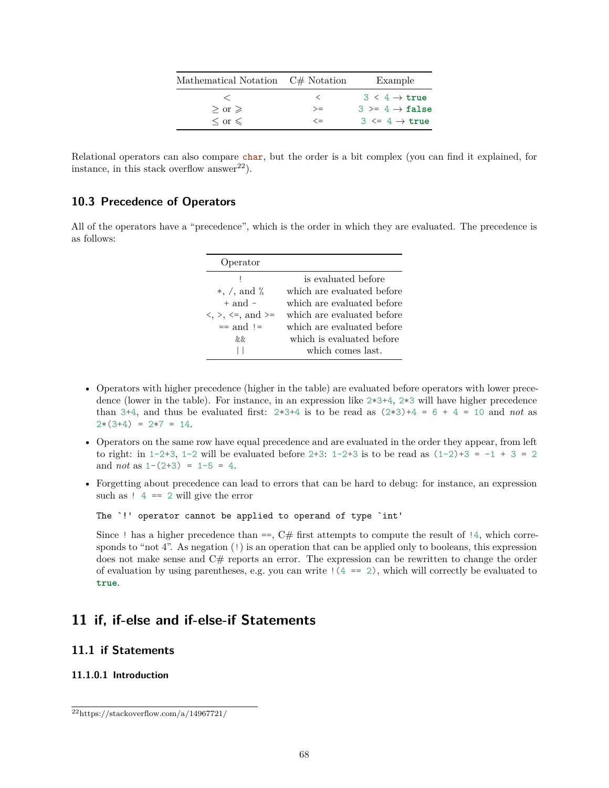| Mathematical Notation C# Notation |            | Example                      |
|-----------------------------------|------------|------------------------------|
|                                   |            | $3 \leq 4 \rightarrow$ true  |
| $>$ or $\ge$                      | $>=$       | $3 \geq 4 \rightarrow false$ |
| $\langle$ or $\leq$               | $\leq$ $=$ | $3 \leq 4 \rightarrow true$  |

Relational operators can also compare char, but the order is a bit complex (you can find it explained, for instance, in this stack overflow answer<sup>[22](#page-67-0)</sup>).

# **10.3 Precedence of Operators**

All of the operators have a "precedence", which is the order in which they are evaluated. The precedence is as follows:

| Operator                                                             |                            |
|----------------------------------------------------------------------|----------------------------|
|                                                                      | is evaluated before        |
| $*, \ /, \text{ and } \%$                                            | which are evaluated before |
| $+$ and $-$                                                          | which are evaluated before |
| $\langle \cdot, \cdot \rangle$ , $\langle =, \text{ and } \rangle =$ | which are evaluated before |
| $==$ and $!=$                                                        | which are evaluated before |
| &&                                                                   | which is evaluated before  |
|                                                                      | which comes last.          |

- Operators with higher precedence (higher in the table) are evaluated before operators with lower precedence (lower in the table). For instance, in an expression like 2\*3+4, 2\*3 will have higher precedence than 3+4, and thus be evaluated first:  $2*3+4$  is to be read as  $(2*3)+4 = 6 + 4 = 10$  and not as  $2*(3+4) = 2*7 = 14.$
- Operators on the same row have equal precedence and are evaluated in the order they appear, from left to right: in  $1-2+3$ ,  $1-2$  will be evaluated before  $2+3$ :  $1-2+3$  is to be read as  $(1-2)+3 = -1 + 3 = 2$ and *not* as 1-(2+3) = 1-5 = 4.
- Forgetting about precedence can lead to errors that can be hard to debug: for instance, an expression such as  $! 4 == 2$  will give the error

The `!' operator cannot be applied to operand of type `int'

Since ! has a higher precedence than  $==$ ,  $C#$  first attempts to compute the result of !4, which corresponds to "not 4". As negation (!) is an operation that can be applied only to booleans, this expression does not make sense and  $C#$  reports an error. The expression can be rewritten to change the order of evaluation by using parentheses, e.g. you can write  $(4 == 2)$ , which will correctly be evaluated to **true**.

# **11 if, if-else and if-else-if Statements**

## **11.1 if Statements**

## **11.1.0.1 Introduction**

<span id="page-67-0"></span> $22$ <https://stackoverflow.com/a/14967721/>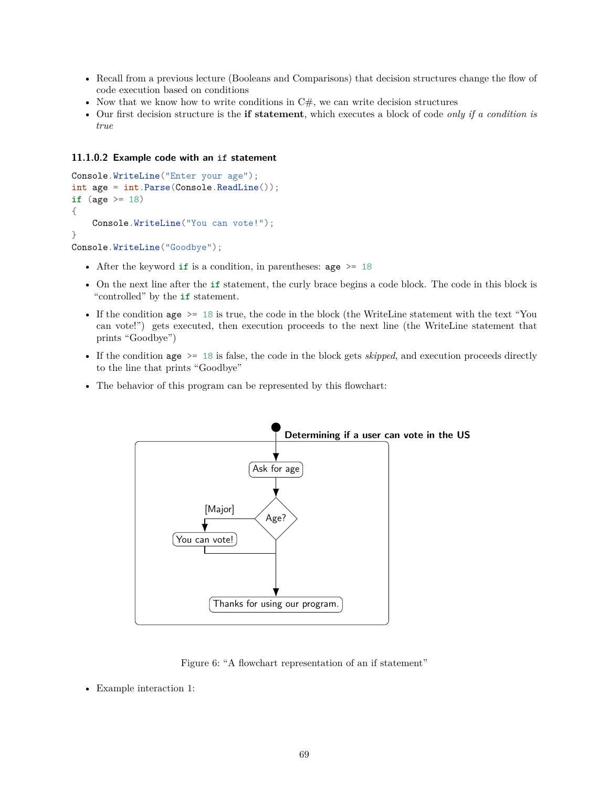- Recall from a previous lecture (Booleans and Comparisons) that decision structures change the flow of code execution based on conditions
- Now that we know how to write conditions in  $C#$ , we can write decision structures
- Our first decision structure is the **if statement**, which executes a block of code *only if a condition is true*

### **11.1.0.2 Example code with an if statement**

```
Console.WriteLine("Enter your age");
int age = int.Parse(Console.ReadLine());
if (age >= 18)
{
   Console.WriteLine("You can vote!");
}
Console.WriteLine("Goodbye");
```
- After the keyword **if** is a condition, in parentheses: age >= 18
- On the next line after the **if** statement, the curly brace begins a code block. The code in this block is "controlled" by the **if** statement.
- If the condition age  $>$  18 is true, the code in the block (the WriteLine statement with the text "You" can vote!") gets executed, then execution proceeds to the next line (the WriteLine statement that prints "Goodbye")
- If the condition age >= 18 is false, the code in the block gets *skipped*, and execution proceeds directly to the line that prints "Goodbye"
- The behavior of this program can be represented by this flowchart:



Figure 6: "A flowchart representation of an if statement"

<sup>•</sup> Example interaction 1: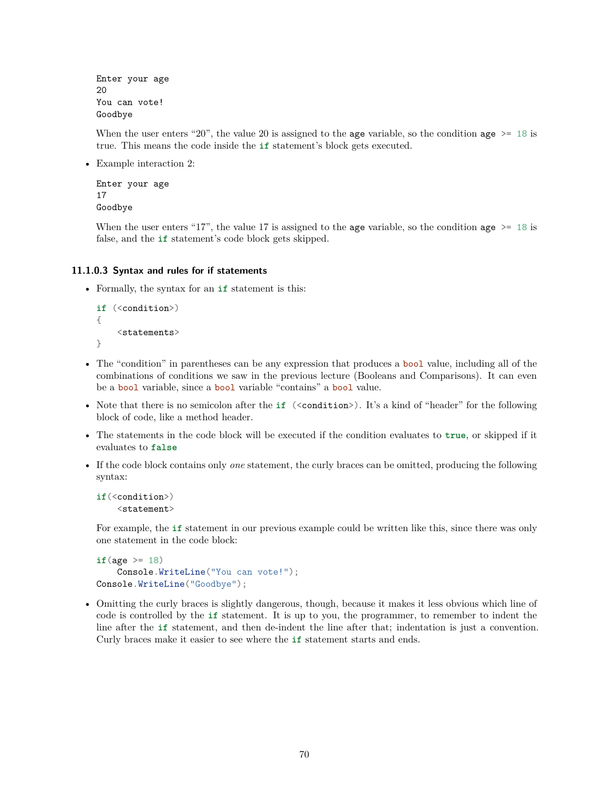Enter your age 20 You can vote! Goodbye

When the user enters "20", the value 20 is assigned to the age variable, so the condition age  $\ge$ = 18 is true. This means the code inside the **if** statement's block gets executed.

• Example interaction 2:

```
Enter your age
17
Goodbye
```
When the user enters "17", the value 17 is assigned to the age variable, so the condition age  $\ge$ = 18 is false, and the **if** statement's code block gets skipped.

## **11.1.0.3 Syntax and rules for if statements**

• Formally, the syntax for an **if** statement is this:

```
if (<condition>)
{
     \langlestatements>
}
```
- The "condition" in parentheses can be any expression that produces a bool value, including all of the combinations of conditions we saw in the previous lecture (Booleans and Comparisons). It can even be a bool variable, since a bool variable "contains" a bool value.
- Note that there is no semicolon after the **if** (<condition>). It's a kind of "header" for the following block of code, like a method header.
- The statements in the code block will be executed if the condition evaluates to **true**, or skipped if it evaluates to **false**
- If the code block contains only *one* statement, the curly braces can be omitted, producing the following syntax:

```
if(<condition>)
    <statement>
```
For example, the **if** statement in our previous example could be written like this, since there was only one statement in the code block:

```
if(age \geq 18)Console.WriteLine("You can vote!");
Console.WriteLine("Goodbye");
```
• Omitting the curly braces is slightly dangerous, though, because it makes it less obvious which line of code is controlled by the **if** statement. It is up to you, the programmer, to remember to indent the line after the **if** statement, and then de-indent the line after that; indentation is just a convention. Curly braces make it easier to see where the **if** statement starts and ends.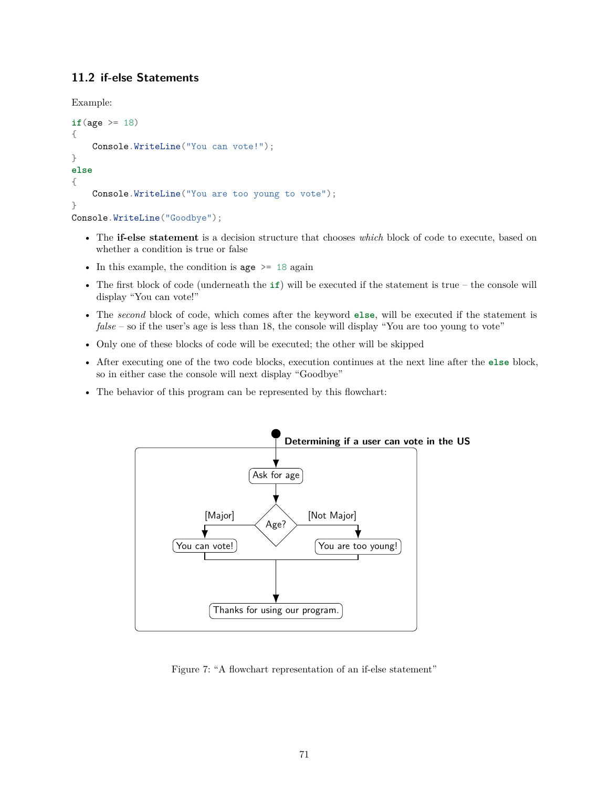# **11.2 if-else Statements**

Example:

```
if(age >= 18)
{
    Console.WriteLine("You can vote!");
}
else
{
    Console.WriteLine("You are too young to vote");
}
Console.WriteLine("Goodbye");
```
- The **if-else statement** is a decision structure that chooses *which* block of code to execute, based on whether a condition is true or false
- In this example, the condition is age  $\geq$  18 again
- The first block of code (underneath the **if**) will be executed if the statement is true the console will display "You can vote!"
- The *second* block of code, which comes after the keyword **else**, will be executed if the statement is *false* – so if the user's age is less than 18, the console will display "You are too young to vote"
- Only one of these blocks of code will be executed; the other will be skipped
- After executing one of the two code blocks, execution continues at the next line after the **else** block, so in either case the console will next display "Goodbye"
- The behavior of this program can be represented by this flowchart:



Figure 7: "A flowchart representation of an if-else statement"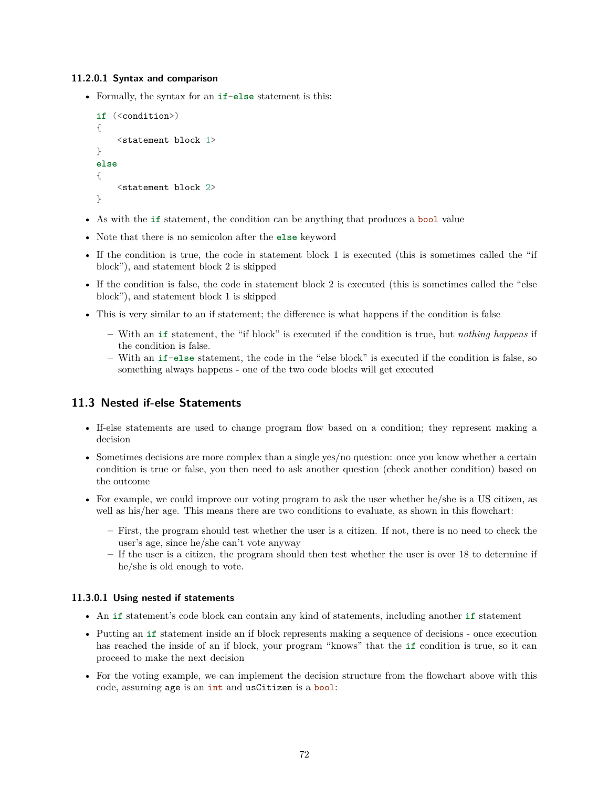## **11.2.0.1 Syntax and comparison**

• Formally, the syntax for an **if**-**else** statement is this:

```
if (<condition>)
{
    <statement block 1>
}
else
{
    <statement block 2>
}
```
- As with the **if** statement, the condition can be anything that produces a bool value
- Note that there is no semicolon after the **else** keyword
- If the condition is true, the code in statement block 1 is executed (this is sometimes called the "if block"), and statement block 2 is skipped
- If the condition is false, the code in statement block 2 is executed (this is sometimes called the "else block"), and statement block 1 is skipped
- This is very similar to an if statement; the difference is what happens if the condition is false
	- **–** With an **if** statement, the "if block" is executed if the condition is true, but *nothing happens* if the condition is false.
	- **–** With an **if**-**else** statement, the code in the "else block" is executed if the condition is false, so something always happens - one of the two code blocks will get executed

# **11.3 Nested if-else Statements**

- If-else statements are used to change program flow based on a condition; they represent making a decision
- Sometimes decisions are more complex than a single yes/no question: once you know whether a certain condition is true or false, you then need to ask another question (check another condition) based on the outcome
- For example, we could improve our voting program to ask the user whether he/she is a US citizen, as well as his/her age. This means there are two conditions to evaluate, as shown in this flowchart:
	- **–** First, the program should test whether the user is a citizen. If not, there is no need to check the user's age, since he/she can't vote anyway
	- **–** If the user is a citizen, the program should then test whether the user is over 18 to determine if he/she is old enough to vote.

## **11.3.0.1 Using nested if statements**

- An **if** statement's code block can contain any kind of statements, including another **if** statement
- Putting an **if** statement inside an if block represents making a sequence of decisions once execution has reached the inside of an if block, your program "knows" that the **if** condition is true, so it can proceed to make the next decision
- For the voting example, we can implement the decision structure from the flowchart above with this code, assuming age is an int and usCitizen is a bool: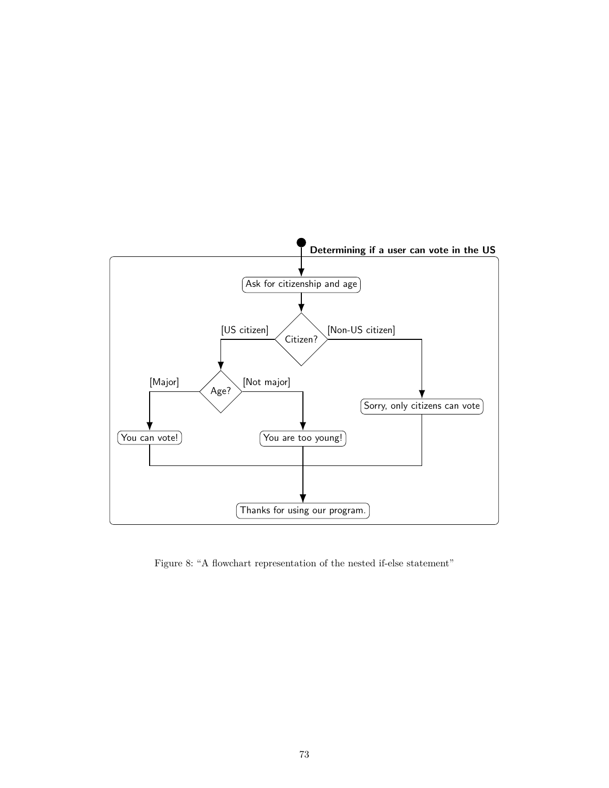

Figure 8: "A flowchart representation of the nested if-else statement"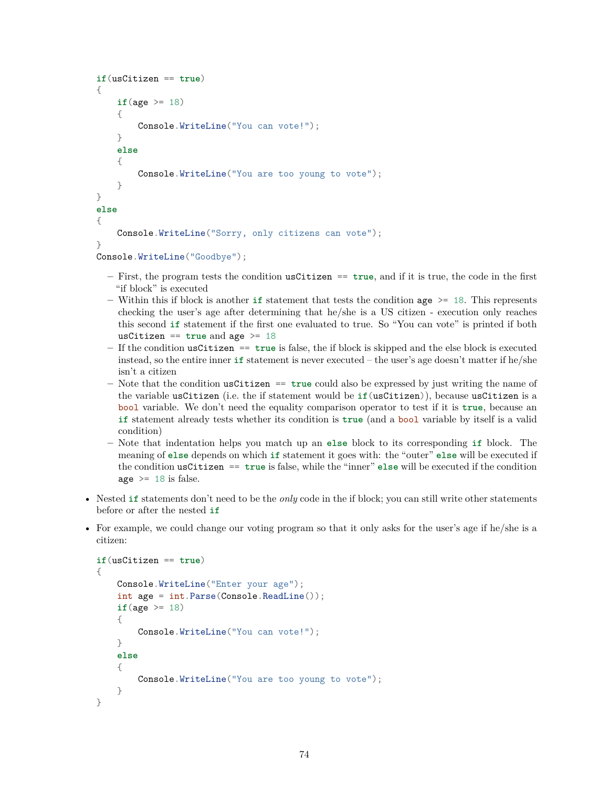```
if(usCitizen == true)
{
    if(\text{age} > = 18)
    {
        Console.WriteLine("You can vote!");
    }
    else
    {
        Console.WriteLine("You are too young to vote");
    }
}
else
{
    Console.WriteLine("Sorry, only citizens can vote");
}
Console.WriteLine("Goodbye");
```
- **–** First, the program tests the condition usCitizen == **true**, and if it is true, the code in the first "if block" is executed
- $-$  Within this if block is another **if** statement that tests the condition age  $>$ = 18. This represents checking the user's age after determining that he/she is a US citizen - execution only reaches this second **if** statement if the first one evaluated to true. So "You can vote" is printed if both usCitizen == **true** and age >= 18
- **–** If the condition usCitizen == **true** is false, the if block is skipped and the else block is executed instead, so the entire inner **if** statement is never executed – the user's age doesn't matter if he/she isn't a citizen
- **–** Note that the condition usCitizen == **true** could also be expressed by just writing the name of the variable usCitizen (i.e. the if statement would be **if**(usCitizen)), because usCitizen is a bool variable. We don't need the equality comparison operator to test if it is **true**, because an **if** statement already tests whether its condition is **true** (and a bool variable by itself is a valid condition)
- **–** Note that indentation helps you match up an **else** block to its corresponding **if** block. The meaning of **else** depends on which **if** statement it goes with: the "outer" **else** will be executed if the condition usCitizen == **true** is false, while the "inner" **else** will be executed if the condition age  $>= 18$  is false.
- Nested **if** statements don't need to be the *only* code in the if block; you can still write other statements before or after the nested **if**
- For example, we could change our voting program so that it only asks for the user's age if he/she is a citizen:

```
if(usCitizen == true)
{
    Console.WriteLine("Enter your age");
    int age = int.Parse(Console.ReadLine());
    if(age >= 18)
    {
        Console.WriteLine("You can vote!");
    }
    else
    {
        Console.WriteLine("You are too young to vote");
    }
}
```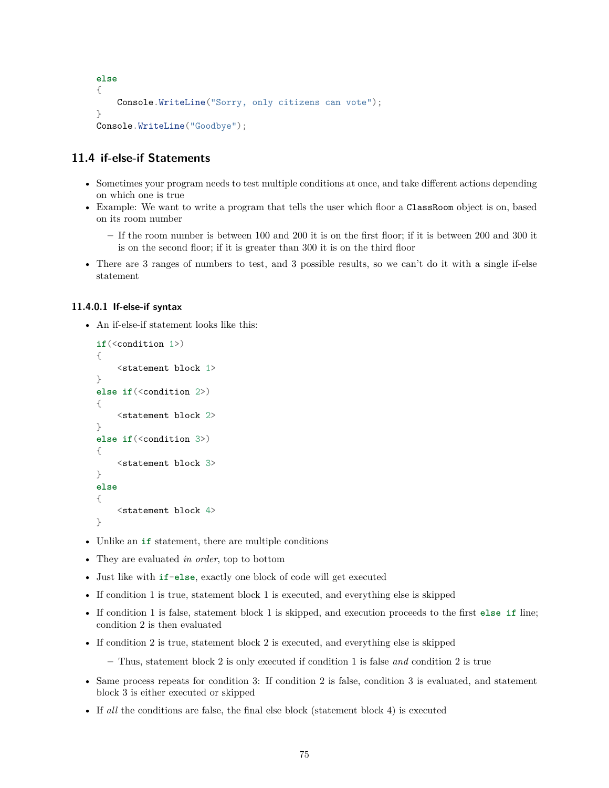```
else
{
    Console.WriteLine("Sorry, only citizens can vote");
}
Console.WriteLine("Goodbye");
```
# **11.4 if-else-if Statements**

- Sometimes your program needs to test multiple conditions at once, and take different actions depending on which one is true
- Example: We want to write a program that tells the user which floor a ClassRoom object is on, based on its room number
	- **–** If the room number is between 100 and 200 it is on the first floor; if it is between 200 and 300 it is on the second floor; if it is greater than 300 it is on the third floor
- There are 3 ranges of numbers to test, and 3 possible results, so we can't do it with a single if-else statement

# **11.4.0.1 If-else-if syntax**

• An if-else-if statement looks like this:

```
if(<condition 1>)
{
    <statement block 1>
}
else if(<condition 2>)
{
    <statement block 2>
}
else if(<condition 3>)
{
    <statement block 3>
}
else
{
    <statement block 4>
}
```
- Unlike an **if** statement, there are multiple conditions
- They are evaluated *in order*, top to bottom
- Just like with **if**-**else**, exactly one block of code will get executed
- If condition 1 is true, statement block 1 is executed, and everything else is skipped
- If condition 1 is false, statement block 1 is skipped, and execution proceeds to the first **else if** line; condition 2 is then evaluated
- If condition 2 is true, statement block 2 is executed, and everything else is skipped

**–** Thus, statement block 2 is only executed if condition 1 is false *and* condition 2 is true

- Same process repeats for condition 3: If condition 2 is false, condition 3 is evaluated, and statement block 3 is either executed or skipped
- If *all* the conditions are false, the final else block (statement block 4) is executed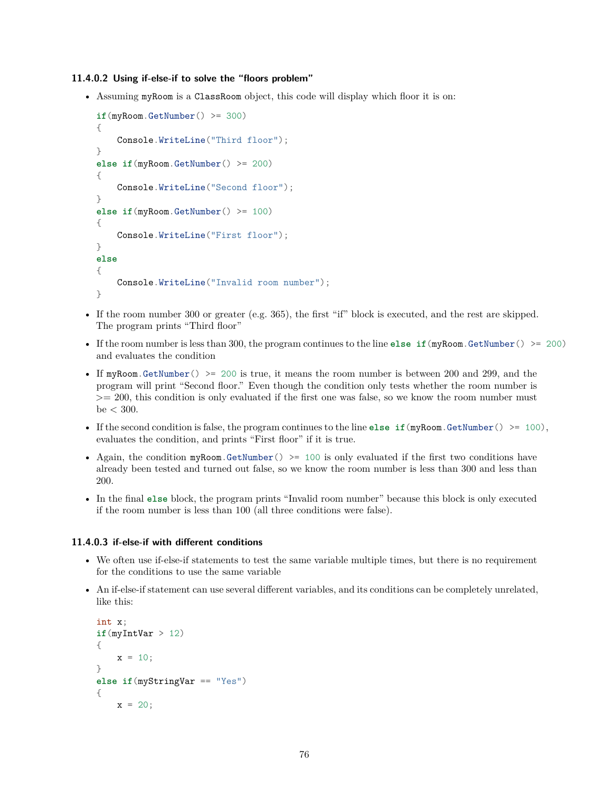#### **11.4.0.2 Using if-else-if to solve the "floors problem"**

• Assuming myRoom is a ClassRoom object, this code will display which floor it is on:

```
if(myRoom.GetNumber() >= 300)
{
    Console.WriteLine("Third floor");
}
else if(myRoom.GetNumber() >= 200)
{
    Console.WriteLine("Second floor");
}
else if(myRoom.GetNumber() >= 100)
{
    Console.WriteLine("First floor");
}
else
{
    Console.WriteLine("Invalid room number");
}
```
- If the room number 300 or greater (e.g. 365), the first "if" block is executed, and the rest are skipped. The program prints "Third floor"
- If the room number is less than 300, the program continues to the line **else if**(myRoom.GetNumber() >= 200) and evaluates the condition
- If myRoom.GetNumber() > 200 is true, it means the room number is between 200 and 299, and the program will print "Second floor." Even though the condition only tests whether the room number is >= 200, this condition is only evaluated if the first one was false, so we know the room number must be  $<$  300.
- If the second condition is false, the program continues to the line **else if**(myRoom.GetNumber() >= 100), evaluates the condition, and prints "First floor" if it is true.
- Again, the condition  $myRoom.GetNumber() \ge 100$  is only evaluated if the first two conditions have already been tested and turned out false, so we know the room number is less than 300 and less than 200.
- In the final **else** block, the program prints "Invalid room number" because this block is only executed if the room number is less than 100 (all three conditions were false).

## **11.4.0.3 if-else-if with different conditions**

- We often use if-else-if statements to test the same variable multiple times, but there is no requirement for the conditions to use the same variable
- An if-else-if statement can use several different variables, and its conditions can be completely unrelated, like this:

```
int x;
if(myIntVar > 12)
{
    x = 10;
}
else if(myStringVar == "Yes")
{
    x = 20;
```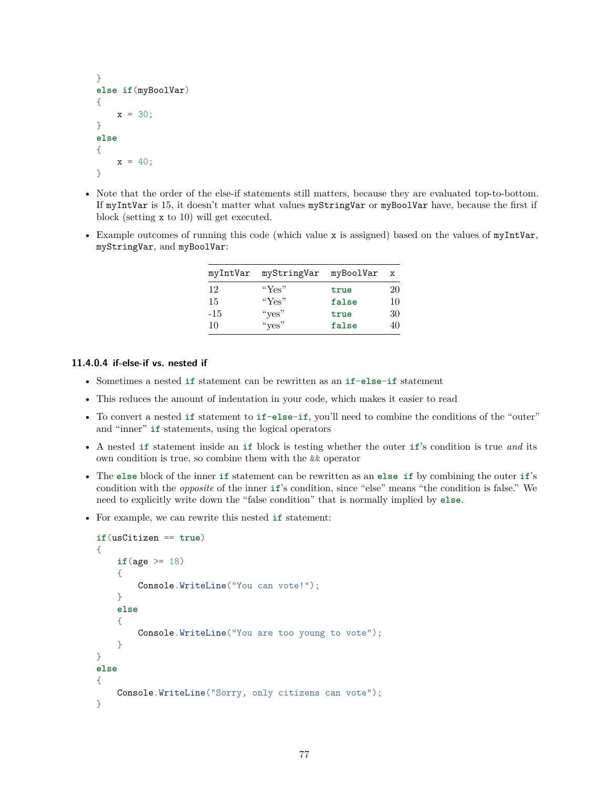```
}
else if(myBoolVar)
{
    x = 30;}
else
{
    x = 40;
}
```
- Note that the order of the else-if statements still matters, because they are evaluated top-to-bottom. If myIntVar is 15, it doesn't matter what values myStringVar or myBoolVar have, because the first if block (setting x to 10) will get executed.
- Example outcomes of running this code (which value x is assigned) based on the values of myIntVar, myStringVar, and myBoolVar:

| myIntVar | myStringVar myBoolVar |       | $\mathbf{x}$ |
|----------|-----------------------|-------|--------------|
| 12       | " $Yes"$              | true  | 20           |
| -15      | " $Yes"$              | false | 10           |
| $-15$    | " $ves$ "             | true  | 30           |
| 10       | " $ves$ "             | false | 40           |

# **11.4.0.4 if-else-if vs. nested if**

- Sometimes a nested **if** statement can be rewritten as an **if**-**else**-**if** statement
- This reduces the amount of indentation in your code, which makes it easier to read
- To convert a nested **if** statement to **if**-**else**-**if**, you'll need to combine the conditions of the "outer" and "inner" **if** statements, using the logical operators
- A nested **if** statement inside an **if** block is testing whether the outer **if**'s condition is true *and* its own condition is true, so combine them with the && operator
- The **else** block of the inner **if** statement can be rewritten as an **else if** by combining the outer **if**'s condition with the *opposite* of the inner **if**'s condition, since "else" means "the condition is false." We need to explicitly write down the "false condition" that is normally implied by **else**.
- For example, we can rewrite this nested **if** statement:

```
if(usCitizen == true)
{
    if(\text{age} > = 18)
    {
        Console.WriteLine("You can vote!");
    }
    else
    {
        Console.WriteLine("You are too young to vote");
    }
}
else
{
    Console.WriteLine("Sorry, only citizens can vote");
}
```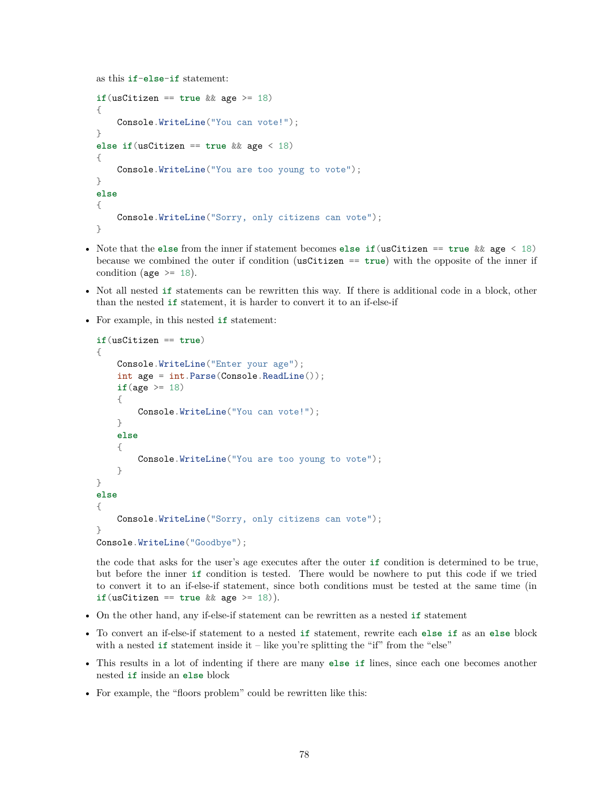```
as this if-else-if statement:
```

```
if(usCitizen == true && age >= 18)
{
    Console.WriteLine("You can vote!");
}
else if(usCitizen == true && age < 18)
{
   Console.WriteLine("You are too young to vote");
}
else
{
    Console.WriteLine("Sorry, only citizens can vote");
}
```
- Note that the **else** from the inner if statement becomes **else if**(usCitizen == **true** && age < 18) because we combined the outer if condition (usCitizen == **true**) with the opposite of the inner if condition (age  $\ge$  18).
- Not all nested **if** statements can be rewritten this way. If there is additional code in a block, other than the nested **if** statement, it is harder to convert it to an if-else-if
- For example, in this nested **if** statement:

```
if(usCitizen == true)
{
    Console.WriteLine("Enter your age");
    int age = int.Parse(Console.ReadLine());
    if(age >= 18){
        Console.WriteLine("You can vote!");
    }
    else
    {
        Console.WriteLine("You are too young to vote");
    }
}
else
{
    Console.WriteLine("Sorry, only citizens can vote");
}
Console.WriteLine("Goodbye");
```
the code that asks for the user's age executes after the outer **if** condition is determined to be true, but before the inner **if** condition is tested. There would be nowhere to put this code if we tried to convert it to an if-else-if statement, since both conditions must be tested at the same time (in  $if (usCitizen == true \&& age >= 18).$ 

- On the other hand, any if-else-if statement can be rewritten as a nested **if** statement
- To convert an if-else-if statement to a nested **if** statement, rewrite each **else if** as an **else** block with a nested **if** statement inside it – like you're splitting the "if" from the "else"
- This results in a lot of indenting if there are many **else if** lines, since each one becomes another nested **if** inside an **else** block
- For example, the "floors problem" could be rewritten like this: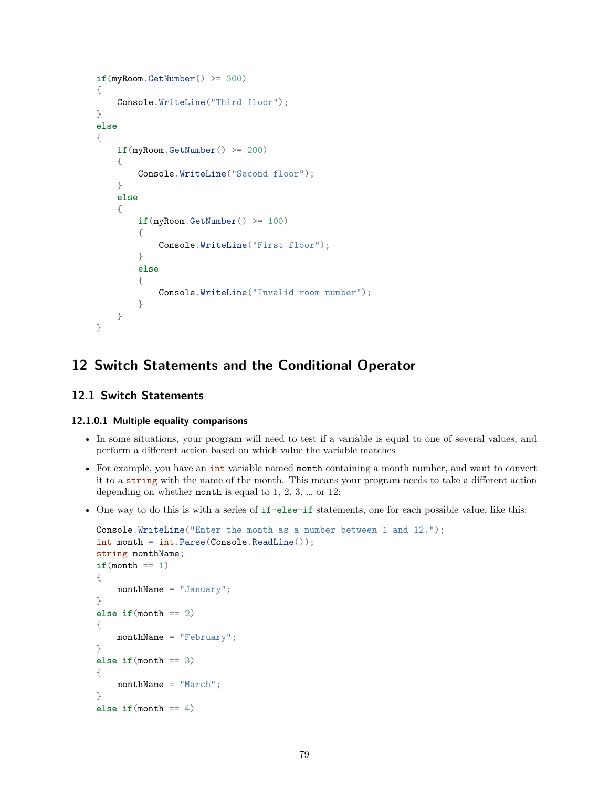```
if(mvRoom.GetNumber() \geq 300){
    Console.WriteLine("Third floor");
}
else
{
    if(myRoom.GetNumber() >= 200)
    {
        Console.WriteLine("Second floor");
    }
    else
    {
        if(myRoom.GetNumber() >= 100)
        {
            Console.WriteLine("First floor");
        }
        else
        {
            Console.WriteLine("Invalid room number");
        }
    }
}
```
# **12 Switch Statements and the Conditional Operator**

# **12.1 Switch Statements**

# **12.1.0.1 Multiple equality comparisons**

- In some situations, your program will need to test if a variable is equal to one of several values, and perform a different action based on which value the variable matches
- For example, you have an int variable named month containing a month number, and want to convert it to a string with the name of the month. This means your program needs to take a different action depending on whether month is equal to 1, 2, 3, … or 12:
- One way to do this is with a series of **if**-**else**-**if** statements, one for each possible value, like this:

```
Console.WriteLine("Enter the month as a number between 1 and 12.");
int month = int.Parse(Console.ReadLine());
string monthName;
if(month == 1){
   monthName = "January";
}
else if(month == 2)
{
   monthName = "February";
}
else if(month == 3)
{
   monthName = "March";
}
else if (month == 4)
```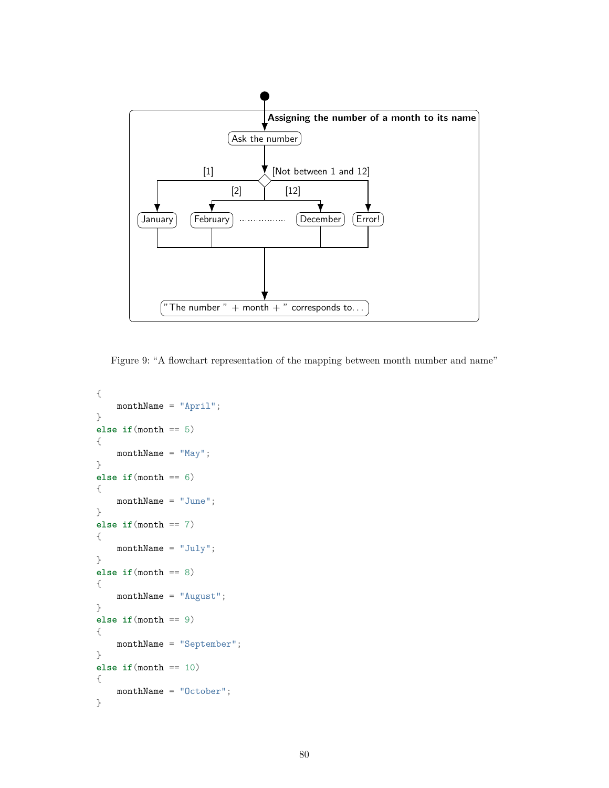

Figure 9: "A flowchart representation of the mapping between month number and name"

```
{
    monthName = "April";
}
else if(month == 5)
{
    monthName = "May";
}
else if(month == 6)
{
    monthName = "June";}
else if(month == 7)
{
   monthName = "July";}
else if(month == 8)
{
    monthName = "August";
}
else if(month == 9)
{
    monthName = "September";
}
else if(month == 10)
{
   monthName = "October";
}
```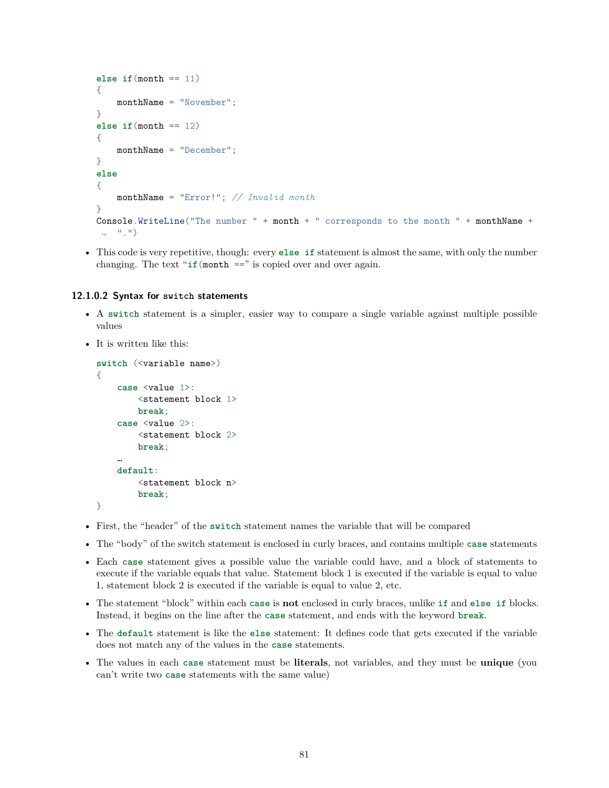```
else if(month == 11)
{
    monthName = "November";
}
else if(month == 12)
{
    monthName = "December";
}
else
{
    monthName = "Error!"; // Invalid month
}
Console.WriteLine("The number " + month + " corresponds to the month " + monthName +
\leftrightarrow ".")
```
• This code is very repetitive, though: every **else if** statement is almost the same, with only the number changing. The text " $if$ (month  $==$ " is copied over and over again.

#### **12.1.0.2 Syntax for switch statements**

- A **switch** statement is a simpler, easier way to compare a single variable against multiple possible values
- It is written like this:

```
switch (<variable name>)
{
    case <value 1>:
        <statement block 1>
        break;
    case <value 2>:
        <statement block 2>
        break;
    …
    default:
        <statement block n>
        break;
}
```
- First, the "header" of the **switch** statement names the variable that will be compared
- The "body" of the switch statement is enclosed in curly braces, and contains multiple **case** statements
- Each **case** statement gives a possible value the variable could have, and a block of statements to execute if the variable equals that value. Statement block 1 is executed if the variable is equal to value 1, statement block 2 is executed if the variable is equal to value 2, etc.
- The statement "block" within each **case** is **not** enclosed in curly braces, unlike **if** and **else if** blocks. Instead, it begins on the line after the **case** statement, and ends with the keyword **break**.
- The **default** statement is like the **else** statement: It defines code that gets executed if the variable does not match any of the values in the **case** statements.
- The values in each **case** statement must be **literals**, not variables, and they must be **unique** (you can't write two **case** statements with the same value)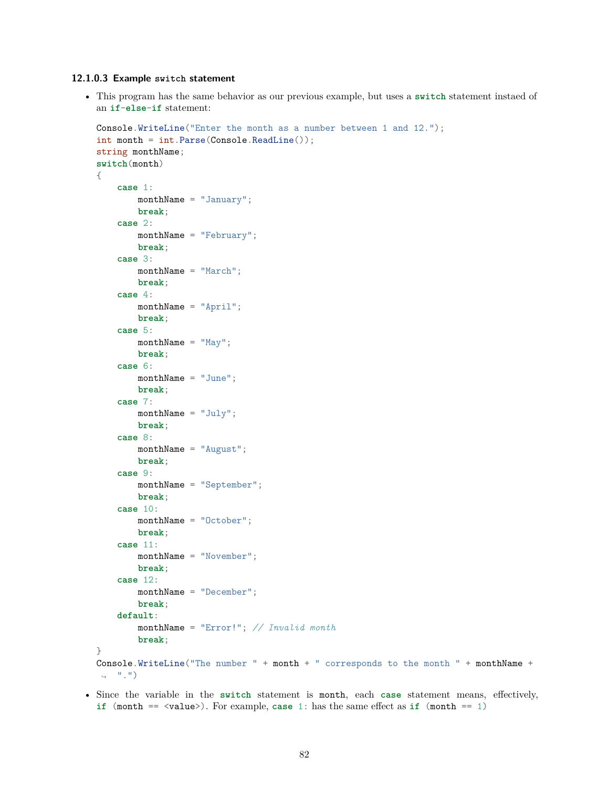## **12.1.0.3 Example switch statement**

• This program has the same behavior as our previous example, but uses a **switch** statement instaed of an **if**-**else**-**if** statement:

```
Console.WriteLine("Enter the month as a number between 1 and 12.");
int month = int.Parse(Console.ReadLine());
string monthName;
switch(month)
{
    case 1:
        monthName = "January";
        break;
    case 2:
        monthName = "February";
        break;
    case 3:
        monthName = "March";break;
    case 4:
       monthName = "April";
        break;
    case 5:
        monthName = "May";
        break;
    case 6:
        monthName = "June";break;
    case 7:
        monthName = "July";
        break;
    case 8:
        monthName = "August";
        break;
    case 9:
        monthName = "September";
        break;
    case 10:
        monthName = "October";
       break;
    case 11:
        monthName = "November";
        break;
    case 12:
        monthName = "December";
        break;
    default:
        monthName = "Error!"; // Invalid month
        break;
}
Console.WriteLine("The number " + month + " corresponds to the month " + monthName +
\leftrightarrow ".")
```
• Since the variable in the **switch** statement is month, each **case** statement means, effectively, **if** (month == <value>). For example, **case** 1: has the same effect as **if** (month == 1)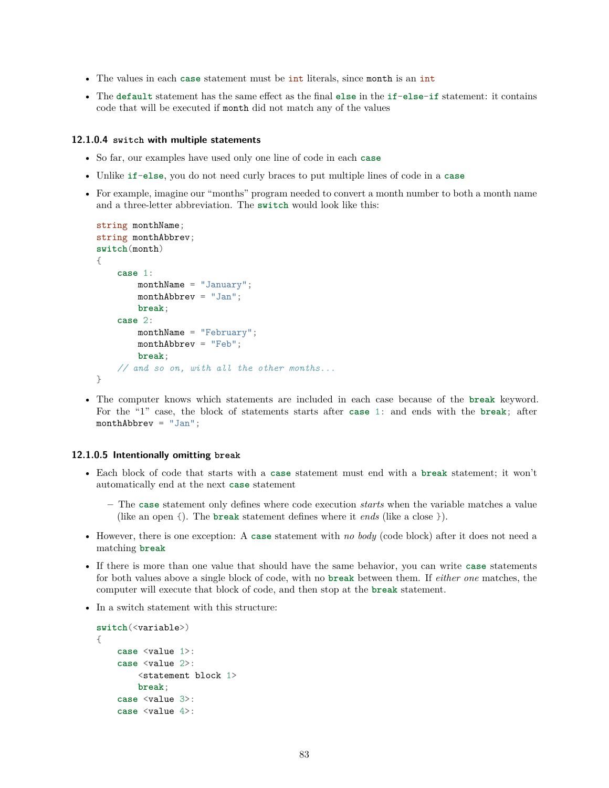- The values in each **case** statement must be int literals, since month is an int
- The **default** statement has the same effect as the final **else** in the **if**-**else**-**if** statement: it contains code that will be executed if month did not match any of the values

#### **12.1.0.4 switch with multiple statements**

- So far, our examples have used only one line of code in each **case**
- Unlike **if**-**else**, you do not need curly braces to put multiple lines of code in a **case**
- For example, imagine our "months" program needed to convert a month number to both a month name and a three-letter abbreviation. The **switch** would look like this:

```
string monthName;
string monthAbbrev;
switch(month)
{
    case 1:
        monthName = "January";
        monthAbbrev = "Jan";
        break;
    case 2:
        monthName = "February";
        monthAbbrev = "Feb";
        break;
    // and so on, with all the other months...
}
```
• The computer knows which statements are included in each case because of the **break** keyword. For the "1" case, the block of statements starts after **case** 1: and ends with the **break**; after monthAbbrev = "Jan";

#### **12.1.0.5 Intentionally omitting break**

- Each block of code that starts with a **case** statement must end with a **break** statement; it won't automatically end at the next **case** statement
	- **–** The **case** statement only defines where code execution *starts* when the variable matches a value (like an open {). The **break** statement defines where it *ends* (like a close }).
- However, there is one exception: A **case** statement with *no body* (code block) after it does not need a matching **break**
- If there is more than one value that should have the same behavior, you can write **case** statements for both values above a single block of code, with no **break** between them. If *either one* matches, the computer will execute that block of code, and then stop at the **break** statement.
- In a switch statement with this structure:

```
switch(<variable>)
{
    case <value 1>:
    case <value 2>:
        <statement block 1>
        break;
    case <value 3>:
    case <value 4>:
```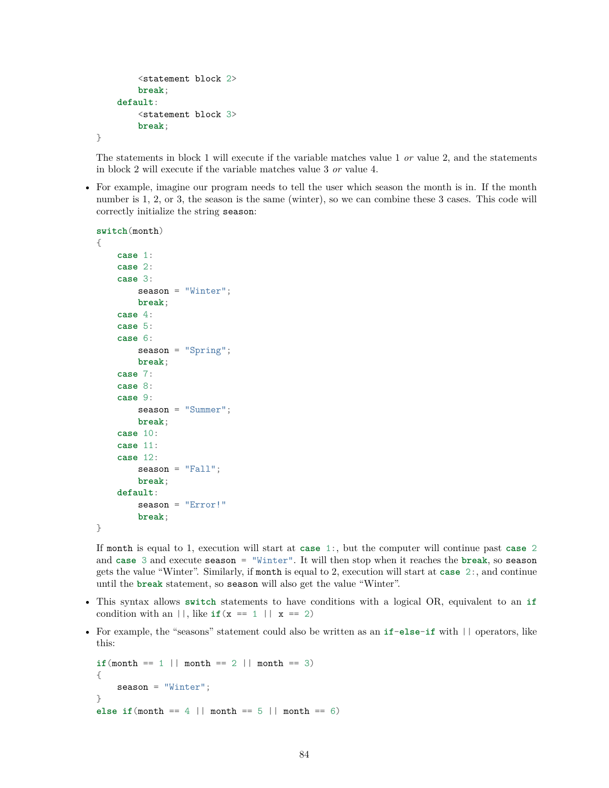```
<statement block 2>
    break;
default:
    <statement block 3>
    break;
```
}

The statements in block 1 will execute if the variable matches value 1 *or* value 2, and the statements in block 2 will execute if the variable matches value 3 *or* value 4.

• For example, imagine our program needs to tell the user which season the month is in. If the month number is 1, 2, or 3, the season is the same (winter), so we can combine these 3 cases. This code will correctly initialize the string season:

```
switch(month)
{
    case 1:
    case 2:
    case 3:
        season = "Winter";
        break;
    case 4:
    case 5:
    case 6:
        season = "Spring";
        break;
    case 7:
    case 8:
    case 9:
        season = "Summer";
        break;
    case 10:
    case 11:
    case 12:
        season = "Fall";break;
    default:
        season = "Error!"
        break;
}
```
If month is equal to 1, execution will start at **case** 1:, but the computer will continue past **case** 2 and **case** 3 and execute season = "Winter". It will then stop when it reaches the **break**, so season gets the value "Winter". Similarly, if month is equal to 2, execution will start at **case** 2:, and continue until the **break** statement, so season will also get the value "Winter".

- This syntax allows **switch** statements to have conditions with a logical OR, equivalent to an **if** condition with an  $||$ , like **if**( $x == 1 || x == 2$ )
- For example, the "seasons" statement could also be written as an **if**-**else**-**if** with || operators, like this:

```
if(month == 1 || month == 2 || month == 3){
    season = "Winter";
}
else if(month == 4 || month == 5 || month == 6)
```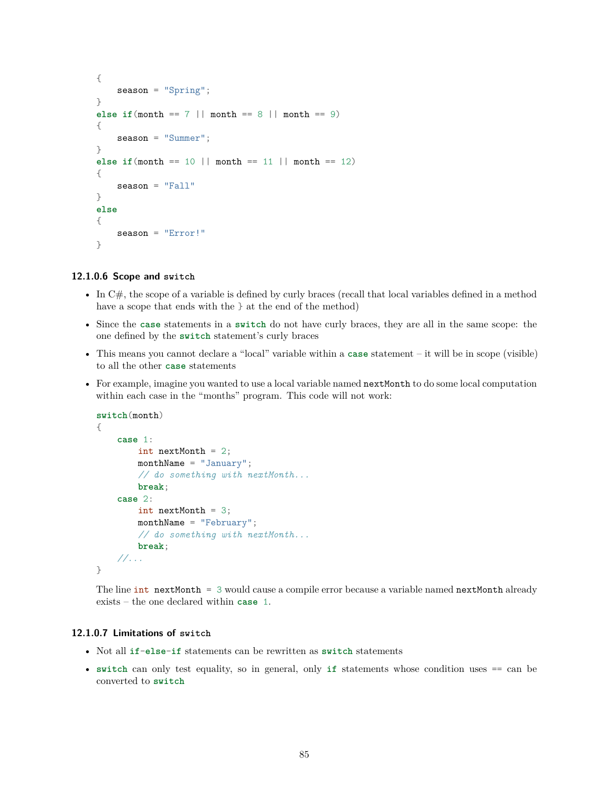```
{
    season = "Spring";
}
else if(month == 7 || month == 8 || month == 9)
{
    season = "Summer";
}
else if (\text{month} == 10 || \text{month} == 11 || \text{month} == 12){
    season = "Fall"
}
else
{
    season = "Error!"
}
```
#### **12.1.0.6 Scope and switch**

- In C#, the scope of a variable is defined by curly braces (recall that local variables defined in a method have a scope that ends with the  $\}$  at the end of the method)
- Since the **case** statements in a **switch** do not have curly braces, they are all in the same scope: the one defined by the **switch** statement's curly braces
- This means you cannot declare a "local" variable within a **case** statement it will be in scope (visible) to all the other **case** statements
- For example, imagine you wanted to use a local variable named nextMonth to do some local computation within each case in the "months" program. This code will not work:

```
switch(month)
{
    case 1:
        int nextMonth = 2;
        monthName = "January";
        // do something with nextMonth...
        break;
    case 2:
        int nextMonth = 3;
        monthName = "February";
        // do something with nextMonth...
        break;
    //...
}
```
The line  $int$  nextMonth = 3 would cause a compile error because a variable named nextMonth already exists – the one declared within **case** 1.

#### **12.1.0.7 Limitations of switch**

- Not all **if**-**else**-**if** statements can be rewritten as **switch** statements
- **switch** can only test equality, so in general, only **if** statements whose condition uses == can be converted to **switch**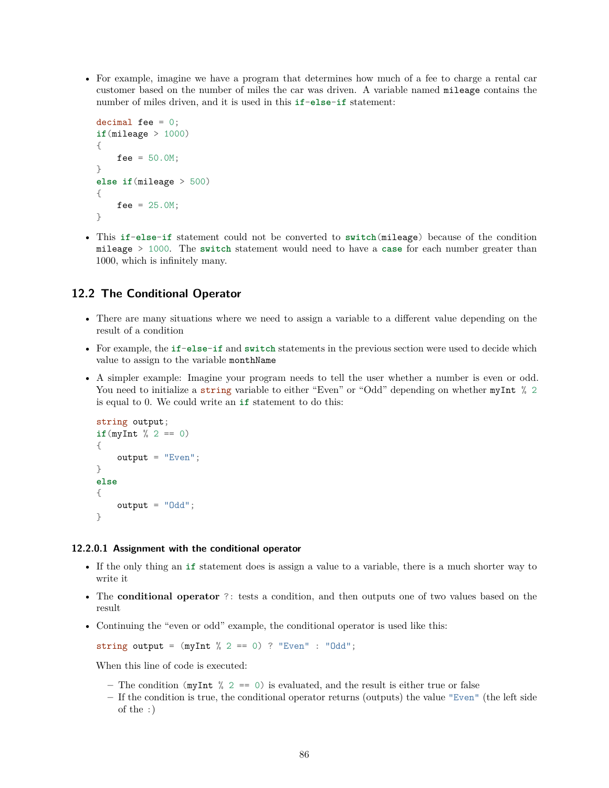• For example, imagine we have a program that determines how much of a fee to charge a rental car customer based on the number of miles the car was driven. A variable named mileage contains the number of miles driven, and it is used in this **if**-**else**-**if** statement:

```
decimal fee = 0;
if(mileage > 1000)
{
    fee = 50.0M;}
else if(mileage > 500)
{
    fee = 25.0M;
}
```
• This **if**-**else**-**if** statement could not be converted to **switch**(mileage) because of the condition mileage > 1000. The **switch** statement would need to have a **case** for each number greater than 1000, which is infinitely many.

# **12.2 The Conditional Operator**

- There are many situations where we need to assign a variable to a different value depending on the result of a condition
- For example, the **if**-**else**-**if** and **switch** statements in the previous section were used to decide which value to assign to the variable monthName
- A simpler example: Imagine your program needs to tell the user whether a number is even or odd. You need to initialize a string variable to either "Even" or "Odd" depending on whether myInt % 2 is equal to 0. We could write an **if** statement to do this:

```
string output;
if(myInt % 2 == 0)
{
    output = "Even";
}
else
{
    output = "Odd";}
```
#### **12.2.0.1 Assignment with the conditional operator**

- If the only thing an **if** statement does is assign a value to a variable, there is a much shorter way to write it
- The **conditional operator** ?: tests a condition, and then outputs one of two values based on the result
- Continuing the "even or odd" example, the conditional operator is used like this:

string output =  $(myInt % 2 == 0)$  ? "Even" : "Odd";

When this line of code is executed:

- The condition ( $myInt \% 2 == 0$ ) is evaluated, and the result is either true or false
- **–** If the condition is true, the conditional operator returns (outputs) the value "Even" (the left side of the :)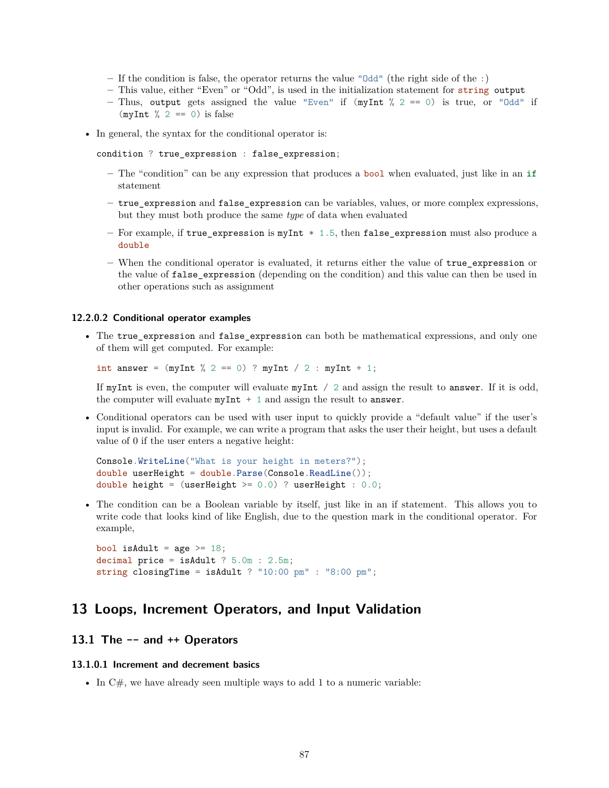- **–** If the condition is false, the operator returns the value "Odd" (the right side of the :)
- **–** This value, either "Even" or "Odd", is used in the initialization statement for string output
- **–** Thus, output gets assigned the value "Even" if (myInt % 2 == 0) is true, or "Odd" if  $(myInt \% 2 == 0)$  is false
- In general, the syntax for the conditional operator is:

condition ? true\_expression : false\_expression;

- **–** The "condition" can be any expression that produces a bool when evaluated, just like in an **if** statement
- **–** true\_expression and false\_expression can be variables, values, or more complex expressions, but they must both produce the same *type* of data when evaluated
- **–** For example, if true\_expression is myInt \* 1.5, then false\_expression must also produce a double
- **–** When the conditional operator is evaluated, it returns either the value of true\_expression or the value of false\_expression (depending on the condition) and this value can then be used in other operations such as assignment

#### **12.2.0.2 Conditional operator examples**

• The true\_expression and false\_expression can both be mathematical expressions, and only one of them will get computed. For example:

int answer =  $(myInt % 2 == 0)$  ? myInt / 2 : myInt + 1;

If myInt is even, the computer will evaluate myInt / 2 and assign the result to answer. If it is odd, the computer will evaluate  $myInt + 1$  and assign the result to answer.

• Conditional operators can be used with user input to quickly provide a "default value" if the user's input is invalid. For example, we can write a program that asks the user their height, but uses a default value of 0 if the user enters a negative height:

```
Console.WriteLine("What is your height in meters?");
double userHeight = double.Parse(Console.ReadLine());
double height = (userHeight >= 0.0) ? userHeight : 0.0;
```
• The condition can be a Boolean variable by itself, just like in an if statement. This allows you to write code that looks kind of like English, due to the question mark in the conditional operator. For example,

bool isAdult =  $age \geq 18$ ; decimal price = isAdult ? 5.0m : 2.5m; string closingTime = isAdult ? "10:00 pm" : "8:00 pm";

# **13 Loops, Increment Operators, and Input Validation**

# **13.1 The -- and ++ Operators**

## **13.1.0.1 Increment and decrement basics**

• In  $C#$ , we have already seen multiple ways to add 1 to a numeric variable: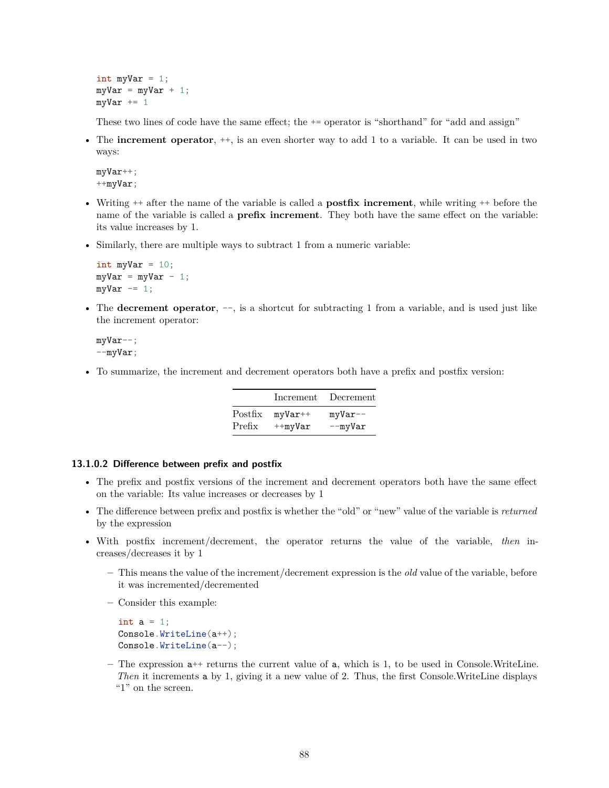int myVar  $= 1$ ;  $myVar = myVar + 1;$  $myVar += 1$ 

These two lines of code have the same effect; the  $+=$  operator is "shorthand" for "add and assign"

• The **increment operator**, ++, is an even shorter way to add 1 to a variable. It can be used in two ways:

myVar++; ++myVar;

- Writing ++ after the name of the variable is called a **postfix increment**, while writing ++ before the name of the variable is called a **prefix increment**. They both have the same effect on the variable: its value increases by 1.
- Similarly, there are multiple ways to subtract 1 from a numeric variable:

```
int myVar = 10;
myVar = myVar - 1;myVar = 1;
```
• The **decrement operator**,  $-$ , is a shortcut for subtracting 1 from a variable, and is used just like the increment operator:

myVar--;  $--myVar;$ 

• To summarize, the increment and decrement operators both have a prefix and postfix version:

|         | Increment     | Decrement    |
|---------|---------------|--------------|
| Postfix | $myVar++$     | $myVar--$    |
| Prefix  | $+$ -my $Var$ | $-$ my $Var$ |

### **13.1.0.2 Difference between prefix and postfix**

- The prefix and postfix versions of the increment and decrement operators both have the same effect on the variable: Its value increases or decreases by 1
- The difference between prefix and postfix is whether the "old" or "new" value of the variable is *returned* by the expression
- With postfix increment/decrement, the operator returns the value of the variable, *then* increases/decreases it by 1
	- **–** This means the value of the increment/decrement expression is the *old* value of the variable, before it was incremented/decremented
	- **–** Consider this example:

```
int a = 1;
Console.WriteLine(a++);
Console.WriteLine(a--);
```
**–** The expression a++ returns the current value of a, which is 1, to be used in Console.WriteLine. *Then* it increments a by 1, giving it a new value of 2. Thus, the first Console.WriteLine displays "1" on the screen.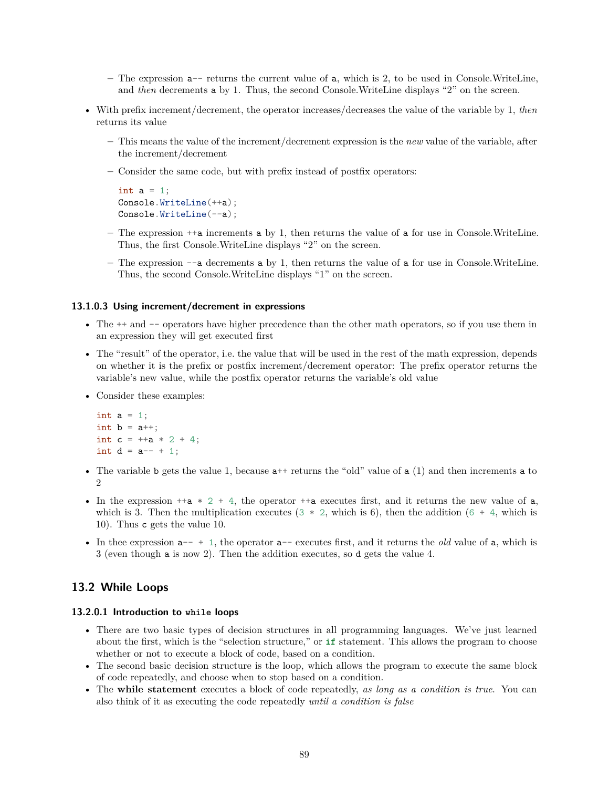- **–** The expression a-- returns the current value of a, which is 2, to be used in Console.WriteLine, and *then* decrements **a** by 1. Thus, the second Console. WriteLine displays "2" on the screen.
- With prefix increment/decrement, the operator increases/decreases the value of the variable by 1, *then* returns its value
	- **–** This means the value of the increment/decrement expression is the *new* value of the variable, after the increment/decrement
	- **–** Consider the same code, but with prefix instead of postfix operators:

```
int a = 1;
Console.WriteLine(++a);
Console.WriteLine(--a);
```
- **–** The expression ++a increments a by 1, then returns the value of a for use in Console.WriteLine. Thus, the first Console.WriteLine displays "2" on the screen.
- **–** The expression --a decrements a by 1, then returns the value of a for use in Console.WriteLine. Thus, the second Console.WriteLine displays "1" on the screen.

#### **13.1.0.3 Using increment/decrement in expressions**

- The  $++$  and  $--$  operators have higher precedence than the other math operators, so if you use them in an expression they will get executed first
- The "result" of the operator, i.e. the value that will be used in the rest of the math expression, depends on whether it is the prefix or postfix increment/decrement operator: The prefix operator returns the variable's new value, while the postfix operator returns the variable's old value
- Consider these examples:

```
int a = 1;
int b = a++;int c = ++a * 2 + 4;
int d = a^{--} + 1;
```
- The variable b gets the value 1, because  $a^{++}$  returns the "old" value of a (1) and then increments a to  $\mathfrak{D}$
- In the expression  $+a * 2 + 4$ , the operator  $+a$  executes first, and it returns the new value of a, which is 3. Then the multiplication executes  $(3 * 2, \text{ which is } 6)$ , then the addition  $(6 + 4, \text{ which is } 6)$ 10). Thus c gets the value 10.
- In thee expression a-- + 1, the operator a-- executes first, and it returns the *old* value of a, which is 3 (even though a is now 2). Then the addition executes, so d gets the value 4.

# **13.2 While Loops**

## **13.2.0.1 Introduction to while loops**

- There are two basic types of decision structures in all programming languages. We've just learned about the first, which is the "selection structure," or **if** statement. This allows the program to choose whether or not to execute a block of code, based on a condition.
- The second basic decision structure is the loop, which allows the program to execute the same block of code repeatedly, and choose when to stop based on a condition.
- The **while statement** executes a block of code repeatedly, *as long as a condition is true*. You can also think of it as executing the code repeatedly *until a condition is false*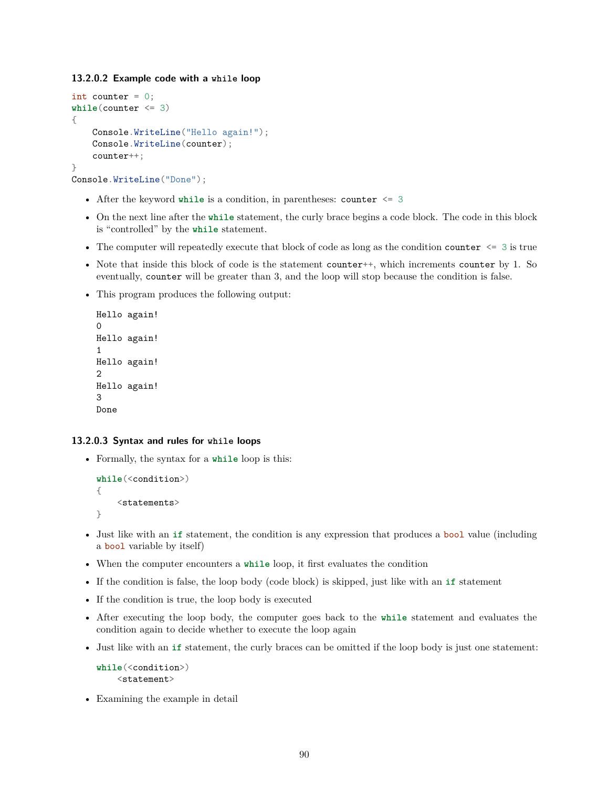**13.2.0.2 Example code with a while loop**

```
int counter = 0;
while(counter <= 3)
{
    Console.WriteLine("Hello again!");
    Console.WriteLine(counter);
    counter++;
}
```

```
Console.WriteLine("Done");
```
- After the keyword while is a condition, in parentheses: counter  $\leq 3$
- On the next line after the **while** statement, the curly brace begins a code block. The code in this block is "controlled" by the **while** statement.
- The computer will repeatedly execute that block of code as long as the condition counter  $\leq 3$  is true
- Note that inside this block of code is the statement counter++, which increments counter by 1. So eventually, counter will be greater than 3, and the loop will stop because the condition is false.
- This program produces the following output:

```
Hello again!
\OmegaHello again!
1
Hello again!
2
Hello again!
3
Done
```
#### **13.2.0.3 Syntax and rules for while loops**

• Formally, the syntax for a **while** loop is this:

```
while(<condition>)
{
    <statements>
}
```
- Just like with an **if** statement, the condition is any expression that produces a bool value (including a bool variable by itself)
- When the computer encounters a **while** loop, it first evaluates the condition
- If the condition is false, the loop body (code block) is skipped, just like with an **if** statement
- If the condition is true, the loop body is executed
- After executing the loop body, the computer goes back to the **while** statement and evaluates the condition again to decide whether to execute the loop again
- Just like with an **if** statement, the curly braces can be omitted if the loop body is just one statement:

```
while(<condition>)
    <statement>
```
• Examining the example in detail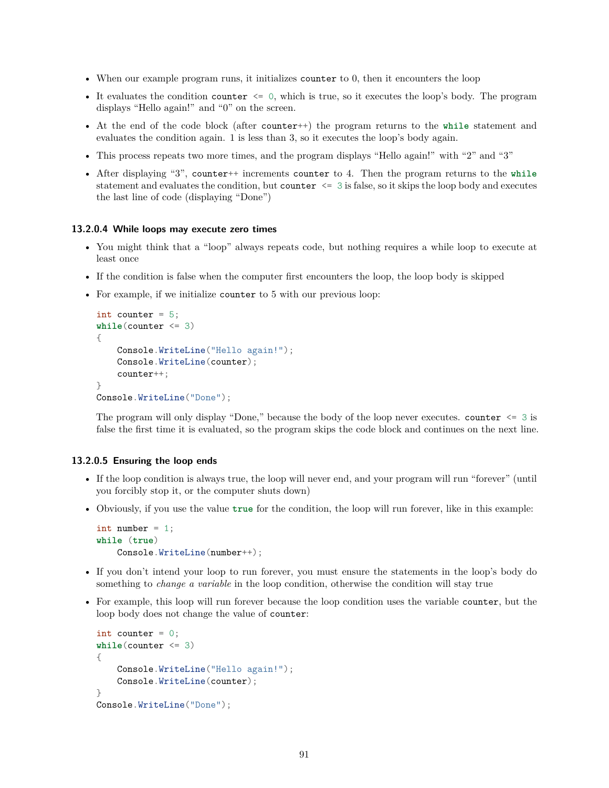- When our example program runs, it initializes counter to 0, then it encounters the loop
- It evaluates the condition counter  $\leq 0$ , which is true, so it executes the loop's body. The program displays "Hello again!" and "0" on the screen.
- At the end of the code block (after counter++) the program returns to the **while** statement and evaluates the condition again. 1 is less than 3, so it executes the loop's body again.
- This process repeats two more times, and the program displays "Hello again!" with "2" and "3"
- After displaying "3", counter++ increments counter to 4. Then the program returns to the **while** statement and evaluates the condition, but counter <= 3 is false, so it skips the loop body and executes the last line of code (displaying "Done")

## **13.2.0.4 While loops may execute zero times**

- You might think that a "loop" always repeats code, but nothing requires a while loop to execute at least once
- If the condition is false when the computer first encounters the loop, the loop body is skipped
- For example, if we initialize counter to 5 with our previous loop:

```
int counter = 5;
while(counter <= 3)
{
    Console.WriteLine("Hello again!");
    Console.WriteLine(counter);
    counter++;
}
Console.WriteLine("Done");
```
The program will only display "Done," because the body of the loop never executes. counter  $\leq 3$  is false the first time it is evaluated, so the program skips the code block and continues on the next line.

#### **13.2.0.5 Ensuring the loop ends**

- If the loop condition is always true, the loop will never end, and your program will run "forever" (until you forcibly stop it, or the computer shuts down)
- Obviously, if you use the value **true** for the condition, the loop will run forever, like in this example:

```
int number = 1;
while (true)
    Console.WriteLine(number++);
```
- If you don't intend your loop to run forever, you must ensure the statements in the loop's body do something to *change a variable* in the loop condition, otherwise the condition will stay true
- For example, this loop will run forever because the loop condition uses the variable counter, but the loop body does not change the value of counter:

```
int counter = 0;
while(counter <= 3)
{
    Console.WriteLine("Hello again!");
    Console.WriteLine(counter);
}
Console.WriteLine("Done");
```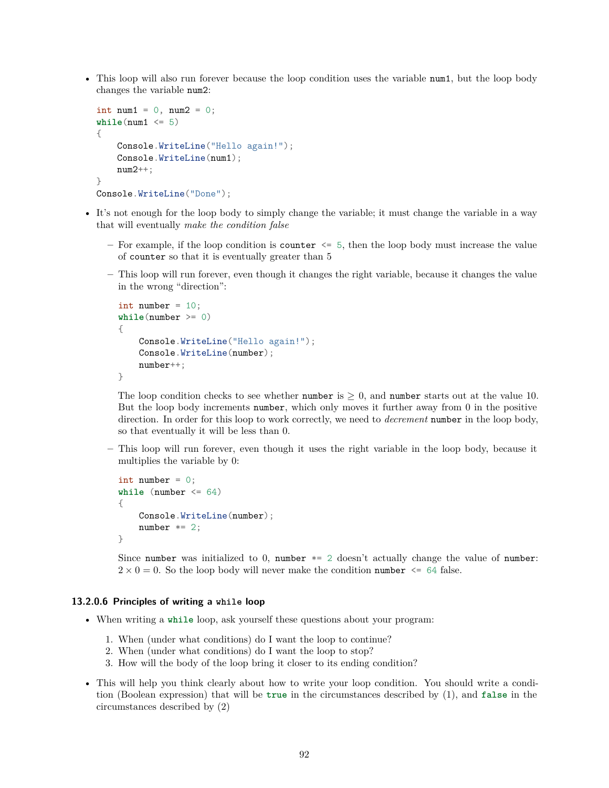• This loop will also run forever because the loop condition uses the variable num1, but the loop body changes the variable num2:

```
int num1 = 0, num2 = 0;
while(num1 \leq 5){
    Console.WriteLine("Hello again!");
    Console.WriteLine(num1);
    num2++;
}
Console.WriteLine("Done");
```
- It's not enough for the loop body to simply change the variable; it must change the variable in a way that will eventually *make the condition false*
	- **–** For example, if the loop condition is counter <= 5, then the loop body must increase the value of counter so that it is eventually greater than 5
	- **–** This loop will run forever, even though it changes the right variable, because it changes the value in the wrong "direction":

```
int number = 10;
while(number >= 0)
{
    Console.WriteLine("Hello again!");
    Console.WriteLine(number);
    number++;
}
```
The loop condition checks to see whether number is  $\geq 0$ , and number starts out at the value 10. But the loop body increments number, which only moves it further away from 0 in the positive direction. In order for this loop to work correctly, we need to *decrement* number in the loop body, so that eventually it will be less than 0.

**–** This loop will run forever, even though it uses the right variable in the loop body, because it multiplies the variable by 0:

```
int number = 0;
while (number <= 64)
{
    Console.WriteLine(number);
    number *= 2;}
```
Since number was initialized to 0, number  $* = 2$  doesn't actually change the value of number:  $2 \times 0 = 0$ . So the loop body will never make the condition number  $\leq 64$  false.

## **13.2.0.6 Principles of writing a while loop**

- When writing a **while** loop, ask yourself these questions about your program:
	- 1. When (under what conditions) do I want the loop to continue?
	- 2. When (under what conditions) do I want the loop to stop?
	- 3. How will the body of the loop bring it closer to its ending condition?
- This will help you think clearly about how to write your loop condition. You should write a condition (Boolean expression) that will be **true** in the circumstances described by (1), and **false** in the circumstances described by (2)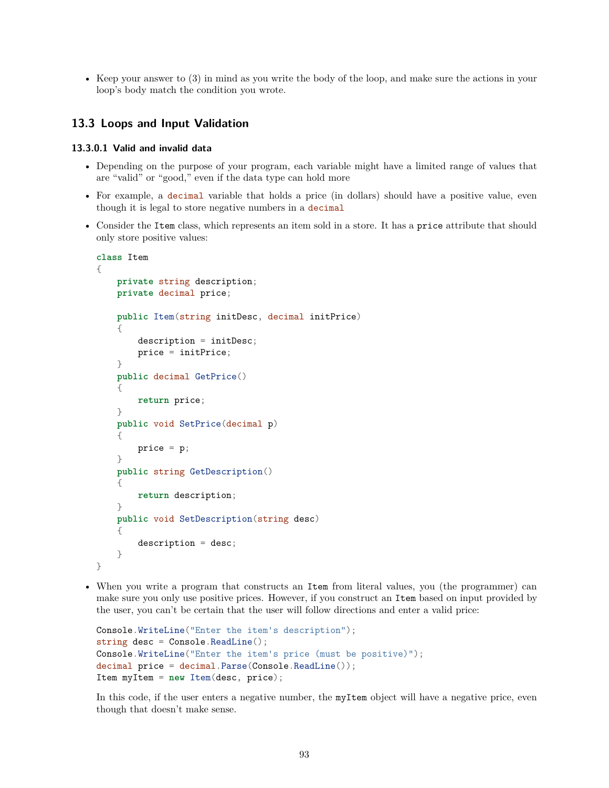• Keep your answer to (3) in mind as you write the body of the loop, and make sure the actions in your loop's body match the condition you wrote.

# **13.3 Loops and Input Validation**

## **13.3.0.1 Valid and invalid data**

- Depending on the purpose of your program, each variable might have a limited range of values that are "valid" or "good," even if the data type can hold more
- For example, a decimal variable that holds a price (in dollars) should have a positive value, even though it is legal to store negative numbers in a decimal
- Consider the Item class, which represents an item sold in a store. It has a price attribute that should only store positive values:

```
class Item
{
    private string description;
    private decimal price;
    public Item(string initDesc, decimal initPrice)
    {
        description = initDesc;
        price = initPrice;
    }
    public decimal GetPrice()
    {
        return price;
    }
    public void SetPrice(decimal p)
    {
        price = p;}
    public string GetDescription()
    {
        return description;
    }
    public void SetDescription(string desc)
    {
        description = desc;
    }
}
```
• When you write a program that constructs an Item from literal values, you (the programmer) can make sure you only use positive prices. However, if you construct an Item based on input provided by the user, you can't be certain that the user will follow directions and enter a valid price:

```
Console.WriteLine("Enter the item's description");
string desc = Console.ReadLine();
Console.WriteLine("Enter the item's price (must be positive)");
decimal price = decimal.Parse(Console.ReadLine());
Item myItem = new Item(desc, price);
```
In this code, if the user enters a negative number, the myItem object will have a negative price, even though that doesn't make sense.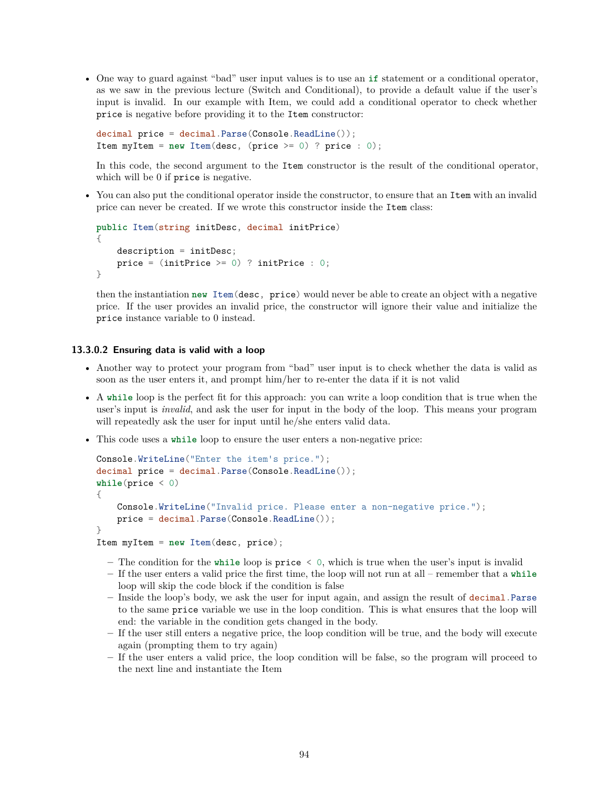• One way to guard against "bad" user input values is to use an **if** statement or a conditional operator, as we saw in the previous lecture (Switch and Conditional), to provide a default value if the user's input is invalid. In our example with Item, we could add a conditional operator to check whether price is negative before providing it to the Item constructor:

```
decimal price = decimal.Parse(Console.ReadLine());
Item myItem = new Item(desc, (price >= 0) ? price : 0);
```
In this code, the second argument to the Item constructor is the result of the conditional operator, which will be 0 if price is negative.

• You can also put the conditional operator inside the constructor, to ensure that an Item with an invalid price can never be created. If we wrote this constructor inside the Item class:

```
public Item(string initDesc, decimal initPrice)
{
    description = initDesc;
    price = (intPrice \ge 0) ? initPrice : 0;
}
```
then the instantiation **new** Item(desc, price) would never be able to create an object with a negative price. If the user provides an invalid price, the constructor will ignore their value and initialize the price instance variable to 0 instead.

## **13.3.0.2 Ensuring data is valid with a loop**

- Another way to protect your program from "bad" user input is to check whether the data is valid as soon as the user enters it, and prompt him/her to re-enter the data if it is not valid
- A **while** loop is the perfect fit for this approach: you can write a loop condition that is true when the user's input is *invalid*, and ask the user for input in the body of the loop. This means your program will repeatedly ask the user for input until he/she enters valid data.
- This code uses a **while** loop to ensure the user enters a non-negative price:

```
Console.WriteLine("Enter the item's price.");
decimal price = decimal.Parse(Console.ReadLine());
while(price < 0)
{
    Console.WriteLine("Invalid price. Please enter a non-negative price.");
    price = decimal.Parse(Console.ReadLine());
}
Item myItem = new Item(desc, price);
```
- **–** The condition for the **while** loop is price < 0, which is true when the user's input is invalid
- **–** If the user enters a valid price the first time, the loop will not run at all remember that a **while** loop will skip the code block if the condition is false
- **–** Inside the loop's body, we ask the user for input again, and assign the result of decimal.Parse to the same price variable we use in the loop condition. This is what ensures that the loop will end: the variable in the condition gets changed in the body.
- **–** If the user still enters a negative price, the loop condition will be true, and the body will execute again (prompting them to try again)
- **–** If the user enters a valid price, the loop condition will be false, so the program will proceed to the next line and instantiate the Item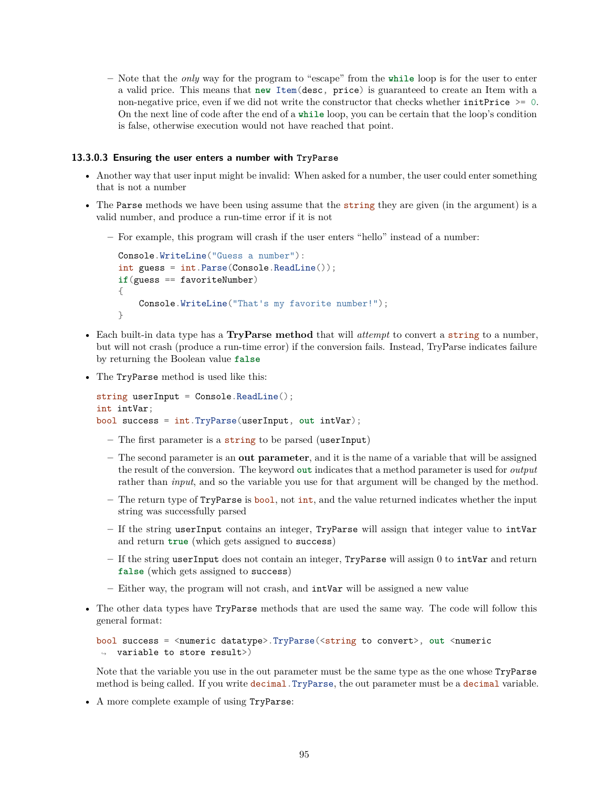**–** Note that the *only* way for the program to "escape" from the **while** loop is for the user to enter a valid price. This means that **new** Item(desc, price) is guaranteed to create an Item with a non-negative price, even if we did not write the constructor that checks whether initPrice  $\geq 0$ . On the next line of code after the end of a **while** loop, you can be certain that the loop's condition is false, otherwise execution would not have reached that point.

# **13.3.0.3 Ensuring the user enters a number with TryParse**

- Another way that user input might be invalid: When asked for a number, the user could enter something that is not a number
- The Parse methods we have been using assume that the string they are given (in the argument) is a valid number, and produce a run-time error if it is not
	- **–** For example, this program will crash if the user enters "hello" instead of a number:

```
Console.WriteLine("Guess a number"):
int guess = int.Parse(Console.ReadLine());
if(guess == favoriteNumber)
{
   Console.WriteLine("That's my favorite number!");
}
```
- Each built-in data type has a **TryParse method** that will *attempt* to convert a string to a number, but will not crash (produce a run-time error) if the conversion fails. Instead, TryParse indicates failure by returning the Boolean value **false**
- The TryParse method is used like this:

```
string userInput = Console.ReadLine();
int intVar;
bool success = int.TryParse(userInput, out intVar);
```
- **–** The first parameter is a string to be parsed (userInput)
- **–** The second parameter is an **out parameter**, and it is the name of a variable that will be assigned the result of the conversion. The keyword **out** indicates that a method parameter is used for *output* rather than *input*, and so the variable you use for that argument will be changed by the method.
- **–** The return type of TryParse is bool, not int, and the value returned indicates whether the input string was successfully parsed
- **–** If the string userInput contains an integer, TryParse will assign that integer value to intVar and return **true** (which gets assigned to success)
- **–** If the string userInput does not contain an integer, TryParse will assign 0 to intVar and return **false** (which gets assigned to success)
- **–** Either way, the program will not crash, and intVar will be assigned a new value
- The other data types have TryParse methods that are used the same way. The code will follow this general format:

```
bool success = <numeric datatype>.TryParse(<string to convert>, out <numeric
\rightarrow variable to store result>)
```
Note that the variable you use in the out parameter must be the same type as the one whose TryParse method is being called. If you write decimal.TryParse, the out parameter must be a decimal variable.

• A more complete example of using TryParse: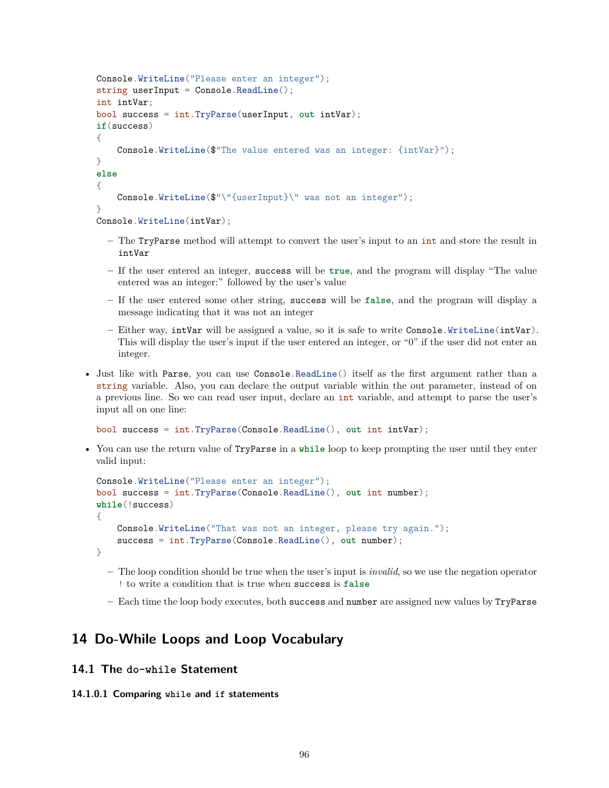```
Console.WriteLine("Please enter an integer");
string userInput = Console. ReadLine();
int intVar;
bool success = int.TryParse(userInput, out intVar);
if(success)
{
    Console.WriteLine($"The value entered was an integer: {intVar}");
}
else
{
    Console.WriteLine($"\"{userInput}\" was not an integer");
}
Console.WriteLine(intVar);
```
- **–** The TryParse method will attempt to convert the user's input to an int and store the result in intVar
- **–** If the user entered an integer, success will be **true**, and the program will display "The value entered was an integer:" followed by the user's value
- **–** If the user entered some other string, success will be **false**, and the program will display a message indicating that it was not an integer
- **–** Either way, intVar will be assigned a value, so it is safe to write Console.WriteLine(intVar). This will display the user's input if the user entered an integer, or "0" if the user did not enter an integer.
- Just like with Parse, you can use Console.ReadLine() itself as the first argument rather than a string variable. Also, you can declare the output variable within the out parameter, instead of on a previous line. So we can read user input, declare an int variable, and attempt to parse the user's input all on one line:

```
bool success = int.TryParse(Console.ReadLine(), out int intVar);
```
• You can use the return value of TryParse in a **while** loop to keep prompting the user until they enter valid input:

```
Console.WriteLine("Please enter an integer");
bool success = int.TryParse(Console.ReadLine(), out int number);
while(!success)
{
    Console.WriteLine("That was not an integer, please try again.");
    success = int.TryParse(Console.ReadLine(), out number);
}
```
- **–** The loop condition should be true when the user's input is *invalid*, so we use the negation operator ! to write a condition that is true when success is **false**
- **–** Each time the loop body executes, both success and number are assigned new values by TryParse

# **14 Do-While Loops and Loop Vocabulary**

# **14.1 The do-while Statement**

# **14.1.0.1 Comparing while and if statements**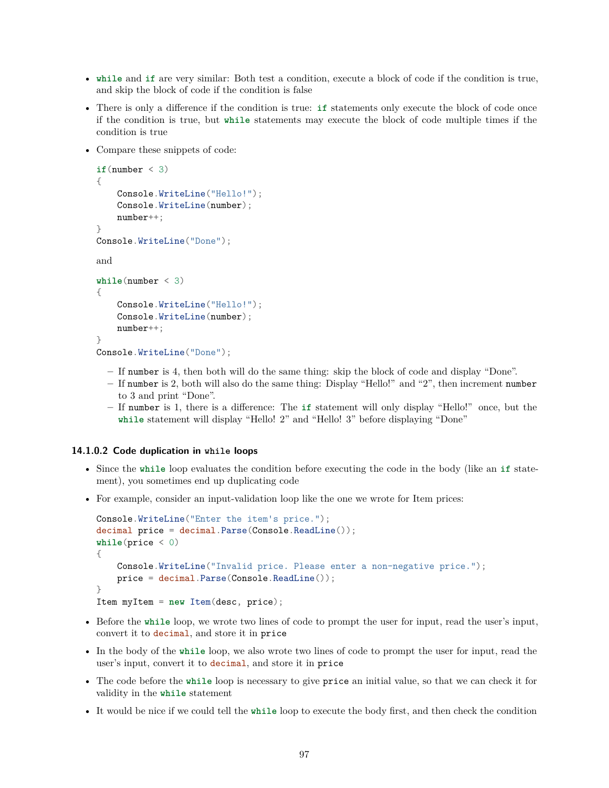- **while** and **if** are very similar: Both test a condition, execute a block of code if the condition is true, and skip the block of code if the condition is false
- There is only a difference if the condition is true: **if** statements only execute the block of code once if the condition is true, but **while** statements may execute the block of code multiple times if the condition is true
- Compare these snippets of code:

```
if(number < 3){
    Console.WriteLine("Hello!");
    Console.WriteLine(number);
    number++;
}
Console.WriteLine("Done");
and
while(number < 3)
{
    Console.WriteLine("Hello!");
    Console.WriteLine(number);
    number++;
}
Console.WriteLine("Done");
```
- **–** If number is 4, then both will do the same thing: skip the block of code and display "Done".
- **–** If number is 2, both will also do the same thing: Display "Hello!" and "2", then increment number to 3 and print "Done".
- **–** If number is 1, there is a difference: The **if** statement will only display "Hello!" once, but the **while** statement will display "Hello! 2" and "Hello! 3" before displaying "Done"

#### **14.1.0.2 Code duplication in while loops**

- Since the **while** loop evaluates the condition before executing the code in the body (like an **if** statement), you sometimes end up duplicating code
- For example, consider an input-validation loop like the one we wrote for Item prices:

```
Console.WriteLine("Enter the item's price.");
decimal price = decimal.Parse(Console.ReadLine());
while(price < 0)
{
    Console.WriteLine("Invalid price. Please enter a non-negative price.");
    price = decimal.Parse(Console.ReadLine());
}
Item myItem = new Item(desc, price);
```
- Before the **while** loop, we wrote two lines of code to prompt the user for input, read the user's input, convert it to decimal, and store it in price
- In the body of the **while** loop, we also wrote two lines of code to prompt the user for input, read the user's input, convert it to decimal, and store it in price
- The code before the **while** loop is necessary to give price an initial value, so that we can check it for validity in the **while** statement
- It would be nice if we could tell the **while** loop to execute the body first, and then check the condition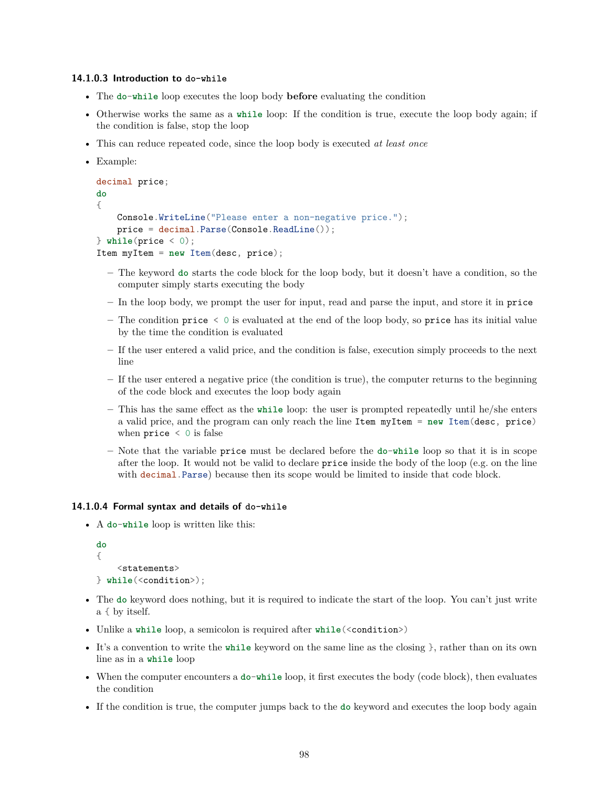#### **14.1.0.3 Introduction to do-while**

- The **do**-**while** loop executes the loop body **before** evaluating the condition
- Otherwise works the same as a **while** loop: If the condition is true, execute the loop body again; if the condition is false, stop the loop
- This can reduce repeated code, since the loop body is executed *at least once*
- Example:

```
decimal price;
do
{
    Console.WriteLine("Please enter a non-negative price.");
   price = decimal.Parse(Console.ReadLine());
} while(price < 0);
Item myItem = new Item(desc, price);
```
- **–** The keyword **do** starts the code block for the loop body, but it doesn't have a condition, so the computer simply starts executing the body
- **–** In the loop body, we prompt the user for input, read and parse the input, and store it in price
- **–** The condition price < 0 is evaluated at the end of the loop body, so price has its initial value by the time the condition is evaluated
- **–** If the user entered a valid price, and the condition is false, execution simply proceeds to the next line
- **–** If the user entered a negative price (the condition is true), the computer returns to the beginning of the code block and executes the loop body again
- **–** This has the same effect as the **while** loop: the user is prompted repeatedly until he/she enters a valid price, and the program can only reach the line Item myItem = **new** Item(desc, price) when  $price < 0$  is false
- **–** Note that the variable price must be declared before the **do**-**while** loop so that it is in scope after the loop. It would not be valid to declare price inside the body of the loop (e.g. on the line with decimal. Parse) because then its scope would be limited to inside that code block.

#### **14.1.0.4 Formal syntax and details of do-while**

• A **do**-**while** loop is written like this:

```
do
{
    <statements>
} while(<condition>);
```
- The **do** keyword does nothing, but it is required to indicate the start of the loop. You can't just write a { by itself.
- Unlike a while loop, a semicolon is required after while(<condition>)
- It's a convention to write the **while** keyword on the same line as the closing }, rather than on its own line as in a **while** loop
- When the computer encounters a **do-while** loop, it first executes the body (code block), then evaluates the condition
- If the condition is true, the computer jumps back to the **do** keyword and executes the loop body again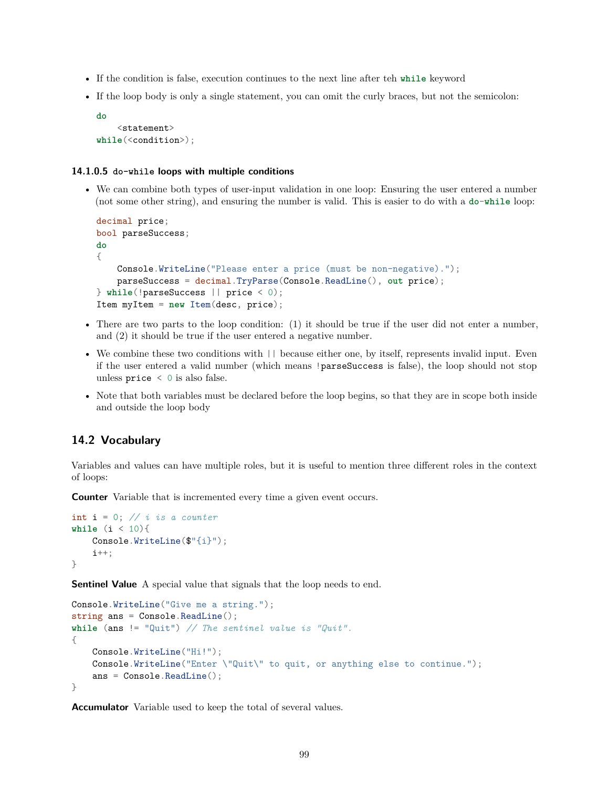- If the condition is false, execution continues to the next line after teh **while** keyword
- If the loop body is only a single statement, you can omit the curly braces, but not the semicolon:

```
do
    <statement>
while(<condition>);
```
#### **14.1.0.5 do-while loops with multiple conditions**

• We can combine both types of user-input validation in one loop: Ensuring the user entered a number (not some other string), and ensuring the number is valid. This is easier to do with a **do**-**while** loop:

```
decimal price;
bool parseSuccess;
do
{
    Console.WriteLine("Please enter a price (must be non-negative).");
    parseSuccess = decimal.TryParse(Console.ReadLine(), out price);
} while(!parseSuccess || price < 0);
Item myItem = new Item(desc, price);
```
- There are two parts to the loop condition: (1) it should be true if the user did not enter a number, and (2) it should be true if the user entered a negative number.
- We combine these two conditions with  $||\$  because either one, by itself, represents invalid input. Even if the user entered a valid number (which means !parseSuccess is false), the loop should not stop unless price < 0 is also false.
- Note that both variables must be declared before the loop begins, so that they are in scope both inside and outside the loop body

# **14.2 Vocabulary**

Variables and values can have multiple roles, but it is useful to mention three different roles in the context of loops:

**Counter** Variable that is incremented every time a given event occurs.

```
int i = 0; // i is a counter
while (i < 10){
    Console.WriteLine($"{i}");
    i++;
}
```
**Sentinel Value** A special value that signals that the loop needs to end.

```
Console.WriteLine("Give me a string.");
string ans = Console.ReadLine();
while (ans != "Quit") // The sentinel value is "Quit".
{
   Console.WriteLine("Hi!");
   Console.WriteLine("Enter \"Quit\" to quit, or anything else to continue.");
   ans = Console.ReadLine();
}
```
**Accumulator** Variable used to keep the total of several values.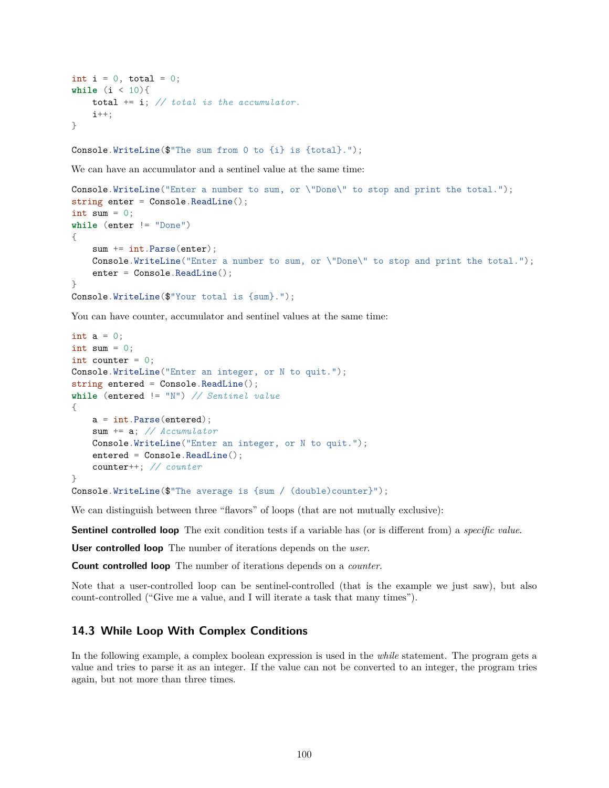```
int i = 0, total = 0;
while (i < 10){
    total += i; // total is the accumulator.
    i++;
}
```
Console.WriteLine(\$"The sum from 0 to {i} is {total}.");

We can have an accumulator and a sentinel value at the same time:

```
Console.WriteLine("Enter a number to sum, or \"Done\" to stop and print the total.");
string enter = Console.ReadLine();
int sum = 0;
while (enter != "Done")
{
   sum += int.Parse(enter);
   Console.WriteLine("Enter a number to sum, or \"Done\" to stop and print the total.");
   enter = Console.ReadLine();
}
Console.WriteLine($"Your total is {sum}.");
```
You can have counter, accumulator and sentinel values at the same time:

```
int a = 0;
int sum = 0;
int counter = 0;
Console.WriteLine("Enter an integer, or N to quit.");
string entered = Console. ReadLine();
while (entered != "N") // Sentinel value
{
    a = int.Parse(entered);
    sum += a; // Accumulator
    Console.WriteLine("Enter an integer, or N to quit.");
    entered = Console.ReadLine();
    counter++; // counter
}
Console.WriteLine(\mathcal{F}"The average is {sum / (double)counter}");
```
We can distinguish between three "flavors" of loops (that are not mutually exclusive):

**Sentinel controlled loop** The exit condition tests if a variable has (or is different from) a *specific value*.

**User controlled loop** The number of iterations depends on the *user*.

**Count controlled loop** The number of iterations depends on a *counter*.

Note that a user-controlled loop can be sentinel-controlled (that is the example we just saw), but also count-controlled ("Give me a value, and I will iterate a task that many times").

# **14.3 While Loop With Complex Conditions**

In the following example, a complex boolean expression is used in the *while* statement. The program gets a value and tries to parse it as an integer. If the value can not be converted to an integer, the program tries again, but not more than three times.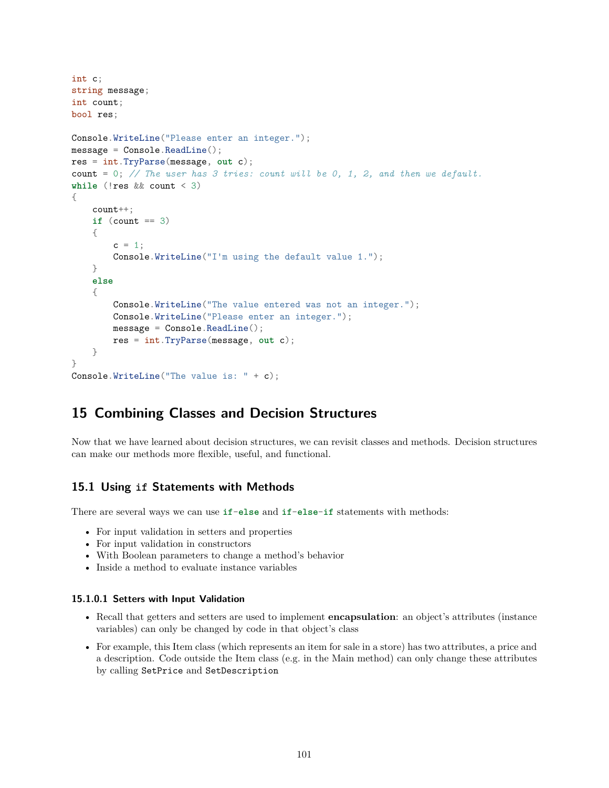```
int c;
string message;
int count;
bool res;
Console.WriteLine("Please enter an integer.");
message = Console.ReadLine();
res = int.TryParse(message, out c);
count = 0; // The user has 3 tries: count will be 0, 1, 2, and then we default.
while (!res && count < 3)
{
   count++;
   if (count == 3)
    {
       c = 1;
       Console.WriteLine("I'm using the default value 1.");
   }
   else
    {
        Console.WriteLine("The value entered was not an integer.");
        Console.WriteLine("Please enter an integer.");
        message = Console.ReadLine();
       res = int.TryParse(message, out c);
   }
}
Console.WriteLine("The value is: " + c);
```
# **15 Combining Classes and Decision Structures**

Now that we have learned about decision structures, we can revisit classes and methods. Decision structures can make our methods more flexible, useful, and functional.

# **15.1 Using if Statements with Methods**

There are several ways we can use **if**-**else** and **if**-**else**-**if** statements with methods:

- For input validation in setters and properties
- For input validation in constructors
- With Boolean parameters to change a method's behavior
- Inside a method to evaluate instance variables

#### **15.1.0.1 Setters with Input Validation**

- Recall that getters and setters are used to implement **encapsulation**: an object's attributes (instance variables) can only be changed by code in that object's class
- For example, this Item class (which represents an item for sale in a store) has two attributes, a price and a description. Code outside the Item class (e.g. in the Main method) can only change these attributes by calling SetPrice and SetDescription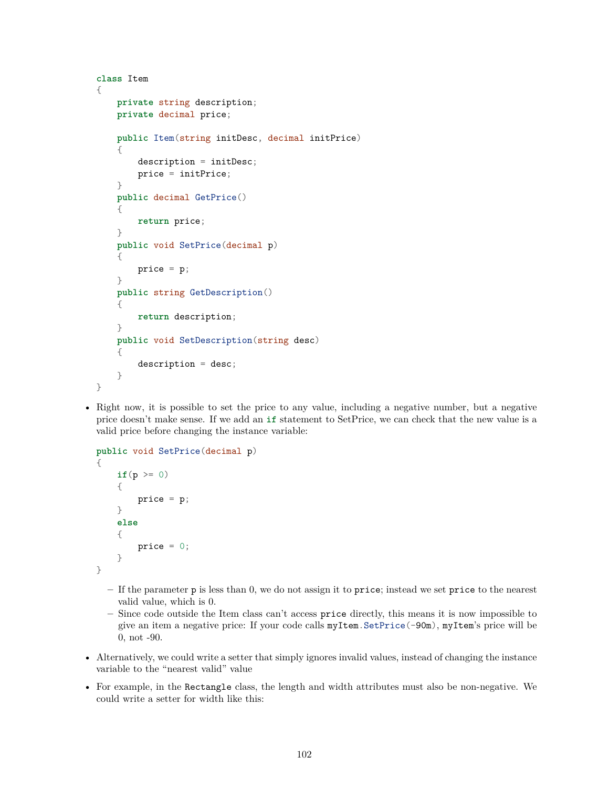```
class Item
{
    private string description;
    private decimal price;
    public Item(string initDesc, decimal initPrice)
    {
        description = initDesc;
        price = initPrice;
    }
    public decimal GetPrice()
    {
        return price;
    }
    public void SetPrice(decimal p)
    {
        price = p;}
    public string GetDescription()
    {
        return description;
    }
    public void SetDescription(string desc)
    {
        description = desc;
    }
}
```
• Right now, it is possible to set the price to any value, including a negative number, but a negative price doesn't make sense. If we add an **if** statement to SetPrice, we can check that the new value is a valid price before changing the instance variable:

```
public void SetPrice(decimal p)
{
    if(p \ge 0)
    {
        price = p;}
    else
    {
        price = 0;}
}
```
- **–** If the parameter p is less than 0, we do not assign it to price; instead we set price to the nearest valid value, which is 0.
- **–** Since code outside the Item class can't access price directly, this means it is now impossible to give an item a negative price: If your code calls myItem.SetPrice(-90m), myItem's price will be 0, not -90.
- Alternatively, we could write a setter that simply ignores invalid values, instead of changing the instance variable to the "nearest valid" value
- For example, in the Rectangle class, the length and width attributes must also be non-negative. We could write a setter for width like this: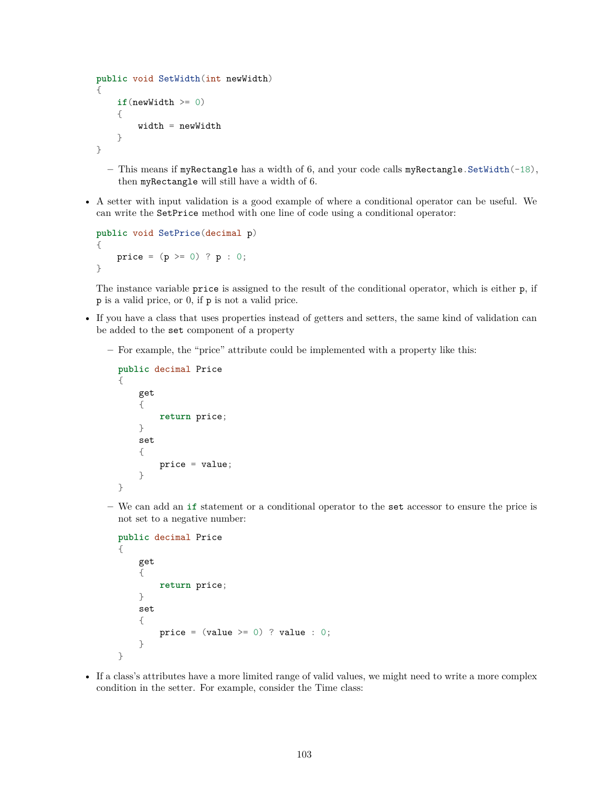```
public void SetWidth(int newWidth)
{
    if(newWidth \geq 0){
        width = newWidth
    }
}
```
- **–** This means if myRectangle has a width of 6, and your code calls myRectangle.SetWidth(-18), then myRectangle will still have a width of 6.
- A setter with input validation is a good example of where a conditional operator can be useful. We can write the SetPrice method with one line of code using a conditional operator:

```
public void SetPrice(decimal p)
{
    price = (p \ge 0) ? p : 0;
}
```
The instance variable price is assigned to the result of the conditional operator, which is either p, if p is a valid price, or 0, if p is not a valid price.

- If you have a class that uses properties instead of getters and setters, the same kind of validation can be added to the set component of a property
	- **–** For example, the "price" attribute could be implemented with a property like this:

```
public decimal Price
{
    get
    {
        return price;
    }
    set
    {
        price = value;
    }
}
```
**–** We can add an **if** statement or a conditional operator to the set accessor to ensure the price is not set to a negative number:

```
public decimal Price
{
    get
    {
        return price;
    }
    set
    {
        price = (value \ge 0) ? value : 0;
    }
}
```
• If a class's attributes have a more limited range of valid values, we might need to write a more complex condition in the setter. For example, consider the Time class: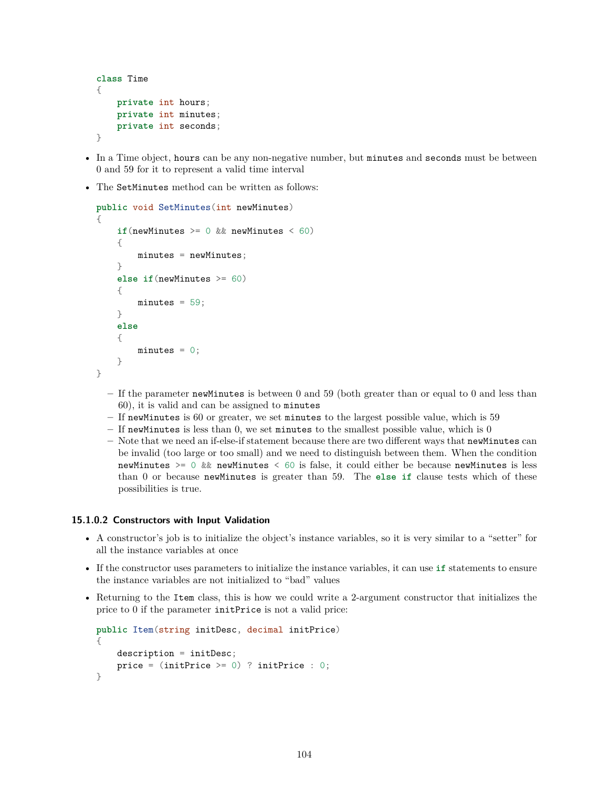```
class Time
{
    private int hours;
    private int minutes;
    private int seconds;
}
```
- In a Time object, hours can be any non-negative number, but minutes and seconds must be between 0 and 59 for it to represent a valid time interval
- The SetMinutes method can be written as follows:

```
public void SetMinutes(int newMinutes)
{
    if(newMinutes >= 0 && newMinutes < 60)
    {
        minutes = newMinutes;
    }
    else if(newMinutes >= 60)
    {
        minutes = 59;
    }
    else
    {
        minutes = 0;
    }
}
```
- **–** If the parameter newMinutes is between 0 and 59 (both greater than or equal to 0 and less than 60), it is valid and can be assigned to minutes
- **–** If newMinutes is 60 or greater, we set minutes to the largest possible value, which is 59
- **–** If newMinutes is less than 0, we set minutes to the smallest possible value, which is 0
- **–** Note that we need an if-else-if statement because there are two different ways that newMinutes can be invalid (too large or too small) and we need to distinguish between them. When the condition newMinutes  $>= 0$  && newMinutes  $\leq 60$  is false, it could either be because newMinutes is less than 0 or because newMinutes is greater than 59. The **else if** clause tests which of these possibilities is true.

## **15.1.0.2 Constructors with Input Validation**

- A constructor's job is to initialize the object's instance variables, so it is very similar to a "setter" for all the instance variables at once
- If the constructor uses parameters to initialize the instance variables, it can use **if** statements to ensure the instance variables are not initialized to "bad" values
- Returning to the Item class, this is how we could write a 2-argument constructor that initializes the price to 0 if the parameter initPrice is not a valid price:

```
public Item(string initDesc, decimal initPrice)
\mathcal{A}description = initDesc;
    price = (initPrice >= 0) ? initPrice : 0;
}
```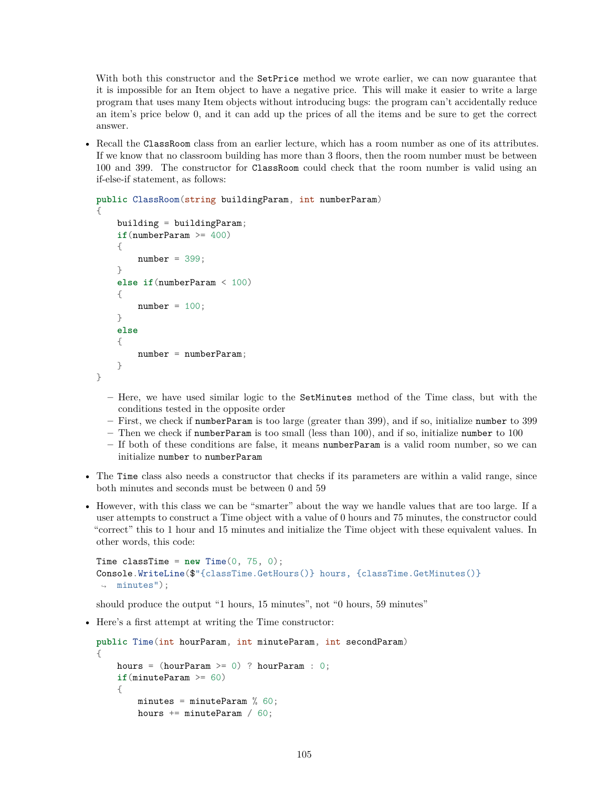With both this constructor and the SetPrice method we wrote earlier, we can now guarantee that it is impossible for an Item object to have a negative price. This will make it easier to write a large program that uses many Item objects without introducing bugs: the program can't accidentally reduce an item's price below 0, and it can add up the prices of all the items and be sure to get the correct answer.

• Recall the ClassRoom class from an earlier lecture, which has a room number as one of its attributes. If we know that no classroom building has more than 3 floors, then the room number must be between 100 and 399. The constructor for ClassRoom could check that the room number is valid using an if-else-if statement, as follows:

```
public ClassRoom(string buildingParam, int numberParam)
{
    building = buildingParam;
    if(numberParam >= 400)
    {
        number = 399;
    }
    else if(numberParam < 100)
    {
        number = 100;}
    else
    {
        number = numberParam;
    }
}
```
- **–** Here, we have used similar logic to the SetMinutes method of the Time class, but with the conditions tested in the opposite order
- **–** First, we check if numberParam is too large (greater than 399), and if so, initialize number to 399 **–** Then we check if numberParam is too small (less than 100), and if so, initialize number to 100
- **–** If both of these conditions are false, it means numberParam is a valid room number, so we can initialize number to numberParam
- The Time class also needs a constructor that checks if its parameters are within a valid range, since both minutes and seconds must be between 0 and 59
- However, with this class we can be "smarter" about the way we handle values that are too large. If a user attempts to construct a Time object with a value of 0 hours and 75 minutes, the constructor could "correct" this to 1 hour and 15 minutes and initialize the Time object with these equivalent values. In other words, this code:

```
Time classTime = new Time(0, 75, 0);Console.WriteLine($"{classTime.GetHours()} hours, {classTime.GetMinutes()}
\rightarrow minutes");
```
should produce the output "1 hours, 15 minutes", not "0 hours, 59 minutes"

• Here's a first attempt at writing the Time constructor:

```
public Time(int hourParam, int minuteParam, int secondParam)
{
   hours = (hourParam \ge 0) ? hourParam : 0;
    if(minuteParam >= 60)
    {
        minutes = minuteParam % 60;hours += minuteParam / 60;
```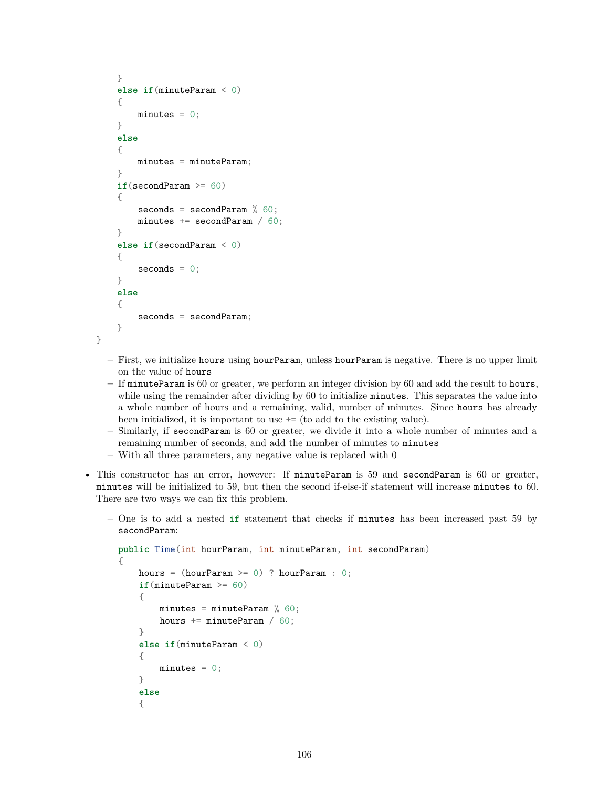```
}
else if(minuteParam < 0)
{
    minutes = 0;
}
else
{
    minutes = minuteParam;
}
if(secondParam >= 60)
{
    seconds = secondParam % 60;minutes += secondParam / 60;
}
else if(secondParam < 0)
{
    seconds = 0;}
else
{
    seconds = secondParam;
}
```
}

- **–** First, we initialize hours using hourParam, unless hourParam is negative. There is no upper limit on the value of hours
- **–** If minuteParam is 60 or greater, we perform an integer division by 60 and add the result to hours, while using the remainder after dividing by 60 to initialize minutes. This separates the value into a whole number of hours and a remaining, valid, number of minutes. Since hours has already been initialized, it is important to use += (to add to the existing value).
- **–** Similarly, if secondParam is 60 or greater, we divide it into a whole number of minutes and a remaining number of seconds, and add the number of minutes to minutes
- **–** With all three parameters, any negative value is replaced with 0
- This constructor has an error, however: If minuteParam is 59 and secondParam is 60 or greater, minutes will be initialized to 59, but then the second if-else-if statement will increase minutes to 60. There are two ways we can fix this problem.
	- **–** One is to add a nested **if** statement that checks if minutes has been increased past 59 by secondParam:

```
public Time(int hourParam, int minuteParam, int secondParam)
{
    hours = (hourParam \ge 0) ? hourParam : 0;
    if(minuteParam >= 60)
    {
        minutes = minuteParam % 60;hours += minuteParam / 60;
    }
    else if(minuteParam < 0)
    {
        minutes = 0;
    }
    else
    {
```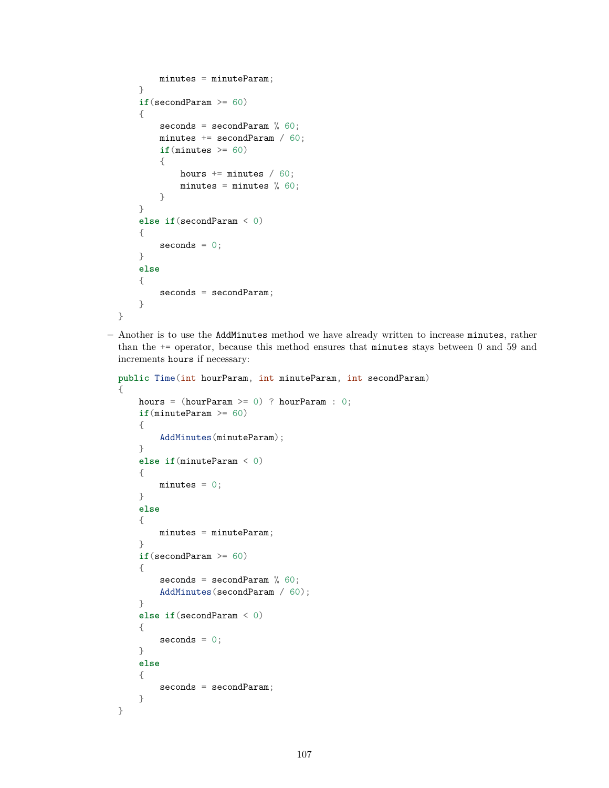```
minutes = minuteParam;
   }
    if(secondParam >= 60)
    {
        seconds = secondParam % 60;minutes += secondParam / 60;
        if(minutes > = 60){
            hours += minutes / 60;
            minutes = minutes % 60;}
   }
    else if(secondParam < 0)
    {
        seconds = 0;}
   else
    {
       seconds = secondParam;
    }
}
```
**–** Another is to use the AddMinutes method we have already written to increase minutes, rather than the  $+=$  operator, because this method ensures that minutes stays between 0 and 59 and increments hours if necessary:

```
public Time(int hourParam, int minuteParam, int secondParam)
{
   hours = (hourParam \ge 0) ? hourParam : 0;
    if(minuteParam >= 60)
    {
        AddMinutes(minuteParam);
   }
    else if(minuteParam < 0)
    {
       minutes = 0;}
   else
    {
       minutes = minuteParam;
   }
    if(secondParam >= 60)
    {
        seconds = secondParam % 60;AddMinutes(secondParam / 60);
    }
    else if(secondParam < 0)
    {
        seconds = 0;}
   else
    {
        seconds = secondParam;
    }
```
}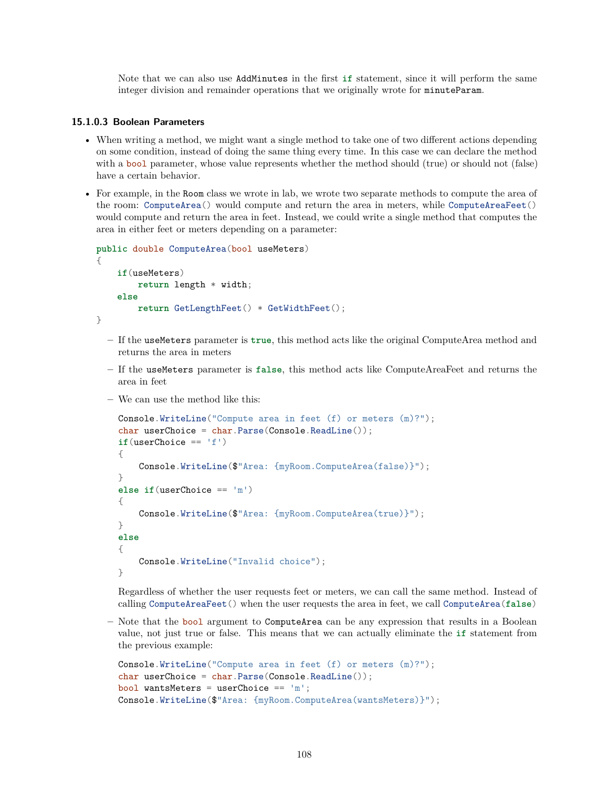Note that we can also use AddMinutes in the first **if** statement, since it will perform the same integer division and remainder operations that we originally wrote for minuteParam.

## **15.1.0.3 Boolean Parameters**

- When writing a method, we might want a single method to take one of two different actions depending on some condition, instead of doing the same thing every time. In this case we can declare the method with a bool parameter, whose value represents whether the method should (true) or should not (false) have a certain behavior.
- For example, in the Room class we wrote in lab, we wrote two separate methods to compute the area of the room: ComputeArea() would compute and return the area in meters, while ComputeAreaFeet() would compute and return the area in feet. Instead, we could write a single method that computes the area in either feet or meters depending on a parameter:

```
public double ComputeArea(bool useMeters)
{
    if(useMeters)
        return length * width;
    else
        return GetLengthFeet() * GetWidthFeet();
}
```
- **–** If the useMeters parameter is **true**, this method acts like the original ComputeArea method and returns the area in meters
- **–** If the useMeters parameter is **false**, this method acts like ComputeAreaFeet and returns the area in feet
- **–** We can use the method like this:

```
Console.WriteLine("Compute area in feet (f) or meters (m)?");
char userChoice = char. Parse(Console. ReadLine());
if(userChoice == 'f'){
    Console.WriteLine($"Area: {myRoom.ComputeArea(false)}");
}
else if(userChoice == 'm')
{
    Console.WriteLine($"Area: {myRoom.ComputeArea(true)}");
}
else
{
    Console.WriteLine("Invalid choice");
}
```
Regardless of whether the user requests feet or meters, we can call the same method. Instead of calling ComputeAreaFeet() when the user requests the area in feet, we call ComputeArea(**false**)

**–** Note that the bool argument to ComputeArea can be any expression that results in a Boolean value, not just true or false. This means that we can actually eliminate the **if** statement from the previous example:

```
Console.WriteLine("Compute area in feet (f) or meters (m)?");
char userChoice = char. Parse(Console. ReadLine());
bool wantsMeters = userChoice == 'm';
Console.WriteLine($"Area: {myRoom.ComputeArea(wantsMeters)}");
```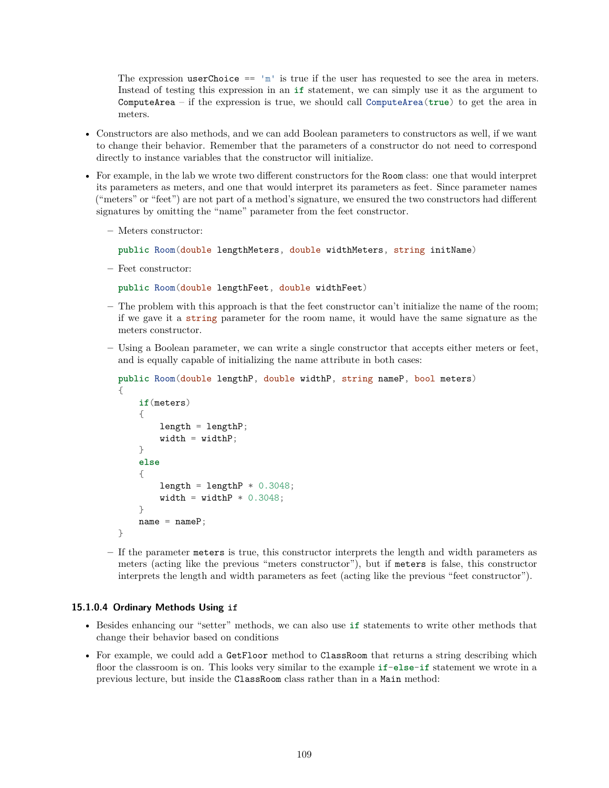The expression userChoice  $== 'm'$  is true if the user has requested to see the area in meters. Instead of testing this expression in an **if** statement, we can simply use it as the argument to ComputeArea – if the expression is true, we should call ComputeArea(**true**) to get the area in meters.

- Constructors are also methods, and we can add Boolean parameters to constructors as well, if we want to change their behavior. Remember that the parameters of a constructor do not need to correspond directly to instance variables that the constructor will initialize.
- For example, in the lab we wrote two different constructors for the Room class: one that would interpret its parameters as meters, and one that would interpret its parameters as feet. Since parameter names ("meters" or "feet") are not part of a method's signature, we ensured the two constructors had different signatures by omitting the "name" parameter from the feet constructor.
	- **–** Meters constructor:

**public** Room(double lengthMeters, double widthMeters, string initName)

**–** Feet constructor:

**public** Room(double lengthFeet, double widthFeet)

- **–** The problem with this approach is that the feet constructor can't initialize the name of the room; if we gave it a string parameter for the room name, it would have the same signature as the meters constructor.
- **–** Using a Boolean parameter, we can write a single constructor that accepts either meters or feet, and is equally capable of initializing the name attribute in both cases:

```
public Room(double lengthP, double widthP, string nameP, bool meters)
{
    if(meters)
    {
        length = lengthP;
        width = widthP;}
    else
    {
        length = lengthP * 0.3048;width = widthP * 0.3048;
    }
    name = nameP;}
```
**–** If the parameter meters is true, this constructor interprets the length and width parameters as meters (acting like the previous "meters constructor"), but if meters is false, this constructor interprets the length and width parameters as feet (acting like the previous "feet constructor").

### **15.1.0.4 Ordinary Methods Using if**

- Besides enhancing our "setter" methods, we can also use **if** statements to write other methods that change their behavior based on conditions
- For example, we could add a GetFloor method to ClassRoom that returns a string describing which floor the classroom is on. This looks very similar to the example **if**-**else**-**if** statement we wrote in a previous lecture, but inside the ClassRoom class rather than in a Main method: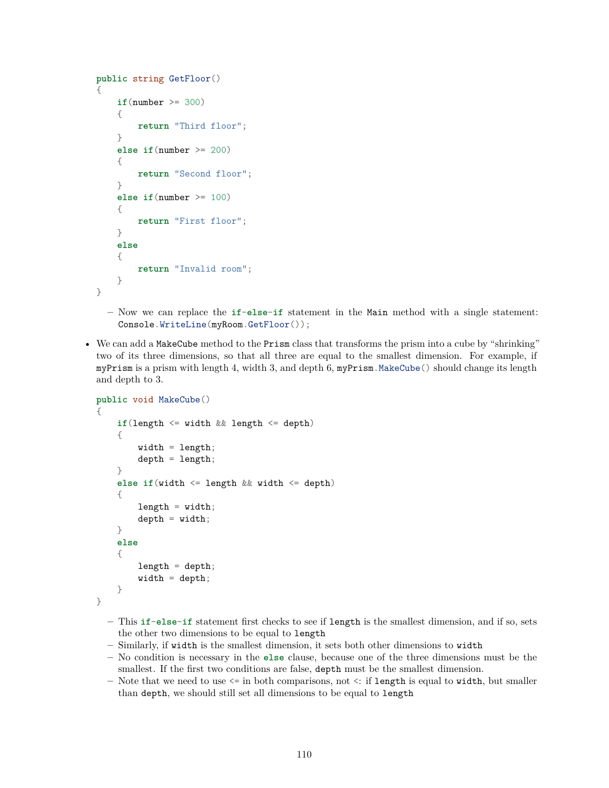```
public string GetFloor()
{
    if(number >= 300)
    {
        return "Third floor";
    }
    else if(number >= 200)
    {
        return "Second floor";
    }
    else if(number >= 100)
    {
        return "First floor";
    }
    else
    {
        return "Invalid room";
    }
}
```
- **–** Now we can replace the **if**-**else**-**if** statement in the Main method with a single statement: Console.WriteLine(myRoom.GetFloor());
- We can add a MakeCube method to the Prism class that transforms the prism into a cube by "shrinking" two of its three dimensions, so that all three are equal to the smallest dimension. For example, if myPrism is a prism with length 4, width 3, and depth 6, myPrism.MakeCube() should change its length and depth to 3.

```
public void MakeCube()
{
    if(length <= width && length <= depth)
    {
        width = length;depth = length;}
    else if(width <= length && width <= depth)
    {
        length = width;depth = width;}
    else
    {
        length = depth;width = depth;}
}
```
- **–** This **if**-**else**-**if** statement first checks to see if length is the smallest dimension, and if so, sets the other two dimensions to be equal to length
- **–** Similarly, if width is the smallest dimension, it sets both other dimensions to width
- **–** No condition is necessary in the **else** clause, because one of the three dimensions must be the smallest. If the first two conditions are false, depth must be the smallest dimension.
- **–** Note that we need to use <= in both comparisons, not <: if length is equal to width, but smaller than depth, we should still set all dimensions to be equal to length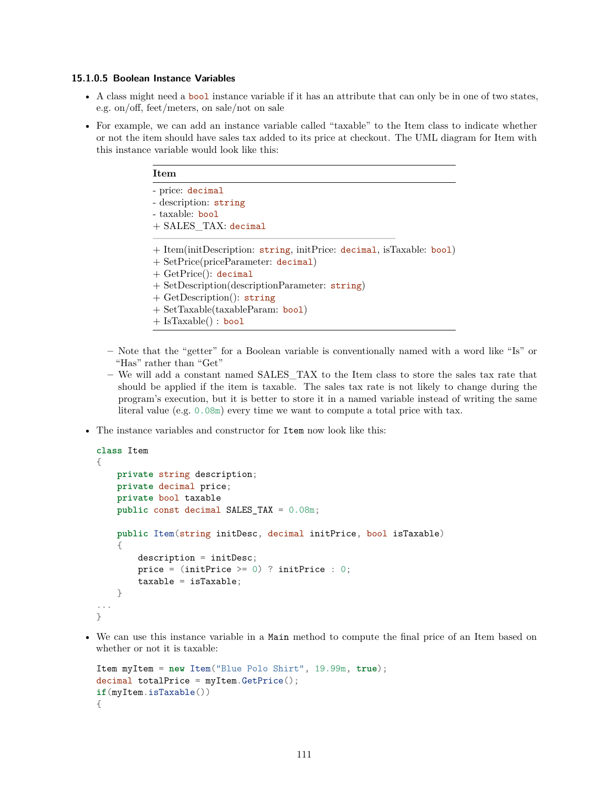### **15.1.0.5 Boolean Instance Variables**

- A class might need a bool instance variable if it has an attribute that can only be in one of two states, e.g. on/off, feet/meters, on sale/not on sale
- For example, we can add an instance variable called "taxable" to the Item class to indicate whether or not the item should have sales tax added to its price at checkout. The UML diagram for Item with this instance variable would look like this:

| Item                                                                                                                                                                                                                                                                                          |  |
|-----------------------------------------------------------------------------------------------------------------------------------------------------------------------------------------------------------------------------------------------------------------------------------------------|--|
| - price: decimal                                                                                                                                                                                                                                                                              |  |
| - description: string                                                                                                                                                                                                                                                                         |  |
| - taxable: bool                                                                                                                                                                                                                                                                               |  |
| $+$ SALES TAX: decimal                                                                                                                                                                                                                                                                        |  |
| + Item(initDescription: string, initPrice: decimal, isTaxable: bool)<br>$+$ SetPrice(priceParameter: decimal)<br>$+$ GetPrice(): decimal<br>$+$ SetDescription(descriptionParameter: string)<br>$+$ GetDescription(): string<br>$+ Set Taxable(taxableParam: bool)$<br>$+$ IsTaxable() : bool |  |

- **–** Note that the "getter" for a Boolean variable is conventionally named with a word like "Is" or "Has" rather than "Get"
- **–** We will add a constant named SALES\_TAX to the Item class to store the sales tax rate that should be applied if the item is taxable. The sales tax rate is not likely to change during the program's execution, but it is better to store it in a named variable instead of writing the same literal value (e.g. 0.08m) every time we want to compute a total price with tax.
- The instance variables and constructor for Item now look like this:

```
class Item
{
   private string description;
   private decimal price;
    private bool taxable
   public const decimal SALES_TAX = 0.08m;
   public Item(string initDesc, decimal initPrice, bool isTaxable)
    {
        description = initDesc;
        price = (intPrice > = 0) ? initPrice : 0;
        taxable = isTaxable;
    }
...
}
```
• We can use this instance variable in a Main method to compute the final price of an Item based on whether or not it is taxable:

```
Item myItem = new Item("Blue Polo Shirt", 19.99m, true);
decimal totallPrice = myItem.GetPrice();if(myItem.isTaxable())
{
```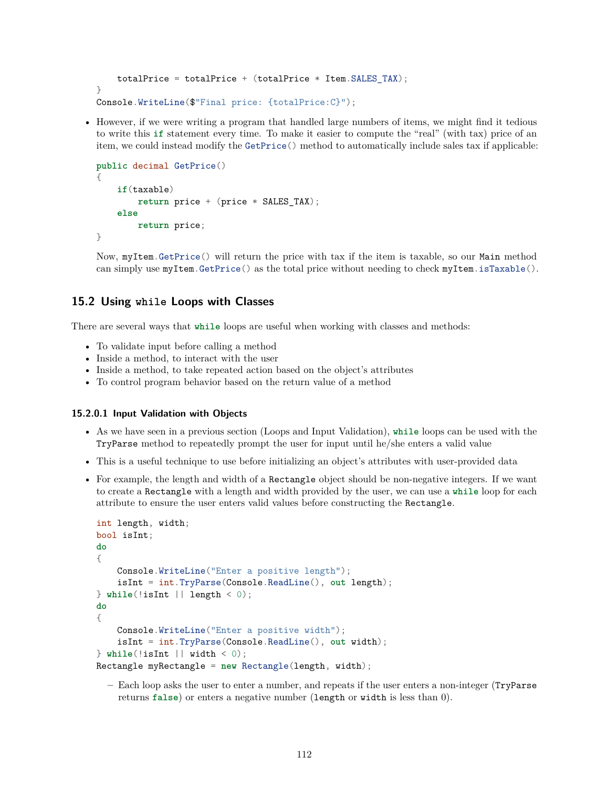```
totalPrice = totalPrice + (totallPrice * Item.SALES TAX);
}
Console.WriteLine($"Final price: {totalPrice:C}");
```
• However, if we were writing a program that handled large numbers of items, we might find it tedious to write this **if** statement every time. To make it easier to compute the "real" (with tax) price of an item, we could instead modify the GetPrice() method to automatically include sales tax if applicable:

```
public decimal GetPrice()
{
    if(taxable)
        return price + (price * SALES_TAX);
    else
        return price;
}
```
Now, myItem.GetPrice() will return the price with tax if the item is taxable, so our Main method can simply use myItem.GetPrice() as the total price without needing to check myItem.isTaxable().

# **15.2 Using while Loops with Classes**

There are several ways that **while** loops are useful when working with classes and methods:

- To validate input before calling a method
- Inside a method, to interact with the user
- Inside a method, to take repeated action based on the object's attributes
- To control program behavior based on the return value of a method

### **15.2.0.1 Input Validation with Objects**

- As we have seen in a previous section (Loops and Input Validation), **while** loops can be used with the TryParse method to repeatedly prompt the user for input until he/she enters a valid value
- This is a useful technique to use before initializing an object's attributes with user-provided data
- For example, the length and width of a Rectangle object should be non-negative integers. If we want to create a Rectangle with a length and width provided by the user, we can use a **while** loop for each attribute to ensure the user enters valid values before constructing the Rectangle.

```
int length, width;
bool isInt;
do
{
   Console.WriteLine("Enter a positive length");
    isInt = int.TryParse(Console.ReadLine(), out length);
} while(!isInt || length < 0);
do
{
    Console.WriteLine("Enter a positive width");
    isInt = int.TryParse(Console.ReadLine(), out width);
} while(!isInt || width < 0);
Rectangle myRectangle = new Rectangle(length, width);
```
**–** Each loop asks the user to enter a number, and repeats if the user enters a non-integer (TryParse returns **false**) or enters a negative number (length or width is less than 0).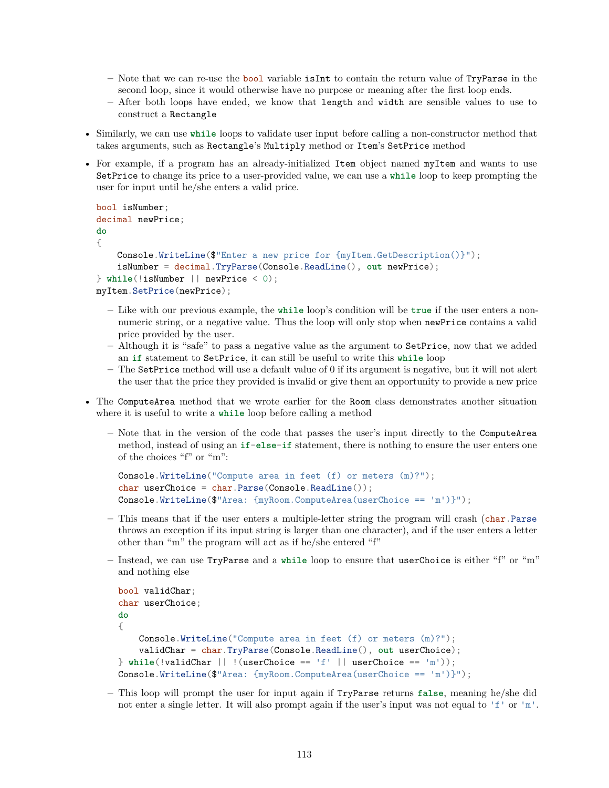- **–** Note that we can re-use the bool variable isInt to contain the return value of TryParse in the second loop, since it would otherwise have no purpose or meaning after the first loop ends.
- **–** After both loops have ended, we know that length and width are sensible values to use to construct a Rectangle
- Similarly, we can use **while** loops to validate user input before calling a non-constructor method that takes arguments, such as Rectangle's Multiply method or Item's SetPrice method
- For example, if a program has an already-initialized Item object named myItem and wants to use SetPrice to change its price to a user-provided value, we can use a **while** loop to keep prompting the user for input until he/she enters a valid price.

```
bool isNumber;
decimal newPrice;
do
{
    Console.WriteLine($"Enter a new price for {myItem.GetDescription()}");
    isNumber = decimal.TryParse(Console.ReadLine(), out newPrice);
} while(!isNumber || newPrice < 0);
myItem.SetPrice(newPrice);
```
- **–** Like with our previous example, the **while** loop's condition will be **true** if the user enters a nonnumeric string, or a negative value. Thus the loop will only stop when newPrice contains a valid price provided by the user.
- **–** Although it is "safe" to pass a negative value as the argument to SetPrice, now that we added an **if** statement to SetPrice, it can still be useful to write this **while** loop
- **–** The SetPrice method will use a default value of 0 if its argument is negative, but it will not alert the user that the price they provided is invalid or give them an opportunity to provide a new price
- The ComputeArea method that we wrote earlier for the Room class demonstrates another situation where it is useful to write a **while** loop before calling a method
	- **–** Note that in the version of the code that passes the user's input directly to the ComputeArea method, instead of using an **if**-**else**-**if** statement, there is nothing to ensure the user enters one of the choices "f" or "m":

```
Console.WriteLine("Compute area in feet (f) or meters (m)?");
char userChoice = char.Parse(Console.ReadLine());
Console.WriteLine(\mathcal{F}^{\text{M}}rea: \{myRoom. ComputeArea(userChoice == 'm')\}");
```
- **–** This means that if the user enters a multiple-letter string the program will crash (char.Parse throws an exception if its input string is larger than one character), and if the user enters a letter other than "m" the program will act as if he/she entered "f"
- **–** Instead, we can use TryParse and a **while** loop to ensure that userChoice is either "f" or "m" and nothing else

```
bool validChar;
char userChoice;
do
{
    Console.WriteLine("Compute area in feet (f) or meters (m)?");
    validChar = char.TryParse(Console.ReadLine(), out userChoice);
} while(!validChar || !(userChoice == 'f' || userChoice == 'm'));
Console.WriteLine(\mathcal{F}^nArea: \{myRoom. ComputeArea(userChoice == 'm')\}");
```
**–** This loop will prompt the user for input again if TryParse returns **false**, meaning he/she did not enter a single letter. It will also prompt again if the user's input was not equal to 'f' or 'm'.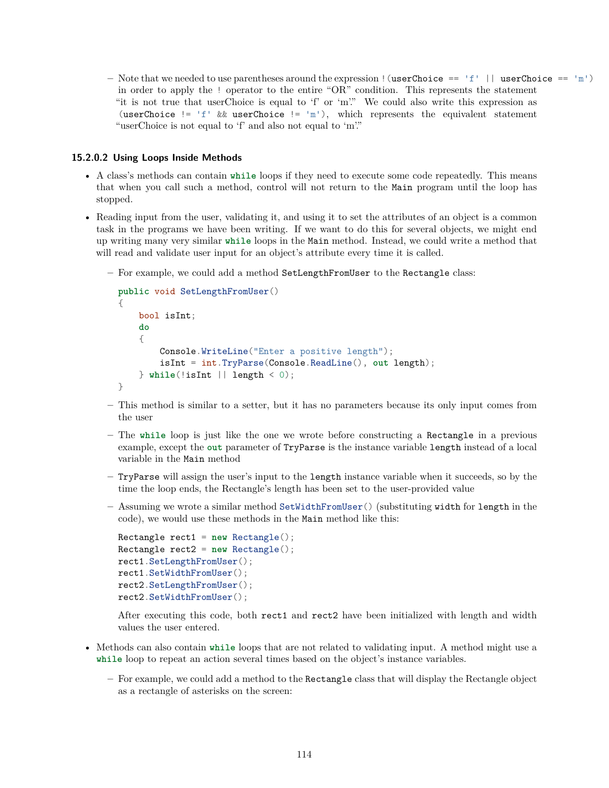$-$  Note that we needed to use parentheses around the expression  $|$  (userChoice  $=$  'f'  $|$  userChoice  $=$  'm') in order to apply the ! operator to the entire "OR" condition. This represents the statement "it is not true that userChoice is equal to 'f' or 'm'." We could also write this expression as (userChoice != 'f' && userChoice != 'm'), which represents the equivalent statement "userChoice is not equal to 'f' and also not equal to 'm'."

### **15.2.0.2 Using Loops Inside Methods**

- A class's methods can contain **while** loops if they need to execute some code repeatedly. This means that when you call such a method, control will not return to the Main program until the loop has stopped.
- Reading input from the user, validating it, and using it to set the attributes of an object is a common task in the programs we have been writing. If we want to do this for several objects, we might end up writing many very similar **while** loops in the Main method. Instead, we could write a method that will read and validate user input for an object's attribute every time it is called.
	- **–** For example, we could add a method SetLengthFromUser to the Rectangle class:

```
public void SetLengthFromUser()
{
   bool isInt;
    do
    {
        Console.WriteLine("Enter a positive length");
        isInt = int.TryParse(Console.ReadLine(), out length);
    } while(!isInt || length < 0);
}
```
- **–** This method is similar to a setter, but it has no parameters because its only input comes from the user
- **–** The **while** loop is just like the one we wrote before constructing a Rectangle in a previous example, except the **out** parameter of TryParse is the instance variable length instead of a local variable in the Main method
- **–** TryParse will assign the user's input to the length instance variable when it succeeds, so by the time the loop ends, the Rectangle's length has been set to the user-provided value
- **–** Assuming we wrote a similar method SetWidthFromUser() (substituting width for length in the code), we would use these methods in the Main method like this:

```
Rectangle rect1 = new Rectangle();
Rectangle rect2 = new Rectangle();
rect1.SetLengthFromUser();
rect1.SetWidthFromUser();
rect2.SetLengthFromUser();
rect2.SetWidthFromUser();
```
After executing this code, both rect1 and rect2 have been initialized with length and width values the user entered.

- Methods can also contain **while** loops that are not related to validating input. A method might use a **while** loop to repeat an action several times based on the object's instance variables.
	- **–** For example, we could add a method to the Rectangle class that will display the Rectangle object as a rectangle of asterisks on the screen: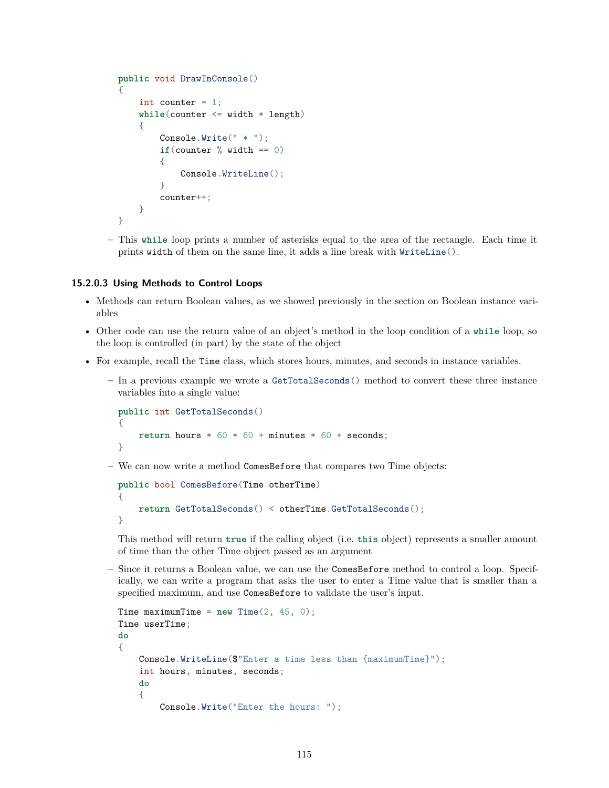```
public void DrawInConsole()
{
    int counter = 1;
    while(counter <= width * length)
    {
        Console.Write(" * ");
        if(counter % width == 0)
        {
            Console.WriteLine();
        }
        counter++;
    }
}
```
**–** This **while** loop prints a number of asterisks equal to the area of the rectangle. Each time it prints width of them on the same line, it adds a line break with WriteLine().

### **15.2.0.3 Using Methods to Control Loops**

- Methods can return Boolean values, as we showed previously in the section on Boolean instance variables
- Other code can use the return value of an object's method in the loop condition of a **while** loop, so the loop is controlled (in part) by the state of the object
- For example, recall the Time class, which stores hours, minutes, and seconds in instance variables.
	- **–** In a previous example we wrote a GetTotalSeconds() method to convert these three instance variables into a single value:

```
public int GetTotalSeconds()
{
    return hours * 60 * 60 + minutes * 60 + seconds;
}
```
**–** We can now write a method ComesBefore that compares two Time objects:

```
public bool ComesBefore(Time otherTime)
{
    return GetTotalSeconds() < otherTime.GetTotalSeconds();
}
```
This method will return **true** if the calling object (i.e. **this** object) represents a smaller amount of time than the other Time object passed as an argument

**–** Since it returns a Boolean value, we can use the ComesBefore method to control a loop. Specifically, we can write a program that asks the user to enter a Time value that is smaller than a specified maximum, and use ComesBefore to validate the user's input.

```
Time maximumTime = new Time(2, 45, 0);Time userTime;
do
{
   Console.WriteLine($"Enter a time less than {maximumTime}");
   int hours, minutes, seconds;
   do
   {
        Console.Write("Enter the hours: ");
```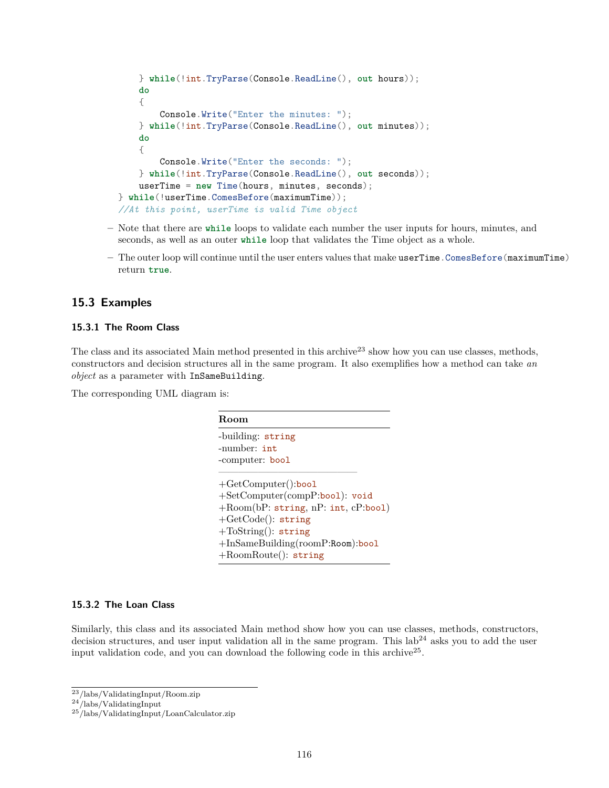```
} while(!int.TryParse(Console.ReadLine(), out hours));
   do
   {
        Console.Write("Enter the minutes: ");
   } while(!int.TryParse(Console.ReadLine(), out minutes));
   do
   {
        Console.Write("Enter the seconds: ");
   } while(!int.TryParse(Console.ReadLine(), out seconds));
   userTime = new Time(hours, minutes, seconds);
} while(!userTime.ComesBefore(maximumTime));
//At this point, userTime is valid Time object
```
- **–** Note that there are **while** loops to validate each number the user inputs for hours, minutes, and seconds, as well as an outer **while** loop that validates the Time object as a whole.
- **–** The outer loop will continue until the user enters values that make userTime.ComesBefore(maximumTime) return **true**.

# **15.3 Examples**

## **15.3.1 The Room Class**

The class and its associated Main method presented in this archive<sup>[23](#page-115-0)</sup> show how you can use classes, methods, constructors and decision structures all in the same program. It also exemplifies how a method can take *an object* as a parameter with InSameBuilding.

The corresponding UML diagram is:

| Room                                |
|-------------------------------------|
| -building: string                   |
| $-$ number: $int$                   |
| -computer: bool                     |
| $+GetComputer():\text{bool}$        |
| +SetComputer(compP:bool): void      |
| +Room(bP: string, nP: int, cP:bool) |
| $+GetCode()$ : string               |
| $+T0String():$ string               |
| +InSameBuilding(roomP:Room):bool    |
| $+$ RoomRoute(): string             |

## **15.3.2 The Loan Class**

Similarly, this class and its associated Main method show how you can use classes, methods, constructors, decision structures, and user input validation all in the same program. This  $\text{lab}^{24}$  $\text{lab}^{24}$  $\text{lab}^{24}$  asks you to add the user input validation code, and you can download the following code in this archive<sup>[25](#page-115-2)</sup>.

<span id="page-115-0"></span><sup>23</sup></labs/ValidatingInput/Room.zip>

<span id="page-115-1"></span> $^{24} / \mathrm{labels} / \mathrm{ValidatingInput}$ 

<span id="page-115-2"></span><sup>25</sup></labs/ValidatingInput/LoanCalculator.zip>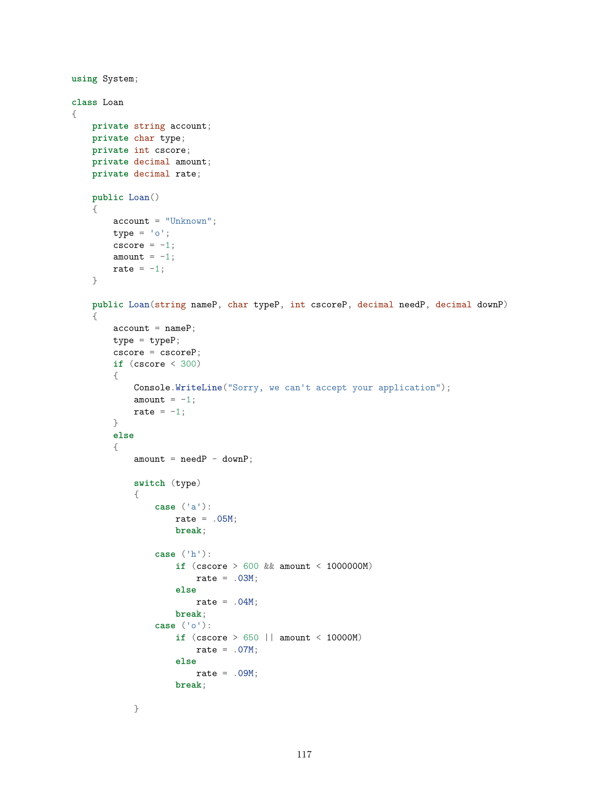```
using System;
class Loan
{
    private string account;
    private char type;
    private int cscore;
    private decimal amount;
    private decimal rate;
    public Loan()
    {
        account = "Unknown";type = 'o';cscore = -1;
        amount = -1;
        rate = -1;
    }
    public Loan(string nameP, char typeP, int cscoreP, decimal needP, decimal downP)
    {
        \text{account} = \text{nameP};type = typeP;cscore = cscoreP;
        if (cscore < 300)
        {
            Console.WriteLine("Sorry, we can't accept your application");
            amount = -1;
            rate = -1;
        }
        else
        {
            amount = needP - downP;switch (type)
            {
                case ('a'):
                    rate = .05M;
                    break;
                case ('h'):
                    if (cscore > 600 && amount < 1000000M)
                        rate = .03M;else
                        rate = .04M;
                    break;
                case ('o'):
                    if (cscore > 650 || amount < 10000M)
                        rate = .07M;
                    else
                        rate = .09M;
                    break;
            }
```

```
117
```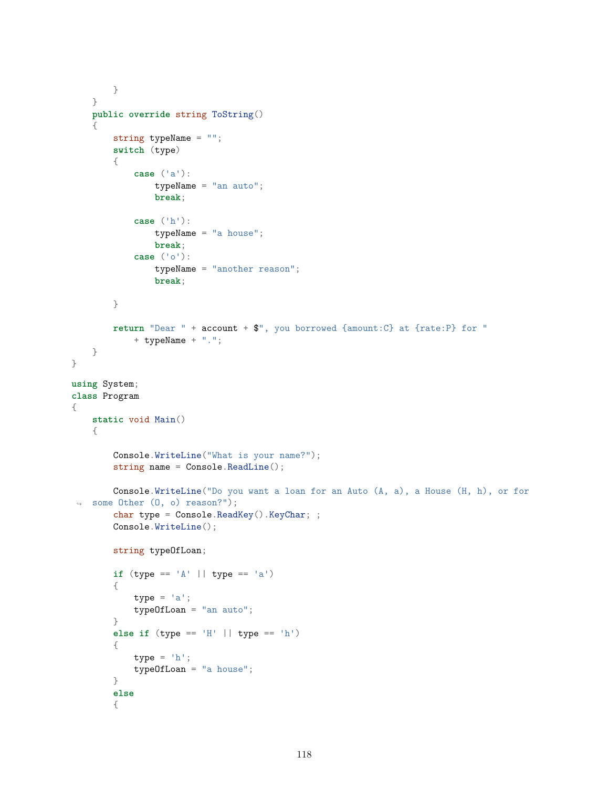```
}
    }
    public override string ToString()
    {
        string typeName = "";
        switch (type)
        {
            case ('a'):
                typeName = "an auto";
                break;
            case ('h'):
                typeName = "a house";
                break;
            case ('o'):
                typeName = "another reason";
                break;
        }
        return "Dear " + account + $", you borrowed {amount:C} at {rate:P} for "
            + typeName + ".";
    }
}
using System;
class Program
{
    static void Main()
    {
        Console.WriteLine("What is your name?");
        string name = Console. ReadLine();
        Console.WriteLine("Do you want a loan for an Auto (A, a), a House (H, h), or for
 ↪ some Other (O, o) reason?");
        char type = Console.ReadKey().KeyChar; ;
        Console.WriteLine();
        string typeOfLoan;
        if (type == 'A' || type == 'a')
        {
            type = 'a';
            typeOfLoan = "an auto";
        }
        else if (type == 'H' || type == 'h')
        {
            type = 'h';
            typeOfLoan = "a house";
        }
        else
        {
```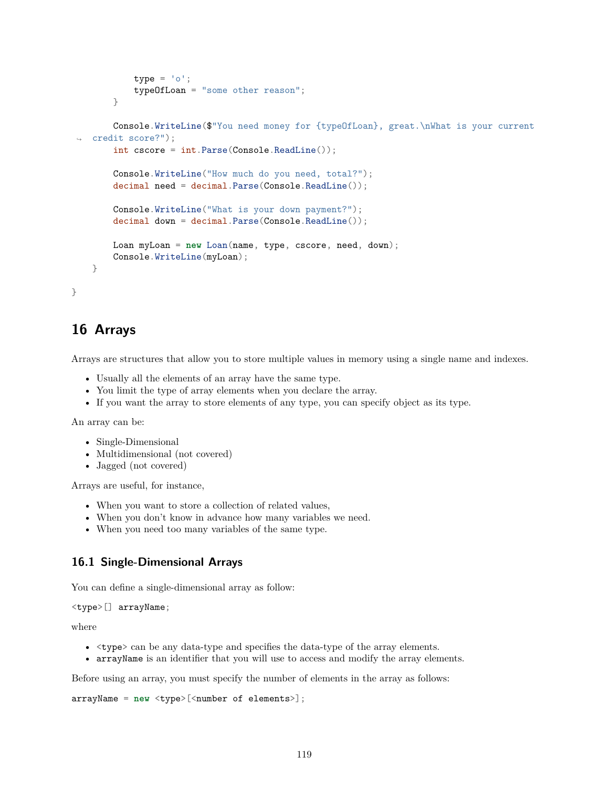```
type = ' \circ';
            typeOfLoan = "some other reason";
        }
        Console.WriteLine($"You need money for {typeOfLoan}, great.\nWhat is your current
 ↪ credit score?");
        int cscore = int.Parse(Console.ReadLine());
        Console.WriteLine("How much do you need, total?");
        decimal need = decimal.Parse(Console.ReadLine());
        Console.WriteLine("What is your down payment?");
        decimal down = decimal.Parse(Console.ReadLine());
       Loan myLoan = new Loan(name, type, cscore, need, down);
        Console.WriteLine(myLoan);
   }
}
```
# **16 Arrays**

Arrays are structures that allow you to store multiple values in memory using a single name and indexes.

- Usually all the elements of an array have the same type.
- You limit the type of array elements when you declare the array.
- If you want the array to store elements of any type, you can specify object as its type.

An array can be:

- Single-Dimensional
- Multidimensional (not covered)
- Jagged (not covered)

Arrays are useful, for instance,

- When you want to store a collection of related values,
- When you don't know in advance how many variables we need.
- When you need too many variables of the same type.

## **16.1 Single-Dimensional Arrays**

You can define a single-dimensional array as follow:

```
<type>[] arrayName;
```
where

- <type> can be any data-type and specifies the data-type of the array elements.
- arrayName is an identifier that you will use to access and modify the array elements.

Before using an array, you must specify the number of elements in the array as follows:

```
arrayName = new <type>[<number of elements>];
```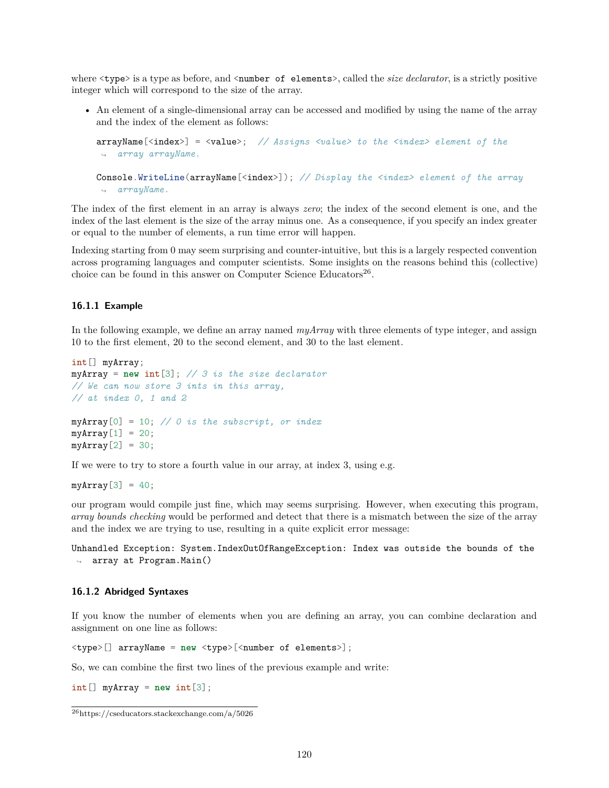where  $\langle \text{type} \rangle$  is a type as before, and  $\langle \text{number of elements} \rangle$ , called the *size declarator*, is a strictly positive integer which will correspond to the size of the array.

• An element of a single-dimensional array can be accessed and modified by using the name of the array and the index of the element as follows:

```
arrayName[<index>] = <value>; // Assigns <value> to the <index> element of the
↪ array arrayName.
Console.WriteLine(arrayName[<index>]); // Display the <index> element of the array
↪ arrayName.
```
The index of the first element in an array is always *zero*; the index of the second element is one, and the index of the last element is the size of the array minus one. As a consequence, if you specify an index greater or equal to the number of elements, a run time error will happen.

Indexing starting from 0 may seem surprising and counter-intuitive, but this is a largely respected convention across programing languages and computer scientists. Some insights on the reasons behind this (collective) choice can be found in this answer on Computer Science Educators<sup>[26](#page-119-0)</sup>.

### **16.1.1 Example**

In the following example, we define an array named *myArray* with three elements of type integer, and assign 10 to the first element, 20 to the second element, and 30 to the last element.

```
int[] myArray;
myArray = new int[3]; // 3 is the size declarator
// We can now store 3 ints in this array,
// at index 0, 1 and 2
myArray[0] = 10; // 0 is the subscript, or index
myArray[1] = 20;myArray[2] = 30;
```
If we were to try to store a fourth value in our array, at index 3, using e.g.

```
myArray[3] = 40;
```
our program would compile just fine, which may seems surprising. However, when executing this program, *array bounds checking* would be performed and detect that there is a mismatch between the size of the array and the index we are trying to use, resulting in a quite explicit error message:

Unhandled Exception: System.IndexOutOfRangeException: Index was outside the bounds of the ↪ array at Program.Main()

### **16.1.2 Abridged Syntaxes**

If you know the number of elements when you are defining an array, you can combine declaration and assignment on one line as follows:

<type>[] arrayName = **new** <type>[<number of elements>];

So, we can combine the first two lines of the previous example and write:

 $int[]$  myArray = new int $[3]$ ;

<span id="page-119-0"></span><sup>26</sup><https://cseducators.stackexchange.com/a/5026>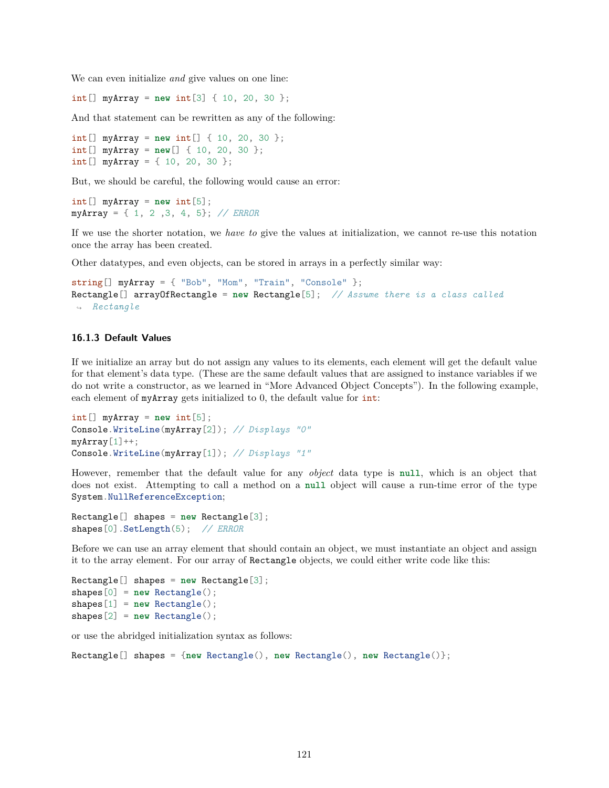We can even initialize *and* give values on one line:

int[] myArray = **new** int[3] { 10, 20, 30 };

And that statement can be rewritten as any of the following:

int[] myArray = **new** int[] { 10, 20, 30 }; int[] myArray = **new**[] { 10, 20, 30 }; int[] myArray = { 10, 20, 30 };

But, we should be careful, the following would cause an error:

int[] myArray = **new** int[5]; myArray = { 1, 2 ,3, 4, 5}; *// ERROR*

If we use the shorter notation, we *have to* give the values at initialization, we cannot re-use this notation once the array has been created.

Other datatypes, and even objects, can be stored in arrays in a perfectly similar way:

```
string[] myArray = { "Bob", "Mom", "Train", "Console" };Rectangle[] arrayOfRectangle = new Rectangle[5]; // Assume there is a class called
↪ Rectangle
```
#### **16.1.3 Default Values**

If we initialize an array but do not assign any values to its elements, each element will get the default value for that element's data type. (These are the same default values that are assigned to instance variables if we do not write a constructor, as we learned in "More Advanced Object Concepts"). In the following example, each element of myArray gets initialized to 0, the default value for int:

```
int[] myArray = new int[5];
Console.WriteLine(myArray[2]); // Displays "0"
myArray[1]++;Console.WriteLine(myArray[1]); // Displays "1"
```
However, remember that the default value for any *object* data type is **null**, which is an object that does not exist. Attempting to call a method on a **null** object will cause a run-time error of the type System.NullReferenceException;

```
Rectangle[] shapes = new Rectangle[3];
shapes[0].SetLength(5); // ERROR
```
Before we can use an array element that should contain an object, we must instantiate an object and assign it to the array element. For our array of Rectangle objects, we could either write code like this:

```
Rectangle[] shapes = new Rectangle[3];
shapes[0] = new Rectangle();
shapes[1] = new Rectangle();
shapes[2] = new Rectangle();
```
or use the abridged initialization syntax as follows:

```
Rectangle[] shapes = {new Rectangle(), new Rectangle(), new Rectangle()};
```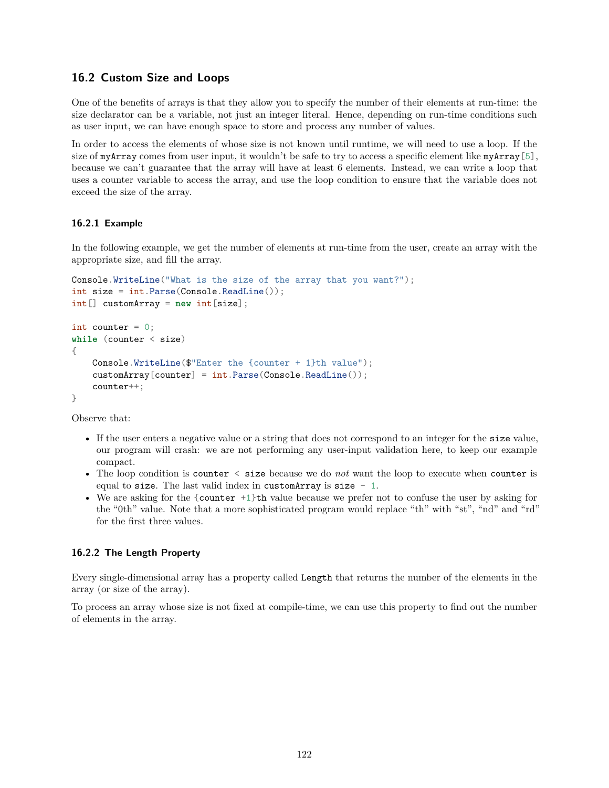# **16.2 Custom Size and Loops**

One of the benefits of arrays is that they allow you to specify the number of their elements at run-time: the size declarator can be a variable, not just an integer literal. Hence, depending on run-time conditions such as user input, we can have enough space to store and process any number of values.

In order to access the elements of whose size is not known until runtime, we will need to use a loop. If the size of myArray comes from user input, it wouldn't be safe to try to access a specific element like myArray [5], because we can't guarantee that the array will have at least 6 elements. Instead, we can write a loop that uses a counter variable to access the array, and use the loop condition to ensure that the variable does not exceed the size of the array.

## **16.2.1 Example**

In the following example, we get the number of elements at run-time from the user, create an array with the appropriate size, and fill the array.

```
Console.WriteLine("What is the size of the array that you want?");
int size = int.Parse(Console.ReadLine());
int[] customArray = new int[size];
int counter = 0;
while (counter < size)
{
   Console.WriteLine($"Enter the {counter + 1}th value");
    customArray[counter] = int.Parse(Console.ReadLine());
    counter++;
}
```
Observe that:

- If the user enters a negative value or a string that does not correspond to an integer for the size value, our program will crash: we are not performing any user-input validation here, to keep our example compact.
- The loop condition is counter < size because we do *not* want the loop to execute when counter is equal to size. The last valid index in customArray is size  $-1$ .
- We are asking for the {counter +1}th value because we prefer not to confuse the user by asking for the "0th" value. Note that a more sophisticated program would replace "th" with "st", "nd" and "rd" for the first three values.

### **16.2.2 The Length Property**

Every single-dimensional array has a property called Length that returns the number of the elements in the array (or size of the array).

To process an array whose size is not fixed at compile-time, we can use this property to find out the number of elements in the array.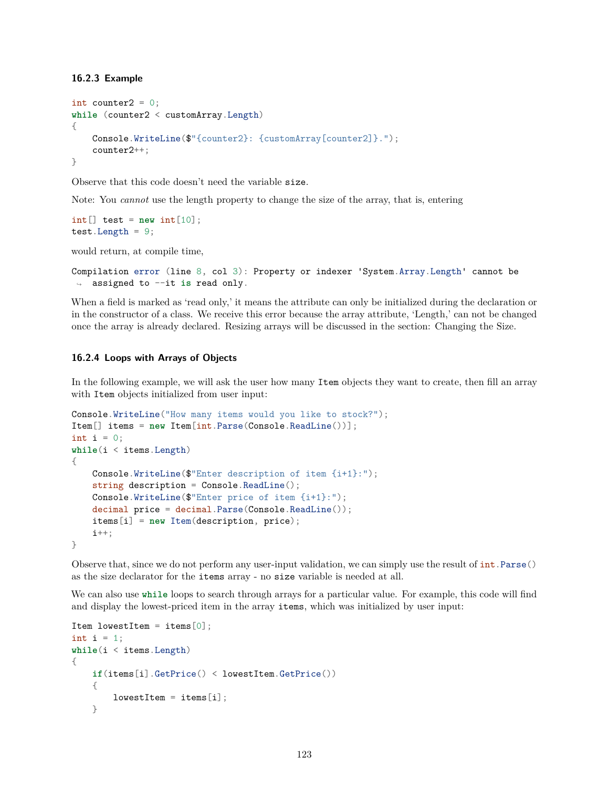#### **16.2.3 Example**

```
int counter2 = 0;
while (counter2 < customArray.Length)
{
   Console.WriteLine($"{counter2}: {customArray[counter2]}.");
    counter2++;
}
```
Observe that this code doesn't need the variable size.

Note: You *cannot* use the length property to change the size of the array, that is, entering

```
int[] test = new int[10];
test.Length = 9;
```
would return, at compile time,

```
Compilation error (line 8, col 3): Property or indexer 'System.Array.Length' cannot be
↪ assigned to --it is read only.
```
When a field is marked as 'read only,' it means the attribute can only be initialized during the declaration or in the constructor of a class. We receive this error because the array attribute, 'Length,' can not be changed once the array is already declared. Resizing arrays will be discussed in the section: [Changing the Size.](#page-123-0)

### **16.2.4 Loops with Arrays of Objects**

In the following example, we will ask the user how many Item objects they want to create, then fill an array with Item objects initialized from user input:

```
Console.WriteLine("How many items would you like to stock?");
Item[] items = new Item[int.Parse(Console.ReadLine())];
int i = 0;
while(i < items.Length)
{
   Console.WriteLine($"Enter description of item {i+1}:");
   string description = Console.ReadLine();
   Console.WriteLine($"Enter price of item {i+1}:");
   decimal price = decimal.Parse(Console.ReadLine());
   items[i] = new Item(description, price);
   i++:
}
```
Observe that, since we do not perform any user-input validation, we can simply use the result of  $int.Parse()$ as the size declarator for the items array - no size variable is needed at all.

We can also use **while** loops to search through arrays for a particular value. For example, this code will find and display the lowest-priced item in the array items, which was initialized by user input:

```
Item lowestItem = items[0];
int i = 1:
while(i < items.Length)
{
   if(items[i].GetPrice() < lowestItem.GetPrice())
    {
       lowestItem = items[i];}
```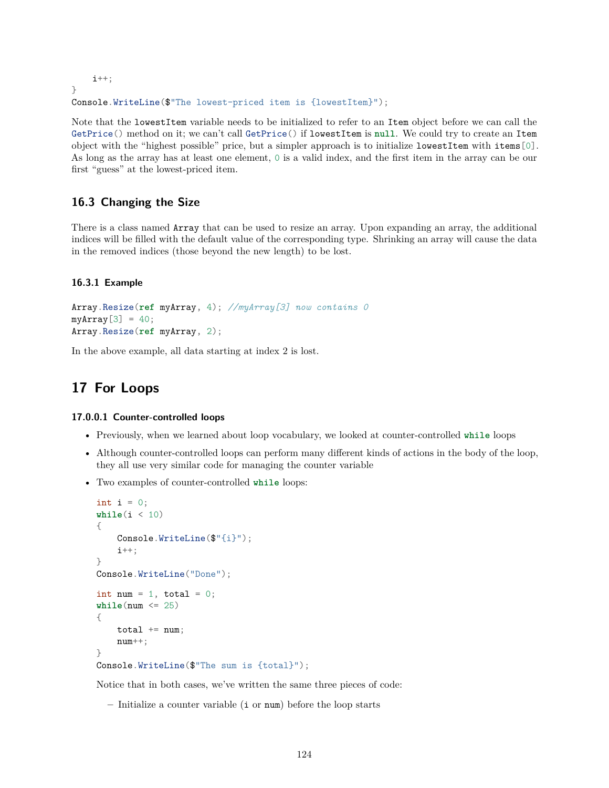```
i++;
}
Console.WriteLine($"The lowest-priced item is {lowestItem}");
```
Note that the lowestItem variable needs to be initialized to refer to an Item object before we can call the GetPrice() method on it; we can't call GetPrice() if lowestItem is **null**. We could try to create an Item object with the "highest possible" price, but a simpler approach is to initialize lowestItem with items[0]. As long as the array has at least one element, 0 is a valid index, and the first item in the array can be our first "guess" at the lowest-priced item.

# <span id="page-123-0"></span>**16.3 Changing the Size**

There is a class named Array that can be used to resize an array. Upon expanding an array, the additional indices will be filled with the default value of the corresponding type. Shrinking an array will cause the data in the removed indices (those beyond the new length) to be lost.

### **16.3.1 Example**

```
Array.Resize(ref myArray, 4); //myArray[3] now contains 0
myArray[3] = 40;Array.Resize(ref myArray, 2);
```
In the above example, all data starting at index 2 is lost.

# **17 For Loops**

### **17.0.0.1 Counter-controlled loops**

- Previously, when we learned about loop vocabulary, we looked at counter-controlled **while** loops
- Although counter-controlled loops can perform many different kinds of actions in the body of the loop, they all use very similar code for managing the counter variable
- Two examples of counter-controlled **while** loops:

```
int i = 0;
while(i < 10)
{
    Console.WriteLine($"{i}");
    i++;
}
Console.WriteLine("Done");
int num = 1, total = 0;
while(num \leq 25){
    total += num;
    num++;
}
Console.WriteLine($"The sum is {total}");
```
Notice that in both cases, we've written the same three pieces of code:

**–** Initialize a counter variable (i or num) before the loop starts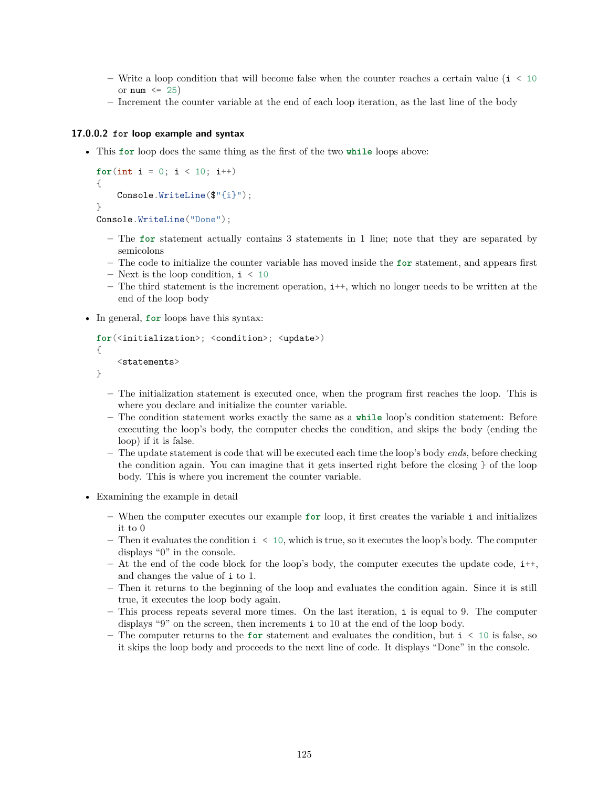- **–** Write a loop condition that will become false when the counter reaches a certain value (i < 10 or  $num \leq 25$
- **–** Increment the counter variable at the end of each loop iteration, as the last line of the body

### **17.0.0.2 for loop example and syntax**

• This **for** loop does the same thing as the first of the two **while** loops above:

```
for(int i = 0; i < 10; i++)
{
    Console.WriteLine($"{i}");
}
```
Console.WriteLine("Done");

- **–** The **for** statement actually contains 3 statements in 1 line; note that they are separated by semicolons
- **–** The code to initialize the counter variable has moved inside the **for** statement, and appears first
- **–** Next is the loop condition, i < 10
- **–** The third statement is the increment operation, i++, which no longer needs to be written at the end of the loop body
- In general, **for** loops have this syntax:

```
for(<initialization>; <condition>; <update>)
{
    <statements>
```
}

- **–** The initialization statement is executed once, when the program first reaches the loop. This is where you declare and initialize the counter variable.
- **–** The condition statement works exactly the same as a **while** loop's condition statement: Before executing the loop's body, the computer checks the condition, and skips the body (ending the loop) if it is false.
- **–** The update statement is code that will be executed each time the loop's body *ends*, before checking the condition again. You can imagine that it gets inserted right before the closing  $\}$  of the loop body. This is where you increment the counter variable.
- Examining the example in detail
	- **–** When the computer executes our example **for** loop, it first creates the variable i and initializes it to 0
	- **–** Then it evaluates the condition i < 10, which is true, so it executes the loop's body. The computer displays "0" in the console.
	- **–** At the end of the code block for the loop's body, the computer executes the update code, i++, and changes the value of i to 1.
	- **–** Then it returns to the beginning of the loop and evaluates the condition again. Since it is still true, it executes the loop body again.
	- **–** This process repeats several more times. On the last iteration, i is equal to 9. The computer displays "9" on the screen, then increments i to 10 at the end of the loop body.
	- **–** The computer returns to the **for** statement and evaluates the condition, but i < 10 is false, so it skips the loop body and proceeds to the next line of code. It displays "Done" in the console.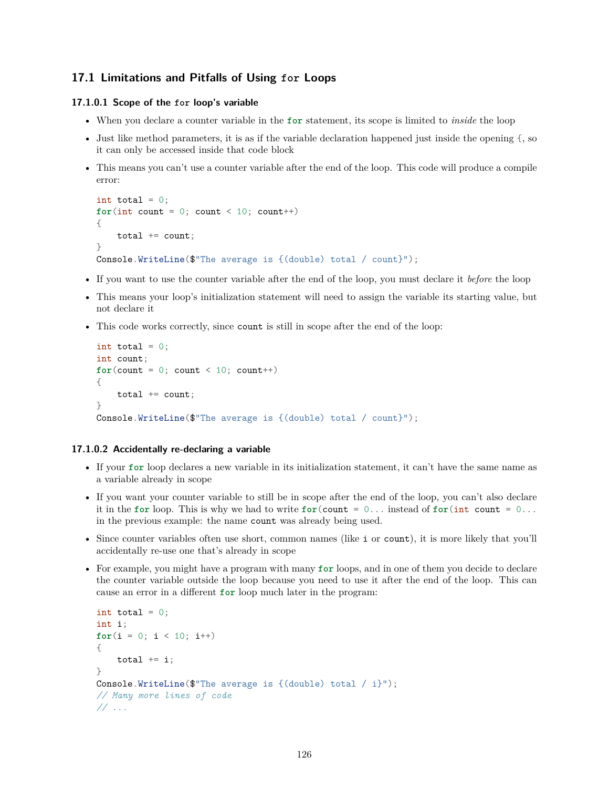# **17.1 Limitations and Pitfalls of Using for Loops**

### **17.1.0.1 Scope of the for loop's variable**

- When you declare a counter variable in the **for** statement, its scope is limited to *inside* the loop
- Just like method parameters, it is as if the variable declaration happened just inside the opening {, so it can only be accessed inside that code block
- This means you can't use a counter variable after the end of the loop. This code will produce a compile error:

```
int total = 0:
for(int count = 0; count < 10; count++){
    total += count;}
Console.WriteLine($"The average is {(double) total / count}");
```
- If you want to use the counter variable after the end of the loop, you must declare it *before* the loop
- This means your loop's initialization statement will need to assign the variable its starting value, but not declare it
- This code works correctly, since count is still in scope after the end of the loop:

```
int total = 0;
int count;
for (count = 0; count < 10; count++){
    total += count;}
Console.WriteLine($"The average is {(double) total / count}");
```
#### **17.1.0.2 Accidentally re-declaring a variable**

- If your **for** loop declares a new variable in its initialization statement, it can't have the same name as a variable already in scope
- If you want your counter variable to still be in scope after the end of the loop, you can't also declare it in the **for** loop. This is why we had to write **for**(count = 0... instead of **for**(int count = 0... in the previous example: the name count was already being used.
- Since counter variables often use short, common names (like i or count), it is more likely that you'll accidentally re-use one that's already in scope
- For example, you might have a program with many **for** loops, and in one of them you decide to declare the counter variable outside the loop because you need to use it after the end of the loop. This can cause an error in a different **for** loop much later in the program:

```
int total = 0;
int i;
for(i = 0; i < 10; i++){
   total += i;
}
Console.WriteLine($"The average is {(double) total / i}");
// Many more lines of code
// ...
```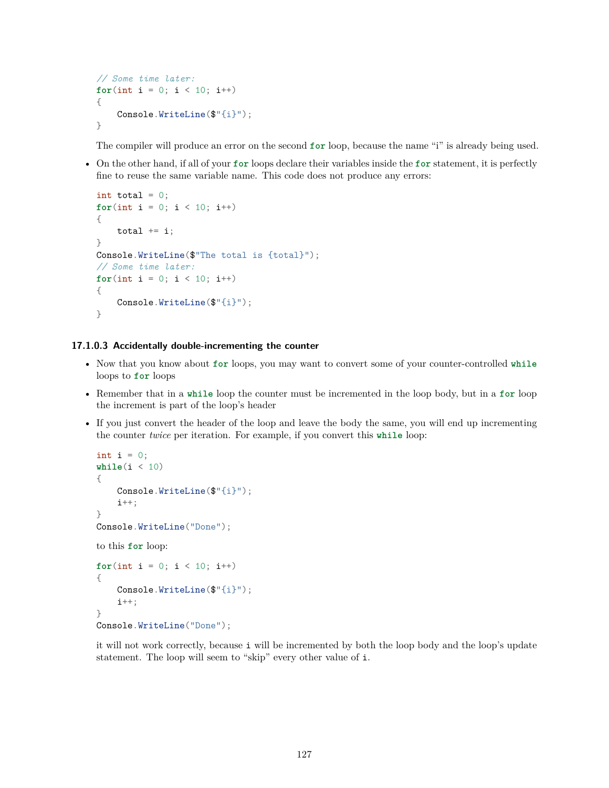```
// Some time later:
for(int i = 0; i < 10; i++)
{
    Console.WriteLine($"{i}");
}
```
The compiler will produce an error on the second **for** loop, because the name "i" is already being used.

• On the other hand, if all of your **for** loops declare their variables inside the **for** statement, it is perfectly fine to reuse the same variable name. This code does not produce any errors:

```
int total = 0;
for(int i = 0; i < 10; i++)
{
    total += i;
}
Console.WriteLine($"The total is {total}");
// Some time later:
for(int i = 0; i < 10; i++)
{
    Console.WriteLine($"{i}");
}
```
### **17.1.0.3 Accidentally double-incrementing the counter**

- Now that you know about **for** loops, you may want to convert some of your counter-controlled **while** loops to **for** loops
- Remember that in a **while** loop the counter must be incremented in the loop body, but in a **for** loop the increment is part of the loop's header
- If you just convert the header of the loop and leave the body the same, you will end up incrementing the counter *twice* per iteration. For example, if you convert this **while** loop:

```
int i = 0;
\text{while}(i \leq 10){
    Console.WriteLine($"{i}");
    i++;
}
Console.WriteLine("Done");
to this for loop:
for(int i = 0; i < 10; i++)
{
    Console.WriteLine($"{i}");
    i++;
}
Console.WriteLine("Done");
```
it will not work correctly, because i will be incremented by both the loop body and the loop's update statement. The loop will seem to "skip" every other value of i.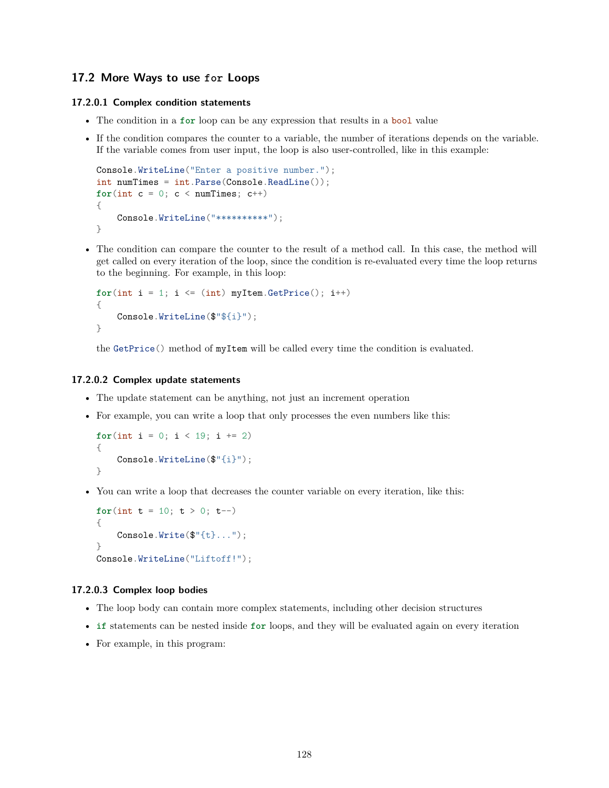# **17.2 More Ways to use for Loops**

### **17.2.0.1 Complex condition statements**

- The condition in a **for** loop can be any expression that results in a bool value
- If the condition compares the counter to a variable, the number of iterations depends on the variable. If the variable comes from user input, the loop is also user-controlled, like in this example:

```
Console.WriteLine("Enter a positive number.");
int numTimes = int.Parse(Console.ReadLine());
for(int c = 0; c < numTimes; c++){
    Console.WriteLine("**********");
}
```
• The condition can compare the counter to the result of a method call. In this case, the method will get called on every iteration of the loop, since the condition is re-evaluated every time the loop returns to the beginning. For example, in this loop:

```
for(int i = 1; i \le (int) myItem.GetPrice(); i++){
    Console.WriteLine($"${i}");
}
```
the GetPrice() method of myItem will be called every time the condition is evaluated.

### **17.2.0.2 Complex update statements**

- The update statement can be anything, not just an increment operation
- For example, you can write a loop that only processes the even numbers like this:

```
for(int i = 0; i < 19; i += 2)
{
    Console.WriteLine($"{i}");
}
```
• You can write a loop that decreases the counter variable on every iteration, like this:

```
for(int t = 10; t > 0; t--)
{
     Console.Write(\mathcal{F}^{\text{H}}\{t\}...");
}
Console.WriteLine("Liftoff!");
```
### **17.2.0.3 Complex loop bodies**

- The loop body can contain more complex statements, including other decision structures
- **if** statements can be nested inside **for** loops, and they will be evaluated again on every iteration
- For example, in this program: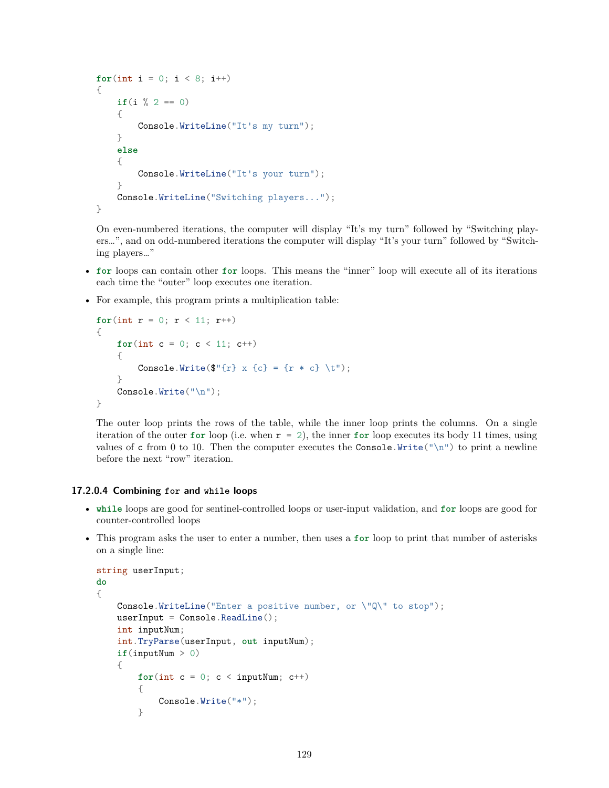```
for(int i = 0; i < 8; i++)
{
    if(i \frac{9}{6} 2 == 0)
    {
        Console.WriteLine("It's my turn");
    }
    else
    {
        Console.WriteLine("It's your turn");
    }
    Console.WriteLine("Switching players...");
}
```
On even-numbered iterations, the computer will display "It's my turn" followed by "Switching players…", and on odd-numbered iterations the computer will display "It's your turn" followed by "Switching players…"

- **for** loops can contain other **for** loops. This means the "inner" loop will execute all of its iterations each time the "outer" loop executes one iteration.
- For example, this program prints a multiplication table:

```
for(int r = 0; r < 11; r^{++})
{
     for(int c = 0; c < 11; c^{++})
     {
          Console.Write(\mathcal{F}'(r) \times \{c\} = \{r * c\} \setminus t');
     }
     Console.Write("\n");
}
```
The outer loop prints the rows of the table, while the inner loop prints the columns. On a single iteration of the outer **for** loop (i.e. when  $r = 2$ ), the inner **for** loop executes its body 11 times, using values of c from 0 to 10. Then the computer executes the Console.Write("\n") to print a newline before the next "row" iteration.

### **17.2.0.4 Combining for and while loops**

- **while** loops are good for sentinel-controlled loops or user-input validation, and **for** loops are good for counter-controlled loops
- This program asks the user to enter a number, then uses a **for** loop to print that number of asterisks on a single line:

```
string userInput;
do
{
    Console.WriteLine("Enter a positive number, or \"Q\" to stop");
    userInput = Console.ReadLine();
    int inputNum;
    int.TryParse(userInput, out inputNum);
    if(inputNum > 0)
    {
        for(int c = 0; c < inputNum; c++){
            Console.Write("*");
        }
```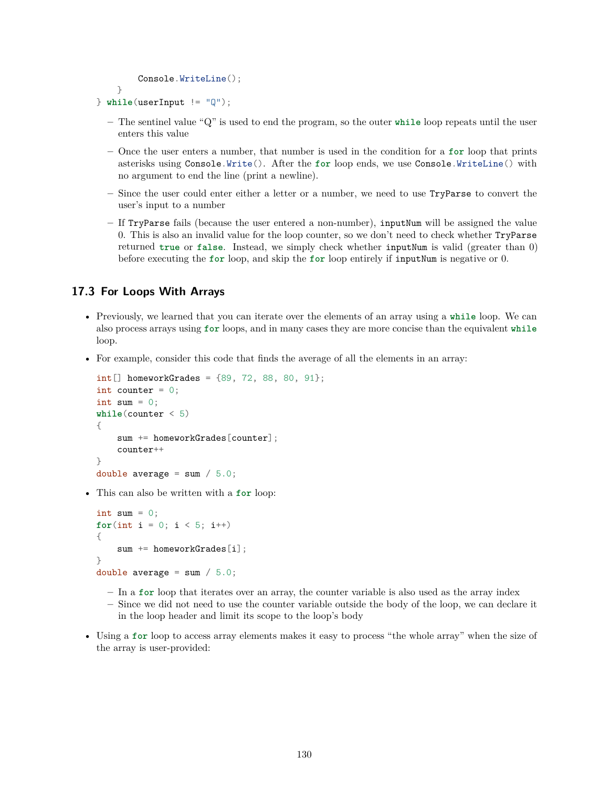```
Console.WriteLine();
}
```

```
} while(userInput != "Q");
```
- **–** The sentinel value "Q" is used to end the program, so the outer **while** loop repeats until the user enters this value
- **–** Once the user enters a number, that number is used in the condition for a **for** loop that prints asterisks using Console.Write(). After the **for** loop ends, we use Console.WriteLine() with no argument to end the line (print a newline).
- **–** Since the user could enter either a letter or a number, we need to use TryParse to convert the user's input to a number
- **–** If TryParse fails (because the user entered a non-number), inputNum will be assigned the value 0. This is also an invalid value for the loop counter, so we don't need to check whether TryParse returned **true** or **false**. Instead, we simply check whether inputNum is valid (greater than 0) before executing the **for** loop, and skip the **for** loop entirely if inputNum is negative or 0.

# **17.3 For Loops With Arrays**

- Previously, we learned that you can iterate over the elements of an array using a **while** loop. We can also process arrays using **for** loops, and in many cases they are more concise than the equivalent **while** loop.
- For example, consider this code that finds the average of all the elements in an array:

```
int[] homeworkGrades = {89, 72, 88, 80, 91};int counter = 0;
int sum = 0:
while(counter < 5)
{
    sum += homeworkGrades[counter];
    counter++
}
double average = sum / 5.0;
```
• This can also be written with a **for** loop:

```
int sum = 0;
for(int i = 0; i < 5; i++)
{
    sum += homeworkGrades[i];
}
double average = sum / 5.0;
```
- **–** In a **for** loop that iterates over an array, the counter variable is also used as the array index
- **–** Since we did not need to use the counter variable outside the body of the loop, we can declare it in the loop header and limit its scope to the loop's body
- Using a **for** loop to access array elements makes it easy to process "the whole array" when the size of the array is user-provided: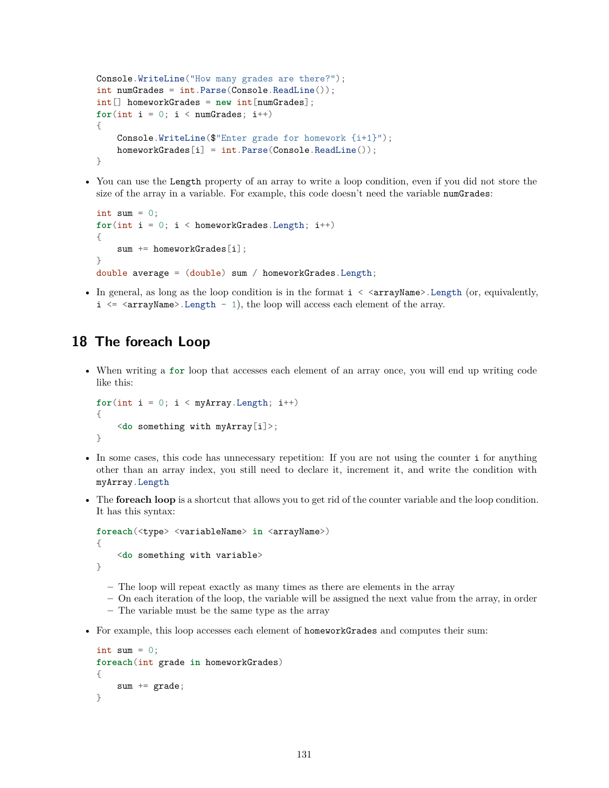```
Console.WriteLine("How many grades are there?");
int numGrades = int.Parse(Console.ReadLine());
int[] homeworkGrades = new int[numGrades];
for(int i = 0; i < numGrades; i++){
    Console.WriteLine($"Enter grade for homework {i+1}");
    homeworkGrades[i] = int.Parse(Console.ReadLine());
}
```
• You can use the Length property of an array to write a loop condition, even if you did not store the size of the array in a variable. For example, this code doesn't need the variable numGrades:

```
int sum = 0;
for(int i = 0; i < homeworkGrades.length; i++){
    sum += homeworkGrades[i];
}
double average = (double) sum / homeworkGrades.Length;
```
• In general, as long as the loop condition is in the format  $i \leq \text{arrayName}$ . Length (or, equivalently,  $i \leq \text{arrayName}$ . Length - 1), the loop will access each element of the array.

# **18 The foreach Loop**

• When writing a **for** loop that accesses each element of an array once, you will end up writing code like this:

```
for(int i = 0; i < myArray.length; i++){
    <do something with myArray[i]>;
}
```
- In some cases, this code has unnecessary repetition: If you are not using the counter i for anything other than an array index, you still need to declare it, increment it, and write the condition with myArray.Length
- The **foreach loop** is a shortcut that allows you to get rid of the counter variable and the loop condition. It has this syntax:

```
foreach(<type> <variableName> in <arrayName>)
{
    <do something with variable>
}
```
- **–** The loop will repeat exactly as many times as there are elements in the array
- **–** On each iteration of the loop, the variable will be assigned the next value from the array, in order
- **–** The variable must be the same type as the array
- For example, this loop accesses each element of homeworkGrades and computes their sum:

```
int sum = 0;
foreach(int grade in homeworkGrades)
{
    sum += grade;
}
```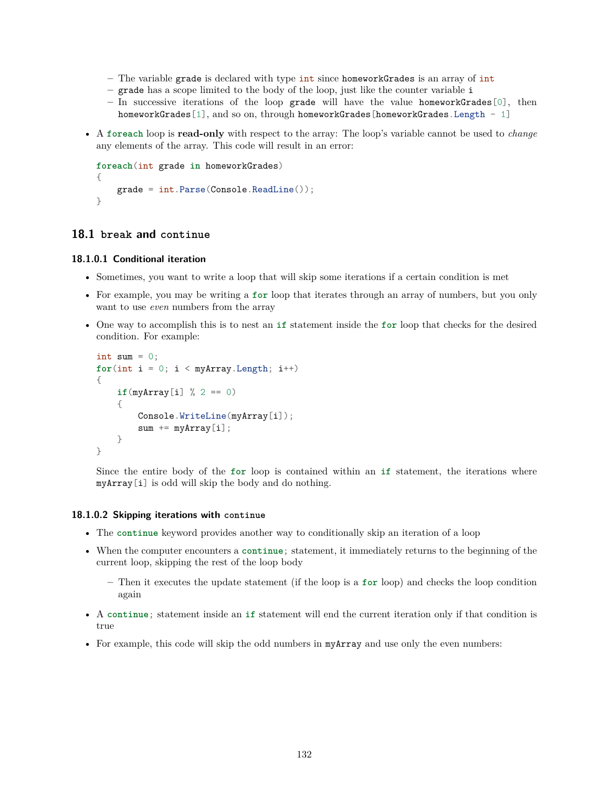- **–** The variable grade is declared with type int since homeworkGrades is an array of int
- **–** grade has a scope limited to the body of the loop, just like the counter variable i
- **–** In successive iterations of the loop grade will have the value homeworkGrades[0], then homeworkGrades[1], and so on, through homeworkGrades[homeworkGrades.Length - 1]
- A **foreach** loop is **read-only** with respect to the array: The loop's variable cannot be used to *change* any elements of the array. This code will result in an error:

```
foreach(int grade in homeworkGrades)
{
    grade = int.Parse(Console.ReadLine());
}
```
# **18.1 break and continue**

### **18.1.0.1 Conditional iteration**

- Sometimes, you want to write a loop that will skip some iterations if a certain condition is met
- For example, you may be writing a **for** loop that iterates through an array of numbers, but you only want to use *even* numbers from the array
- One way to accomplish this is to nest an **if** statement inside the **for** loop that checks for the desired condition. For example:

```
int sum = 0;
for(int i = 0; i < myArray.length; i++){
    if(myArray[i] % 2 == 0)
    {
        Console.WriteLine(myArray[i]);
        sum += myArray[i];
    }
}
```
Since the entire body of the **for** loop is contained within an **if** statement, the iterations where myArray[i] is odd will skip the body and do nothing.

### **18.1.0.2 Skipping iterations with continue**

- The **continue** keyword provides another way to conditionally skip an iteration of a loop
- When the computer encounters a **continue**; statement, it immediately returns to the beginning of the current loop, skipping the rest of the loop body
	- **–** Then it executes the update statement (if the loop is a **for** loop) and checks the loop condition again
- A **continue**; statement inside an **if** statement will end the current iteration only if that condition is true
- For example, this code will skip the odd numbers in myArray and use only the even numbers: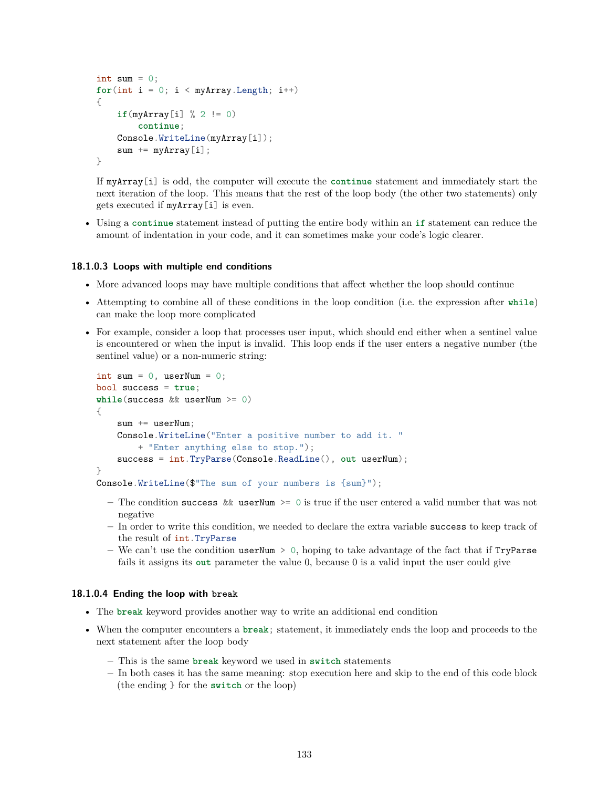```
int sum = 0;
for(int i = 0; i < myArray.length; i++){
    if(myArray[i] % 2 != 0)
        continue;
    Console.WriteLine(myArray[i]);
    sum += myArray[i];
}
```
If myArray[i] is odd, the computer will execute the **continue** statement and immediately start the next iteration of the loop. This means that the rest of the loop body (the other two statements) only gets executed if myArray[i] is even.

• Using a **continue** statement instead of putting the entire body within an **if** statement can reduce the amount of indentation in your code, and it can sometimes make your code's logic clearer.

#### **18.1.0.3 Loops with multiple end conditions**

- More advanced loops may have multiple conditions that affect whether the loop should continue
- Attempting to combine all of these conditions in the loop condition (i.e. the expression after **while**) can make the loop more complicated
- For example, consider a loop that processes user input, which should end either when a sentinel value is encountered or when the input is invalid. This loop ends if the user enters a negative number (the sentinel value) or a non-numeric string:

```
int sum = 0, userNum = 0;
bool success = true;
while(success && userNum >= 0)
{
    sum += userNum;
    Console.WriteLine("Enter a positive number to add it. "
        + "Enter anything else to stop.");
    success = int.TryParse(Console.ReadLine(), out userNum);
}
```
- Console.WriteLine(\$"The sum of your numbers is {sum}");
	- **–** The condition success && userNum >= 0 is true if the user entered a valid number that was not negative
	- **–** In order to write this condition, we needed to declare the extra variable success to keep track of the result of int.TryParse
	- **–** We can't use the condition userNum > 0, hoping to take advantage of the fact that if TryParse fails it assigns its **out** parameter the value 0, because 0 is a valid input the user could give

### **18.1.0.4 Ending the loop with break**

- The **break** keyword provides another way to write an additional end condition
- When the computer encounters a **break**; statement, it immediately ends the loop and proceeds to the next statement after the loop body
	- **–** This is the same **break** keyword we used in **switch** statements
	- **–** In both cases it has the same meaning: stop execution here and skip to the end of this code block (the ending } for the **switch** or the loop)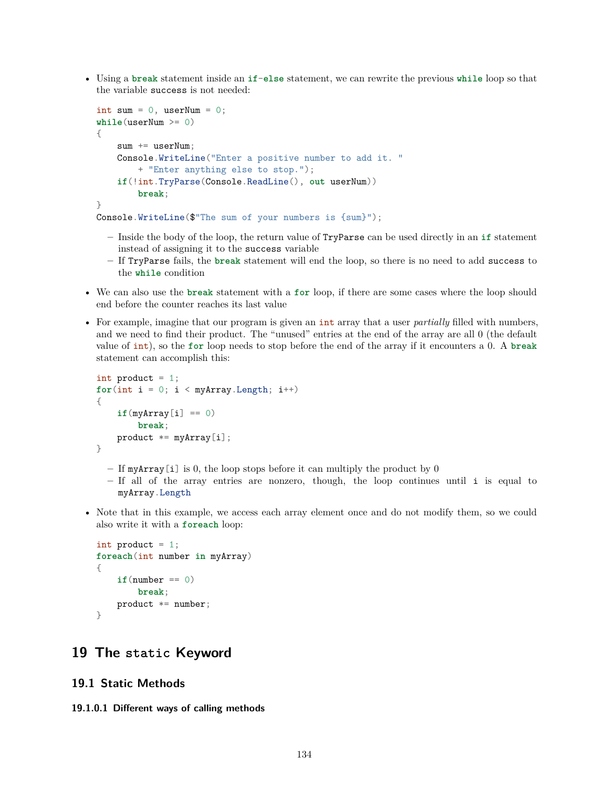• Using a **break** statement inside an **if**-**else** statement, we can rewrite the previous **while** loop so that the variable success is not needed:

```
int sum = 0, userNum = 0;
while(userNum >= 0)
{
    sum += userNum;
    Console.WriteLine("Enter a positive number to add it. "
        + "Enter anything else to stop.");
    if(!int.TryParse(Console.ReadLine(), out userNum))
        break;
}
Console.WriteLine($"The sum of your numbers is {sum}");
```
- **–** Inside the body of the loop, the return value of TryParse can be used directly in an **if** statement instead of assigning it to the success variable
- **–** If TryParse fails, the **break** statement will end the loop, so there is no need to add success to the **while** condition
- We can also use the **break** statement with a **for** loop, if there are some cases where the loop should end before the counter reaches its last value
- For example, imagine that our program is given an int array that a user *partially* filled with numbers, and we need to find their product. The "unused" entries at the end of the array are all 0 (the default value of int), so the **for** loop needs to stop before the end of the array if it encounters a 0. A **break** statement can accomplish this:

```
int product = 1;
for(int i = 0; i < myArray.length; i++){
    if(myArray[i] == 0)
        break;
   product *= myArray[i];
}
```
- **–** If myArray[i] is 0, the loop stops before it can multiply the product by 0
- **–** If all of the array entries are nonzero, though, the loop continues until i is equal to myArray.Length
- Note that in this example, we access each array element once and do not modify them, so we could also write it with a **foreach** loop:

```
int product = 1;
foreach(int number in myArray)
{
    if(number == 0)break;
    product *= number;
}
```
# **19 The static Keyword**

# **19.1 Static Methods**

**19.1.0.1 Different ways of calling methods**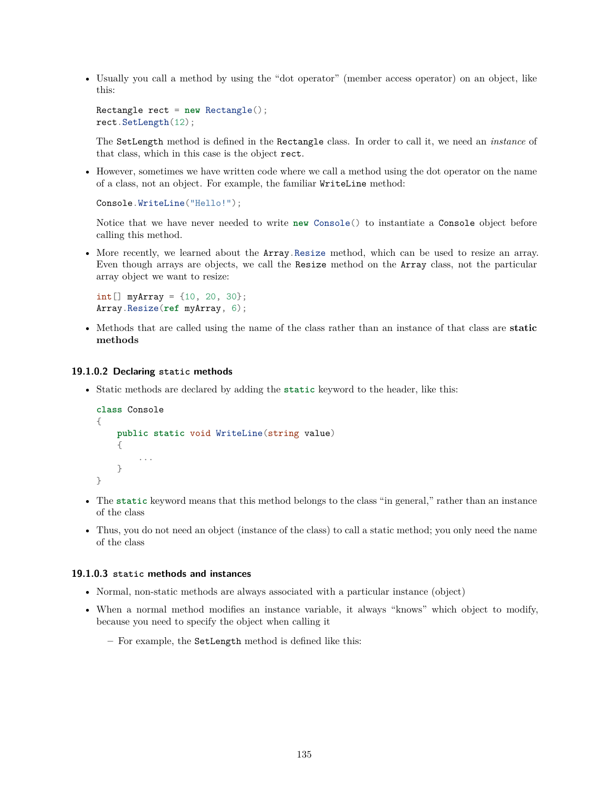• Usually you call a method by using the "dot operator" (member access operator) on an object, like this:

```
Rectangle rect = new Rectangle();
rect.SetLength(12);
```
The SetLength method is defined in the Rectangle class. In order to call it, we need an *instance* of that class, which in this case is the object rect.

• However, sometimes we have written code where we call a method using the dot operator on the name of a class, not an object. For example, the familiar WriteLine method:

```
Console.WriteLine("Hello!");
```
Notice that we have never needed to write **new** Console() to instantiate a Console object before calling this method.

• More recently, we learned about the **Array**.Resize method, which can be used to resize an array. Even though arrays are objects, we call the Resize method on the Array class, not the particular array object we want to resize:

```
int[] myArray = {10, 20, 30};
Array.Resize(ref myArray, 6);
```
• Methods that are called using the name of the class rather than an instance of that class are **static methods**

## **19.1.0.2 Declaring static methods**

• Static methods are declared by adding the **static** keyword to the header, like this:

```
class Console
{
    public static void WriteLine(string value)
    {
        ...
    }
}
```
- The **static** keyword means that this method belongs to the class "in general," rather than an instance of the class
- Thus, you do not need an object (instance of the class) to call a static method; you only need the name of the class

### **19.1.0.3 static methods and instances**

- Normal, non-static methods are always associated with a particular instance (object)
- When a normal method modifies an instance variable, it always "knows" which object to modify, because you need to specify the object when calling it
	- **–** For example, the SetLength method is defined like this: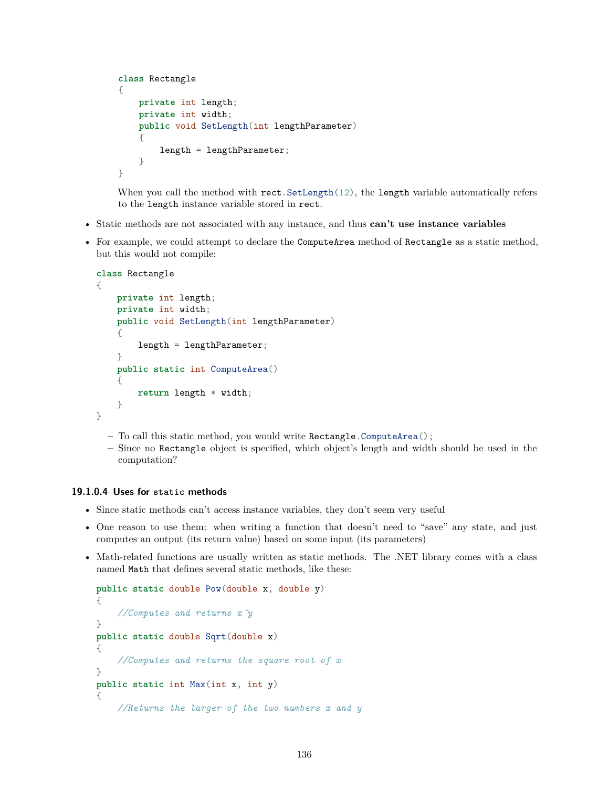```
class Rectangle
{
   private int length;
    private int width;
    public void SetLength(int lengthParameter)
    {
        length = lengthParameter;
    }
}
```
When you call the method with rect. SetLength(12), the length variable automatically refers to the length instance variable stored in rect.

- Static methods are not associated with any instance, and thus **can't use instance variables**
- For example, we could attempt to declare the ComputeArea method of Rectangle as a static method, but this would not compile:

```
class Rectangle
{
    private int length;
    private int width;
    public void SetLength(int lengthParameter)
    {
        length = lengthParameter;
    }
    public static int ComputeArea()
    {
        return length * width;
    }
}
```
- **–** To call this static method, you would write Rectangle.ComputeArea();
- **–** Since no Rectangle object is specified, which object's length and width should be used in the computation?

## **19.1.0.4 Uses for static methods**

- Since static methods can't access instance variables, they don't seem very useful
- One reason to use them: when writing a function that doesn't need to "save" any state, and just computes an output (its return value) based on some input (its parameters)
- Math-related functions are usually written as static methods. The .NET library comes with a class named Math that defines several static methods, like these:

```
public static double Pow(double x, double y)
{
    //Computes and returns x^y
}
public static double Sqrt(double x)
{
    //Computes and returns the square root of x
}
public static int Max(int x, int y)
{
    //Returns the larger of the two numbers x and y
```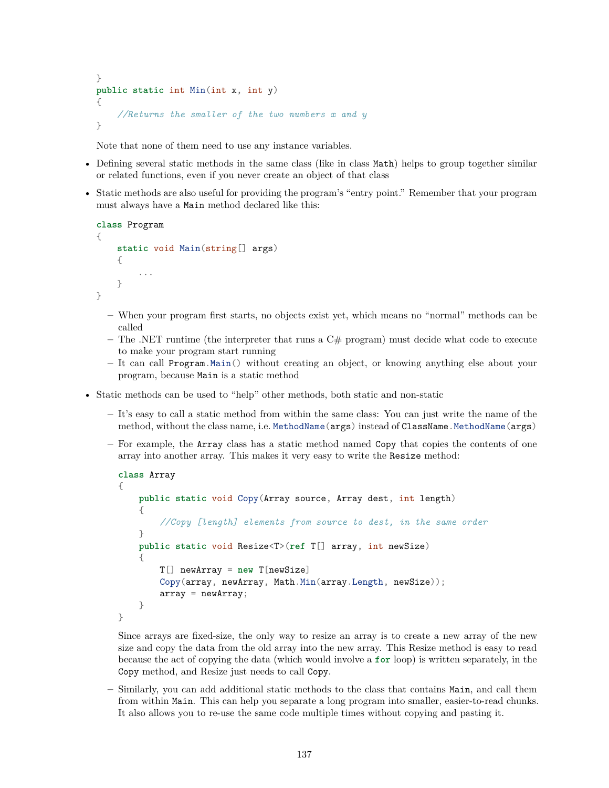```
}
public static int Min(int x, int y)
{
    //Returns the smaller of the two numbers x and y
}
```
Note that none of them need to use any instance variables.

- Defining several static methods in the same class (like in class Math) helps to group together similar or related functions, even if you never create an object of that class
- Static methods are also useful for providing the program's "entry point." Remember that your program must always have a Main method declared like this:

```
class Program
{
    static void Main(string[] args)
    {
         ...
    }
}
```
- **–** When your program first starts, no objects exist yet, which means no "normal" methods can be called
- **–** The .NET runtime (the interpreter that runs a C# program) must decide what code to execute to make your program start running
- **–** It can call Program.Main() without creating an object, or knowing anything else about your program, because Main is a static method
- Static methods can be used to "help" other methods, both static and non-static
	- **–** It's easy to call a static method from within the same class: You can just write the name of the method, without the class name, i.e. MethodName (args) instead of ClassName.MethodName (args)
	- **–** For example, the Array class has a static method named Copy that copies the contents of one array into another array. This makes it very easy to write the Resize method:

```
class Array
{
    public static void Copy(Array source, Array dest, int length)
    {
        //Copy [length] elements from source to dest, in the same order
    }
    public static void Resize<T>(ref T[] array, int newSize)
    \mathcal{A}T[] newArray = new T[newSize]
        Copy(array, newArray, Math.Min(array.Length, newSize));
        array = newArray;}
}
```
Since arrays are fixed-size, the only way to resize an array is to create a new array of the new size and copy the data from the old array into the new array. This Resize method is easy to read because the act of copying the data (which would involve a **for** loop) is written separately, in the Copy method, and Resize just needs to call Copy.

**–** Similarly, you can add additional static methods to the class that contains Main, and call them from within Main. This can help you separate a long program into smaller, easier-to-read chunks. It also allows you to re-use the same code multiple times without copying and pasting it.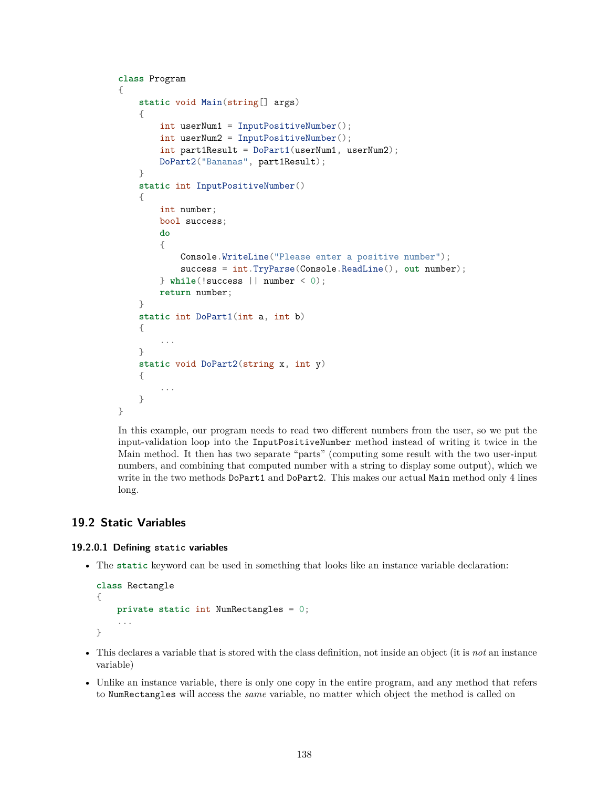```
class Program
{
    static void Main(string[] args)
    {
        int userNum1 = InputPositiveNumber();
        int userNum2 = InputPositiveNumber();
        int part1Result = DoPart1(userNum1, userNum2);
        DoPart2("Bananas", part1Result);
    }
    static int InputPositiveNumber()
    {
        int number;
        bool success;
        do
        {
            Console.WriteLine("Please enter a positive number");
            success = int.TryParse(Console.ReadLine(), out number);
        } while(!success || number < 0);
        return number;
    }
    static int DoPart1(int a, int b)
    {
        ...
    }
    static void DoPart2(string x, int y)
    {
        ...
    }
}
```
In this example, our program needs to read two different numbers from the user, so we put the input-validation loop into the InputPositiveNumber method instead of writing it twice in the Main method. It then has two separate "parts" (computing some result with the two user-input numbers, and combining that computed number with a string to display some output), which we write in the two methods DoPart1 and DoPart2. This makes our actual Main method only 4 lines long.

# **19.2 Static Variables**

## **19.2.0.1 Defining static variables**

• The **static** keyword can be used in something that looks like an instance variable declaration:

```
class Rectangle
{
    private static int NumRectangles = 0;
    ...
}
```
- This declares a variable that is stored with the class definition, not inside an object (it is *not* an instance variable)
- Unlike an instance variable, there is only one copy in the entire program, and any method that refers to NumRectangles will access the *same* variable, no matter which object the method is called on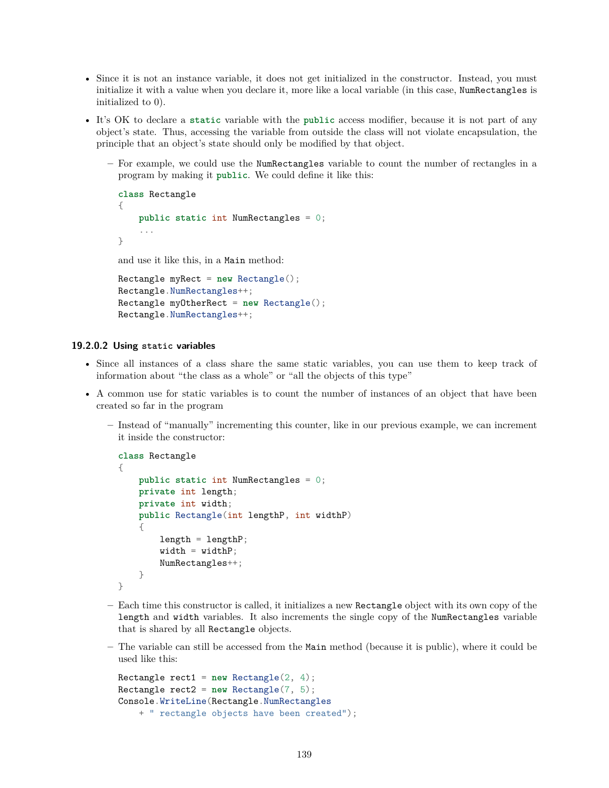- Since it is not an instance variable, it does not get initialized in the constructor. Instead, you must initialize it with a value when you declare it, more like a local variable (in this case, NumRectangles is initialized to 0).
- It's OK to declare a **static** variable with the **public** access modifier, because it is not part of any object's state. Thus, accessing the variable from outside the class will not violate encapsulation, the principle that an object's state should only be modified by that object.
	- **–** For example, we could use the NumRectangles variable to count the number of rectangles in a program by making it **public**. We could define it like this:

```
class Rectangle
{
    public static int NumRectangles = 0;
    ...
}
and use it like this, in a Main method:
Rectangle myRect = new Rectangle();
```

```
Rectangle.NumRectangles++;
Rectangle myOtherRect = new Rectangle();
Rectangle.NumRectangles++;
```
### **19.2.0.2 Using static variables**

- Since all instances of a class share the same static variables, you can use them to keep track of information about "the class as a whole" or "all the objects of this type"
- A common use for static variables is to count the number of instances of an object that have been created so far in the program
	- **–** Instead of "manually" incrementing this counter, like in our previous example, we can increment it inside the constructor:

```
class Rectangle
{
    public static int NumRectangles = 0;
    private int length;
    private int width;
    public Rectangle(int lengthP, int widthP)
    {
        length = lengthP;
        width = widthP;NumRectangles++;
    }
}
```
- **–** Each time this constructor is called, it initializes a new Rectangle object with its own copy of the length and width variables. It also increments the single copy of the NumRectangles variable that is shared by all Rectangle objects.
- **–** The variable can still be accessed from the Main method (because it is public), where it could be used like this:

```
Rectangle rect1 = new Rectangle(2, 4);Rectangle rect2 = new Rectangle(7, 5);
Console.WriteLine(Rectangle.NumRectangles
   + " rectangle objects have been created");
```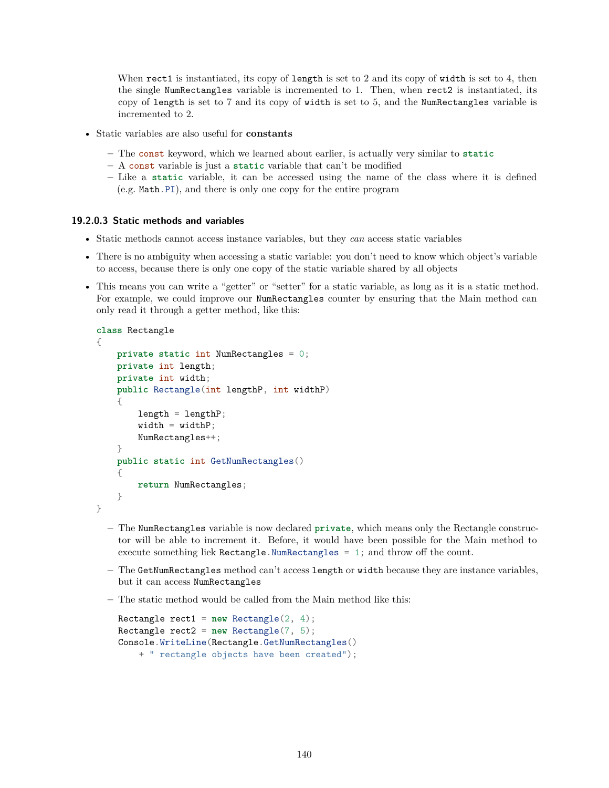When rect1 is instantiated, its copy of length is set to 2 and its copy of width is set to 4, then the single NumRectangles variable is incremented to 1. Then, when rect2 is instantiated, its copy of length is set to 7 and its copy of width is set to 5, and the NumRectangles variable is incremented to 2.

- Static variables are also useful for **constants**
	- **–** The const keyword, which we learned about earlier, is actually very similar to **static**
	- **–** A const variable is just a **static** variable that can't be modified
	- **–** Like a **static** variable, it can be accessed using the name of the class where it is defined (e.g. Math.PI), and there is only one copy for the entire program

### **19.2.0.3 Static methods and variables**

- Static methods cannot access instance variables, but they *can* access static variables
- There is no ambiguity when accessing a static variable: you don't need to know which object's variable to access, because there is only one copy of the static variable shared by all objects
- This means you can write a "getter" or "setter" for a static variable, as long as it is a static method. For example, we could improve our NumRectangles counter by ensuring that the Main method can only read it through a getter method, like this:

```
class Rectangle
{
    private static int NumRectangles = 0;
    private int length;
    private int width;
    public Rectangle(int lengthP, int widthP)
    {
        length = lengthP;
        width = widthP;NumRectangles++;
    }
    public static int GetNumRectangles()
    {
        return NumRectangles;
    }
}
```
- **–** The NumRectangles variable is now declared **private**, which means only the Rectangle constructor will be able to increment it. Before, it would have been possible for the Main method to execute something liek Rectangle.NumRectangles = 1; and throw off the count.
- **–** The GetNumRectangles method can't access length or width because they are instance variables, but it can access NumRectangles
- **–** The static method would be called from the Main method like this:

```
Rectangle rect1 = new Rectangle(2, 4);Rectangle rect2 = new Rectangle(7, 5);Console.WriteLine(Rectangle.GetNumRectangles()
   + " rectangle objects have been created");
```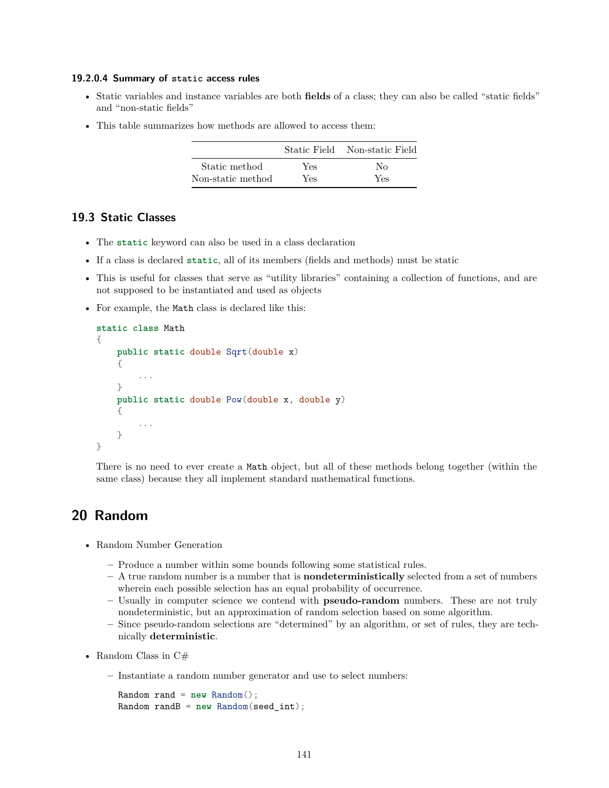#### **19.2.0.4 Summary of static access rules**

- Static variables and instance variables are both **fields** of a class; they can also be called "static fields" and "non-static fields"
- This table summarizes how methods are allowed to access them:

|                   |      | Static Field Non-static Field |
|-------------------|------|-------------------------------|
| Static method     | Yes  | No                            |
| Non-static method | Yes. | Yes                           |

## **19.3 Static Classes**

- The **static** keyword can also be used in a class declaration
- If a class is declared **static**, all of its members (fields and methods) must be static
- This is useful for classes that serve as "utility libraries" containing a collection of functions, and are not supposed to be instantiated and used as objects
- For example, the Math class is declared like this:

```
static class Math
{
    public static double Sqrt(double x)
    {
        ...
    }
    public static double Pow(double x, double y)
    {
        ...
    }
}
```
There is no need to ever create a Math object, but all of these methods belong together (within the same class) because they all implement standard mathematical functions.

# **20 Random**

- Random Number Generation
	- **–** Produce a number within some bounds following some statistical rules.
	- **–** A true random number is a number that is **nondeterministically** selected from a set of numbers wherein each possible selection has an equal probability of occurrence.
	- **–** Usually in computer science we contend with **pseudo-random** numbers. These are not truly nondeterministic, but an approximation of random selection based on some algorithm.
	- **–** Since pseudo-random selections are "determined" by an algorithm, or set of rules, they are technically **deterministic**.
- Random Class in  $C#$ 
	- **–** Instantiate a random number generator and use to select numbers:

```
Random rand = new Random();
Random randB = new Random(seed_int);
```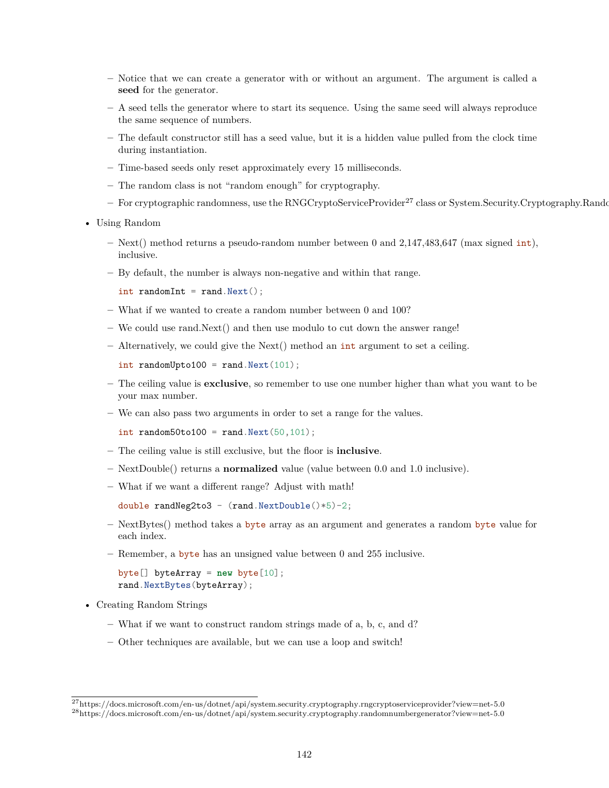- **–** Notice that we can create a generator with or without an argument. The argument is called a **seed** for the generator.
- **–** A seed tells the generator where to start its sequence. Using the same seed will always reproduce the same sequence of numbers.
- **–** The default constructor still has a seed value, but it is a hidden value pulled from the clock time during instantiation.
- **–** Time-based seeds only reset approximately every 15 milliseconds.
- **–** The random class is not "random enough" for cryptography.
- For cryptographic randomness, use the RNGCryptoServiceProvider<sup>[27](#page-141-0)</sup> class or System.Security.Cryptography.Rando
- Using Random
	- **–** Next() method returns a pseudo-random number between 0 and 2,147,483,647 (max signed int), inclusive.
	- **–** By default, the number is always non-negative and within that range.

```
int randomInt = rand.Next();
```
- **–** What if we wanted to create a random number between 0 and 100?
- **–** We could use rand.Next() and then use modulo to cut down the answer range!
- **–** Alternatively, we could give the Next() method an int argument to set a ceiling.

int randomUpto100 = rand.Next $(101)$ ;

- **–** The ceiling value is **exclusive**, so remember to use one number higher than what you want to be your max number.
- **–** We can also pass two arguments in order to set a range for the values.

```
int random50to100 = rand.Next(50, 101);
```
- **–** The ceiling value is still exclusive, but the floor is **inclusive**.
- **–** NextDouble() returns a **normalized** value (value between 0.0 and 1.0 inclusive).
- **–** What if we want a different range? Adjust with math!

```
double randNeg2to3 - (rand.NextDouble() * 5) - 2;
```
- **–** NextBytes() method takes a byte array as an argument and generates a random byte value for each index.
- **–** Remember, a byte has an unsigned value between 0 and 255 inclusive.

byte[] byteArray = **new** byte[10]; rand.NextBytes(byteArray);

- Creating Random Strings
	- **–** What if we want to construct random strings made of a, b, c, and d?
	- **–** Other techniques are available, but we can use a loop and switch!

<span id="page-141-1"></span><span id="page-141-0"></span><sup>27</sup><https://docs.microsoft.com/en-us/dotnet/api/system.security.cryptography.rngcryptoserviceprovider?view=net-5.0> <sup>28</sup><https://docs.microsoft.com/en-us/dotnet/api/system.security.cryptography.randomnumbergenerator?view=net-5.0>